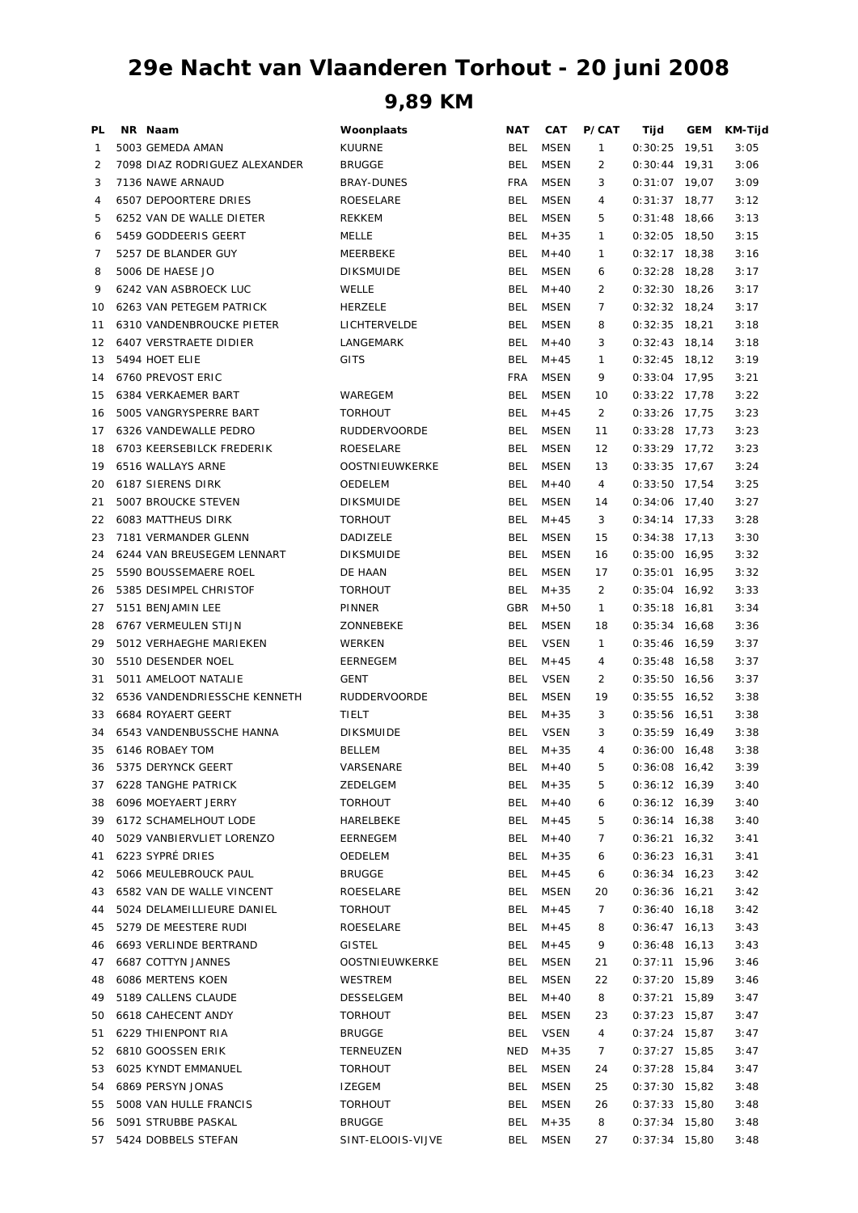## **29e Nacht van Vlaanderen Torhout - 20 juni 2008**

**9,89 KM**

| PL | NR Naam                       | Woonplaats            | NAT        | CAT         | P/CAT          | Tijd            | <b>GEM</b> | KM-Tijd |
|----|-------------------------------|-----------------------|------------|-------------|----------------|-----------------|------------|---------|
| 1  | 5003 GEMEDA AMAN              | <b>KUURNE</b>         | BEL        | <b>MSEN</b> | 1              | $0:30:25$ 19,51 |            | 3:05    |
| 2  | 7098 DIAZ RODRIGUEZ ALEXANDER | <b>BRUGGE</b>         | <b>BEL</b> | <b>MSEN</b> | 2              | $0:30:44$ 19,31 |            | 3:06    |
| 3  | 7136 NAWE ARNAUD              | <b>BRAY-DUNES</b>     | <b>FRA</b> | <b>MSEN</b> | 3              | $0:31:07$ 19,07 |            | 3:09    |
| 4  | <b>6507 DEPOORTERE DRIES</b>  | ROESELARE             | <b>BEL</b> | <b>MSEN</b> | 4              | 0:31:37         | 18,77      | 3:12    |
| 5  | 6252 VAN DE WALLE DIETER      | <b>REKKEM</b>         | <b>BEL</b> | MSEN        | 5              | $0:31:48$ 18,66 |            | 3:13    |
| 6  | 5459 GODDEERIS GEERT          | MELLE                 | <b>BEL</b> | $M + 35$    | $\mathbf{1}$   | $0:32:05$ 18,50 |            | 3:15    |
| 7  | 5257 DE BLANDER GUY           | MEERBEKE              | <b>BEL</b> | $M + 40$    | $\mathbf{1}$   | $0:32:17$ 18,38 |            | 3:16    |
| 8  | 5006 DE HAESE JO              | <b>DIKSMUIDE</b>      | <b>BEL</b> | MSEN        | 6              | $0:32:28$ 18,28 |            | 3:17    |
| 9  | 6242 VAN ASBROECK LUC         | WELLE                 | <b>BEL</b> | $M + 40$    | 2              | $0:32:30$ 18,26 |            | 3:17    |
| 10 | 6263 VAN PETEGEM PATRICK      | HERZELE               | <b>BEL</b> | MSEN        | 7              | $0:32:32$ 18,24 |            | 3:17    |
| 11 | 6310 VANDENBROUCKE PIETER     | LICHTERVELDE          | <b>BEL</b> | MSEN        | 8              | $0:32:35$ 18,21 |            | 3:18    |
| 12 | 6407 VERSTRAETE DIDIER        | LANGEMARK             | <b>BEL</b> | $M + 40$    | 3              | $0:32:43$ 18,14 |            | 3:18    |
| 13 | 5494 HOET ELIE                | <b>GITS</b>           | <b>BEL</b> | $M + 45$    | $\mathbf{1}$   | $0:32:45$ 18,12 |            | 3:19    |
| 14 | 6760 PREVOST ERIC             |                       | <b>FRA</b> | <b>MSEN</b> | 9              | $0:33:04$ 17,95 |            | 3:21    |
| 15 | 6384 VERKAEMER BART           | WAREGEM               | <b>BEL</b> | MSEN        | 10             | $0:33:22$ 17,78 |            | 3:22    |
| 16 | 5005 VANGRYSPERRE BART        | <b>TORHOUT</b>        | <b>BEL</b> | $M + 45$    | 2              | $0:33:26$ 17,75 |            | 3:23    |
| 17 | 6326 VANDEWALLE PEDRO         | <b>RUDDERVOORDE</b>   | <b>BEL</b> | <b>MSEN</b> | 11             | $0:33:28$ 17,73 |            | 3:23    |
| 18 | 6703 KEERSEBILCK FREDERIK     | ROESELARE             | <b>BEL</b> | <b>MSEN</b> | 12             | $0:33:29$ 17.72 |            | 3:23    |
| 19 | 6516 WALLAYS ARNE             | <b>OOSTNIEUWKERKE</b> | <b>BEL</b> | <b>MSEN</b> | 13             | $0:33:35$ 17,67 |            | 3:24    |
| 20 | <b>6187 SIERENS DIRK</b>      | OEDELEM               | <b>BEL</b> | $M + 40$    | 4              | $0:33:50$ 17,54 |            | 3:25    |
| 21 | 5007 BROUCKE STEVEN           | <b>DIKSMUIDE</b>      | <b>BEL</b> | MSEN        | 14             | $0:34:06$ 17,40 |            | 3:27    |
| 22 | 6083 MATTHEUS DIRK            | <b>TORHOUT</b>        | <b>BEL</b> | $M + 45$    | 3              | $0:34:14$ 17,33 |            | 3:28    |
| 23 | 7181 VERMANDER GLENN          | DADIZELE              | <b>BEL</b> | <b>MSEN</b> | 15             | $0:34:38$ 17.13 |            | 3:30    |
| 24 | 6244 VAN BREUSEGEM LENNART    | <b>DIKSMUIDE</b>      | <b>BEL</b> | <b>MSEN</b> | 16             | $0:35:00$ 16,95 |            | 3:32    |
| 25 | 5590 BOUSSEMAERE ROEL         | DE HAAN               | <b>BEL</b> | <b>MSEN</b> | 17             | $0:35:01$ 16,95 |            | 3:32    |
| 26 | 5385 DESIMPEL CHRISTOF        | <b>TORHOUT</b>        | <b>BEL</b> | $M + 35$    | 2              | $0:35:04$ 16,92 |            | 3:33    |
| 27 | 5151 BENJAMIN LEE             | PINNER                | GBR        | $M + 50$    | $\mathbf{1}$   | $0:35:18$ 16,81 |            | 3:34    |
| 28 | 6767 VERMEULEN STIJN          | ZONNEBEKE             | <b>BEL</b> | MSEN        | 18             | $0:35:34$ 16,68 |            | 3:36    |
| 29 | 5012 VERHAEGHE MARIEKEN       | WERKEN                | <b>BEL</b> | <b>VSEN</b> | $\mathbf{1}$   | $0:35:46$ 16,59 |            | 3:37    |
| 30 | 5510 DESENDER NOEL            | EERNEGEM              | <b>BEL</b> | $M + 45$    | 4              | $0:35:48$ 16,58 |            | 3:37    |
| 31 | 5011 AMELOOT NATALIE          | <b>GENT</b>           | <b>BEL</b> | <b>VSEN</b> | 2              | $0:35:50$ 16,56 |            | 3:37    |
| 32 | 6536 VANDENDRIESSCHE KENNETH  | <b>RUDDERVOORDE</b>   | <b>BEL</b> | MSEN        | 19             | $0:35:55$ 16,52 |            | 3:38    |
| 33 | 6684 ROYAERT GEERT            | <b>TIELT</b>          | <b>BEL</b> | $M + 35$    | 3              | $0:35:56$ 16,51 |            | 3:38    |
| 34 | 6543 VANDENBUSSCHE HANNA      | <b>DIKSMUIDE</b>      | <b>BEL</b> | <b>VSEN</b> | 3              | $0:35:59$ 16,49 |            | 3:38    |
| 35 | 6146 ROBAEY TOM               | <b>BELLEM</b>         | <b>BEL</b> | $M + 35$    | $\overline{4}$ | $0:36:00$ 16,48 |            | 3:38    |
| 36 | 5375 DERYNCK GEERT            | VARSENARE             | <b>BEL</b> | $M + 40$    | 5              | $0:36:08$ 16,42 |            | 3:39    |
| 37 | <b>6228 TANGHE PATRICK</b>    | ZEDELGEM              | BEL.       | $M + 35$    | 5              | $0:36:12$ 16,39 |            | 3:40    |
| 38 | 6096 MOEYAERT JERRY           | <b>TORHOUT</b>        | <b>BEL</b> | $M + 40$    | 6              | $0:36:12$ 16,39 |            | 3:40    |
| 39 | 6172 SCHAMELHOUT LODE         | HARELBEKE             | <b>BEL</b> | $M + 45$    | 5              | $0:36:14$ 16,38 |            | 3:40    |
| 40 | 5029 VANBIERVLIET LORENZO     | EERNEGEM              | <b>BEL</b> | $M + 40$    | 7              | 0:36:21         | 16,32      | 3:41    |
| 41 | 6223 SYPRÉ DRIES              | OEDELEM               | <b>BEL</b> | $M + 35$    | 6              | $0:36:23$ 16,31 |            | 3:41    |
| 42 | 5066 MEULEBROUCK PAUL         | <b>BRUGGE</b>         | BEL        | $M + 45$    | 6              | $0:36:34$ 16,23 |            | 3:42    |
| 43 | 6582 VAN DE WALLE VINCENT     | ROESELARE             | <b>BEL</b> | MSEN        | 20             | $0:36:36$ 16,21 |            | 3:42    |
| 44 | 5024 DELAMEILLIEURE DANIEL    | <b>TORHOUT</b>        | <b>BEL</b> | $M + 45$    | 7              | $0:36:40$ 16,18 |            | 3:42    |
| 45 | 5279 DE MEESTERE RUDI         | ROESELARE             | <b>BEL</b> | $M + 45$    | 8              | $0:36:47$ 16,13 |            | 3:43    |
| 46 | 6693 VERLINDE BERTRAND        | GISTEL                | BEL        | $M + 45$    | 9              | $0:36:48$ 16,13 |            | 3:43    |
| 47 | 6687 COTTYN JANNES            | OOSTNIEUWKERKE        | BEL        | <b>MSEN</b> | 21             | $0:37:11$ 15,96 |            | 3:46    |
|    |                               |                       | <b>BEL</b> | MSEN        | 22             |                 |            |         |
| 48 | 6086 MERTENS KOEN             | WESTREM               |            |             |                | $0:37:20$ 15,89 |            | 3:46    |
| 49 | 5189 CALLENS CLAUDE           | DESSELGEM             | <b>BEL</b> | $M + 40$    | 8              | $0:37:21$ 15,89 |            | 3:47    |
| 50 | 6618 CAHECENT ANDY            | <b>TORHOUT</b>        | <b>BEL</b> | MSEN        | 23<br>4        | $0:37:23$ 15,87 |            | 3:47    |
| 51 | 6229 THIENPONT RIA            | <b>BRUGGE</b>         | <b>BEL</b> | VSEN        |                | $0:37:24$ 15,87 |            | 3:47    |
| 52 | 6810 GOOSSEN ERIK             | TERNEUZEN             | NED        | $M + 35$    | 7              | $0:37:27$ 15,85 |            | 3:47    |
| 53 | 6025 KYNDT EMMANUEL           | <b>TORHOUT</b>        | <b>BEL</b> | MSEN        | 24             | $0:37:28$ 15,84 |            | 3:47    |
| 54 | 6869 PERSYN JONAS             | <b>IZEGEM</b>         | <b>BEL</b> | MSEN        | 25             | $0:37:30$ 15,82 |            | 3:48    |
| 55 | 5008 VAN HULLE FRANCIS        | <b>TORHOUT</b>        | <b>BEL</b> | <b>MSEN</b> | 26             | $0:37:33$ 15,80 |            | 3:48    |
| 56 | 5091 STRUBBE PASKAL           | <b>BRUGGE</b>         | BEL        | $M + 35$    | 8              | $0:37:34$ 15,80 |            | 3:48    |
| 57 | 5424 DOBBELS STEFAN           | SINT-ELOOIS-VIJVE     | BEL        | MSEN        | 27             | $0:37:34$ 15,80 |            | 3:48    |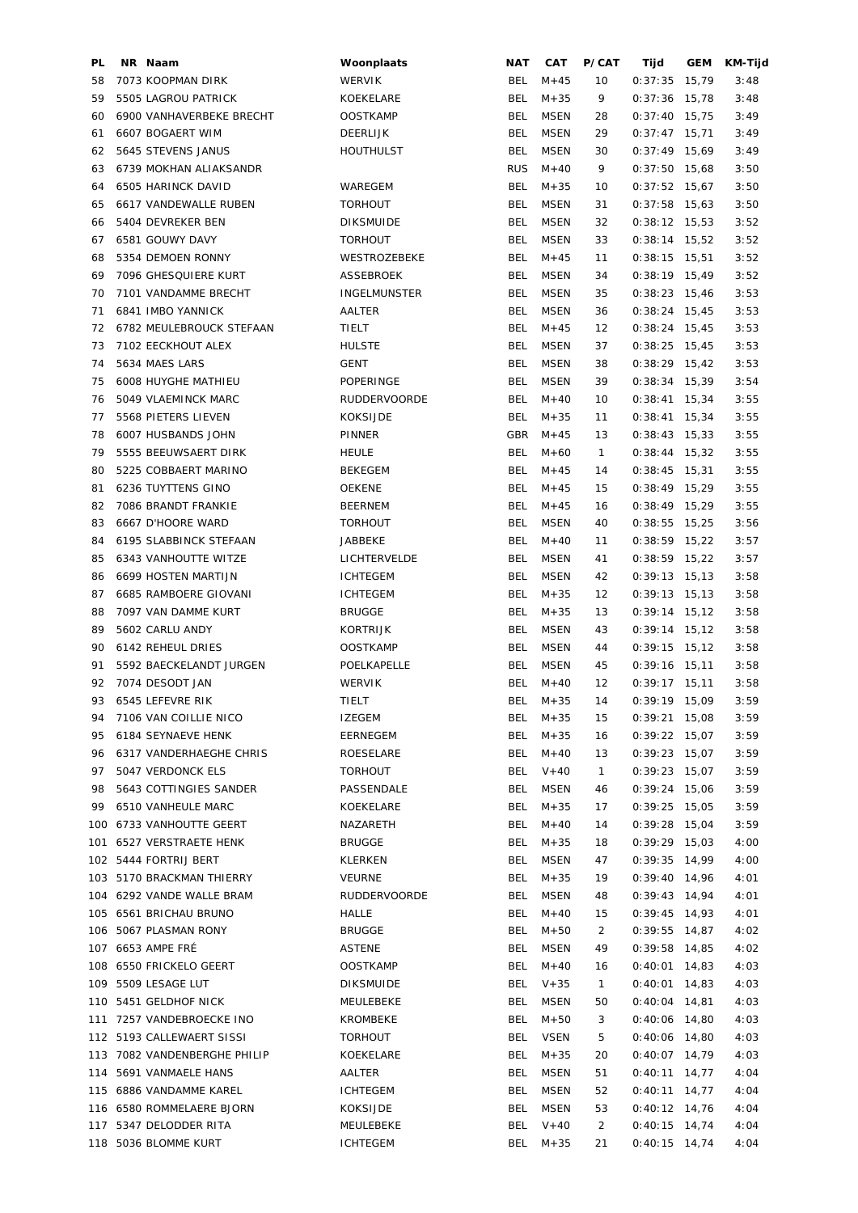| PL  | NR Naam                      | Woonplaats          | NAT        | CAT         | P/CAT          | Tijd            | GEM   | KM-Tijd |
|-----|------------------------------|---------------------|------------|-------------|----------------|-----------------|-------|---------|
| 58  | 7073 KOOPMAN DIRK            | <b>WERVIK</b>       | <b>BEL</b> | $M + 45$    | 10             | 0:37:35         | 15,79 | 3:48    |
| 59  | 5505 LAGROU PATRICK          | KOEKELARE           | <b>BEL</b> | $M + 35$    | 9              | $0:37:36$ 15,78 |       | 3:48    |
| 60  | 6900 VANHAVERBEKE BRECHT     | <b>OOSTKAMP</b>     | <b>BEL</b> | <b>MSEN</b> | 28             | $0:37:40$ 15,75 |       | 3:49    |
| 61  | 6607 BOGAERT WIM             | DEERLIJK            | <b>BEL</b> | <b>MSEN</b> | 29             | $0:37:47$ 15,71 |       | 3:49    |
| 62  | 5645 STEVENS JANUS           | <b>HOUTHULST</b>    | <b>BEL</b> | <b>MSEN</b> | 30             | $0:37:49$ 15,69 |       | 3:49    |
| 63  | 6739 MOKHAN ALIAKSANDR       |                     | <b>RUS</b> | $M + 40$    | 9              | $0:37:50$ 15,68 |       | 3:50    |
| 64  | 6505 HARINCK DAVID           | WAREGEM             | <b>BEL</b> | $M + 35$    | 10             | $0:37:52$ 15,67 |       | 3:50    |
| 65  | 6617 VANDEWALLE RUBEN        | <b>TORHOUT</b>      | <b>BEL</b> | <b>MSEN</b> | 31             | $0:37:58$ 15,63 |       | 3:50    |
| 66  | 5404 DEVREKER BEN            | <b>DIKSMUIDE</b>    | <b>BEL</b> | <b>MSEN</b> | 32             | $0:38:12$ 15,53 |       | 3:52    |
| 67  | 6581 GOUWY DAVY              | <b>TORHOUT</b>      | <b>BEL</b> | <b>MSEN</b> | 33             | $0:38:14$ 15,52 |       | 3:52    |
|     |                              |                     |            |             |                |                 |       |         |
| 68  | 5354 DEMOEN RONNY            | WESTROZEBEKE        | <b>BEL</b> | $M + 45$    | 11             | $0:38:15$ 15,51 |       | 3:52    |
| 69  | 7096 GHESQUIERE KURT         | ASSEBROEK           | <b>BEL</b> | <b>MSEN</b> | 34             | $0:38:19$ 15,49 |       | 3:52    |
| 70  | 7101 VANDAMME BRECHT         | <b>INGELMUNSTER</b> | <b>BEL</b> | <b>MSEN</b> | 35             | $0:38:23$ 15,46 |       | 3:53    |
| 71  | 6841 IMBO YANNICK            | AALTER              | <b>BEL</b> | <b>MSEN</b> | 36             | $0:38:24$ 15,45 |       | 3:53    |
| 72  | 6782 MEULEBROUCK STEFAAN     | TIELT               | <b>BEL</b> | $M + 45$    | 12             | $0:38:24$ 15,45 |       | 3:53    |
| 73  | 7102 EECKHOUT ALEX           | <b>HULSTE</b>       | <b>BEL</b> | <b>MSEN</b> | 37             | $0:38:25$ 15,45 |       | 3:53    |
| 74  | 5634 MAES LARS               | <b>GENT</b>         | <b>BEL</b> | <b>MSEN</b> | 38             | $0:38:29$ 15,42 |       | 3:53    |
| 75  | 6008 HUYGHE MATHIEU          | POPERINGE           | <b>BEL</b> | <b>MSEN</b> | 39             | $0:38:34$ 15,39 |       | 3:54    |
| 76  | 5049 VLAEMINCK MARC          | RUDDERVOORDE        | <b>BEL</b> | $M + 40$    | 10             | $0:38:41$ 15,34 |       | 3:55    |
| 77  | 5568 PIETERS LIEVEN          | <b>KOKSIJDE</b>     | <b>BEL</b> | $M + 35$    | 11             | $0:38:41$ 15,34 |       | 3:55    |
| 78  | 6007 HUSBANDS JOHN           | PINNER              | GBR        | $M + 45$    | 13             | $0:38:43$ 15,33 |       | 3:55    |
| 79  | 5555 BEEUWSAERT DIRK         | <b>HEULE</b>        | <b>BEL</b> | $M + 60$    | $\mathbf{1}$   | $0:38:44$ 15,32 |       | 3:55    |
| 80  | 5225 COBBAERT MARINO         | <b>BEKEGEM</b>      | BEL        | $M + 45$    | 14             | $0:38:45$ 15,31 |       | 3:55    |
| 81  | 6236 TUYTTENS GINO           | <b>OEKENE</b>       | BEL        | $M + 45$    | 15             | $0:38:49$ 15,29 |       | 3:55    |
| 82  | 7086 BRANDT FRANKIE          | BEERNEM             | BEL        | $M + 45$    | 16             | $0:38:49$ 15,29 |       | 3:55    |
| 83  | 6667 D'HOORE WARD            | <b>TORHOUT</b>      | <b>BEL</b> | <b>MSEN</b> | 40             | $0:38:55$ 15,25 |       | 3:56    |
| 84  | 6195 SLABBINCK STEFAAN       | JABBEKE             | <b>BEL</b> | $M + 40$    | 11             | $0:38:59$ 15,22 |       | 3:57    |
| 85  | 6343 VANHOUTTE WITZE         | LICHTERVELDE        | <b>BEL</b> | <b>MSEN</b> | 41             | $0:38:59$ 15,22 |       | 3:57    |
|     |                              |                     |            |             |                |                 |       |         |
| 86  | 6699 HOSTEN MARTIJN          | <b>ICHTEGEM</b>     | <b>BEL</b> | <b>MSEN</b> | 42             | $0:39:13$ 15,13 |       | 3:58    |
| 87  | 6685 RAMBOERE GIOVANI        | <b>ICHTEGEM</b>     | <b>BEL</b> | $M + 35$    | 12             | $0:39:13$ 15,13 |       | 3:58    |
| 88  | 7097 VAN DAMME KURT          | <b>BRUGGE</b>       | <b>BEL</b> | $M + 35$    | 13             | $0:39:14$ 15,12 |       | 3:58    |
| 89  | 5602 CARLU ANDY              | KORTRIJK            | <b>BEL</b> | <b>MSEN</b> | 43             | $0:39:14$ 15,12 |       | 3:58    |
| 90  | 6142 REHEUL DRIES            | <b>OOSTKAMP</b>     | <b>BEL</b> | <b>MSEN</b> | 44             | $0:39:15$ 15,12 |       | 3:58    |
| 91  | 5592 BAECKELANDT JURGEN      | POELKAPELLE         | <b>BEL</b> | <b>MSEN</b> | 45             | $0:39:16$ 15,11 |       | 3:58    |
| 92  | 7074 DESODT JAN              | <b>WERVIK</b>       | <b>BEL</b> | $M + 40$    | 12             | $0:39:17$ 15,11 |       | 3:58    |
| 93  | 6545 LEFEVRE RIK             | TIELT               |            | BEL $M+35$  | 14             | $0:39:19$ 15,09 |       | 3:59    |
| 94  | 7106 VAN COILLIE NICO        | <b>IZEGEM</b>       | BEL        | $M + 35$    | 15             | $0:39:21$ 15,08 |       | 3:59    |
| 95  | 6184 SEYNAEVE HENK           | EERNEGEM            | <b>BEL</b> | $M + 35$    | 16             | $0:39:22$ 15,07 |       | 3:59    |
| 96  | 6317 VANDERHAEGHE CHRIS      | ROESELARE           | <b>BEL</b> | $M + 40$    | 13             | $0:39:23$ 15,07 |       | 3:59    |
| 97  | 5047 VERDONCK ELS            | <b>TORHOUT</b>      | <b>BEL</b> | $V + 40$    | $\mathbf{1}$   | $0:39:23$ 15,07 |       | 3:59    |
| 98  | 5643 COTTINGIES SANDER       | PASSENDALE          | BEL        | MSEN        | 46             | $0:39:24$ 15,06 |       | 3:59    |
| 99  | 6510 VANHEULE MARC           | KOEKELARE           | BEL        | $M + 35$    | 17             | $0:39:25$ 15,05 |       | 3:59    |
|     | 100 6733 VANHOUTTE GEERT     | NAZARETH            | BEL        | $M + 40$    | 14             | $0:39:28$ 15,04 |       | 3:59    |
|     | 101 6527 VERSTRAETE HENK     | <b>BRUGGE</b>       | <b>BEL</b> | $M + 35$    | 18             | $0:39:29$ 15,03 |       | 4:00    |
|     | 102 5444 FORTRIJ BERT        | KLERKEN             | <b>BEL</b> | MSEN        | 47             | $0:39:35$ 14,99 |       | 4:00    |
|     | 103 5170 BRACKMAN THIERRY    | VEURNE              | BEL        | $M + 35$    | 19             | $0:39:40$ 14,96 |       | 4:01    |
|     | 104 6292 VANDE WALLE BRAM    | <b>RUDDERVOORDE</b> | <b>BEL</b> | <b>MSEN</b> | 48             | $0:39:43$ 14,94 |       | 4:01    |
|     | 105 6561 BRICHAU BRUNO       | HALLE               | <b>BEL</b> | $M + 40$    | 15             | $0:39:45$ 14,93 |       | 4:01    |
|     | 106 5067 PLASMAN RONY        | <b>BRUGGE</b>       | BEL        | $M + 50$    | $\overline{2}$ | $0:39:55$ 14,87 |       | 4:02    |
|     |                              |                     |            |             |                |                 |       |         |
|     | 107 6653 AMPE FRÉ            | <b>ASTENE</b>       | <b>BEL</b> | MSEN        | 49             | $0:39:58$ 14,85 |       | 4:02    |
|     | 108 6550 FRICKELO GEERT      | <b>OOSTKAMP</b>     | BEL        | $M + 40$    | 16             | $0:40:01$ 14,83 |       | 4:03    |
|     | 109 5509 LESAGE LUT          | <b>DIKSMUIDE</b>    | BEL        | $V + 35$    | $\mathbf{1}$   | $0:40:01$ 14,83 |       | 4:03    |
|     | 110 5451 GELDHOF NICK        | MEULEBEKE           | <b>BEL</b> | MSEN        | 50             | $0:40:04$ 14,81 |       | 4:03    |
|     | 111 7257 VANDEBROECKE INO    | KROMBEKE            | <b>BEL</b> | $M + 50$    | 3              | $0:40:06$ 14,80 |       | 4:03    |
|     | 112 5193 CALLEWAERT SISSI    | <b>TORHOUT</b>      | BEL        | <b>VSEN</b> | 5              | $0:40:06$ 14,80 |       | 4:03    |
|     | 113 7082 VANDENBERGHE PHILIP | KOEKELARE           | BEL        | $M + 35$    | 20             | $0:40:07$ 14,79 |       | 4:03    |
| 114 | 5691 VANMAELE HANS           | AALTER              | <b>BEL</b> | <b>MSEN</b> | 51             | $0:40:11$ 14,77 |       | 4:04    |
|     | 115 6886 VANDAMME KAREL      | <b>ICHTEGEM</b>     | <b>BEL</b> | <b>MSEN</b> | 52             | $0:40:11$ 14,77 |       | 4:04    |
|     | 116 6580 ROMMELAERE BJORN    | KOKSIJDE            | <b>BEL</b> | <b>MSEN</b> | 53             | $0:40:12$ 14,76 |       | 4:04    |
|     | 117 5347 DELODDER RITA       | MEULEBEKE           | <b>BEL</b> | $V + 40$    | $\overline{2}$ | $0:40:15$ 14,74 |       | 4:04    |
|     | 118 5036 BLOMME KURT         | <b>ICHTEGEM</b>     | BEL        | $M + 35$    | 21             | $0:40:15$ 14,74 |       | 4:04    |
|     |                              |                     |            |             |                |                 |       |         |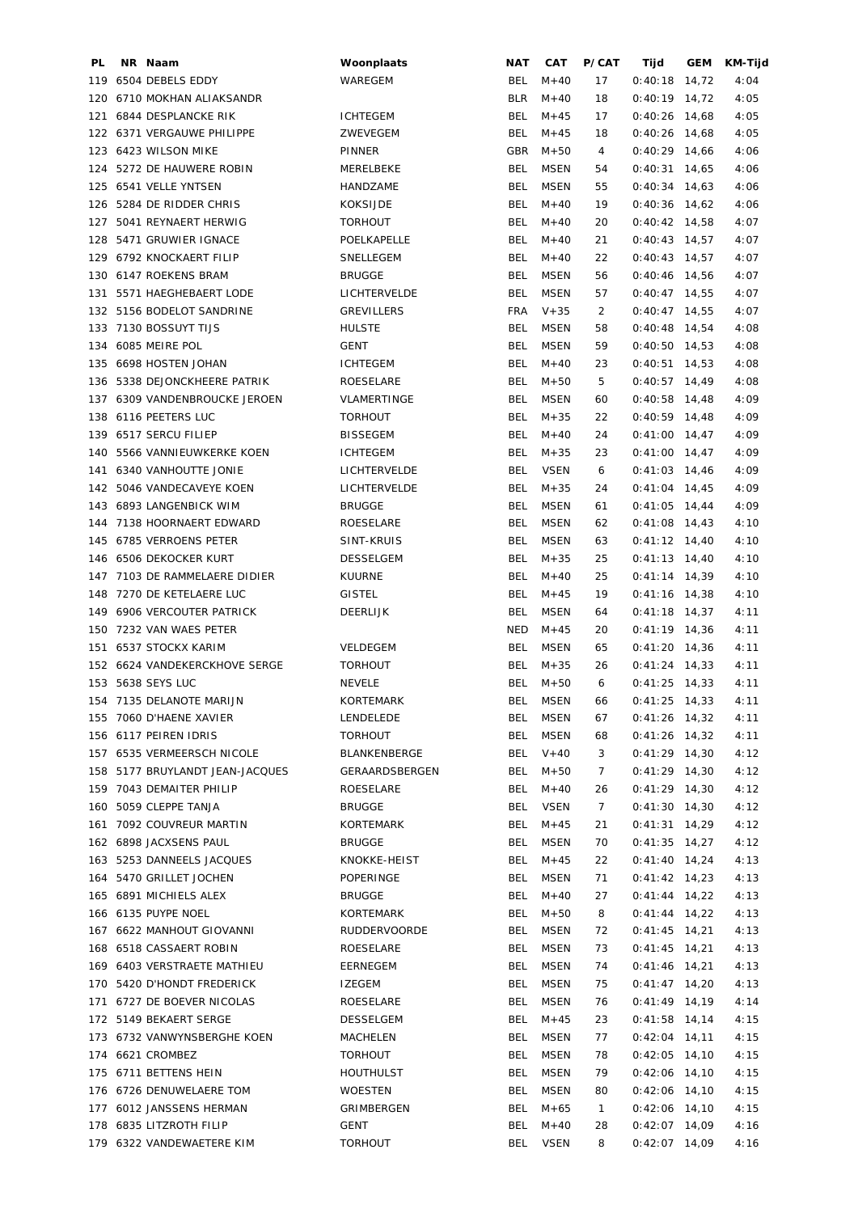| PL  | NR Naam                         | Woonplaats        | NAT        | CAT         | P/CAT        | Tijd            | GEM   | KM-Tijd |
|-----|---------------------------------|-------------------|------------|-------------|--------------|-----------------|-------|---------|
| 119 | 6504 DEBELS EDDY                | WAREGEM           | BEL        | $M + 40$    | 17           | 0:40:18         | 14,72 | 4:04    |
| 120 | 6710 MOKHAN ALIAKSANDR          |                   | <b>BLR</b> | $M + 40$    | 18           | 0:40:19         | 14,72 | 4:05    |
| 121 | 6844 DESPLANCKE RIK             | <b>ICHTEGEM</b>   | <b>BEL</b> | $M + 45$    | 17           | 0:40:26         | 14,68 | 4:05    |
|     | 122 6371 VERGAUWE PHILIPPE      | ZWEVEGEM          | <b>BEL</b> | $M + 45$    | 18           | $0:40:26$ 14,68 |       | 4:05    |
| 123 | 6423 WILSON MIKE                | PINNER            | GBR        | $M + 50$    | 4            | $0:40:29$ 14,66 |       | 4:06    |
| 124 | 5272 DE HAUWERE ROBIN           | MERELBEKE         | <b>BEL</b> | <b>MSEN</b> | 54           | 0:40:31         | 14,65 | 4:06    |
| 125 | 6541 VELLE YNTSEN               | HANDZAME          | <b>BEL</b> | <b>MSEN</b> | 55           | $0:40:34$ 14,63 |       | 4:06    |
|     | 126 5284 DE RIDDER CHRIS        | <b>KOKSIJDE</b>   | <b>BEL</b> | $M + 40$    | 19           | $0:40:36$ 14,62 |       | 4:06    |
| 127 | 5041 REYNAERT HERWIG            | <b>TORHOUT</b>    | <b>BEL</b> | $M + 40$    | 20           | $0:40:42$ 14,58 |       | 4:07    |
| 128 | 5471 GRUWIER IGNACE             | POELKAPELLE       | <b>BEL</b> | $M + 40$    | 21           | $0:40:43$ 14,57 |       | 4:07    |
|     | 129 6792 KNOCKAERT FILIP        | SNELLEGEM         | <b>BEL</b> | $M + 40$    | 22           | $0:40:43$ 14,57 |       | 4:07    |
|     | 130 6147 ROEKENS BRAM           | <b>BRUGGE</b>     | BEL        | MSEN        | 56           | $0:40:46$ 14,56 |       | 4:07    |
| 131 | 5571 HAEGHEBAERT LODE           | LICHTERVELDE      | <b>BEL</b> | <b>MSEN</b> | 57           | $0:40:47$ 14,55 |       | 4:07    |
|     | 132 5156 BODELOT SANDRINE       | <b>GREVILLERS</b> | <b>FRA</b> | $V + 35$    | 2            | $0:40:47$ 14,55 |       | 4:07    |
|     | 133 7130 BOSSUYT TIJS           | <b>HULSTE</b>     | BEL        | MSEN        | 58           | $0:40:48$ 14,54 |       | 4:08    |
|     | 134 6085 MEIRE POL              | <b>GENT</b>       | <b>BEL</b> | MSEN        | 59           | $0:40:50$ 14,53 |       | 4:08    |
| 135 | 6698 HOSTEN JOHAN               | <b>ICHTEGEM</b>   | <b>BEL</b> | $M + 40$    | 23           | $0:40:51$ 14,53 |       | 4:08    |
| 136 | 5338 DEJONCKHEERE PATRIK        | ROESELARE         | <b>BEL</b> | $M + 50$    | 5            | $0:40:57$ 14,49 |       | 4:08    |
| 137 | 6309 VANDENBROUCKE JEROEN       | VLAMERTINGE       | BEL        | <b>MSEN</b> | 60           | $0:40:58$ 14,48 |       | 4:09    |
| 138 | 6116 PEETERS LUC                | <b>TORHOUT</b>    | BEL        | $M + 35$    | 22           | $0:40:59$ 14,48 |       | 4:09    |
|     |                                 |                   |            |             |              |                 |       |         |
| 139 | 6517 SERCU FILIEP               | <b>BISSEGEM</b>   | <b>BEL</b> | $M + 40$    | 24           | $0:41:00$ 14,47 |       | 4:09    |
| 140 | 5566 VANNIEUWKERKE KOEN         | <b>ICHTEGEM</b>   | <b>BEL</b> | $M + 35$    | 23           | $0:41:00$ 14,47 |       | 4:09    |
| 141 | 6340 VANHOUTTE JONIE            | LICHTERVELDE      | <b>BEL</b> | <b>VSEN</b> | 6            | $0:41:03$ 14,46 |       | 4:09    |
|     | 142 5046 VANDECAVEYE KOEN       | LICHTERVELDE      | BEL        | $M + 35$    | 24           | $0:41:04$ 14,45 |       | 4:09    |
|     | 143 6893 LANGENBICK WIM         | <b>BRUGGE</b>     | <b>BEL</b> | <b>MSEN</b> | 61           | $0:41:05$ 14,44 |       | 4:09    |
| 144 | 7138 HOORNAERT EDWARD           | ROESELARE         | <b>BEL</b> | <b>MSEN</b> | 62           | $0:41:08$ 14,43 |       | 4:10    |
|     | 145 6785 VERROENS PETER         | SINT-KRUIS        | <b>BEL</b> | <b>MSEN</b> | 63           | $0:41:12$ 14,40 |       | 4:10    |
|     | 146 6506 DEKOCKER KURT          | <b>DESSELGEM</b>  | <b>BEL</b> | $M + 35$    | 25           | $0:41:13$ 14,40 |       | 4:10    |
|     | 147 7103 DE RAMMELAERE DIDIER   | <b>KUURNE</b>     | <b>BEL</b> | $M + 40$    | 25           | $0:41:14$ 14,39 |       | 4:10    |
| 148 | 7270 DE KETELAERE LUC           | <b>GISTEL</b>     | <b>BEL</b> | $M + 45$    | 19           | $0:41:16$ 14,38 |       | 4:10    |
|     | 149 6906 VERCOUTER PATRICK      | DEERLIJK          | <b>BEL</b> | <b>MSEN</b> | 64           | $0:41:18$ 14,37 |       | 4:11    |
| 150 | 7232 VAN WAES PETER             |                   | <b>NED</b> | $M + 45$    | 20           | $0:41:19$ 14,36 |       | 4:11    |
|     | 151 6537 STOCKX KARIM           | VELDEGEM          | <b>BEL</b> | MSEN        | 65           | $0:41:20$ 14,36 |       | 4:11    |
|     | 152 6624 VANDEKERCKHOVE SERGE   | <b>TORHOUT</b>    | <b>BEL</b> | $M + 35$    | 26           | $0:41:24$ 14,33 |       | 4:11    |
|     | 153 5638 SEYS LUC               | <b>NEVELE</b>     | <b>BEL</b> | $M + 50$    | 6            | $0:41:25$ 14,33 |       | 4:11    |
|     | 154 7135 DELANOTE MARIJN        | <b>KORTEMARK</b>  | BEL        | MSEN        | 66           | $0:41:25$ 14,33 |       | 4:11    |
|     | 155 7060 D'HAENE XAVIER         | LENDELEDE         | BEL.       | <b>MSEN</b> | 67           | $0:41:26$ 14,32 |       | 4:11    |
|     | 156 6117 PEIREN IDRIS           | <b>TORHOUT</b>    | <b>BEL</b> | <b>MSEN</b> | 68           | $0:41:26$ 14,32 |       | 4:11    |
|     | 157 6535 VERMEERSCH NICOLE      | BLANKENBERGE      | BEL        | $V + 40$    | 3            | $0:41:29$ 14,30 |       | 4:12    |
|     | 158 5177 BRUYLANDT JEAN-JACQUES | GERAARDSBERGEN    | BEL        | $M + 50$    | $7^{\circ}$  | $0:41:29$ 14,30 |       | 4:12    |
|     | 159 7043 DEMAITER PHILIP        | ROESELARE         | BEL        | $M + 40$    | 26           | $0:41:29$ 14,30 |       | 4:12    |
|     | 160 5059 CLEPPE TANJA           | <b>BRUGGE</b>     | BEL        | VSEN        | $7^{\circ}$  | $0:41:30$ 14,30 |       | 4:12    |
|     | 161 7092 COUVREUR MARTIN        | KORTEMARK         | BEL        | $M + 45$    | 21           | $0:41:31$ 14,29 |       | 4:12    |
|     | 162 6898 JACXSENS PAUL          | <b>BRUGGE</b>     | BEL        | MSEN        | 70           | $0:41:35$ 14,27 |       | 4:12    |
|     | 163 5253 DANNEELS JACQUES       | KNOKKE-HEIST      | BEL        | $M + 45$    | 22           | $0:41:40$ 14,24 |       | 4:13    |
|     | 164 5470 GRILLET JOCHEN         | POPERINGE         | BEL        | MSEN        | 71           | $0:41:42$ 14,23 |       | 4:13    |
|     | 165 6891 MICHIELS ALEX          | <b>BRUGGE</b>     | BEL        | $M + 40$    | 27           | $0:41:44$ 14,22 |       | 4:13    |
|     | 166 6135 PUYPE NOEL             | KORTEMARK         | BEL        | $M + 50$    | 8            | $0:41:44$ 14,22 |       | 4:13    |
|     | 167 6622 MANHOUT GIOVANNI       | RUDDERVOORDE      | <b>BEL</b> | MSEN        | 72           | $0:41:45$ 14,21 |       | 4:13    |
|     |                                 |                   |            | <b>MSEN</b> | 73           |                 |       |         |
|     | 168 6518 CASSAERT ROBIN         | ROESELARE         | <b>BEL</b> |             |              | $0:41:45$ 14,21 |       | 4:13    |
|     | 169 6403 VERSTRAETE MATHIEU     | EERNEGEM          | BEL        | MSEN        | 74           | $0:41:46$ 14,21 |       | 4:13    |
|     | 170 5420 D'HONDT FREDERICK      | IZEGEM            | <b>BEL</b> | MSEN        | 75           | $0:41:47$ 14,20 |       | 4:13    |
|     | 171 6727 DE BOEVER NICOLAS      | ROESELARE         | BEL        | MSEN        | 76           | $0:41:49$ 14,19 |       | 4:14    |
|     | 172 5149 BEKAERT SERGE          | DESSELGEM         | BEL        | $M + 45$    | 23           | $0:41:58$ 14,14 |       | 4:15    |
|     | 173 6732 VANWYNSBERGHE KOEN     | MACHELEN          | BEL        | MSEN        | 77           | $0:42:04$ 14,11 |       | 4:15    |
|     | 174 6621 CROMBEZ                | <b>TORHOUT</b>    | BEL        | MSEN        | 78           | $0:42:05$ 14,10 |       | 4:15    |
|     | 175 6711 BETTENS HEIN           | <b>HOUTHULST</b>  | BEL        | MSEN        | 79           | $0:42:06$ 14,10 |       | 4:15    |
|     | 176 6726 DENUWELAERE TOM        | <b>WOESTEN</b>    | BEL        | MSEN        | 80           | $0:42:06$ 14,10 |       | 4:15    |
|     | 177 6012 JANSSENS HERMAN        | GRIMBERGEN        | BEL        | $M + 65$    | $\mathbf{1}$ | $0:42:06$ 14,10 |       | 4:15    |
|     | 178 6835 LITZROTH FILIP         | GENT              | BEL        | $M + 40$    | 28           | $0:42:07$ 14,09 |       | 4:16    |
|     | 179 6322 VANDEWAETERE KIM       | <b>TORHOUT</b>    | BEL        | VSEN        | 8            | $0:42:07$ 14,09 |       | 4:16    |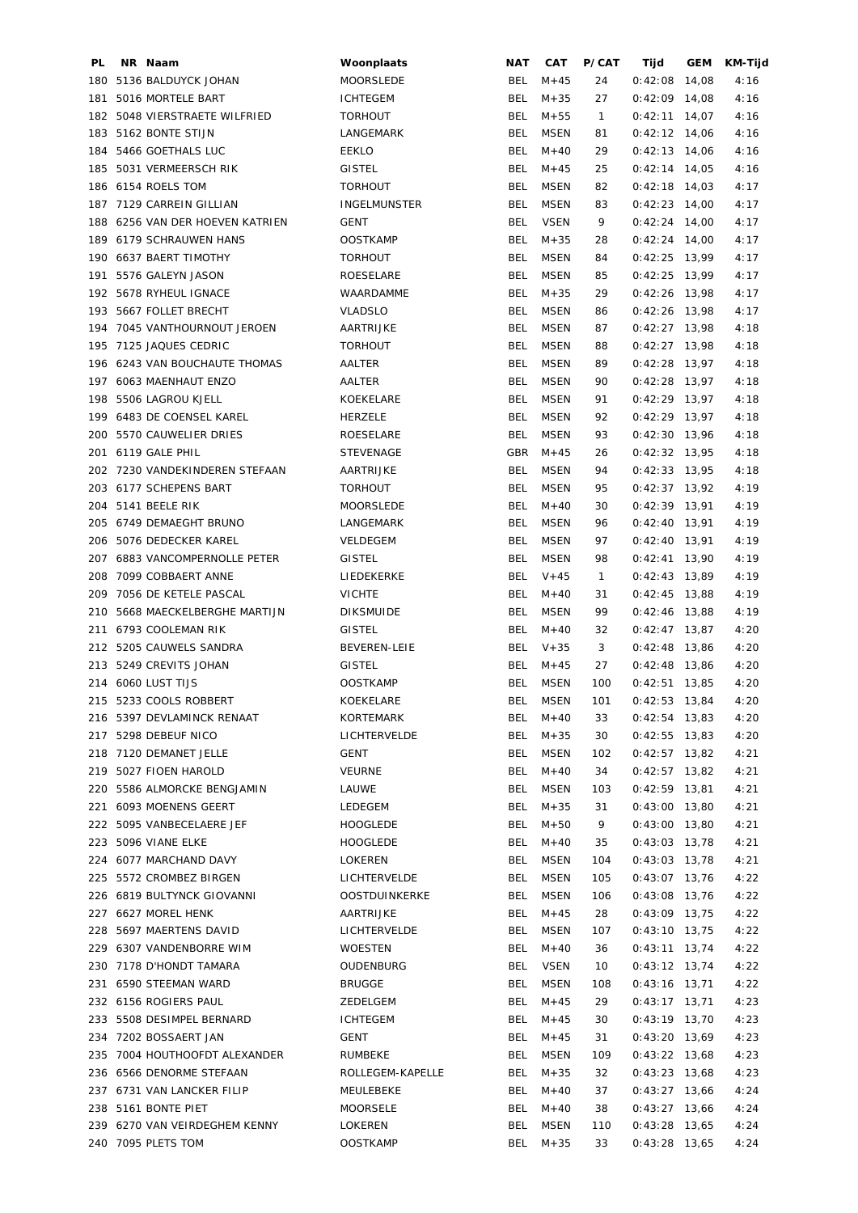| PL. | NR Naam                        | Woonplaats          | NAT        | CAT         | P/CAT        | Tijd            | GEM | KM-Tijd |
|-----|--------------------------------|---------------------|------------|-------------|--------------|-----------------|-----|---------|
| 180 | 5136 BALDUYCK JOHAN            | <b>MOORSLEDE</b>    | BEL        | $M + 45$    | 24           | $0:42:08$ 14,08 |     | 4:16    |
| 181 | 5016 MORTELE BART              | <b>ICHTEGEM</b>     | <b>BEL</b> | $M + 35$    | 27           | $0:42:09$ 14,08 |     | 4:16    |
|     | 182 5048 VIERSTRAETE WILFRIED  | <b>TORHOUT</b>      | <b>BEL</b> | $M + 55$    | $\mathbf{1}$ | $0:42:11$ 14,07 |     | 4:16    |
|     | 183 5162 BONTE STIJN           | LANGEMARK           | <b>BEL</b> | <b>MSEN</b> | 81           | $0:42:12$ 14,06 |     | 4:16    |
|     | 184 5466 GOETHALS LUC          | EEKLO               | BEL        | $M + 40$    | 29           | $0:42:13$ 14,06 |     | 4:16    |
| 185 | 5031 VERMEERSCH RIK            | <b>GISTEL</b>       | <b>BEL</b> | $M + 45$    | 25           | $0:42:14$ 14,05 |     | 4:16    |
|     | 186 6154 ROELS TOM             | <b>TORHOUT</b>      | <b>BEL</b> | <b>MSEN</b> | 82           | $0:42:18$ 14,03 |     | 4:17    |
|     |                                |                     | <b>BEL</b> |             |              |                 |     |         |
|     | 187 7129 CARREIN GILLIAN       | <b>INGELMUNSTER</b> |            | <b>MSEN</b> | 83           | $0:42:23$ 14,00 |     | 4:17    |
| 188 | 6256 VAN DER HOEVEN KATRIEN    | <b>GENT</b>         | <b>BEL</b> | <b>VSEN</b> | 9            | $0:42:24$ 14,00 |     | 4:17    |
|     | 189 6179 SCHRAUWEN HANS        | <b>OOSTKAMP</b>     | <b>BEL</b> | $M + 35$    | 28           | $0:42:24$ 14,00 |     | 4:17    |
| 190 | 6637 BAERT TIMOTHY             | <b>TORHOUT</b>      | <b>BEL</b> | MSEN        | 84           | $0:42:25$ 13,99 |     | 4:17    |
| 191 | 5576 GALEYN JASON              | ROESELARE           | <b>BEL</b> | <b>MSEN</b> | 85           | $0:42:25$ 13,99 |     | 4:17    |
|     | 192 5678 RYHEUL IGNACE         | WAARDAMME           | <b>BEL</b> | $M + 35$    | 29           | $0:42:26$ 13,98 |     | 4:17    |
|     | 193 5667 FOLLET BRECHT         | <b>VLADSLO</b>      | <b>BEL</b> | MSEN        | 86           | $0:42:26$ 13,98 |     | 4:17    |
|     | 194 7045 VANTHOURNOUT JEROEN   | AARTRIJKE           | <b>BEL</b> | MSEN        | 87           | $0:42:27$ 13,98 |     | 4:18    |
| 195 | 7125 JAQUES CEDRIC             | <b>TORHOUT</b>      | BEL        | MSEN        | 88           | $0:42:27$ 13,98 |     | 4:18    |
|     | 196 6243 VAN BOUCHAUTE THOMAS  | AALTER              | <b>BEL</b> | MSEN        | 89           | $0:42:28$ 13,97 |     | 4:18    |
| 197 | 6063 MAENHAUT ENZO             | AALTER              | <b>BEL</b> | <b>MSEN</b> | 90           | $0:42:28$ 13,97 |     | 4:18    |
| 198 | 5506 LAGROU KJELL              | KOEKELARE           | <b>BEL</b> | <b>MSEN</b> | 91           | $0:42:29$ 13,97 |     | 4:18    |
|     | 199 6483 DE COENSEL KAREL      | <b>HERZELE</b>      | <b>BEL</b> | <b>MSEN</b> | 92           | $0:42:29$ 13,97 |     | 4:18    |
| 200 | 5570 CAUWELIER DRIES           |                     | <b>BEL</b> | MSEN        | 93           | $0:42:30$ 13,96 |     | 4:18    |
|     |                                | ROESELARE           |            |             |              |                 |     |         |
|     | 201 6119 GALE PHIL             | <b>STEVENAGE</b>    | GBR        | $M + 45$    | 26           | $0:42:32$ 13,95 |     | 4:18    |
|     | 202 7230 VANDEKINDEREN STEFAAN | AARTRIJKE           | <b>BEL</b> | <b>MSEN</b> | 94           | $0:42:33$ 13,95 |     | 4:18    |
|     | 203 6177 SCHEPENS BART         | <b>TORHOUT</b>      | BEL        | MSEN        | 95           | $0:42:37$ 13,92 |     | 4:19    |
|     | 204 5141 BEELE RIK             | MOORSLEDE           | <b>BEL</b> | $M + 40$    | 30           | $0:42:39$ 13,91 |     | 4:19    |
| 205 | 6749 DEMAEGHT BRUNO            | LANGEMARK           | BEL        | <b>MSEN</b> | 96           | $0:42:40$ 13,91 |     | 4:19    |
| 206 | 5076 DEDECKER KAREL            | VELDEGEM            | <b>BEL</b> | <b>MSEN</b> | 97           | $0:42:40$ 13,91 |     | 4:19    |
| 207 | 6883 VANCOMPERNOLLE PETER      | <b>GISTEL</b>       | <b>BEL</b> | <b>MSEN</b> | 98           | $0:42:41$ 13,90 |     | 4:19    |
| 208 | 7099 COBBAERT ANNE             | LIEDEKERKE          | <b>BEL</b> | $V + 45$    | $\mathbf{1}$ | $0:42:43$ 13,89 |     | 4:19    |
| 209 | 7056 DE KETELE PASCAL          | <b>VICHTE</b>       | <b>BEL</b> | $M + 40$    | 31           | $0:42:45$ 13,88 |     | 4:19    |
| 210 | 5668 MAECKELBERGHE MARTIJN     | <b>DIKSMUIDE</b>    | BEL        | MSEN        | 99           | $0:42:46$ 13,88 |     | 4:19    |
|     | 211 6793 COOLEMAN RIK          | <b>GISTEL</b>       | <b>BEL</b> | $M + 40$    | 32           | $0:42:47$ 13,87 |     | 4:20    |
|     | 212 5205 CAUWELS SANDRA        | <b>BEVEREN-LEIE</b> | BEL        | $V + 35$    | 3            | $0:42:48$ 13,86 |     | 4:20    |
|     |                                |                     |            |             |              | $0:42:48$ 13,86 |     |         |
|     | 213 5249 CREVITS JOHAN         | <b>GISTEL</b>       | <b>BEL</b> | $M + 45$    | 27           |                 |     | 4:20    |
|     | 214 6060 LUST TIJS             | <b>OOSTKAMP</b>     | <b>BEL</b> | MSEN        | 100          | $0:42:51$ 13,85 |     | 4:20    |
|     | 215 5233 COOLS ROBBERT         | KOEKELARE           |            | BEL MSEN    | 101          | $0:42:53$ 13,84 |     | 4:20    |
|     | 216 5397 DEVLAMINCK RENAAT     | KORTEMARK           |            | BEL M+40    | 33           | $0:42:54$ 13,83 |     | 4:20    |
|     | 217 5298 DEBEUF NICO           | LICHTERVELDE        |            | BEL M+35    | 30           | $0:42:55$ 13,83 |     | 4:20    |
|     | 218 7120 DEMANET JELLE         | GENT                | BEL        | MSEN        | 102          | $0:42:57$ 13,82 |     | 4:21    |
|     | 219 5027 FIOEN HAROLD          | VEURNE              | BEL        | $M + 40$    | 34           | $0:42:57$ 13,82 |     | 4:21    |
|     | 220 5586 ALMORCKE BENGJAMIN    | LAUWE               | BEL        | MSEN        | 103          | $0:42:59$ 13,81 |     | 4:21    |
|     | 221 6093 MOENENS GEERT         | LEDEGEM             |            | BEL $M+35$  | 31           | $0:43:00$ 13,80 |     | 4:21    |
|     | 222 5095 VANBECELAERE JEF      | HOOGLEDE            |            | BEL M+50    | 9            | $0:43:00$ 13,80 |     | 4:21    |
|     | 223 5096 VIANE ELKE            | HOOGLEDE            | BEL        | $M+40$      | 35           | $0:43:03$ 13,78 |     | 4:21    |
|     | 224 6077 MARCHAND DAVY         | LOKEREN             | BEL        | MSEN        | 104          | $0:43:03$ 13,78 |     | 4:21    |
|     | 225 5572 CROMBEZ BIRGEN        | LICHTERVELDE        | BEL        | <b>MSEN</b> | 105          | $0:43:07$ 13,76 |     | 4:22    |
|     | 226 6819 BULTYNCK GIOVANNI     | OOSTDUINKERKE       | BEL        | MSEN        | 106          | $0:43:08$ 13,76 |     | 4:22    |
|     | 227 6627 MOREL HENK            |                     | BEL        | $M + 45$    | 28           |                 |     |         |
|     |                                | AARTRIJKE           |            |             |              | $0:43:09$ 13,75 |     | 4:22    |
|     | 228 5697 MAERTENS DAVID        | LICHTERVELDE        | BEL        | MSEN        | 107          | $0:43:10$ 13,75 |     | 4:22    |
|     | 229 6307 VANDENBORRE WIM       | WOESTEN             | <b>BEL</b> | $M + 40$    | 36           | $0:43:11$ 13,74 |     | 4:22    |
|     | 230 7178 D'HONDT TAMARA        | OUDENBURG           |            | BEL VSEN    | 10           | $0:43:12$ 13,74 |     | 4:22    |
|     | 231 6590 STEEMAN WARD          | BRUGGE              | BEL        | MSEN        | 108          | $0:43:16$ 13,71 |     | 4:22    |
|     | 232 6156 ROGIERS PAUL          | ZEDELGEM            | BEL        | $M + 45$    | 29           | $0:43:17$ 13,71 |     | 4:23    |
|     | 233 5508 DESIMPEL BERNARD      | ICHTEGEM            | BEL        | $M + 45$    | 30           | $0:43:19$ 13,70 |     | 4:23    |
|     | 234 7202 BOSSAERT JAN          | GENT                | BEL        | $M + 45$    | 31           | $0:43:20$ 13,69 |     | 4:23    |
|     | 235 7004 HOUTHOOFDT ALEXANDER  | RUMBEKE             | BEL        | MSEN        | 109          | $0:43:22$ 13,68 |     | 4:23    |
|     | 236 6566 DENORME STEFAAN       | ROLLEGEM-KAPELLE    | BEL        | $M + 35$    | 32           | $0:43:23$ 13,68 |     | 4:23    |
|     | 237 6731 VAN LANCKER FILIP     | MEULEBEKE           | BEL        | $M + 40$    | 37           | $0:43:27$ 13,66 |     | 4:24    |
|     | 238 5161 BONTE PIET            | MOORSELE            | BEL        | $M + 40$    | 38           | $0:43:27$ 13,66 |     | 4:24    |
|     | 239 6270 VAN VEIRDEGHEM KENNY  | LOKEREN             | BEL        | MSEN        | 110          | $0:43:28$ 13,65 |     | 4:24    |
|     | 240 7095 PLETS TOM             | <b>OOSTKAMP</b>     |            | BEL M+35    | 33           | $0:43:28$ 13,65 |     | 4:24    |
|     |                                |                     |            |             |              |                 |     |         |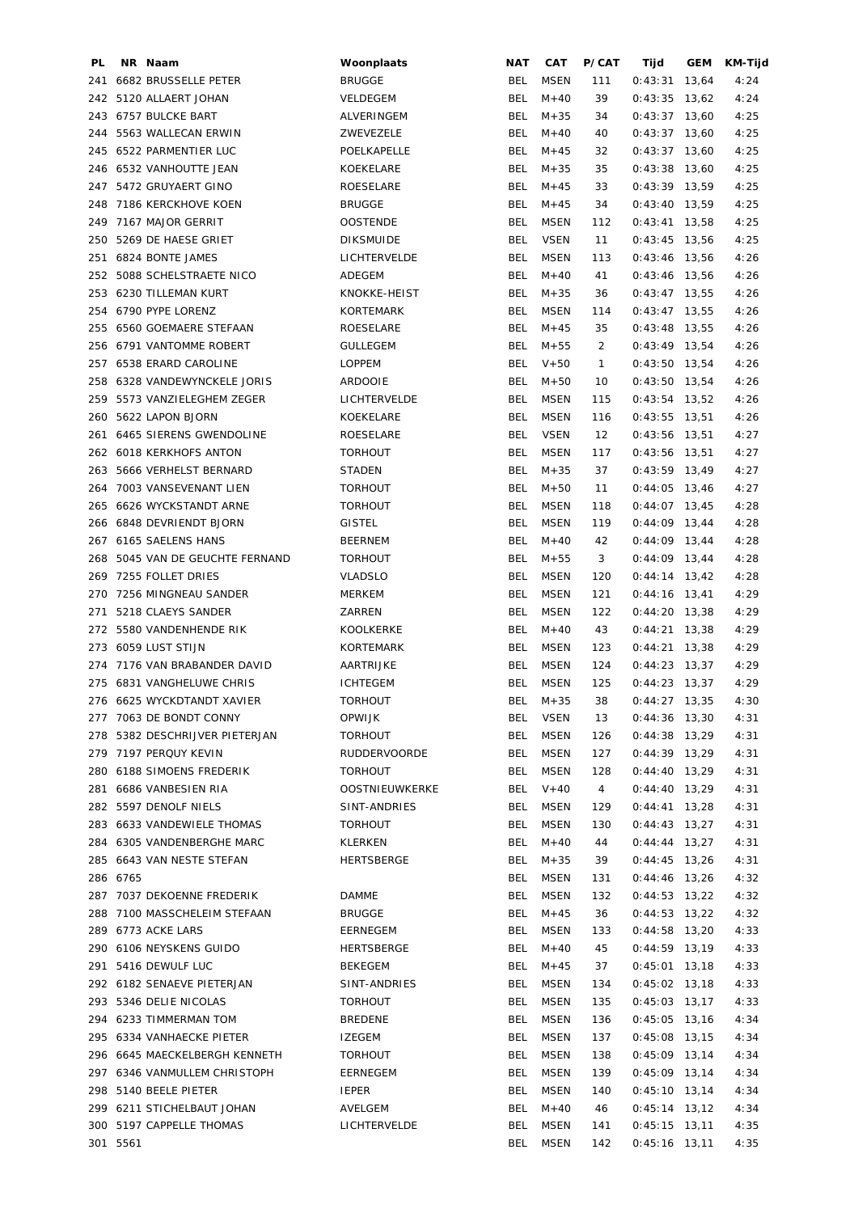| PL. |          | NR Naam                         | Woonplaats                     | NAT        | CAT                  | P/CAT                 | Tijd                               | GEM   | KM-Tijd |
|-----|----------|---------------------------------|--------------------------------|------------|----------------------|-----------------------|------------------------------------|-------|---------|
|     |          | 241 6682 BRUSSELLE PETER        | <b>BRUGGE</b>                  | BEL        | <b>MSEN</b>          | 111                   | $0:43:31$ 13,64                    |       | 4:24    |
| 242 |          | 5120 ALLAERT JOHAN              | VELDEGEM                       | <b>BEL</b> | $M + 40$             | 39                    | 0:43:35                            | 13,62 | 4:24    |
|     |          | 243 6757 BULCKE BART            | ALVERINGEM                     | <b>BEL</b> | $M + 35$             | 34                    | $0:43:37$ 13,60                    |       | 4:25    |
| 244 |          | 5563 WALLECAN ERWIN             | ZWEVEZELE                      | <b>BEL</b> | $M + 40$             | 40                    | $0:43:37$ 13,60                    |       | 4:25    |
|     |          | 245 6522 PARMENTIER LUC         | POELKAPELLE                    | <b>BEL</b> | $M + 45$             | 32                    | $0:43:37$ 13,60                    |       | 4:25    |
|     |          | 246 6532 VANHOUTTE JEAN         | KOEKELARE                      | <b>BEL</b> | $M + 35$             | 35                    | $0:43:38$ 13,60                    |       | 4:25    |
| 247 |          | 5472 GRUYAERT GINO              | ROESELARE                      | <b>BEL</b> | $M + 45$             | 33                    | $0:43:39$ 13,59                    |       | 4:25    |
| 248 |          | 7186 KERCKHOVE KOEN             | <b>BRUGGE</b>                  | <b>BEL</b> | $M + 45$             | 34                    | $0:43:40$ 13,59                    |       | 4:25    |
|     |          | 249 7167 MAJOR GERRIT           | <b>OOSTENDE</b>                | <b>BEL</b> | <b>MSEN</b>          | 112                   | $0:43:41$ 13,58                    |       | 4:25    |
|     |          | 250 5269 DE HAESE GRIET         | <b>DIKSMUIDE</b>               | <b>BEL</b> | <b>VSEN</b>          | 11                    | $0:43:45$ 13,56                    |       | 4:25    |
|     |          | 251 6824 BONTE JAMES            | LICHTERVELDE                   | <b>BEL</b> | <b>MSEN</b>          | 113                   | $0:43:46$ 13,56                    |       | 4:26    |
|     |          | 252 5088 SCHELSTRAETE NICO      | ADEGEM                         | <b>BEL</b> | $M+40$               | 41                    | $0:43:46$ 13,56                    |       | 4:26    |
|     |          | 253 6230 TILLEMAN KURT          | KNOKKE-HEIST                   | <b>BEL</b> | $M + 35$             | 36                    | $0:43:47$ 13,55                    |       | 4:26    |
|     |          | 254 6790 PYPE LORENZ            | KORTEMARK                      | <b>BEL</b> | <b>MSEN</b>          | 114                   | $0:43:47$ 13,55                    |       | 4:26    |
|     |          | 255 6560 GOEMAERE STEFAAN       | ROESELARE                      | <b>BEL</b> | $M + 45$             | 35                    | $0:43:48$ 13,55                    |       | 4:26    |
| 256 |          | 6791 VANTOMME ROBERT            | <b>GULLEGEM</b>                | <b>BEL</b> | $M + 55$             | 2                     | $0:43:49$ 13,54                    |       | 4:26    |
| 257 |          | 6538 ERARD CAROLINE             | <b>LOPPEM</b>                  | <b>BEL</b> | $V + 50$             | $\mathbf{1}$          | $0:43:50$ 13,54                    |       | 4:26    |
| 258 |          | 6328 VANDEWYNCKELE JORIS        | <b>ARDOOIE</b>                 | BEL        | $M + 50$             | 10                    | $0:43:50$ 13,54                    |       | 4:26    |
| 259 |          | 5573 VANZIELEGHEM ZEGER         | LICHTERVELDE                   | BEL        | MSEN                 | 115                   | $0:43:54$ 13,52                    |       | 4:26    |
| 260 |          | 5622 LAPON BJORN                | KOEKELARE                      | <b>BEL</b> | <b>MSEN</b>          | 116                   | $0:43:55$ 13,51                    |       | 4:26    |
|     |          | 261 6465 SIERENS GWENDOLINE     | ROESELARE                      | <b>BEL</b> | <b>VSEN</b>          | 12                    | $0:43:56$ 13,51                    |       | 4:27    |
|     |          | 262 6018 KERKHOFS ANTON         | <b>TORHOUT</b>                 | BEL        | <b>MSEN</b>          | 117                   | $0:43:56$ 13,51                    |       | 4:27    |
|     |          | 263 5666 VERHELST BERNARD       | <b>STADEN</b>                  | <b>BEL</b> | $M + 35$             | 37                    | $0:43:59$ 13,49                    |       | 4:27    |
| 264 |          | 7003 VANSEVENANT LIEN           | <b>TORHOUT</b>                 | <b>BEL</b> | $M + 50$             | 11                    | $0:44:05$ 13,46                    |       | 4:27    |
| 265 |          | 6626 WYCKSTANDT ARNE            | <b>TORHOUT</b>                 | <b>BEL</b> | <b>MSEN</b>          | 118                   | $0:44:07$ 13,45                    |       | 4:28    |
| 266 |          | 6848 DEVRIENDT BJORN            | <b>GISTEL</b>                  | BEL        | <b>MSEN</b>          | 119                   | $0:44:09$ 13,44                    |       | 4:28    |
| 267 |          | 6165 SAELENS HANS               | <b>BEERNEM</b>                 | <b>BEL</b> | $M + 40$             | 42                    | $0:44:09$ 13,44                    |       | 4:28    |
|     |          | 268 5045 VAN DE GEUCHTE FERNAND | <b>TORHOUT</b>                 | <b>BEL</b> | $M + 55$             | 3                     | $0:44:09$ 13,44                    |       | 4:28    |
|     |          | 269 7255 FOLLET DRIES           | <b>VLADSLO</b>                 | <b>BEL</b> | <b>MSEN</b>          | 120                   | $0:44:14$ 13,42                    |       | 4:28    |
| 270 |          | 7256 MINGNEAU SANDER            | MERKEM                         | BEL        | <b>MSEN</b>          | 121                   | $0:44:16$ 13,41                    |       | 4:29    |
| 271 |          | 5218 CLAEYS SANDER              | ZARREN                         | BEL        | <b>MSEN</b>          | 122                   | $0:44:20$ 13,38                    |       | 4:29    |
|     |          | 272 5580 VANDENHENDE RIK        | KOOLKERKE                      | <b>BEL</b> | $M+40$               | 43                    | $0:44:21$ 13,38                    |       | 4:29    |
|     |          | 273 6059 LUST STIJN             | <b>KORTEMARK</b>               | <b>BEL</b> | <b>MSEN</b>          | 123                   | $0:44:21$ 13,38                    |       | 4:29    |
|     |          | 274 7176 VAN BRABANDER DAVID    | AARTRIJKE                      | BEL        | <b>MSEN</b>          | 124                   | $0:44:23$ 13,37                    |       | 4:29    |
|     |          | 275 6831 VANGHELUWE CHRIS       | <b>ICHTEGEM</b>                | <b>BEL</b> | <b>MSEN</b>          | 125                   | $0:44:23$ 13,37                    |       | 4:29    |
|     |          | 276 6625 WYCKDTANDT XAVIER      | TORHOUT                        |            | BEL M+35             | 38                    | $0:44:27$ 13,35                    |       | 4:30    |
|     |          | 277 7063 DE BONDT CONNY         | OPWIJK                         |            | BEL VSEN             | 13                    | $0:44:36$ 13,30                    |       | 4:31    |
|     |          | 278 5382 DESCHRIJVER PIETERJAN  | TORHOUT                        | BEL        | MSEN                 | 126                   | $0:44:38$ 13,29                    |       | 4:31    |
|     |          | 279 7197 PERQUY KEVIN           | RUDDERVOORDE                   | BEL        | MSEN                 |                       | $0:44:39$ 13,29                    |       | 4:31    |
|     |          | 280 6188 SIMOENS FREDERIK       | <b>TORHOUT</b>                 |            | MSEN                 | 127                   |                                    |       |         |
|     |          | 281 6686 VANBESIEN RIA          |                                | BEL        | BEL V+40             | 128<br>$\overline{4}$ | $0:44:40$ 13,29<br>$0:44:40$ 13,29 |       | 4:31    |
|     |          | 282 5597 DENOLF NIELS           | OOSTNIEUWKERKE<br>SINT-ANDRIES |            | BEL MSEN             |                       |                                    |       | 4:31    |
|     |          |                                 |                                |            | BEL MSEN             | 129                   | $0:44:41$ 13,28<br>$0:44:43$ 13,27 |       | 4:31    |
|     |          | 283 6633 VANDEWIELE THOMAS      | TORHOUT                        |            |                      | 130                   |                                    |       | 4:31    |
|     |          | 284 6305 VANDENBERGHE MARC      | KLERKEN                        |            | BEL M+40<br>$M + 35$ | 44                    | $0:44:44$ 13,27                    |       | 4:31    |
|     |          | 285 6643 VAN NESTE STEFAN       | HERTSBERGE                     | BEL        | <b>MSEN</b>          | 39                    | $0:44:45$ 13,26                    |       | 4:31    |
|     | 286 6765 |                                 |                                | BEL        |                      | 131                   | $0:44:46$ 13,26                    |       | 4:32    |
|     |          | 287 7037 DEKOENNE FREDERIK      | DAMME                          |            | BEL MSEN             | 132                   | $0:44:53$ 13,22                    |       | 4:32    |
|     |          | 288 7100 MASSCHELEIM STEFAAN    | <b>BRUGGE</b>                  |            | BEL $M+45$           | 36                    | $0:44:53$ 13,22                    |       | 4:32    |
|     |          | 289 6773 ACKE LARS              | EERNEGEM                       | BEL        | MSEN                 | 133                   | $0:44:58$ 13,20                    |       | 4:33    |
|     |          | 290 6106 NEYSKENS GUIDO         | HERTSBERGE                     | BEL        | $M + 40$             | 45                    | $0:44:59$ 13,19                    |       | 4:33    |
|     |          | 291 5416 DEWULF LUC             | BEKEGEM                        | BEL        | $M + 45$             | 37                    | $0:45:01$ 13,18                    |       | 4:33    |
|     |          | 292 6182 SENAEVE PIETERJAN      | SINT-ANDRIES                   | BEL        | MSEN                 | 134                   | $0:45:02$ 13,18                    |       | 4:33    |
|     |          | 293 5346 DELIE NICOLAS          | TORHOUT                        | BEL        | MSEN                 | 135                   | $0:45:03$ 13,17                    |       | 4:33    |
|     |          | 294 6233 TIMMERMAN TOM          | <b>BREDENE</b>                 | BEL        | MSEN                 | 136                   | $0:45:05$ 13,16                    |       | 4:34    |
|     |          | 295 6334 VANHAECKE PIETER       | IZEGEM                         | BEL        | MSEN                 | 137                   | $0:45:08$ 13,15                    |       | 4:34    |
|     |          | 296 6645 MAECKELBERGH KENNETH   | TORHOUT                        | BEL        | MSEN                 | 138                   | $0:45:09$ 13,14                    |       | 4:34    |
|     |          | 297 6346 VANMULLEM CHRISTOPH    | EERNEGEM                       | BEL        | MSEN                 | 139                   | $0:45:09$ 13,14                    |       | 4:34    |
|     |          | 298 5140 BEELE PIETER           | IEPER                          | BEL        | MSEN                 | 140                   | $0:45:10$ 13,14                    |       | 4:34    |
|     |          | 299 6211 STICHELBAUT JOHAN      | AVELGEM                        | BEL        | $M + 40$             | 46                    | $0:45:14$ 13,12                    |       | 4:34    |
|     |          | 300 5197 CAPPELLE THOMAS        | LICHTERVELDE                   | BEL        | MSEN                 | 141                   | $0:45:15$ 13,11                    |       | 4:35    |
|     | 301 5561 |                                 |                                | BEL        | MSEN                 | 142                   | $0:45:16$ 13,11                    |       | 4:35    |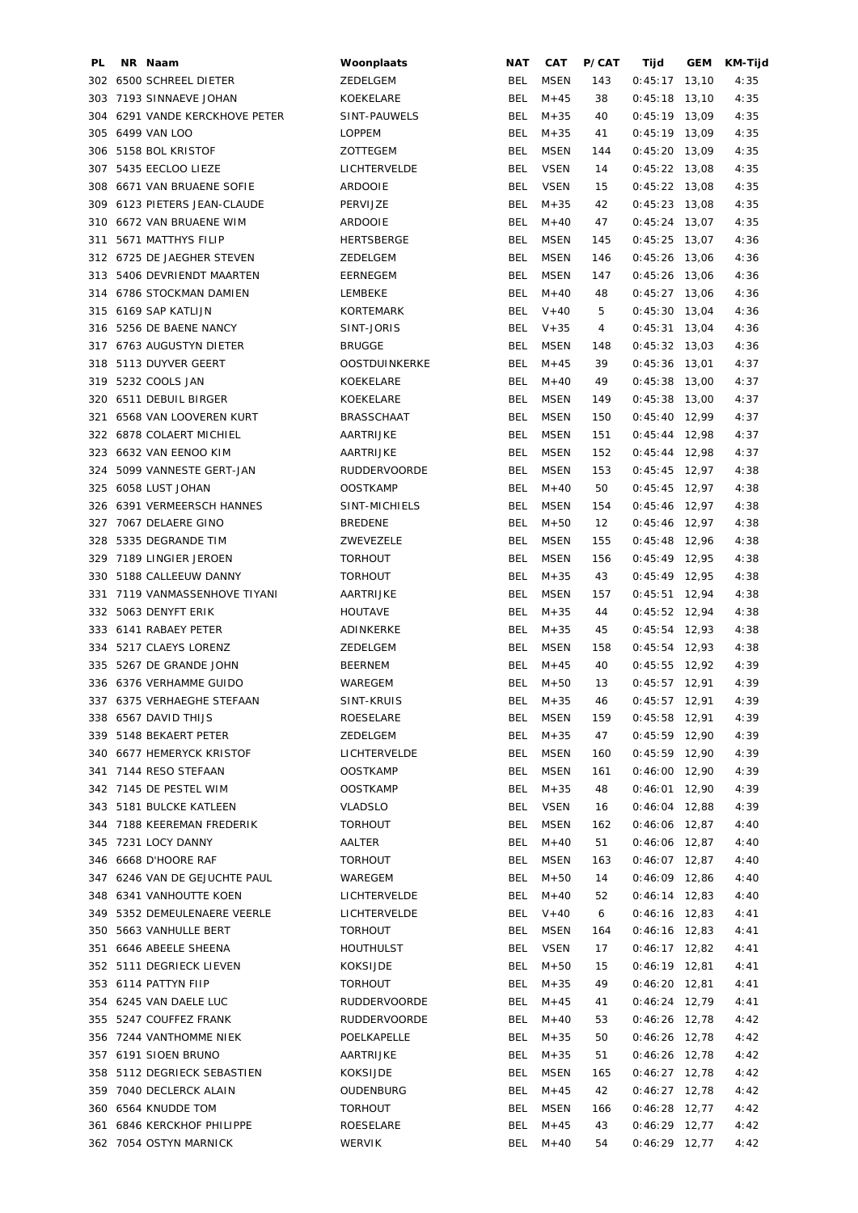| PL  | NR Naam                        | Woonplaats          | NAT        | CAT         | P/CAT | Tijd            | GEM   | KM-Tijd |
|-----|--------------------------------|---------------------|------------|-------------|-------|-----------------|-------|---------|
|     | 302 6500 SCHREEL DIETER        | ZEDELGEM            | BEL        | <b>MSEN</b> | 143   | $0:45:17$ 13,10 |       | 4:35    |
| 303 | 7193 SINNAEVE JOHAN            | KOEKELARE           | <b>BEL</b> | $M + 45$    | 38    | 0:45:18         | 13,10 | 4:35    |
|     | 304 6291 VANDE KERCKHOVE PETER | SINT-PAUWELS        | BEL        | $M + 35$    | 40    | $0:45:19$ 13,09 |       | 4:35    |
|     | 305 6499 VAN LOO               | <b>LOPPEM</b>       | BEL        | $M + 35$    | 41    | $0:45:19$ 13,09 |       | 4:35    |
|     | 306 5158 BOL KRISTOF           | <b>ZOTTEGEM</b>     | <b>BEL</b> | MSEN        | 144   | $0:45:20$ 13,09 |       | 4:35    |
|     | 307 5435 EECLOO LIEZE          | LICHTERVELDE        | <b>BEL</b> | <b>VSEN</b> | 14    | $0:45:22$ 13,08 |       | 4:35    |
|     | 308 6671 VAN BRUAENE SOFIE     | <b>ARDOOIE</b>      | <b>BEL</b> | <b>VSEN</b> | 15    | $0:45:22$ 13,08 |       | 4:35    |
|     | 309 6123 PIETERS JEAN-CLAUDE   | PERVIJZE            | <b>BEL</b> | $M + 35$    | 42    | $0:45:23$ 13,08 |       | 4:35    |
| 310 | 6672 VAN BRUAENE WIM           | <b>ARDOOIE</b>      | <b>BEL</b> | $M + 40$    | 47    | $0:45:24$ 13,07 |       | 4:35    |
| 311 | 5671 MATTHYS FILIP             | HERTSBERGE          | <b>BEL</b> | <b>MSEN</b> | 145   | $0:45:25$ 13,07 |       | 4:36    |
|     |                                | ZEDELGEM            | <b>BEL</b> |             |       | $0:45:26$ 13,06 |       |         |
|     | 312 6725 DE JAEGHER STEVEN     |                     |            | <b>MSEN</b> | 146   |                 |       | 4:36    |
|     | 313 5406 DEVRIENDT MAARTEN     | EERNEGEM            | <b>BEL</b> | <b>MSEN</b> | 147   | $0:45:26$ 13,06 |       | 4:36    |
|     | 314 6786 STOCKMAN DAMIEN       | LEMBEKE             | BEL        | $M + 40$    | 48    | $0:45:27$ 13,06 |       | 4:36    |
| 315 | 6169 SAP KATLIJN               | <b>KORTEMARK</b>    | <b>BEL</b> | $V + 40$    | 5     | $0:45:30$ 13,04 |       | 4:36    |
| 316 | 5256 DE BAENE NANCY            | SINT-JORIS          | BEL        | $V + 35$    | 4     | $0:45:31$ 13,04 |       | 4:36    |
|     | 317 6763 AUGUSTYN DIETER       | <b>BRUGGE</b>       | <b>BEL</b> | <b>MSEN</b> | 148   | $0:45:32$ 13,03 |       | 4:36    |
|     | 318 5113 DUYVER GEERT          | OOSTDUINKERKE       | BEL        | $M + 45$    | 39    | $0:45:36$ 13,01 |       | 4:37    |
| 319 | 5232 COOLS JAN                 | KOEKELARE           | BEL        | $M + 40$    | 49    | $0:45:38$ 13,00 |       | 4:37    |
| 320 | 6511 DEBUIL BIRGER             | KOEKELARE           | <b>BEL</b> | MSEN        | 149   | $0:45:38$ 13,00 |       | 4:37    |
| 321 | 6568 VAN LOOVEREN KURT         | <b>BRASSCHAAT</b>   | <b>BEL</b> | MSEN        | 150   | $0:45:40$ 12,99 |       | 4:37    |
|     | 322 6878 COLAERT MICHIEL       | AARTRIJKE           | BEL        | MSEN        | 151   | $0:45:44$ 12,98 |       | 4:37    |
| 323 | 6632 VAN EENOO KIM             | AARTRIJKE           | BEL        | <b>MSEN</b> | 152   | $0:45:44$ 12,98 |       | 4:37    |
| 324 | 5099 VANNESTE GERT-JAN         | <b>RUDDERVOORDE</b> | BEL        | MSEN        | 153   | $0:45:45$ 12,97 |       | 4:38    |
| 325 | 6058 LUST JOHAN                | <b>OOSTKAMP</b>     | <b>BEL</b> | $M + 40$    | 50    | $0:45:45$ 12,97 |       | 4:38    |
| 326 | 6391 VERMEERSCH HANNES         | SINT-MICHIELS       | <b>BEL</b> | MSEN        | 154   | $0:45:46$ 12,97 |       | 4:38    |
| 327 | 7067 DELAERE GINO              | <b>BREDENE</b>      | BEL        | $M + 50$    | 12    | $0:45:46$ 12,97 |       | 4:38    |
| 328 | 5335 DEGRANDE TIM              | ZWEVEZELE           | BEL        | <b>MSEN</b> | 155   | $0:45:48$ 12,96 |       | 4:38    |
|     |                                |                     |            |             |       |                 |       |         |
| 329 | 7189 LINGIER JEROEN            | <b>TORHOUT</b>      | BEL        | MSEN        | 156   | $0:45:49$ 12,95 |       | 4:38    |
| 330 | 5188 CALLEEUW DANNY            | <b>TORHOUT</b>      | <b>BEL</b> | $M + 35$    | 43    | $0:45:49$ 12,95 |       | 4:38    |
| 331 | 7119 VANMASSENHOVE TIYANI      | AARTRIJKE           | <b>BEL</b> | <b>MSEN</b> | 157   | $0:45:51$ 12,94 |       | 4:38    |
|     | 332 5063 DENYFT ERIK           | <b>HOUTAVE</b>      | <b>BEL</b> | $M + 35$    | 44    | $0:45:52$ 12,94 |       | 4:38    |
|     | 333 6141 RABAEY PETER          | ADINKERKE           | <b>BEL</b> | $M + 35$    | 45    | $0:45:54$ 12,93 |       | 4:38    |
|     | 334 5217 CLAEYS LORENZ         | ZEDELGEM            | BEL        | <b>MSEN</b> | 158   | $0:45:54$ 12,93 |       | 4:38    |
|     | 335 5267 DE GRANDE JOHN        | <b>BEERNEM</b>      | <b>BEL</b> | $M + 45$    | 40    | $0:45:55$ 12,92 |       | 4:39    |
|     | 336 6376 VERHAMME GUIDO        | WAREGEM             | BEL        | $M + 50$    | 13    | $0:45:57$ 12,91 |       | 4:39    |
|     | 337 6375 VERHAEGHE STEFAAN     | SINT-KRUIS          |            | BEL M+35    | 46    | $0:45:57$ 12,91 |       | 4:39    |
|     | 338 6567 DAVID THIJS           | ROESELARE           | BEL.       | <b>MSEN</b> | 159   | $0:45:58$ 12,91 |       | 4:39    |
|     | 339 5148 BEKAERT PETER         | ZEDELGEM            | BEL        | $M + 35$    | 47    | $0:45:59$ 12,90 |       | 4:39    |
|     | 340 6677 HEMERYCK KRISTOF      | LICHTERVELDE        | BEL        | MSEN        | 160   | $0:45:59$ 12,90 |       | 4:39    |
|     | 341 7144 RESO STEFAAN          | <b>OOSTKAMP</b>     | BEL        | MSEN        | 161   | $0:46:00$ 12,90 |       | 4:39    |
|     | 342 7145 DE PESTEL WIM         | <b>OOSTKAMP</b>     | BEL        | $M + 35$    | 48    | $0:46:01$ 12,90 |       | 4:39    |
|     | 343 5181 BULCKE KATLEEN        | <b>VLADSLO</b>      | BEL        | VSEN        | 16    | $0:46:04$ 12,88 |       | 4:39    |
|     | 344 7188 KEEREMAN FREDERIK     | TORHOUT             | BEL        | MSEN        | 162   | $0:46:06$ 12,87 |       | 4:40    |
|     | 345 7231 LOCY DANNY            | AALTER              | BEL        | $M + 40$    | 51    | $0:46:06$ 12,87 |       | 4:40    |
|     | 346 6668 D'HOORE RAF           | <b>TORHOUT</b>      | BEL        | <b>MSEN</b> | 163   | $0:46:07$ 12,87 |       | 4:40    |
|     | 347 6246 VAN DE GEJUCHTE PAUL  | WAREGEM             | BEL        | $M + 50$    | 14    | $0:46:09$ 12,86 |       | 4:40    |
|     | 348 6341 VANHOUTTE KOEN        | LICHTERVELDE        | BEL        | $M + 40$    | 52    | $0:46:14$ 12,83 |       | 4:40    |
|     | 349 5352 DEMEULENAERE VEERLE   | LICHTERVELDE        | BEL        | $V + 40$    | 6     | $0:46:16$ 12,83 |       | 4:41    |
|     |                                |                     |            |             |       |                 |       |         |
|     | 350 5663 VANHULLE BERT         | TORHOUT             | BEL        | MSEN        | 164   | $0:46:16$ 12,83 |       | 4:41    |
|     | 351 6646 ABEELE SHEENA         | <b>HOUTHULST</b>    | BEL        | <b>VSEN</b> | 17    | $0:46:17$ 12,82 |       | 4:41    |
|     | 352 5111 DEGRIECK LIEVEN       | KOKSIJDE            | BEL        | $M + 50$    | 15    | $0:46:19$ 12,81 |       | 4:41    |
|     | 353 6114 PATTYN FIIP           | <b>TORHOUT</b>      | BEL        | $M + 35$    | 49    | $0:46:20$ 12,81 |       | 4:41    |
|     | 354 6245 VAN DAELE LUC         | RUDDERVOORDE        | BEL        | $M + 45$    | 41    | $0:46:24$ 12,79 |       | 4:41    |
|     | 355 5247 COUFFEZ FRANK         | <b>RUDDERVOORDE</b> | BEL        | $M + 40$    | 53    | $0:46:26$ 12,78 |       | 4:42    |
|     | 356 7244 VANTHOMME NIEK        | POELKAPELLE         | BEL        | $M + 35$    | 50    | $0:46:26$ 12,78 |       | 4:42    |
|     | 357 6191 SIOEN BRUNO           | AARTRIJKE           | BEL        | $M + 35$    | 51    | $0:46:26$ 12,78 |       | 4:42    |
|     | 358 5112 DEGRIECK SEBASTIEN    | KOKSIJDE            | BEL        | MSEN        | 165   | $0:46:27$ 12,78 |       | 4:42    |
|     | 359 7040 DECLERCK ALAIN        | OUDENBURG           | BEL        | $M + 45$    | 42    | $0:46:27$ 12,78 |       | 4:42    |
|     | 360 6564 KNUDDE TOM            | <b>TORHOUT</b>      | BEL        | MSEN        | 166   | $0:46:28$ 12,77 |       | 4:42    |
|     | 361 6846 KERCKHOF PHILIPPE     | ROESELARE           | BEL        | $M + 45$    | 43    | $0:46:29$ 12,77 |       | 4:42    |
|     | 362 7054 OSTYN MARNICK         | WERVIK              | BEL        | $M + 40$    | 54    | $0:46:29$ 12,77 |       | 4:42    |
|     |                                |                     |            |             |       |                 |       |         |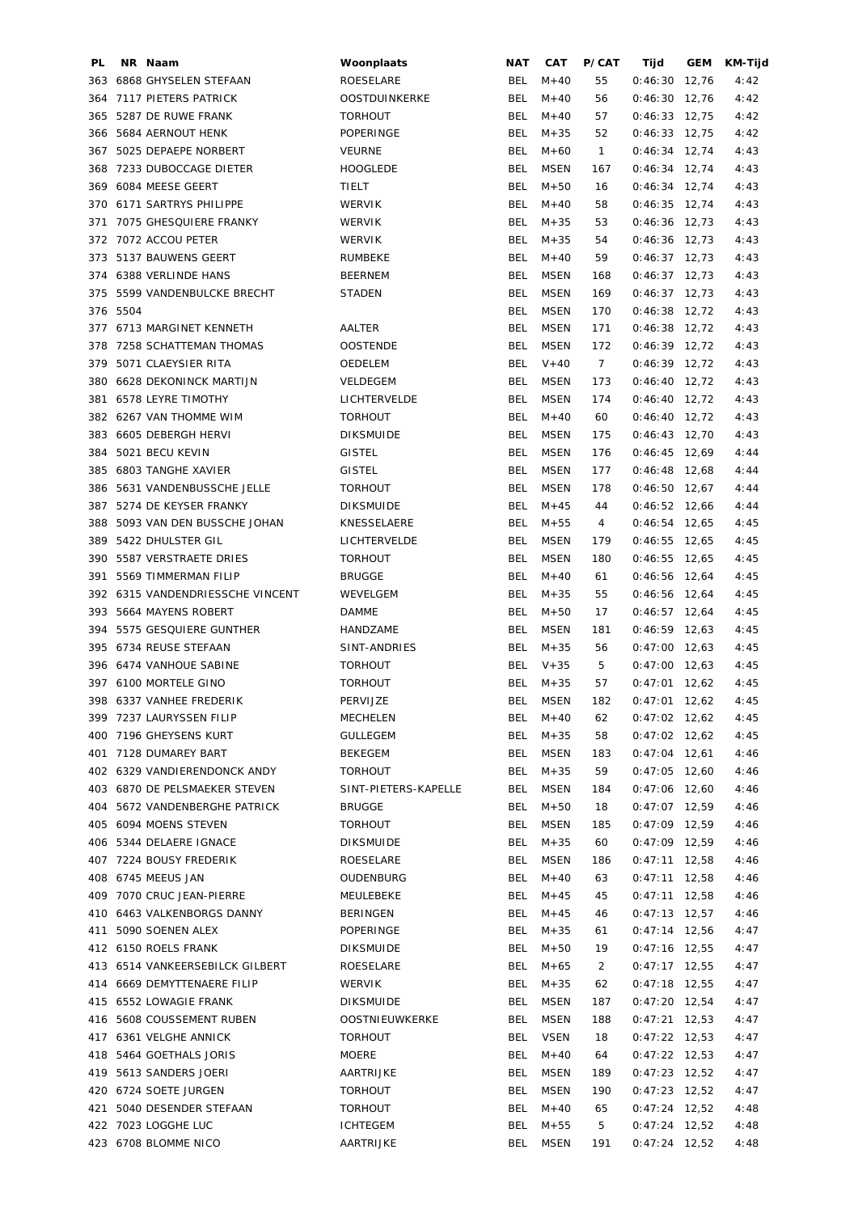| PL  | NR Naam                          | Woonplaats           | NAT        | CAT         | P/CAT          | Tijd            | GEM | KM-Tijd |
|-----|----------------------------------|----------------------|------------|-------------|----------------|-----------------|-----|---------|
| 363 | 6868 GHYSELEN STEFAAN            | ROESELARE            | BEL        | $M + 40$    | 55             | $0:46:30$ 12,76 |     | 4:42    |
| 364 | 7117 PIETERS PATRICK             | <b>OOSTDUINKERKE</b> | BEL        | $M + 40$    | 56             | $0:46:30$ 12,76 |     | 4:42    |
| 365 | 5287 DE RUWE FRANK               | <b>TORHOUT</b>       | <b>BEL</b> | $M+40$      | 57             | $0:46:33$ 12,75 |     | 4:42    |
| 366 | 5684 AERNOUT HENK                | POPERINGE            | <b>BEL</b> | $M + 35$    | 52             | $0:46:33$ 12,75 |     | 4:42    |
|     | 367 5025 DEPAEPE NORBERT         | <b>VEURNE</b>        | <b>BEL</b> | $M + 60$    | $\mathbf{1}$   | $0:46:34$ 12,74 |     | 4:43    |
| 368 | 7233 DUBOCCAGE DIETER            | <b>HOOGLEDE</b>      | BEL        | <b>MSEN</b> | 167            | $0:46:34$ 12,74 |     | 4:43    |
| 369 | 6084 MEESE GEERT                 | TIELT                | BEL        | $M + 50$    | 16             | $0:46:34$ 12,74 |     | 4:43    |
| 370 | 6171 SARTRYS PHILIPPE            | WERVIK               | <b>BEL</b> | $M + 40$    | 58             | $0:46:35$ 12,74 |     | 4:43    |
| 371 | 7075 GHESQUIERE FRANKY           | WERVIK               | <b>BEL</b> | $M + 35$    | 53             | $0:46:36$ 12,73 |     | 4:43    |
|     | 372 7072 ACCOU PETER             | WERVIK               | <b>BEL</b> | $M + 35$    | 54             | $0:46:36$ 12,73 |     | 4:43    |
|     | 373 5137 BAUWENS GEERT           |                      |            |             | 59             |                 |     |         |
|     |                                  | <b>RUMBEKE</b>       | BEL        | $M + 40$    |                | $0:46:37$ 12,73 |     | 4:43    |
|     | 374 6388 VERLINDE HANS           | <b>BEERNEM</b>       | BEL        | <b>MSEN</b> | 168            | $0:46:37$ 12,73 |     | 4:43    |
|     | 375 5599 VANDENBULCKE BRECHT     | <b>STADEN</b>        | BEL        | <b>MSEN</b> | 169            | $0:46:37$ 12,73 |     | 4:43    |
|     | 376 5504                         |                      | BEL        | <b>MSEN</b> | 170            | $0:46:38$ 12,72 |     | 4:43    |
|     | 377 6713 MARGINET KENNETH        | AALTER               | BEL        | <b>MSEN</b> | 171            | $0:46:38$ 12,72 |     | 4:43    |
|     | 378 7258 SCHATTEMAN THOMAS       | <b>OOSTENDE</b>      | BEL        | <b>MSEN</b> | 172            | $0:46:39$ 12,72 |     | 4:43    |
| 379 | 5071 CLAEYSIER RITA              | OEDELEM              | BEL        | $V + 40$    | $\overline{7}$ | $0:46:39$ 12,72 |     | 4:43    |
| 380 | <b>6628 DEKONINCK MARTIJN</b>    | VELDEGEM             | <b>BEL</b> | MSEN        | 173            | $0:46:40$ 12,72 |     | 4:43    |
| 381 | 6578 LEYRE TIMOTHY               | LICHTERVELDE         | BEL        | <b>MSEN</b> | 174            | $0:46:40$ 12,72 |     | 4:43    |
|     | 382 6267 VAN THOMME WIM          | <b>TORHOUT</b>       | BEL        | $M + 40$    | 60             | $0:46:40$ 12,72 |     | 4:43    |
| 383 | 6605 DEBERGH HERVI               | <b>DIKSMUIDE</b>     | BEL        | MSEN        | 175            | $0:46:43$ 12,70 |     | 4:43    |
| 384 | 5021 BECU KEVIN                  | <b>GISTEL</b>        | BEL        | MSEN        | 176            | $0:46:45$ 12,69 |     | 4:44    |
| 385 | 6803 TANGHE XAVIER               | <b>GISTEL</b>        | BEL        | MSEN        | 177            | $0:46:48$ 12,68 |     | 4:44    |
| 386 | 5631 VANDENBUSSCHE JELLE         | <b>TORHOUT</b>       | BEL        | <b>MSEN</b> | 178            | $0:46:50$ 12,67 |     | 4:44    |
| 387 | 5274 DE KEYSER FRANKY            | <b>DIKSMUIDE</b>     | <b>BEL</b> | $M + 45$    | 44             | $0:46:52$ 12,66 |     | 4:44    |
| 388 | 5093 VAN DEN BUSSCHE JOHAN       | KNESSELAERE          | BEL        | $M + 55$    | 4              | $0:46:54$ 12,65 |     | 4:45    |
| 389 | 5422 DHULSTER GIL                | LICHTERVELDE         | BEL        | <b>MSEN</b> | 179            | $0:46:55$ 12,65 |     | 4:45    |
| 390 | 5587 VERSTRAETE DRIES            | <b>TORHOUT</b>       | <b>BEL</b> | <b>MSEN</b> | 180            | $0:46:55$ 12,65 |     | 4:45    |
| 391 | 5569 TIMMERMAN FILIP             | <b>BRUGGE</b>        | BEL        | $M + 40$    | 61             | $0:46:56$ 12,64 |     | 4:45    |
|     | 392 6315 VANDENDRIESSCHE VINCENT | WEVELGEM             | BEL        | $M + 35$    | 55             | $0:46:56$ 12,64 |     | 4:45    |
|     | 393 5664 MAYENS ROBERT           | <b>DAMME</b>         | BEL        | $M + 50$    | 17             | $0:46:57$ 12,64 |     | 4:45    |
| 394 | 5575 GESQUIERE GUNTHER           | HANDZAME             | BEL        | <b>MSEN</b> | 181            | $0:46:59$ 12,63 |     | 4:45    |
|     | 395 6734 REUSE STEFAAN           | SINT-ANDRIES         | BEL        | $M + 35$    | 56             | $0:47:00$ 12,63 |     | 4:45    |
|     | 396 6474 VANHOUE SABINE          | <b>TORHOUT</b>       | BEL        | $V + 35$    | 5              | $0:47:00$ 12,63 |     | 4:45    |
|     | 397 6100 MORTELE GINO            | <b>TORHOUT</b>       | <b>BEL</b> | $M + 35$    | 57             | $0:47:01$ 12,62 |     | 4:45    |
|     | 398 6337 VANHEE FREDERIK         | PERVIJZE             | BEL        | MSEN        | 182            | $0:47:01$ 12,62 |     | 4:45    |
|     | 399 7237 LAURYSSEN FILIP         | MECHELEN             | BEL        | $M+40$      | 62             | $0:47:02$ 12,62 |     | 4:45    |
|     | 400 7196 GHEYSENS KURT           | <b>GULLEGEM</b>      | BEL        |             | 58             | $0:47:02$ 12,62 |     |         |
|     |                                  |                      |            | $M + 35$    |                |                 |     | 4:45    |
|     | 401 7128 DUMAREY BART            | BEKEGEM              | BEL        | MSEN        | 183            | $0:47:04$ 12,61 |     | 4:46    |
|     | 402 6329 VANDIERENDONCK ANDY     | <b>TORHOUT</b>       | BEL        | $M + 35$    | 59             | $0:47:05$ 12,60 |     | 4:46    |
|     | 403 6870 DE PELSMAEKER STEVEN    | SINT-PIETERS-KAPELLE | BEL        | MSEN        | 184            | $0:47:06$ 12,60 |     | 4:46    |
| 404 | 5672 VANDENBERGHE PATRICK        | <b>BRUGGE</b>        | BEL        | M+50        | 18             | $0:47:07$ 12,59 |     | 4:46    |
|     | 405 6094 MOENS STEVEN            | <b>TORHOUT</b>       | BEL        | MSEN        | 185            | $0:47:09$ 12,59 |     | 4:46    |
|     | 406 5344 DELAERE IGNACE          | DIKSMUIDE            | BEL        | $M + 35$    | 60             | $0:47:09$ 12,59 |     | 4:46    |
|     | 407 7224 BOUSY FREDERIK          | ROESELARE            | BEL        | MSEN        | 186            | $0:47:11$ 12,58 |     | 4:46    |
|     | 408 6745 MEEUS JAN               | OUDENBURG            | BEL        | $M + 40$    | 63             | $0:47:11$ 12,58 |     | 4:46    |
|     | 409 7070 CRUC JEAN-PIERRE        | MEULEBEKE            | BEL        | $M + 45$    | 45             | $0:47:11$ 12,58 |     | 4:46    |
|     | 410 6463 VALKENBORGS DANNY       | BERINGEN             | BEL        | $M + 45$    | 46             | $0:47:13$ 12,57 |     | 4:46    |
| 411 | 5090 SOENEN ALEX                 | POPERINGE            | BEL        | $M + 35$    | 61             | $0:47:14$ 12,56 |     | 4:47    |
|     | 412 6150 ROELS FRANK             | <b>DIKSMUIDE</b>     | BEL        | $M + 50$    | 19             | $0:47:16$ 12,55 |     | 4:47    |
|     | 413 6514 VANKEERSEBILCK GILBERT  | ROESELARE            | BEL        | $M + 65$    | $\overline{2}$ | $0:47:17$ 12,55 |     | 4:47    |
|     | 414 6669 DEMYTTENAERE FILIP      | WERVIK               | BEL        | $M + 35$    | 62             | $0:47:18$ 12,55 |     | 4:47    |
|     | 415 6552 LOWAGIE FRANK           | <b>DIKSMUIDE</b>     | BEL        | MSEN        | 187            | $0:47:20$ 12,54 |     | 4:47    |
|     | 416 5608 COUSSEMENT RUBEN        | OOSTNIEUWKERKE       | BEL        | MSEN        | 188            | $0:47:21$ 12,53 |     | 4:47    |
|     | 417 6361 VELGHE ANNICK           | <b>TORHOUT</b>       | BEL        | <b>VSEN</b> | 18             | $0:47:22$ 12,53 |     | 4:47    |
|     | 418 5464 GOETHALS JORIS          | MOERE                | <b>BEL</b> | $M + 40$    | 64             | $0:47:22$ 12,53 |     | 4:47    |
|     | 419 5613 SANDERS JOERI           | AARTRIJKE            | BEL        | MSEN        | 189            | $0:47:23$ 12,52 |     | 4:47    |
|     | 420 6724 SOETE JURGEN            | <b>TORHOUT</b>       | BEL        | <b>MSEN</b> | 190            | $0:47:23$ 12,52 |     | 4:47    |
| 421 | 5040 DESENDER STEFAAN            | <b>TORHOUT</b>       | BEL        | $M + 40$    | 65             | $0:47:24$ 12,52 |     | 4:48    |
|     | 422 7023 LOGGHE LUC              | <b>ICHTEGEM</b>      | BEL        | $M + 55$    | 5              | $0:47:24$ 12,52 |     | 4:48    |
|     | 423 6708 BLOMME NICO             | AARTRIJKE            | BEL        | <b>MSEN</b> | 191            | $0:47:24$ 12,52 |     | 4:48    |
|     |                                  |                      |            |             |                |                 |     |         |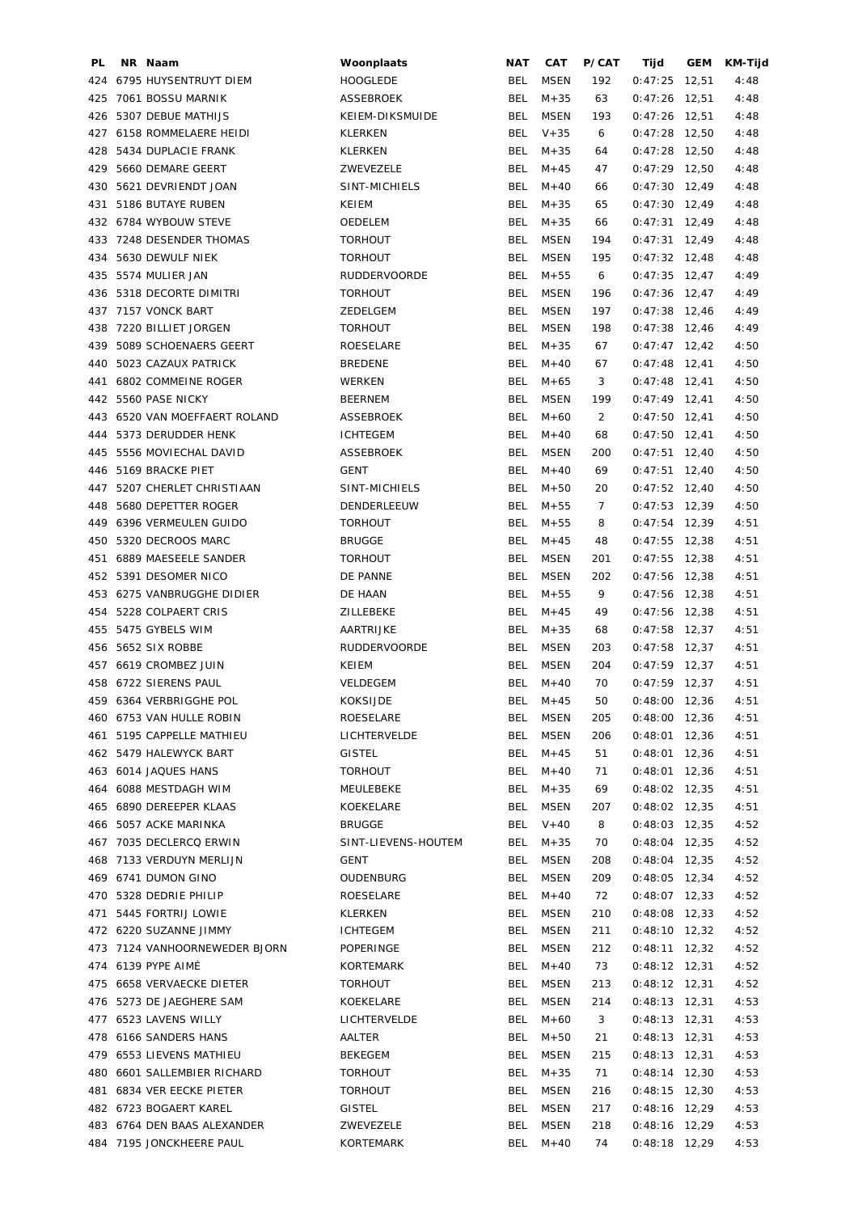| PL. | NR Naam                       | Woonplaats          | NAT        | <b>CAT</b>  | P/CAT          | Tijd            | GEM   | KM-Tijd |
|-----|-------------------------------|---------------------|------------|-------------|----------------|-----------------|-------|---------|
|     | 424 6795 HUYSENTRUYT DIEM     | <b>HOOGLEDE</b>     | <b>BEL</b> | <b>MSEN</b> | 192            | 0:47:25         | 12,51 | 4:48    |
| 425 | 7061 BOSSU MARNIK             | <b>ASSEBROEK</b>    | <b>BEL</b> | $M + 35$    | 63             | 0:47:26         | 12,51 | 4:48    |
|     | 426 5307 DEBUE MATHIJS        | KEIEM-DIKSMUIDE     | <b>BEL</b> | MSEN        | 193            | 0:47:26         | 12,51 | 4:48    |
|     | 427 6158 ROMMELAERE HEIDI     | KLERKEN             | <b>BEL</b> | $V + 35$    | 6              | $0:47:28$ 12,50 |       | 4:48    |
|     | 428 5434 DUPLACIE FRANK       | <b>KLERKEN</b>      | BEL        | $M + 35$    | 64             | $0:47:28$ 12,50 |       | 4:48    |
|     | 429 5660 DEMARE GEERT         | ZWEVEZELE           | <b>BEL</b> | $M + 45$    | 47             | $0:47:29$ 12,50 |       | 4:48    |
|     | 430 5621 DEVRIENDT JOAN       | SINT-MICHIELS       | <b>BEL</b> | $M + 40$    | 66             | $0:47:30$ 12,49 |       | 4:48    |
|     | 431 5186 BUTAYE RUBEN         | KEIEM               | <b>BEL</b> | $M + 35$    |                | $0:47:30$ 12,49 |       |         |
|     |                               |                     |            |             | 65             |                 |       | 4:48    |
|     | 432 6784 WYBOUW STEVE         | OEDELEM             | BEL        | $M + 35$    | 66             | $0:47:31$ 12,49 |       | 4:48    |
|     | 433 7248 DESENDER THOMAS      | <b>TORHOUT</b>      | BEL        | <b>MSEN</b> | 194            | $0:47:31$ 12,49 |       | 4:48    |
|     | 434 5630 DEWULF NIEK          | <b>TORHOUT</b>      | BEL        | MSEN        | 195            | $0:47:32$ 12,48 |       | 4:48    |
|     | 435 5574 MULIER JAN           | <b>RUDDERVOORDE</b> | <b>BEL</b> | $M + 55$    | 6              | $0:47:35$ 12,47 |       | 4:49    |
|     | 436 5318 DECORTE DIMITRI      | <b>TORHOUT</b>      | BEL        | MSEN        | 196            | $0:47:36$ 12,47 |       | 4:49    |
|     | 437 7157 VONCK BART           | ZEDELGEM            | BEL        | MSEN        | 197            | $0:47:38$ 12,46 |       | 4:49    |
|     | 438 7220 BILLIET JORGEN       | <b>TORHOUT</b>      | BEL        | MSEN        | 198            | $0:47:38$ 12,46 |       | 4:49    |
| 439 | 5089 SCHOENAERS GEERT         | ROESELARE           | <b>BEL</b> | $M + 35$    | 67             | $0:47:47$ 12,42 |       | 4:50    |
| 440 | 5023 CAZAUX PATRICK           | <b>BREDENE</b>      | <b>BEL</b> | $M + 40$    | 67             | $0:47:48$ 12,41 |       | 4:50    |
| 441 | 6802 COMMEINE ROGER           | WERKEN              | BEL        | $M + 65$    | 3              | $0:47:48$ 12,41 |       | 4:50    |
|     | 442 5560 PASE NICKY           | <b>BEERNEM</b>      | BEL        | MSEN        | 199            | $0:47:49$ 12,41 |       | 4:50    |
|     | 443 6520 VAN MOEFFAERT ROLAND | ASSEBROEK           | BEL        | $M + 60$    | $\overline{2}$ | $0:47:50$ 12,41 |       | 4:50    |
|     | 444 5373 DERUDDER HENK        | <b>ICHTEGEM</b>     | <b>BEL</b> | $M + 40$    | 68             | $0:47:50$ 12,41 |       | 4:50    |
| 445 | 5556 MOVIECHAL DAVID          | <b>ASSEBROEK</b>    | <b>BEL</b> | MSEN        | 200            | $0:47:51$ 12,40 |       | 4:50    |
|     | 446 5169 BRACKE PIET          | <b>GENT</b>         | <b>BEL</b> | $M + 40$    | 69             | $0:47:51$ 12,40 |       | 4:50    |
|     |                               |                     |            |             |                |                 |       |         |
|     | 447 5207 CHERLET CHRISTIAAN   | SINT-MICHIELS       | BEL        | $M + 50$    | 20             | $0:47:52$ 12,40 |       | 4:50    |
| 448 | 5680 DEPETTER ROGER           | DENDERLEEUW         | BEL        | $M + 55$    | 7              | $0:47:53$ 12,39 |       | 4:50    |
|     | 449 6396 VERMEULEN GUIDO      | <b>TORHOUT</b>      | BEL        | $M + 55$    | 8              | $0:47:54$ 12,39 |       | 4:51    |
| 450 | 5320 DECROOS MARC             | <b>BRUGGE</b>       | BEL        | $M + 45$    | 48             | $0:47:55$ 12,38 |       | 4:51    |
| 451 | 6889 MAESEELE SANDER          | <b>TORHOUT</b>      | BEL        | <b>MSEN</b> | 201            | $0:47:55$ 12,38 |       | 4:51    |
|     | 452 5391 DESOMER NICO         | DE PANNE            | <b>BEL</b> | <b>MSEN</b> | 202            | $0:47:56$ 12,38 |       | 4:51    |
|     | 453 6275 VANBRUGGHE DIDIER    | DE HAAN             | BEL        | $M + 55$    | 9              | $0:47:56$ 12,38 |       | 4:51    |
|     | 454 5228 COLPAERT CRIS        | ZILLEBEKE           | BEL        | $M + 45$    | 49             | $0:47:56$ 12,38 |       | 4:51    |
|     | 455 5475 GYBELS WIM           | AARTRIJKE           | BEL        | $M + 35$    | 68             | $0:47:58$ 12,37 |       | 4:51    |
|     | 456 5652 SIX ROBBE            | <b>RUDDERVOORDE</b> | BEL        | MSEN        | 203            | $0:47:58$ 12,37 |       | 4:51    |
|     | 457 6619 CROMBEZ JUIN         | KEIEM               | BEL        | MSEN        | 204            | $0:47:59$ 12,37 |       | 4:51    |
|     | 458 6722 SIERENS PAUL         | VELDEGEM            | <b>BEL</b> | $M + 40$    | 70             | $0:47:59$ 12,37 |       | 4:51    |
|     | 459 6364 VERBRIGGHE POL       | KOKSIJDE            |            | BEL M+45    | 50             | $0:48:00$ 12,36 |       | 4:51    |
|     | 460 6753 VAN HULLE ROBIN      | ROESELARE           |            | BEL MSEN    | 205            | $0:48:00$ 12,36 |       | 4:51    |
|     | 461 5195 CAPPELLE MATHIEU     | LICHTERVELDE        | BEL        | MSEN        | 206            | $0:48:01$ 12,36 |       | 4:51    |
|     | 462 5479 HALEWYCK BART        | <b>GISTEL</b>       | BEL        | $M + 45$    | 51             | $0:48:01$ 12,36 |       | 4:51    |
|     | 463 6014 JAQUES HANS          |                     | BEL        | $M + 40$    | 71             | $0:48:01$ 12,36 |       |         |
|     |                               | TORHOUT             |            |             |                |                 |       | 4:51    |
|     | 464 6088 MESTDAGH WIM         | MEULEBEKE           | BEL        | $M + 35$    | 69             | $0:48:02$ 12,35 |       | 4:51    |
|     | 465 6890 DEREEPER KLAAS       | KOEKELARE           |            | BEL MSEN    | 207            | $0:48:02$ 12,35 |       | 4:51    |
|     | 466 5057 ACKE MARINKA         | <b>BRUGGE</b>       |            | BEL V+40    | 8              | $0:48:03$ 12,35 |       | 4:52    |
|     | 467 7035 DECLERCQ ERWIN       | SINT-LIEVENS-HOUTEM |            | BEL $M+35$  | 70             | $0:48:04$ 12,35 |       | 4:52    |
|     | 468 7133 VERDUYN MERLIJN      | GENT                | BEL        | MSEN        | 208            | $0:48:04$ 12,35 |       | 4:52    |
|     | 469 6741 DUMON GINO           | OUDENBURG           | BEL        | MSEN        | 209            | $0:48:05$ 12,34 |       | 4:52    |
|     | 470 5328 DEDRIE PHILIP        | ROESELARE           | BEL        | $M + 40$    | 72             | $0:48:07$ 12,33 |       | 4:52    |
|     | 471 5445 FORTRIJ LOWIE        | KLERKEN             | BEL        | MSEN        | 210            | $0:48:08$ 12,33 |       | 4:52    |
|     | 472 6220 SUZANNE JIMMY        | ICHTEGEM            | BEL        | MSEN        | 211            | $0:48:10$ 12,32 |       | 4:52    |
|     | 473 7124 VANHOORNEWEDER BJORN | POPERINGE           | BEL        | <b>MSEN</b> | 212            | $0:48:11$ 12,32 |       | 4:52    |
|     | 474 6139 PYPE AIMÉ            | KORTEMARK           | BEL        | $M + 40$    | 73             | $0:48:12$ 12,31 |       | 4:52    |
|     | 475 6658 VERVAECKE DIETER     | TORHOUT             | BEL        | MSEN        | 213            | $0:48:12$ 12,31 |       | 4:52    |
|     | 476 5273 DE JAEGHERE SAM      | KOEKELARE           | BEL        | MSEN        | 214            | $0:48:13$ 12,31 |       | 4:53    |
|     | 477 6523 LAVENS WILLY         | LICHTERVELDE        | BEL        | $M + 60$    | 3              | $0:48:13$ 12,31 |       | 4:53    |
|     | 478 6166 SANDERS HANS         | AALTER              | BEL        | $M + 50$    | 21             | $0:48:13$ 12,31 |       | 4:53    |
|     | 479 6553 LIEVENS MATHIEU      | BEKEGEM             | BEL        | MSEN        | 215            | $0:48:13$ 12,31 |       | 4:53    |
|     | 480 6601 SALLEMBIER RICHARD   | <b>TORHOUT</b>      | BEL        | $M + 35$    | 71             |                 |       |         |
|     |                               |                     |            |             |                | $0:48:14$ 12,30 |       | 4:53    |
|     | 481 6834 VER EECKE PIETER     | <b>TORHOUT</b>      | BEL        | MSEN        | 216            | $0:48:15$ 12,30 |       | 4:53    |
|     | 482 6723 BOGAERT KAREL        | GISTEL              | BEL        | <b>MSEN</b> | 217            | $0:48:16$ 12,29 |       | 4:53    |
|     | 483 6764 DEN BAAS ALEXANDER   | ZWEVEZELE           | BEL        | MSEN        | 218            | $0:48:16$ 12,29 |       | 4:53    |
|     | 484 7195 JONCKHEERE PAUL      | KORTEMARK           |            | BEL M+40    | 74             | $0:48:18$ 12,29 |       | 4:53    |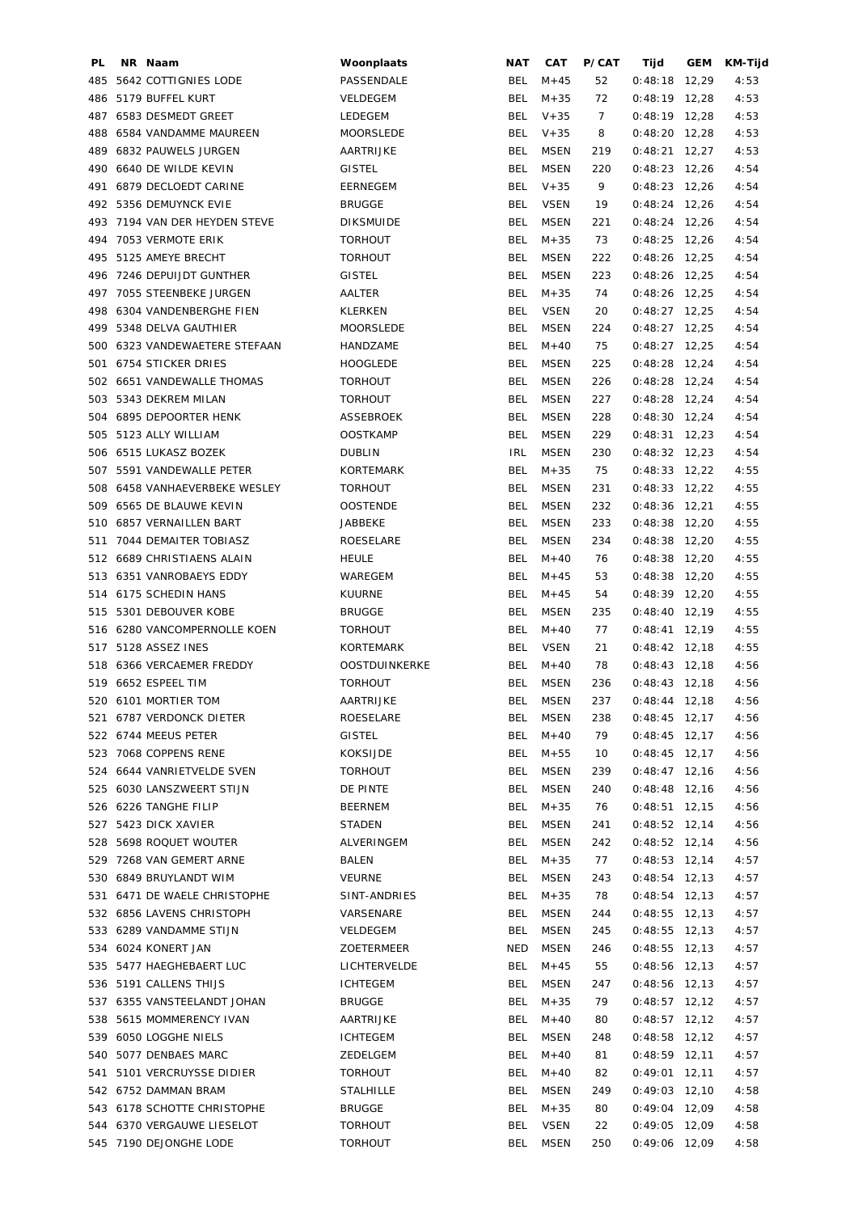| PL. | NR Naam                       | Woonplaats           | <b>NAT</b> | CAT         | P/CAT | Tijd            | GEM | KM-Tijd |
|-----|-------------------------------|----------------------|------------|-------------|-------|-----------------|-----|---------|
| 485 | 5642 COTTIGNIES LODE          | PASSENDALE           | BEL        | $M + 45$    | 52    | $0:48:18$ 12,29 |     | 4:53    |
| 486 | 5179 BUFFEL KURT              | VELDEGEM             | <b>BEL</b> | $M + 35$    | 72    | $0:48:19$ 12,28 |     | 4:53    |
|     | 487 6583 DESMEDT GREET        | LEDEGEM              | BEL        | $V + 35$    | 7     | $0:48:19$ 12,28 |     | 4:53    |
|     | 488 6584 VANDAMME MAUREEN     | MOORSLEDE            | <b>BEL</b> | $V + 35$    | 8     | $0:48:20$ 12,28 |     | 4:53    |
|     | 489 6832 PAUWELS JURGEN       | AARTRIJKE            | <b>BEL</b> | <b>MSEN</b> | 219   | $0:48:21$ 12,27 |     | 4:53    |
|     | 490 6640 DE WILDE KEVIN       | <b>GISTEL</b>        | BEL        | <b>MSEN</b> | 220   | $0:48:23$ 12,26 |     | 4:54    |
| 491 | 6879 DECLOEDT CARINE          | <b>EERNEGEM</b>      | <b>BEL</b> | $V + 35$    | 9     | $0:48:23$ 12,26 |     | 4:54    |
|     | 492 5356 DEMUYNCK EVIE        | <b>BRUGGE</b>        | <b>BEL</b> | <b>VSEN</b> | 19    | $0:48:24$ 12,26 |     | 4:54    |
|     | 493 7194 VAN DER HEYDEN STEVE | <b>DIKSMUIDE</b>     | <b>BEL</b> | <b>MSEN</b> | 221   | $0:48:24$ 12,26 |     | 4:54    |
|     | 494 7053 VERMOTE ERIK         | <b>TORHOUT</b>       | BEL        | $M + 35$    | 73    | $0:48:25$ 12,26 |     | 4:54    |
|     | 495 5125 AMEYE BRECHT         | <b>TORHOUT</b>       | BEL        | <b>MSEN</b> | 222   | $0:48:26$ 12,25 |     | 4:54    |
|     | 496 7246 DEPUIJDT GUNTHER     | <b>GISTEL</b>        | <b>BEL</b> | <b>MSEN</b> | 223   | $0:48:26$ 12,25 |     | 4:54    |
|     | 497 7055 STEENBEKE JURGEN     | AALTER               | <b>BEL</b> | $M + 35$    | 74    | $0:48:26$ 12,25 |     | 4:54    |
|     | 498 6304 VANDENBERGHE FIEN    | KLERKEN              | BEL        | <b>VSEN</b> | 20    | $0:48:27$ 12,25 |     | 4:54    |
|     | 499 5348 DELVA GAUTHIER       | MOORSLEDE            | BEL        | <b>MSEN</b> | 224   | $0:48:27$ 12,25 |     | 4:54    |
| 500 | 6323 VANDEWAETERE STEFAAN     | HANDZAME             | BEL        | $M + 40$    | 75    | $0:48:27$ 12,25 |     | 4:54    |
| 501 | <b>6754 STICKER DRIES</b>     | <b>HOOGLEDE</b>      | <b>BEL</b> | <b>MSEN</b> | 225   | $0:48:28$ 12,24 |     | 4:54    |
|     | 502 6651 VANDEWALLE THOMAS    | <b>TORHOUT</b>       | BEL        | <b>MSEN</b> | 226   | $0:48:28$ 12,24 |     | 4:54    |
|     | 503 5343 DEKREM MILAN         | <b>TORHOUT</b>       | BEL        | <b>MSEN</b> | 227   | $0:48:28$ 12,24 |     | 4:54    |
|     | 504 6895 DEPOORTER HENK       | ASSEBROEK            | BEL        | <b>MSEN</b> | 228   | $0:48:30$ 12,24 |     | 4:54    |
| 505 | 5123 ALLY WILLIAM             | <b>OOSTKAMP</b>      | BEL        | MSEN        | 229   | $0:48:31$ 12,23 |     | 4:54    |
|     | 506 6515 LUKASZ BOZEK         | <b>DUBLIN</b>        | IRL        | <b>MSEN</b> | 230   | $0:48:32$ 12,23 |     | 4:54    |
|     | 507 5591 VANDEWALLE PETER     | KORTEMARK            | BEL        | $M + 35$    | 75    | $0:48:33$ 12,22 |     | 4:55    |
|     | 508 6458 VANHAEVERBEKE WESLEY | <b>TORHOUT</b>       | BEL        | <b>MSEN</b> | 231   | $0:48:33$ 12,22 |     | 4:55    |
|     | 509 6565 DE BLAUWE KEVIN      | <b>OOSTENDE</b>      | BEL        | <b>MSEN</b> | 232   | $0:48:36$ 12,21 |     | 4:55    |
| 510 | 6857 VERNAILLEN BART          | JABBEKE              | <b>BEL</b> | <b>MSEN</b> | 233   | $0:48:38$ 12,20 |     | 4:55    |
| 511 | 7044 DEMAITER TOBIASZ         | ROESELARE            | <b>BEL</b> | <b>MSEN</b> | 234   | $0:48:38$ 12,20 |     | 4:55    |
|     | 512 6689 CHRISTIAENS ALAIN    | <b>HEULE</b>         | <b>BEL</b> | $M + 40$    | 76    | $0:48:38$ 12,20 |     | 4:55    |
|     | 513 6351 VANROBAEYS EDDY      | WAREGEM              | BEL        | $M + 45$    | 53    | $0:48:38$ 12,20 |     | 4:55    |
|     | 514 6175 SCHEDIN HANS         | <b>KUURNE</b>        | BEL        | $M + 45$    | 54    | $0:48:39$ 12,20 |     | 4:55    |
|     | 515 5301 DEBOUVER KOBE        | <b>BRUGGE</b>        | BEL        | <b>MSEN</b> | 235   | $0:48:40$ 12,19 |     | 4:55    |
|     | 516 6280 VANCOMPERNOLLE KOEN  | <b>TORHOUT</b>       | BEL        | $M + 40$    | 77    | $0:48:41$ 12,19 |     | 4:55    |
|     | 517 5128 ASSEZ INES           | KORTEMARK            | BEL        | <b>VSEN</b> | 21    | $0:48:42$ 12,18 |     | 4:55    |
|     | 518 6366 VERCAEMER FREDDY     | <b>OOSTDUINKERKE</b> | <b>BEL</b> | $M + 40$    | 78    | $0:48:43$ 12,18 |     | 4:56    |
|     | 519 6652 ESPEEL TIM           | <b>TORHOUT</b>       | <b>BEL</b> | <b>MSEN</b> | 236   | $0:48:43$ 12,18 |     | 4:56    |
|     | 520 6101 MORTIER TOM          | AARTRIJKE            | <b>BEL</b> | <b>MSEN</b> | 237   | $0:48:44$ 12,18 |     | 4:56    |
|     | 521 6787 VERDONCK DIETER      | ROESELARE            | BEL        | MSEN        | 238   | $0:48:45$ 12,17 |     | 4:56    |
|     | 522 6744 MEEUS PETER          | <b>GISTEL</b>        | BEL        | $M + 40$    | 79    | $0:48:45$ 12,17 |     | 4:56    |
|     | 523 7068 COPPENS RENE         | KOKSIJDE             | BEL        | $M + 55$    | 10    | $0:48:45$ 12,17 |     | 4:56    |
|     | 524 6644 VANRIETVELDE SVEN    | <b>TORHOUT</b>       | BEL        | MSEN        | 239   | $0:48:47$ 12,16 |     | 4:56    |
|     | 525 6030 LANSZWEERT STIJN     | DE PINTE             | BEL        | MSEN        | 240   | $0:48:48$ 12,16 |     | 4:56    |
|     | 526 6226 TANGHE FILIP         | BEERNEM              | BEL        | $M + 35$    | 76    | $0:48:51$ 12,15 |     | 4:56    |
|     | 527 5423 DICK XAVIER          | STADEN               | BEL        | MSEN        | 241   | $0:48:52$ 12,14 |     | 4:56    |
|     | 528 5698 ROQUET WOUTER        | ALVERINGEM           | BEL        | MSEN        | 242   | $0:48:52$ 12,14 |     | 4:56    |
|     | 529 7268 VAN GEMERT ARNE      | BALEN                | BEL        | $M + 35$    | 77    | $0:48:53$ 12,14 |     | 4:57    |
|     | 530 6849 BRUYLANDT WIM        | VEURNE               | BEL        | MSEN        | 243   | $0:48:54$ 12,13 |     | 4:57    |
|     | 531 6471 DE WAELE CHRISTOPHE  | SINT-ANDRIES         | BEL        | $M + 35$    | 78    | $0:48:54$ 12,13 |     | 4:57    |
|     | 532 6856 LAVENS CHRISTOPH     | VARSENARE            | BEL        | <b>MSEN</b> | 244   | $0:48:55$ 12,13 |     | 4:57    |
|     | 533 6289 VANDAMME STIJN       | VELDEGEM             | BEL        | MSEN        | 245   | $0:48:55$ 12,13 |     | 4:57    |
|     | 534 6024 KONERT JAN           | ZOETERMEER           | NED        | <b>MSEN</b> | 246   | $0:48:55$ 12,13 |     | 4:57    |
|     | 535 5477 HAEGHEBAERT LUC      | LICHTERVELDE         | BEL        | $M + 45$    | 55    | $0:48:56$ 12,13 |     | 4:57    |
|     | 536 5191 CALLENS THIJS        | ICHTEGEM             | BEL        | MSEN        | 247   | $0:48:56$ 12,13 |     | 4:57    |
|     | 537 6355 VANSTEELANDT JOHAN   | BRUGGE               | BEL        | $M + 35$    | 79    | $0:48:57$ 12,12 |     | 4:57    |
|     | 538 5615 MOMMERENCY IVAN      | AARTRIJKE            | BEL        | $M + 40$    | 80    | $0:48:57$ 12,12 |     | 4:57    |
|     | 539 6050 LOGGHE NIELS         | ICHTEGEM             | BEL        | MSEN        | 248   | $0:48:58$ 12,12 |     | 4:57    |
|     | 540 5077 DENBAES MARC         | ZEDELGEM             | BEL        | $M + 40$    | 81    | $0:48:59$ 12,11 |     | 4:57    |
|     | 541 5101 VERCRUYSSE DIDIER    | TORHOUT              | BEL        | $M+40$      | 82    | $0:49:01$ 12,11 |     | 4:57    |
|     | 542 6752 DAMMAN BRAM          | <b>STALHILLE</b>     | BEL        | MSEN        | 249   | $0:49:03$ 12,10 |     | 4:58    |
|     | 543 6178 SCHOTTE CHRISTOPHE   | <b>BRUGGE</b>        | BEL        | $M + 35$    | 80    | $0:49:04$ 12,09 |     | 4:58    |
|     | 544 6370 VERGAUWE LIESELOT    | <b>TORHOUT</b>       |            | BEL VSEN    | 22    | $0:49:05$ 12,09 |     | 4:58    |
|     | 545 7190 DEJONGHE LODE        | TORHOUT              | BEL        | <b>MSEN</b> | 250   | $0:49:06$ 12,09 |     | 4:58    |
|     |                               |                      |            |             |       |                 |     |         |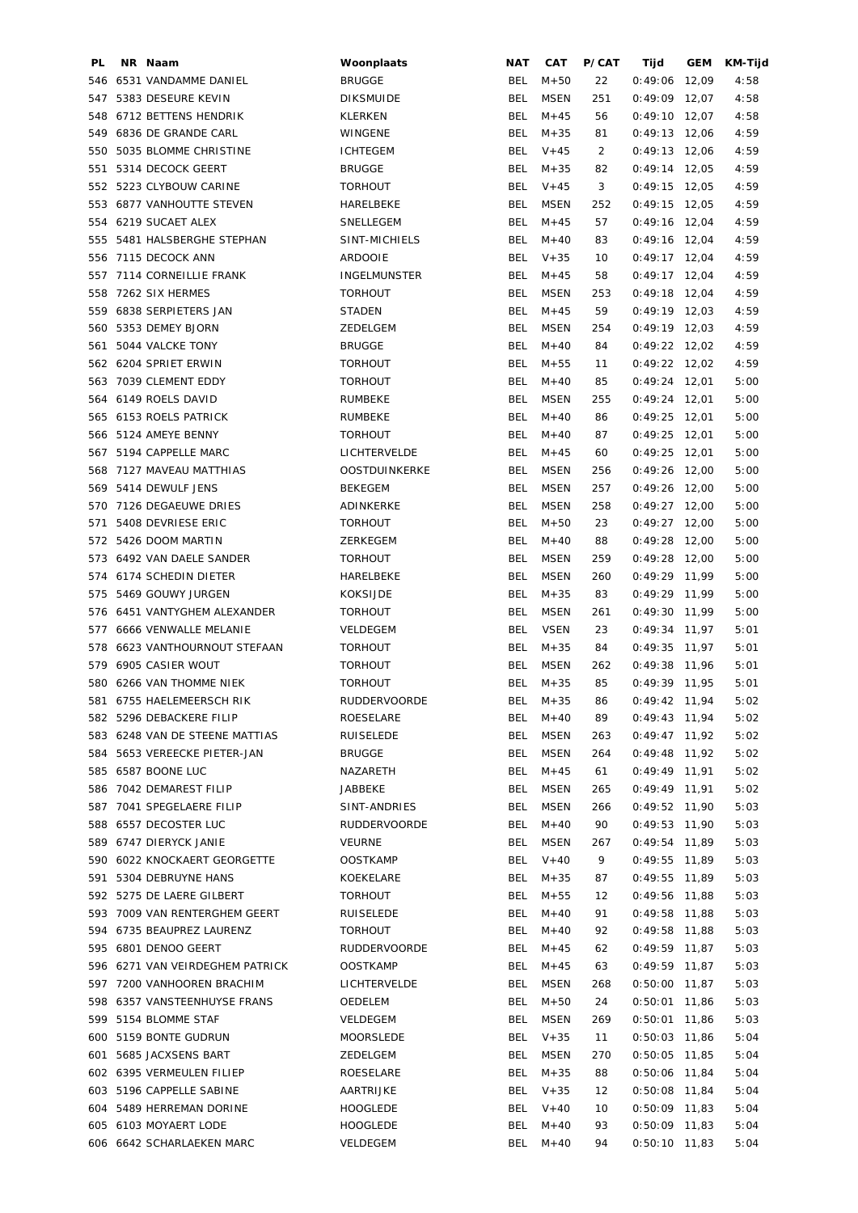| PL. | NR Naam                         | Woonplaats          | <b>NAT</b> | CAT         | P/CAT | Tijd            | <b>GEM</b> | KM-Tijd |
|-----|---------------------------------|---------------------|------------|-------------|-------|-----------------|------------|---------|
|     | 546 6531 VANDAMME DANIEL        | <b>BRUGGE</b>       | BEL        | $M + 50$    | 22    | 0:49:06         | 12,09      | 4:58    |
|     | 547 5383 DESEURE KEVIN          | <b>DIKSMUIDE</b>    | <b>BEL</b> | <b>MSEN</b> | 251   | $0:49:09$ 12,07 |            | 4:58    |
|     | 548 6712 BETTENS HENDRIK        | <b>KLERKEN</b>      | <b>BEL</b> | $M + 45$    | 56    | $0:49:10$ 12,07 |            | 4:58    |
|     | 549 6836 DE GRANDE CARL         | WINGENE             | <b>BEL</b> | $M + 35$    | 81    | $0:49:13$ 12,06 |            | 4:59    |
|     | 550 5035 BLOMME CHRISTINE       | <b>ICHTEGEM</b>     | <b>BEL</b> | $V + 45$    | 2     | $0:49:13$ 12,06 |            | 4:59    |
| 551 | 5314 DECOCK GEERT               | <b>BRUGGE</b>       | <b>BEL</b> | $M + 35$    | 82    | $0:49:14$ 12,05 |            | 4:59    |
|     | 552 5223 CLYBOUW CARINE         | <b>TORHOUT</b>      | <b>BEL</b> | $V + 45$    | 3     | $0:49:15$ 12,05 |            | 4:59    |
|     | 553 6877 VANHOUTTE STEVEN       | HARELBEKE           | <b>BEL</b> | <b>MSEN</b> | 252   | $0:49:15$ 12,05 |            | 4:59    |
|     | 554 6219 SUCAET ALEX            | SNELLEGEM           | BEL        | $M + 45$    | 57    | $0:49:16$ 12,04 |            | 4:59    |
| 555 | 5481 HALSBERGHE STEPHAN         | SINT-MICHIELS       | <b>BEL</b> | $M + 40$    | 83    | $0:49:16$ 12,04 |            | 4:59    |
| 556 | 7115 DECOCK ANN                 | <b>ARDOOIE</b>      | <b>BEL</b> | $V + 35$    | 10    | $0:49:17$ 12,04 |            | 4:59    |
|     | 557 7114 CORNEILLIE FRANK       | <b>INGELMUNSTER</b> | <b>BEL</b> | $M + 45$    | 58    | $0:49:17$ 12,04 |            | 4:59    |
| 558 | 7262 SIX HERMES                 | <b>TORHOUT</b>      | <b>BEL</b> | <b>MSEN</b> | 253   | $0:49:18$ 12,04 |            | 4:59    |
|     | 559 6838 SERPIETERS JAN         | <b>STADEN</b>       | BEL        | $M + 45$    | 59    | $0:49:19$ 12,03 |            | 4:59    |
|     | 560 5353 DEMEY BJORN            | ZEDELGEM            | <b>BEL</b> | <b>MSEN</b> | 254   | $0:49:19$ 12,03 |            | 4:59    |
| 561 | 5044 VALCKE TONY                | <b>BRUGGE</b>       | BEL        | $M + 40$    | 84    | $0:49:22$ 12,02 |            | 4:59    |
|     | 562 6204 SPRIET ERWIN           | <b>TORHOUT</b>      | BEL        | $M + 55$    | 11    | $0:49:22$ 12,02 |            | 4:59    |
|     |                                 |                     |            |             |       |                 |            |         |
| 563 | 7039 CLEMENT EDDY               | <b>TORHOUT</b>      | BEL        | $M+40$      | 85    | $0:49:24$ 12,01 |            | 5:00    |
|     | 564 6149 ROELS DAVID            | RUMBEKE             | <b>BEL</b> | MSEN        | 255   | $0:49:24$ 12,01 |            | 5:00    |
|     | 565 6153 ROELS PATRICK          | RUMBEKE             | <b>BEL</b> | $M + 40$    | 86    | $0:49:25$ 12,01 |            | 5:00    |
| 566 | 5124 AMEYE BENNY                | <b>TORHOUT</b>      | <b>BEL</b> | $M+40$      | 87    | $0:49:25$ 12,01 |            | 5:00    |
|     | 567 5194 CAPPELLE MARC          | LICHTERVELDE        | <b>BEL</b> | $M + 45$    | 60    | $0:49:25$ 12,01 |            | 5:00    |
|     | 568 7127 MAVEAU MATTHIAS        | OOSTDUINKERKE       | <b>BEL</b> | <b>MSEN</b> | 256   | $0:49:26$ 12,00 |            | 5:00    |
|     | 569 5414 DEWULF JENS            | <b>BEKEGEM</b>      | <b>BEL</b> | <b>MSEN</b> | 257   | $0:49:26$ 12,00 |            | 5:00    |
|     | 570 7126 DEGAEUWE DRIES         | ADINKERKE           | <b>BEL</b> | <b>MSEN</b> | 258   | $0:49:27$ 12,00 |            | 5:00    |
| 571 | 5408 DEVRIESE ERIC              | <b>TORHOUT</b>      | <b>BEL</b> | $M + 50$    | 23    | $0:49:27$ 12,00 |            | 5:00    |
|     | 572 5426 DOOM MARTIN            | ZERKEGEM            | <b>BEL</b> | $M + 40$    | 88    | $0:49:28$ 12,00 |            | 5:00    |
|     | 573 6492 VAN DAELE SANDER       | <b>TORHOUT</b>      | <b>BEL</b> | <b>MSEN</b> | 259   | $0:49:28$ 12,00 |            | 5:00    |
|     | 574 6174 SCHEDIN DIETER         | HARELBEKE           | BEL        | <b>MSEN</b> | 260   | $0:49:29$ 11,99 |            | 5:00    |
|     | 575 5469 GOUWY JURGEN           | <b>KOKSIJDE</b>     | BEL        | $M + 35$    | 83    | $0:49:29$ 11,99 |            | 5:00    |
|     | 576 6451 VANTYGHEM ALEXANDER    | <b>TORHOUT</b>      | BEL        | <b>MSEN</b> | 261   | $0:49:30$ 11,99 |            | 5:00    |
|     | 577 6666 VENWALLE MELANIE       | VELDEGEM            | <b>BEL</b> | <b>VSEN</b> | 23    | $0:49:34$ 11,97 |            | 5:01    |
|     | 578 6623 VANTHOURNOUT STEFAAN   | <b>TORHOUT</b>      | <b>BEL</b> | $M + 35$    | 84    | $0:49:35$ 11,97 |            | 5:01    |
|     | 579 6905 CASIER WOUT            | <b>TORHOUT</b>      | <b>BEL</b> | <b>MSEN</b> | 262   | $0:49:38$ 11,96 |            | 5:01    |
|     | 580 6266 VAN THOMME NIEK        | <b>TORHOUT</b>      | BEL        | $M + 35$    | 85    | $0:49:39$ 11,95 |            | 5:01    |
|     |                                 |                     |            |             |       |                 |            |         |
|     | 581 6755 HAELEMEERSCH RIK       | RUDDERVOORDE        | <b>BEL</b> | $M + 35$    | 86    | $0:49:42$ 11,94 |            | 5:02    |
|     | 582 5296 DEBACKERE FILIP        | ROESELARE           |            | BEL M+40    | 89    | $0:49:43$ 11,94 |            | 5:02    |
|     | 583 6248 VAN DE STEENE MATTIAS  | RUISELEDE           | BEL        | MSEN        | 263   | $0:49:47$ 11,92 |            | 5:02    |
|     | 584 5653 VEREECKE PIETER-JAN    | <b>BRUGGE</b>       | BEL        | <b>MSEN</b> | 264   | $0:49:48$ 11,92 |            | 5:02    |
|     | 585 6587 BOONE LUC              | NAZARETH            | BEL        | $M + 45$    | 61    | $0:49:49$ 11,91 |            | 5:02    |
|     | 586 7042 DEMAREST FILIP         | JABBEKE             | BEL        | MSEN        | 265   | $0:49:49$ 11,91 |            | 5:02    |
|     | 587 7041 SPEGELAERE FILIP       | SINT-ANDRIES        | BEL        | MSEN        | 266   | $0:49:52$ 11,90 |            | 5:03    |
|     | 588 6557 DECOSTER LUC           | RUDDERVOORDE        | BEL        | $M + 40$    | 90    | $0:49:53$ 11,90 |            | 5:03    |
|     | 589 6747 DIERYCK JANIE          | VEURNE              | BEL        | <b>MSEN</b> | 267   | $0:49:54$ 11,89 |            | 5:03    |
|     | 590 6022 KNOCKAERT GEORGETTE    | <b>OOSTKAMP</b>     | BEL        | $V + 40$    | 9     | $0:49:55$ 11,89 |            | 5:03    |
|     | 591 5304 DEBRUYNE HANS          | KOEKELARE           | BEL        | $M + 35$    | 87    | $0:49:55$ 11,89 |            | 5:03    |
|     | 592 5275 DE LAERE GILBERT       | TORHOUT             | BEL        | $M + 55$    | 12    | $0:49:56$ 11,88 |            | 5:03    |
|     | 593 7009 VAN RENTERGHEM GEERT   | RUISELEDE           | BEL        | $M + 40$    | 91    | $0:49:58$ 11,88 |            | 5:03    |
|     | 594 6735 BEAUPREZ LAURENZ       | TORHOUT             | BEL        | $M + 40$    | 92    | $0:49:58$ 11,88 |            | 5:03    |
|     | 595 6801 DENOO GEERT            | RUDDERVOORDE        | BEL        | $M + 45$    | 62    | $0:49:59$ 11,87 |            | 5:03    |
|     | 596 6271 VAN VEIRDEGHEM PATRICK | OOSTKAMP            | BEL        | $M + 45$    | 63    | $0:49:59$ 11,87 |            | 5:03    |
|     | 597 7200 VANHOOREN BRACHIM      | LICHTERVELDE        | BEL        | <b>MSEN</b> | 268   | $0:50:00$ 11,87 |            | 5:03    |
|     | 598 6357 VANSTEENHUYSE FRANS    | OEDELEM             | BEL        | $M + 50$    | 24    | $0:50:01$ 11,86 |            | 5:03    |
|     | 599 5154 BLOMME STAF            | VELDEGEM            | BEL        | <b>MSEN</b> | 269   | $0:50:01$ 11,86 |            | 5:03    |
|     | 600 5159 BONTE GUDRUN           | MOORSLEDE           | BEL        | $V + 35$    | 11    | $0:50:03$ 11,86 |            | 5:04    |
|     |                                 |                     |            |             |       |                 |            |         |
|     | 601 5685 JACXSENS BART          | ZEDELGEM            | <b>BEL</b> | <b>MSEN</b> | 270   | $0:50:05$ 11,85 |            | 5:04    |
|     | 602 6395 VERMEULEN FILIEP       | ROESELARE           | BEL        | $M + 35$    | 88    | $0:50:06$ 11,84 |            | 5:04    |
|     | 603 5196 CAPPELLE SABINE        | AARTRIJKE           | BEL        | $V + 35$    | 12    | $0:50:08$ 11,84 |            | 5:04    |
|     | 604 5489 HERREMAN DORINE        | <b>HOOGLEDE</b>     | BEL        | $V + 40$    | 10    | $0:50:09$ 11,83 |            | 5:04    |
|     | 605 6103 MOYAERT LODE           | <b>HOOGLEDE</b>     | BEL        | $M+40$      | 93    | $0:50:09$ 11,83 |            | 5:04    |
|     | 606 6642 SCHARLAEKEN MARC       | VELDEGEM            | BEL        | $M+40$      | 94    | $0:50:10$ 11,83 |            | 5:04    |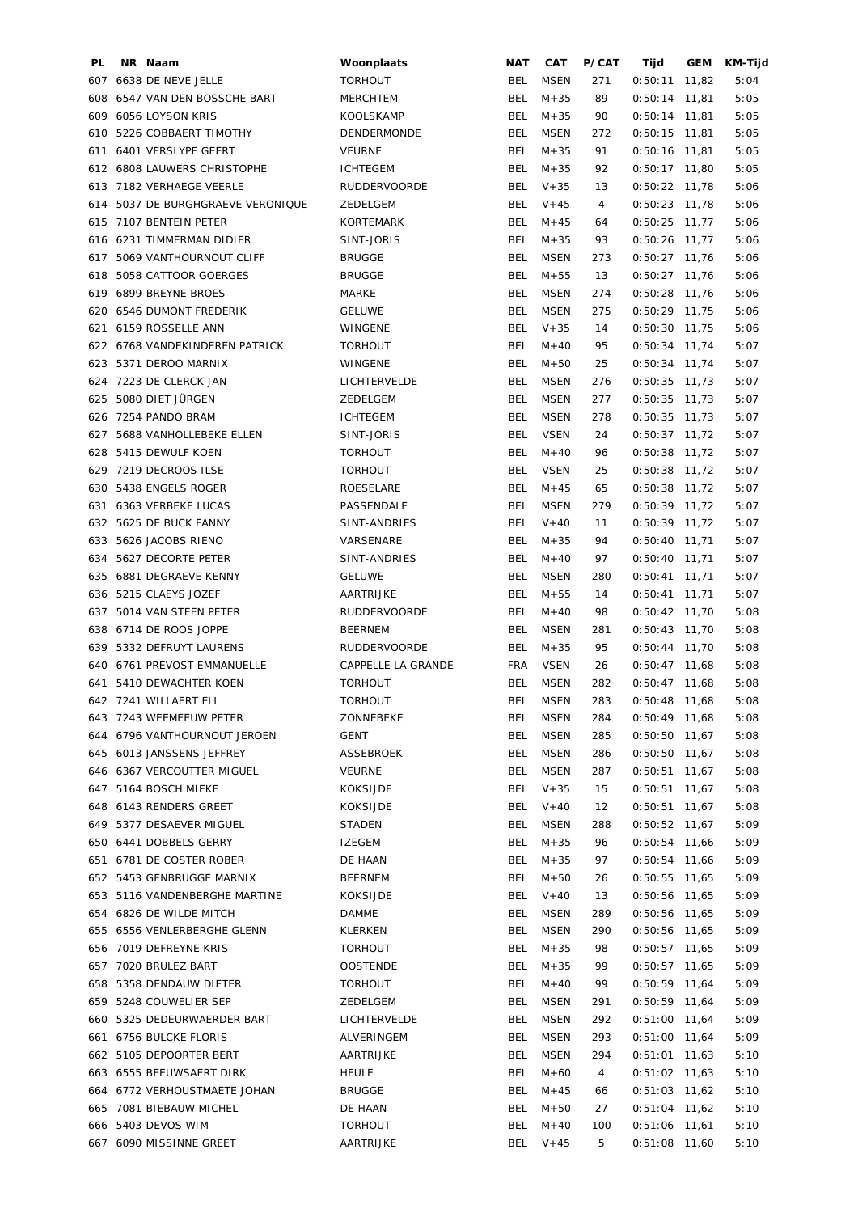| PL  | NR Naam                                           | Woonplaats              | NAT        | CAT                        | P/CAT | Tijd                               | GEM   | KM-Tijd |
|-----|---------------------------------------------------|-------------------------|------------|----------------------------|-------|------------------------------------|-------|---------|
|     | 607 6638 DE NEVE JELLE                            | <b>TORHOUT</b>          | <b>BEL</b> | MSEN                       | 271   | 0:50:11                            | 11,82 | 5:04    |
| 608 | 6547 VAN DEN BOSSCHE BART                         | <b>MERCHTEM</b>         | <b>BEL</b> | $M + 35$                   | 89    | $0:50:14$ 11,81                    |       | 5:05    |
| 609 | 6056 LOYSON KRIS                                  | KOOLSKAMP               | <b>BEL</b> | $M + 35$                   | 90    | $0:50:14$ 11,81                    |       | 5:05    |
| 610 | 5226 COBBAERT TIMOTHY                             | DENDERMONDE             | <b>BEL</b> | <b>MSEN</b>                | 272   | $0:50:15$ 11,81                    |       | 5:05    |
| 611 | 6401 VERSLYPE GEERT                               | <b>VEURNE</b>           | <b>BEL</b> | $M + 35$                   | 91    | $0:50:16$ 11,81                    |       | 5:05    |
|     | 612 6808 LAUWERS CHRISTOPHE                       | <b>ICHTEGEM</b>         | <b>BEL</b> | $M + 35$                   | 92    | $0:50:17$ 11,80                    |       | 5:05    |
|     | 613 7182 VERHAEGE VEERLE                          | RUDDERVOORDE            | BEL        | $V + 35$                   | 13    | $0:50:22$ 11,78                    |       | 5:06    |
| 614 | 5037 DE BURGHGRAEVE VERONIQUE                     | ZEDELGEM                | BEL        | $V + 45$                   | 4     | $0:50:23$ 11,78                    |       | 5:06    |
| 615 | 7107 BENTEIN PETER                                | <b>KORTEMARK</b>        | <b>BEL</b> | $M + 45$                   | 64    | $0:50:25$ 11,77                    |       | 5:06    |
|     | 616 6231 TIMMERMAN DIDIER                         | SINT-JORIS              | <b>BEL</b> | $M + 35$                   | 93    | $0:50:26$ 11,77                    |       | 5:06    |
| 617 | 5069 VANTHOURNOUT CLIFF                           | <b>BRUGGE</b>           | BEL        | MSEN                       | 273   | $0:50:27$ 11,76                    |       | 5:06    |
|     | 618 5058 CATTOOR GOERGES                          | <b>BRUGGE</b>           | BEL        | $M + 55$                   | 13    | $0:50:27$ 11,76                    |       | 5:06    |
| 619 | 6899 BREYNE BROES                                 | MARKE                   | BEL        | MSEN                       | 274   | $0:50:28$ 11,76                    |       | 5:06    |
| 620 | 6546 DUMONT FREDERIK                              | <b>GELUWE</b>           | <b>BEL</b> | MSEN                       | 275   | $0:50:29$ 11,75                    |       | 5:06    |
| 621 | 6159 ROSSELLE ANN                                 | WINGENE                 | <b>BEL</b> | $V + 35$                   | 14    | $0:50:30$ 11,75                    |       | 5:06    |
|     | 622 6768 VANDEKINDEREN PATRICK                    | <b>TORHOUT</b>          | BEL        | $M + 40$                   | 95    | $0:50:34$ 11,74                    |       | 5:07    |
|     | 623 5371 DEROO MARNIX                             | WINGENE                 | BEL        | $M + 50$                   | 25    | $0:50:34$ 11,74                    |       | 5:07    |
| 624 | 7223 DE CLERCK JAN                                | LICHTERVELDE            | <b>BEL</b> | <b>MSEN</b>                | 276   | $0:50:35$ 11,73                    |       | 5:07    |
| 625 | 5080 DIET JÜRGEN                                  | ZEDELGEM                | <b>BEL</b> | <b>MSEN</b>                | 277   | $0:50:35$ 11,73                    |       | 5:07    |
| 626 | 7254 PANDO BRAM                                   | <b>ICHTEGEM</b>         | <b>BEL</b> | <b>MSEN</b>                | 278   | $0:50:35$ 11,73                    |       | 5:07    |
|     |                                                   |                         | BEL        |                            |       |                                    |       |         |
| 627 | 5688 VANHOLLEBEKE ELLEN                           | SINT-JORIS              |            | <b>VSEN</b>                | 24    | $0:50:37$ 11,72                    |       | 5:07    |
|     | 628 5415 DEWULF KOEN                              | <b>TORHOUT</b>          | BEL        | $M + 40$                   | 96    | $0:50:38$ 11,72                    |       | 5:07    |
| 629 | 7219 DECROOS ILSE                                 | <b>TORHOUT</b>          | <b>BEL</b> | <b>VSEN</b>                | 25    | $0:50:38$ 11,72                    |       | 5:07    |
| 630 | 5438 ENGELS ROGER                                 | ROESELARE               | <b>BEL</b> | $M + 45$                   | 65    | $0:50:38$ 11,72                    |       | 5:07    |
| 631 | 6363 VERBEKE LUCAS                                | PASSENDALE              | <b>BEL</b> | <b>MSEN</b>                | 279   | $0:50:39$ 11,72                    |       | 5:07    |
|     | 632 5625 DE BUCK FANNY                            | SINT-ANDRIES            | <b>BEL</b> | $V + 40$                   | 11    | $0:50:39$ 11,72                    |       | 5:07    |
|     | 633 5626 JACOBS RIENO                             | VARSENARE               | <b>BEL</b> | $M + 35$                   | 94    | $0:50:40$ 11,71                    |       | 5:07    |
|     | 634 5627 DECORTE PETER                            | SINT-ANDRIES            | BEL        | $M + 40$                   | 97    | $0:50:40$ 11,71                    |       | 5:07    |
|     | 635 6881 DEGRAEVE KENNY                           | <b>GELUWE</b>           | BEL        | <b>MSEN</b>                | 280   | $0:50:41$ 11,71                    |       | 5:07    |
|     | 636 5215 CLAEYS JOZEF                             | AARTRIJKE               | <b>BEL</b> | $M + 55$                   | 14    | $0:50:41$ 11,71                    |       | 5:07    |
| 637 | 5014 VAN STEEN PETER                              | RUDDERVOORDE            | BEL        | $M + 40$                   | 98    | $0:50:42$ 11,70                    |       | 5:08    |
|     | 638 6714 DE ROOS JOPPE                            | <b>BEERNEM</b>          | BEL        | <b>MSEN</b>                | 281   | $0:50:43$ 11,70                    |       | 5:08    |
|     | 639 5332 DEFRUYT LAURENS                          | <b>RUDDERVOORDE</b>     | BEL        | $M + 35$                   | 95    | $0:50:44$ 11,70                    |       | 5:08    |
|     | 640 6761 PREVOST EMMANUELLE                       | CAPPELLE LA GRANDE      | <b>FRA</b> | <b>VSEN</b>                | 26    | $0:50:47$ 11,68                    |       | 5:08    |
|     | 641 5410 DEWACHTER KOEN                           | <b>TORHOUT</b>          | <b>BEL</b> | <b>MSEN</b>                | 282   | $0:50:47$ 11,68                    |       | 5:08    |
|     | 642 7241 WILLAERT ELI                             | TORHOUT                 |            | BEL MSEN                   | 283   | $0:50:48$ 11,68                    |       | 5:08    |
|     | 643 7243 WEEMEEUW PETER                           | ZONNEBEKE               | BEL        | MSEN                       | 284   | $0:50:49$ 11,68                    |       | 5:08    |
|     | 644 6796 VANTHOURNOUT JEROEN                      | GENT                    | BEL        | MSEN                       | 285   | $0:50:50$ 11,67                    |       | 5:08    |
|     | 645 6013 JANSSENS JEFFREY                         | ASSEBROEK               | BEL        | <b>MSEN</b>                | 286   | $0:50:50$ 11,67                    |       | 5:08    |
|     | 646 6367 VERCOUTTER MIGUEL                        | <b>VEURNE</b>           | BEL        | <b>MSEN</b>                | 287   | $0:50:51$ 11,67                    |       | 5:08    |
|     | 647 5164 BOSCH MIEKE                              | <b>KOKSIJDE</b>         |            | BEL V+35                   | 15    | $0:50:51$ 11,67                    |       | 5:08    |
|     | 648 6143 RENDERS GREET                            | <b>KOKSIJDE</b>         | BEL        | $V + 40$                   | 12    | $0:50:51$ 11,67                    |       | 5:08    |
|     | 649 5377 DESAEVER MIGUEL                          | <b>STADEN</b>           | BEL        | <b>MSEN</b>                | 288   | $0:50:52$ 11,67                    |       | 5:09    |
|     | 650 6441 DOBBELS GERRY                            | <b>IZEGEM</b>           | BEL        | $M + 35$                   | 96    | $0:50:54$ 11,66                    |       | 5:09    |
|     | 651 6781 DE COSTER ROBER                          | DE HAAN                 | <b>BEL</b> | $M + 35$                   | 97    | $0:50:54$ 11,66                    |       | 5:09    |
|     | 652 5453 GENBRUGGE MARNIX                         | <b>BEERNEM</b>          | BEL        | $M + 50$                   | 26    | $0:50:55$ 11,65                    |       | 5:09    |
|     | 653 5116 VANDENBERGHE MARTINE                     | <b>KOKSIJDE</b>         | BEL        | $V + 40$                   | 13    | $0:50:56$ 11,65                    |       | 5:09    |
|     | 654 6826 DE WILDE MITCH                           | DAMME                   | BEL        | <b>MSEN</b>                | 289   | $0:50:56$ 11,65                    |       | 5:09    |
|     | 655 6556 VENLERBERGHE GLENN                       | KLERKEN                 | BEL        | <b>MSEN</b>                | 290   | $0:50:56$ 11,65                    |       | 5:09    |
|     | 656 7019 DEFREYNE KRIS                            | <b>TORHOUT</b>          | BEL        | $M + 35$                   | 98    | $0:50:57$ 11,65                    |       | 5:09    |
|     | 657 7020 BRULEZ BART                              | <b>OOSTENDE</b>         | BEL        | $M + 35$                   | 99    | $0:50:57$ 11,65                    |       | 5:09    |
|     | 658 5358 DENDAUW DIETER                           | <b>TORHOUT</b>          | BEL        | $M + 40$                   | 99    | $0:50:59$ 11,64                    |       | 5:09    |
|     | 659 5248 COUWELIER SEP                            | ZEDELGEM                | BEL        | <b>MSEN</b>                | 291   | $0:50:59$ 11,64                    |       | 5:09    |
| 660 | 5325 DEDEURWAERDER BART                           | LICHTERVELDE            | BEL        | <b>MSEN</b>                | 292   | $0:51:00$ 11,64                    |       | 5:09    |
|     |                                                   |                         |            |                            |       |                                    |       |         |
|     | 661 6756 BULCKE FLORIS<br>662 5105 DEPOORTER BERT | ALVERINGEM<br>AARTRIJKE | BEL<br>BEL | <b>MSEN</b><br><b>MSEN</b> | 293   | $0:51:00$ 11,64<br>$0:51:01$ 11,63 |       | 5:09    |
|     |                                                   |                         |            |                            | 294   |                                    |       | 5:10    |
|     | 663 6555 BEEUWSAERT DIRK                          | <b>HEULE</b>            | BEL        | $M + 60$                   | 4     | $0:51:02$ 11,63                    |       | 5:10    |
|     | 664 6772 VERHOUSTMAETE JOHAN                      | <b>BRUGGE</b>           | BEL        | $M + 45$                   | 66    | $0:51:03$ 11,62                    |       | 5:10    |
|     | 665 7081 BIEBAUW MICHEL                           | DE HAAN                 | BEL        | $M + 50$                   | 27    | $0:51:04$ 11,62                    |       | 5:10    |
|     | 666 5403 DEVOS WIM                                | <b>TORHOUT</b>          | BEL        | $M + 40$                   | 100   | $0:51:06$ 11,61                    |       | 5:10    |
|     | 667 6090 MISSINNE GREET                           | AARTRIJKE               |            | BEL V+45                   | 5     | $0:51:08$ 11,60                    |       | 5:10    |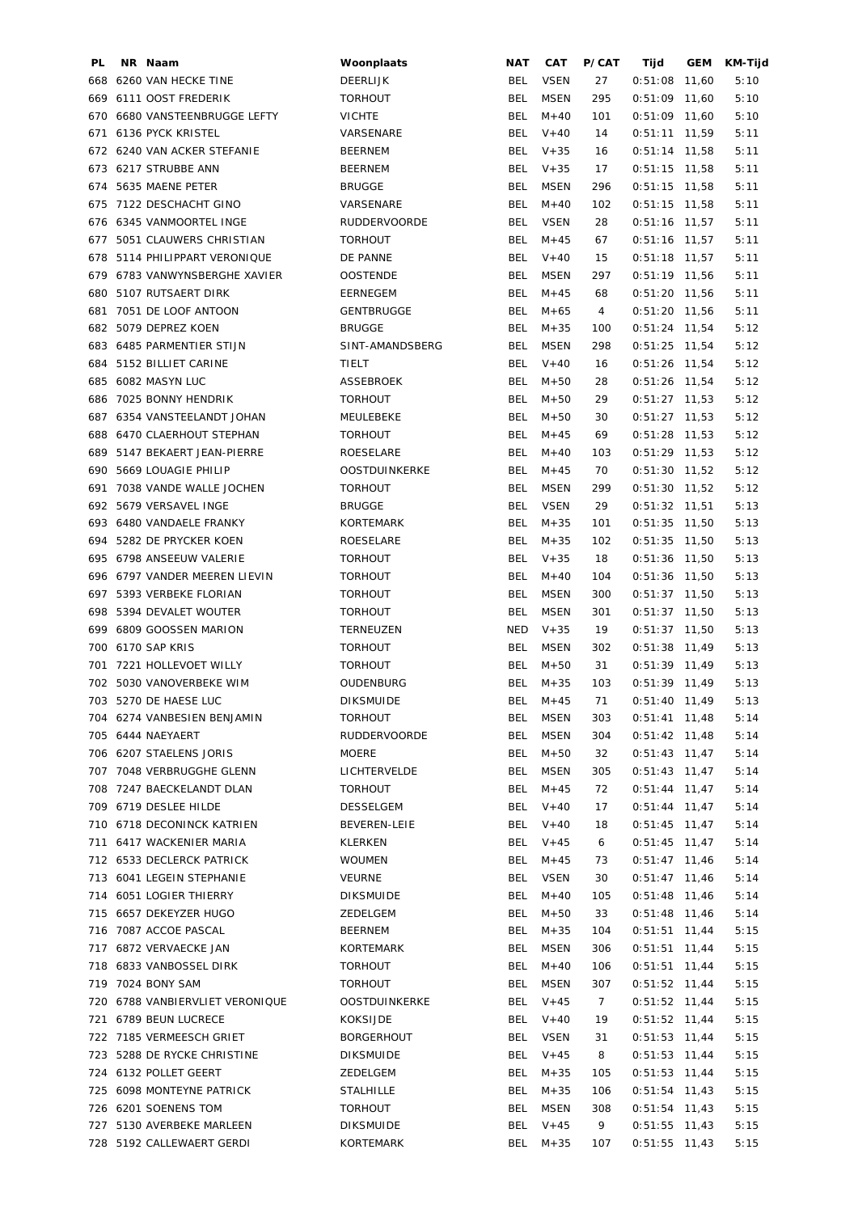| PL. | NR Naam |                                 | Woonplaats           | <b>NAT</b> | CAT         | P/CAT | Tijd            | GEM   | KM-Tijd |
|-----|---------|---------------------------------|----------------------|------------|-------------|-------|-----------------|-------|---------|
|     |         | 668 6260 VAN HECKE TINE         | <b>DEERLIJK</b>      | BEL        | <b>VSEN</b> | 27    | 0:51:08         | 11,60 | 5:10    |
|     |         | 669 6111 OOST FREDERIK          | <b>TORHOUT</b>       | <b>BEL</b> | <b>MSEN</b> | 295   | $0:51:09$ 11.60 |       | 5:10    |
|     |         | 670 6680 VANSTEENBRUGGE LEFTY   | <b>VICHTE</b>        | <b>BEL</b> | $M + 40$    | 101   | $0:51:09$ 11,60 |       | 5:10    |
| 671 |         | 6136 PYCK KRISTEL               | VARSENARE            | <b>BEL</b> | $V + 40$    | 14    | $0:51:11$ 11,59 |       | 5:11    |
|     |         | 672 6240 VAN ACKER STEFANIE     | <b>BEERNEM</b>       | <b>BEL</b> | $V + 35$    | 16    | $0:51:14$ 11,58 |       | 5:11    |
|     |         | 673 6217 STRUBBE ANN            | <b>BEERNEM</b>       | <b>BEL</b> | $V + 35$    | 17    | $0:51:15$ 11,58 |       | 5:11    |
| 674 |         | 5635 MAENE PETER                | <b>BRUGGE</b>        | <b>BEL</b> | <b>MSEN</b> | 296   | $0:51:15$ 11,58 |       | 5:11    |
|     |         | 675 7122 DESCHACHT GINO         | VARSENARE            | <b>BEL</b> | $M + 40$    | 102   | $0:51:15$ 11,58 |       | 5:11    |
|     |         | 676 6345 VANMOORTEL INGE        | <b>RUDDERVOORDE</b>  | <b>BEL</b> | <b>VSEN</b> | 28    | $0:51:16$ 11,57 |       | 5:11    |
|     |         | 677 5051 CLAUWERS CHRISTIAN     | <b>TORHOUT</b>       | <b>BEL</b> | $M + 45$    | 67    | $0:51:16$ 11,57 |       | 5:11    |
| 678 |         | 5114 PHILIPPART VERONIQUE       | DE PANNE             | BEL        | $V + 40$    | 15    | $0:51:18$ 11,57 |       | 5:11    |
| 679 |         | 6783 VANWYNSBERGHE XAVIER       | <b>OOSTENDE</b>      | BEL        | <b>MSEN</b> | 297   | $0:51:19$ 11,56 |       | 5:11    |
| 680 |         | 5107 RUTSAERT DIRK              | EERNEGEM             | BEL        | $M + 45$    | 68    | $0:51:20$ 11,56 |       | 5:11    |
| 681 |         | 7051 DE LOOF ANTOON             | <b>GENTBRUGGE</b>    | BEL        | $M + 65$    | 4     | $0:51:20$ 11,56 |       | 5:11    |
|     |         | 682 5079 DEPREZ KOEN            | <b>BRUGGE</b>        | <b>BEL</b> | $M + 35$    | 100   | $0:51:24$ 11,54 |       | 5:12    |
|     |         | 683 6485 PARMENTIER STIJN       | SINT-AMANDSBERG      | BEL        | <b>MSEN</b> | 298   | $0:51:25$ 11,54 |       | 5:12    |
| 684 |         | 5152 BILLIET CARINE             | TIELT                | <b>BEL</b> | $V + 40$    | 16    | $0:51:26$ 11,54 |       | 5:12    |
| 685 |         | 6082 MASYN LUC                  | <b>ASSEBROEK</b>     | <b>BEL</b> | $M + 50$    | 28    | $0:51:26$ 11,54 |       | 5:12    |
| 686 |         | 7025 BONNY HENDRIK              | <b>TORHOUT</b>       | <b>BEL</b> | $M+50$      | 29    | $0:51:27$ 11,53 |       | 5:12    |
|     |         | 687 6354 VANSTEELANDT JOHAN     | MEULEBEKE            | <b>BEL</b> | $M + 50$    | 30    | $0:51:27$ 11,53 |       | 5:12    |
| 688 |         | 6470 CLAERHOUT STEPHAN          | <b>TORHOUT</b>       | <b>BEL</b> | $M + 45$    | 69    | $0:51:28$ 11,53 |       | 5:12    |
| 689 |         | 5147 BEKAERT JEAN-PIERRE        | ROESELARE            | BEL        | $M+40$      | 103   | $0:51:29$ 11,53 |       | 5:12    |
|     |         | 690 5669 LOUAGIE PHILIP         | <b>OOSTDUINKERKE</b> | <b>BEL</b> | $M + 45$    | 70    | $0:51:30$ 11,52 |       | 5:12    |
|     |         |                                 |                      |            |             |       |                 |       |         |
| 691 |         | 7038 VANDE WALLE JOCHEN         | <b>TORHOUT</b>       | <b>BEL</b> | <b>MSEN</b> | 299   | $0:51:30$ 11,52 |       | 5:12    |
|     |         | 692 5679 VERSAVEL INGE          | <b>BRUGGE</b>        | <b>BEL</b> | <b>VSEN</b> | 29    | $0:51:32$ 11,51 |       | 5:13    |
|     |         | 693 6480 VANDAELE FRANKY        | KORTEMARK            | <b>BEL</b> | $M + 35$    | 101   | $0:51:35$ 11,50 |       | 5:13    |
| 694 |         | 5282 DE PRYCKER KOEN            | ROESELARE            | <b>BEL</b> | $M + 35$    | 102   | $0:51:35$ 11,50 |       | 5:13    |
|     |         | 695 6798 ANSEEUW VALERIE        | <b>TORHOUT</b>       | <b>BEL</b> | $V + 35$    | 18    | $0:51:36$ 11,50 |       | 5:13    |
|     |         | 696 6797 VANDER MEEREN LIEVIN   | <b>TORHOUT</b>       | <b>BEL</b> | $M + 40$    | 104   | $0:51:36$ 11,50 |       | 5:13    |
|     |         | 697 5393 VERBEKE FLORIAN        | <b>TORHOUT</b>       | BEL        | <b>MSEN</b> | 300   | $0:51:37$ 11,50 |       | 5:13    |
|     |         | 698 5394 DEVALET WOUTER         | <b>TORHOUT</b>       | <b>BEL</b> | <b>MSEN</b> | 301   | $0:51:37$ 11,50 |       | 5:13    |
|     |         | 699 6809 GOOSSEN MARION         | TERNEUZEN            | NED        | $V + 35$    | 19    | $0:51:37$ 11,50 |       | 5:13    |
|     |         | 700 6170 SAP KRIS               | <b>TORHOUT</b>       | <b>BEL</b> | <b>MSEN</b> | 302   | $0:51:38$ 11,49 |       | 5:13    |
| 701 |         | 7221 HOLLEVOET WILLY            | <b>TORHOUT</b>       | <b>BEL</b> | $M + 50$    | 31    | $0:51:39$ 11,49 |       | 5:13    |
|     |         | 702 5030 VANOVERBEKE WIM        | OUDENBURG            | <b>BEL</b> | $M + 35$    | 103   | $0:51:39$ 11,49 |       | 5:13    |
|     |         | 703 5270 DE HAESE LUC           | <b>DIKSMUIDE</b>     |            | BEL M+45    | 71    | $0:51:40$ 11,49 |       | 5:13    |
|     |         | 704 6274 VANBESIEN BENJAMIN     | <b>TORHOUT</b>       |            | BEL MSEN    | 303   | $0:51:41$ 11,48 |       | 5:14    |
|     |         | 705 6444 NAEYAERT               | RUDDERVOORDE         | BEL        | MSEN        | 304   | $0:51:42$ 11,48 |       | 5:14    |
|     |         | 706 6207 STAELENS JORIS         | MOERE                | BEL        | $M + 50$    | 32    | $0:51:43$ 11,47 |       | 5:14    |
|     |         | 707 7048 VERBRUGGHE GLENN       | LICHTERVELDE         | BEL        | MSEN        | 305   | $0:51:43$ 11,47 |       | 5:14    |
|     |         | 708 7247 BAECKELANDT DLAN       | TORHOUT              | BEL        | $M + 45$    | 72    | $0:51:44$ 11,47 |       | 5:14    |
|     |         | 709 6719 DESLEE HILDE           | DESSELGEM            |            | BEL $V+40$  | 17    | $0:51:44$ 11,47 |       | 5:14    |
|     |         | 710 6718 DECONINCK KATRIEN      | BEVEREN-LEIE         |            | BEL $V+40$  | 18    | $0:51:45$ 11,47 |       | 5:14    |
|     |         | 711 6417 WACKENIER MARIA        | KLERKEN              |            | BEL $V+45$  | 6     | $0:51:45$ 11,47 |       | 5:14    |
|     |         | 712 6533 DECLERCK PATRICK       | WOUMEN               | <b>BEL</b> | $M + 45$    | 73    | $0:51:47$ 11,46 |       | 5:14    |
|     |         | 713 6041 LEGEIN STEPHANIE       | VEURNE               | <b>BEL</b> | <b>VSEN</b> | 30    | $0:51:47$ 11,46 |       | 5:14    |
|     |         | 714 6051 LOGIER THIERRY         | DIKSMUIDE            | BEL        | $M + 40$    | 105   | $0:51:48$ 11,46 |       | 5:14    |
|     |         | 715 6657 DEKEYZER HUGO          | ZEDELGEM             | <b>BEL</b> | $M + 50$    | 33    | $0:51:48$ 11,46 |       | 5:14    |
|     |         | 716 7087 ACCOE PASCAL           | BEERNEM              | BEL        | $M + 35$    | 104   | $0:51:51$ 11,44 |       | 5:15    |
|     |         | 717 6872 VERVAECKE JAN          | KORTEMARK            | BEL        | MSEN        | 306   | $0:51:51$ 11,44 |       | 5:15    |
|     |         | 718 6833 VANBOSSEL DIRK         | TORHOUT              | BEL        | $M + 40$    | 106   | $0:51:51$ 11,44 |       | 5:15    |
|     |         | 719 7024 BONY SAM               | TORHOUT              | BEL        | MSEN        | 307   | $0:51:52$ 11,44 |       | 5:15    |
|     |         | 720 6788 VANBIERVLIET VERONIQUE | OOSTDUINKERKE        |            | BEL V+45    | 7     | $0:51:52$ 11,44 |       | 5:15    |
|     |         | 721 6789 BEUN LUCRECE           | KOKSIJDE             | BEL        | $V + 40$    | 19    | $0:51:52$ 11,44 |       | 5:15    |
|     |         | 722 7185 VERMEESCH GRIET        | <b>BORGERHOUT</b>    | BEL        | <b>VSEN</b> | 31    | $0:51:53$ 11,44 |       | 5:15    |
|     |         | 723 5288 DE RYCKE CHRISTINE     | <b>DIKSMUIDE</b>     | BEL        | $V + 45$    | 8     | $0:51:53$ 11,44 |       | 5:15    |
|     |         | 724 6132 POLLET GEERT           | ZEDELGEM             | BEL        | M+35        | 105   | $0:51:53$ 11,44 |       | 5:15    |
|     |         | 725 6098 MONTEYNE PATRICK       | <b>STALHILLE</b>     | BEL        | $M + 35$    | 106   | $0:51:54$ 11,43 |       | 5:15    |
|     |         | 726 6201 SOENENS TOM            | <b>TORHOUT</b>       | BEL        | MSEN        | 308   | $0:51:54$ 11,43 |       | 5:15    |
|     |         |                                 |                      |            |             |       |                 |       |         |
|     |         | 727 5130 AVERBEKE MARLEEN       | <b>DIKSMUIDE</b>     |            | BEL $V+45$  | 9     | $0:51:55$ 11,43 |       | 5:15    |
|     |         | 728 5192 CALLEWAERT GERDI       | KORTEMARK            | BEL        | $M + 35$    | 107   | $0:51:55$ 11,43 |       | 5:15    |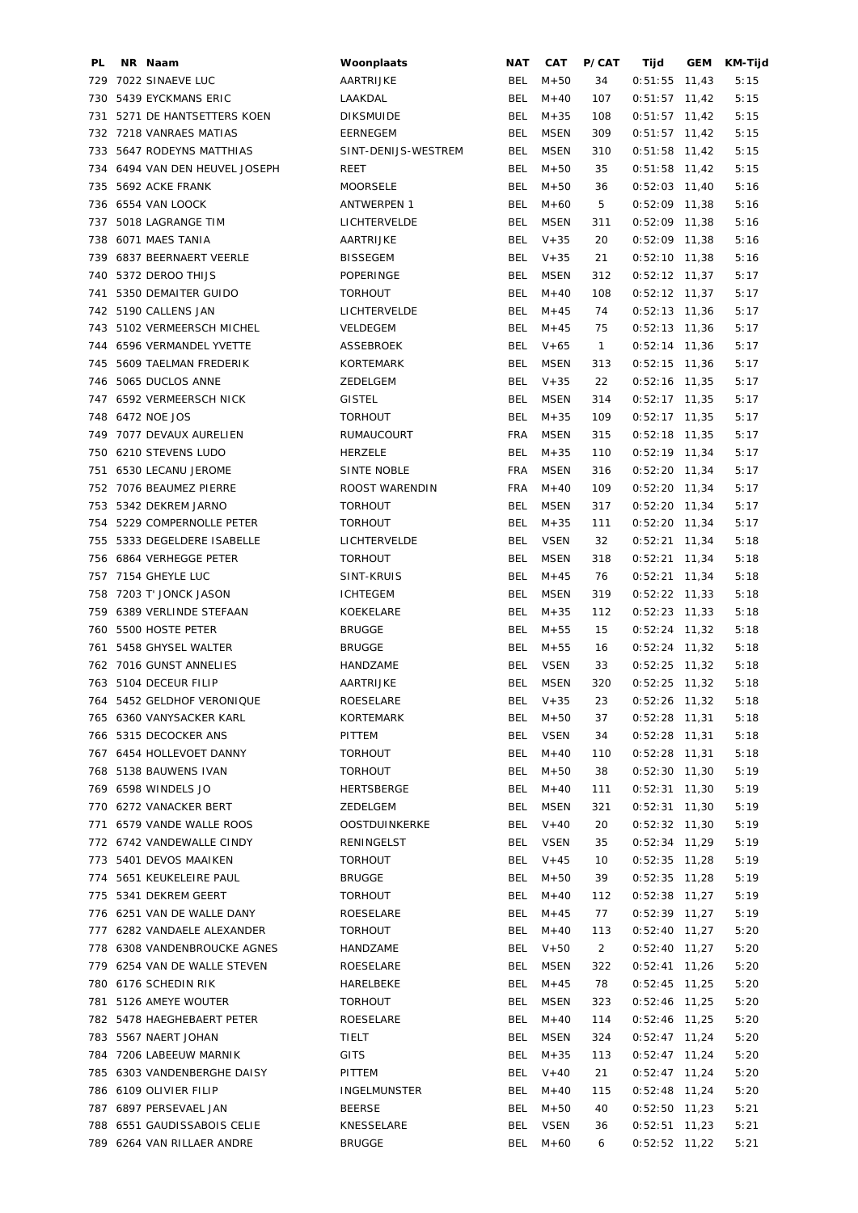| PL  | NR Naam                        | Woonplaats          | NAT        | CAT         | P/CAT          | Tijd            | GEM | KM-Tijd |
|-----|--------------------------------|---------------------|------------|-------------|----------------|-----------------|-----|---------|
| 729 | 7022 SINAEVE LUC               | AARTRIJKE           | BEL        | $M + 50$    | 34             | $0:51:55$ 11,43 |     | 5:15    |
| 730 | 5439 EYCKMANS ERIC             | LAAKDAL             | <b>BEL</b> | $M + 40$    | 107            | $0:51:57$ 11,42 |     | 5:15    |
| 731 | 5271 DE HANTSETTERS KOEN       | <b>DIKSMUIDE</b>    | <b>BEL</b> | $M + 35$    | 108            | $0:51:57$ 11,42 |     | 5:15    |
|     | 732 7218 VANRAES MATIAS        | <b>EERNEGEM</b>     | <b>BEL</b> | MSEN        | 309            | $0:51:57$ 11,42 |     | 5:15    |
| 733 | 5647 RODEYNS MATTHIAS          | SINT-DENIJS-WESTREM | <b>BEL</b> | <b>MSEN</b> | 310            | $0:51:58$ 11,42 |     | 5:15    |
|     | 734 6494 VAN DEN HEUVEL JOSEPH | REET                | <b>BEL</b> | $M + 50$    | 35             | $0:51:58$ 11,42 |     | 5:15    |
| 735 | 5692 ACKE FRANK                | <b>MOORSELE</b>     | <b>BEL</b> | $M + 50$    | 36             | $0:52:03$ 11,40 |     | 5:16    |
|     | 736 6554 VAN LOOCK             | <b>ANTWERPEN 1</b>  | <b>BEL</b> | $M + 60$    | 5              | $0:52:09$ 11,38 |     | 5:16    |
|     |                                |                     |            |             |                |                 |     |         |
| 737 | 5018 LAGRANGE TIM              | LICHTERVELDE        | <b>BEL</b> | <b>MSEN</b> | 311            | $0:52:09$ 11,38 |     | 5:16    |
|     | 738 6071 MAES TANIA            | AARTRIJKE           | <b>BEL</b> | $V + 35$    | 20             | $0:52:09$ 11,38 |     | 5:16    |
|     | 739 6837 BEERNAERT VEERLE      | <b>BISSEGEM</b>     | <b>BEL</b> | $V + 35$    | 21             | $0:52:10$ 11,38 |     | 5:16    |
|     | 740 5372 DEROO THIJS           | POPERINGE           | <b>BEL</b> | <b>MSEN</b> | 312            | $0:52:12$ 11,37 |     | 5:17    |
| 741 | 5350 DEMAITER GUIDO            | <b>TORHOUT</b>      | <b>BEL</b> | $M + 40$    | 108            | $0:52:12$ 11,37 |     | 5:17    |
|     | 742 5190 CALLENS JAN           | LICHTERVELDE        | <b>BEL</b> | $M + 45$    | 74             | $0:52:13$ 11,36 |     | 5:17    |
|     | 743 5102 VERMEERSCH MICHEL     | VELDEGEM            | <b>BEL</b> | $M + 45$    | 75             | $0:52:13$ 11,36 |     | 5:17    |
|     | 744 6596 VERMANDEL YVETTE      | ASSEBROEK           | BEL        | $V + 65$    | $\mathbf{1}$   | $0:52:14$ 11,36 |     | 5:17    |
| 745 | 5609 TAELMAN FREDERIK          | <b>KORTEMARK</b>    | BEL        | <b>MSEN</b> | 313            | $0:52:15$ 11,36 |     | 5:17    |
| 746 | 5065 DUCLOS ANNE               | ZEDELGEM            | <b>BEL</b> | $V + 35$    | 22             | $0:52:16$ 11,35 |     | 5:17    |
| 747 | 6592 VERMEERSCH NICK           | <b>GISTEL</b>       | <b>BEL</b> | <b>MSEN</b> | 314            | $0:52:17$ 11,35 |     | 5:17    |
|     | 748 6472 NOE JOS               | <b>TORHOUT</b>      | <b>BEL</b> | $M + 35$    | 109            | $0:52:17$ 11,35 |     | 5:17    |
|     | 749 7077 DEVAUX AURELIEN       | RUMAUCOURT          | <b>FRA</b> | <b>MSEN</b> | 315            | $0:52:18$ 11,35 |     | 5:17    |
|     | 750 6210 STEVENS LUDO          | <b>HERZELE</b>      | <b>BEL</b> | $M + 35$    | 110            | $0:52:19$ 11,34 |     | 5:17    |
| 751 | 6530 LECANU JEROME             | SINTE NOBLE         | FRA        | MSEN        | 316            | $0:52:20$ 11,34 |     | 5:17    |
|     | 752 7076 BEAUMEZ PIERRE        | ROOST WARENDIN      | FRA        | $M + 40$    | 109            | $0:52:20$ 11,34 |     | 5:17    |
| 753 | 5342 DEKREM JARNO              | <b>TORHOUT</b>      | <b>BEL</b> | <b>MSEN</b> |                | $0:52:20$ 11,34 |     |         |
|     |                                |                     |            |             | 317            |                 |     | 5:17    |
| 754 | 5229 COMPERNOLLE PETER         | <b>TORHOUT</b>      | <b>BEL</b> | $M + 35$    | 111            | $0:52:20$ 11,34 |     | 5:17    |
| 755 | 5333 DEGELDERE ISABELLE        | LICHTERVELDE        | <b>BEL</b> | <b>VSEN</b> | 32             | $0:52:21$ 11,34 |     | 5:18    |
|     | 756 6864 VERHEGGE PETER        | <b>TORHOUT</b>      | <b>BEL</b> | <b>MSEN</b> | 318            | $0:52:21$ 11,34 |     | 5:18    |
|     | 757 7154 GHEYLE LUC            | SINT-KRUIS          | <b>BEL</b> | $M + 45$    | 76             | $0:52:21$ 11,34 |     | 5:18    |
|     | 758 7203 T' JONCK JASON        | <b>ICHTEGEM</b>     | <b>BEL</b> | <b>MSEN</b> | 319            | $0:52:22$ 11,33 |     | 5:18    |
|     | 759 6389 VERLINDE STEFAAN      | KOEKELARE           | <b>BEL</b> | $M + 35$    | 112            | $0:52:23$ 11,33 |     | 5:18    |
| 760 | 5500 HOSTE PETER               | <b>BRUGGE</b>       | BEL        | $M + 55$    | 15             | $0:52:24$ 11,32 |     | 5:18    |
| 761 | 5458 GHYSEL WALTER             | <b>BRUGGE</b>       | <b>BEL</b> | $M + 55$    | 16             | $0:52:24$ 11,32 |     | 5:18    |
|     | 762 7016 GUNST ANNELIES        | HANDZAME            | BEL        | <b>VSEN</b> | 33             | $0:52:25$ 11,32 |     | 5:18    |
|     | 763 5104 DECEUR FILIP          | AARTRIJKE           | <b>BEL</b> | <b>MSEN</b> | 320            | $0:52:25$ 11,32 |     | 5:18    |
|     | 764 5452 GELDHOF VERONIQUE     | <b>ROESELARE</b>    |            | BEL $V+35$  | 23             | $0:52:26$ 11,32 |     | 5:18    |
|     | 765 6360 VANYSACKER KARL       | KORTEMARK           | BEL        | $M + 50$    | 37             | $0:52:28$ 11,31 |     | 5:18    |
|     | 766 5315 DECOCKER ANS          | PITTEM              | <b>BEL</b> | <b>VSEN</b> | 34             | $0:52:28$ 11,31 |     | 5:18    |
|     | 767 6454 HOLLEVOET DANNY       | <b>TORHOUT</b>      | <b>BEL</b> | $M + 40$    | 110            | $0:52:28$ 11,31 |     | 5:18    |
|     | 768 5138 BAUWENS IVAN          | <b>TORHOUT</b>      | BEL        | $M + 50$    | 38             | $0:52:30$ 11,30 |     | 5:19    |
|     | 769 6598 WINDELS JO            | HERTSBERGE          | BEL        | $M + 40$    | 111            | $0:52:31$ 11,30 |     | 5:19    |
|     | 770 6272 VANACKER BERT         | ZEDELGEM            | BEL        | MSEN        | 321            | $0:52:31$ 11,30 |     | 5:19    |
|     | 771 6579 VANDE WALLE ROOS      | OOSTDUINKERKE       | BEL        | $V + 40$    | 20             | $0:52:32$ 11,30 |     | 5:19    |
|     | 772 6742 VANDEWALLE CINDY      | RENINGELST          | BEL        | <b>VSEN</b> | 35             | $0:52:34$ 11,29 |     | 5:19    |
|     | 773 5401 DEVOS MAAIKEN         | <b>TORHOUT</b>      | BEL        | $V + 45$    | 10             | $0:52:35$ 11,28 |     | 5:19    |
|     | 774 5651 KEUKELEIRE PAUL       | <b>BRUGGE</b>       | <b>BEL</b> | $M + 50$    | 39             | $0:52:35$ 11,28 |     | 5:19    |
|     |                                |                     |            |             |                |                 |     |         |
|     | 775 5341 DEKREM GEERT          | <b>TORHOUT</b>      | <b>BEL</b> | $M + 40$    | 112            | $0:52:38$ 11,27 |     | 5:19    |
|     | 776 6251 VAN DE WALLE DANY     | ROESELARE           | BEL        | $M + 45$    | 77             | $0:52:39$ 11,27 |     | 5:19    |
|     | 777 6282 VANDAELE ALEXANDER    | <b>TORHOUT</b>      | BEL        | $M + 40$    | 113            | $0:52:40$ 11,27 |     | 5:20    |
|     | 778 6308 VANDENBROUCKE AGNES   | HANDZAME            | BEL        | $V + 50$    | $\overline{2}$ | $0:52:40$ 11,27 |     | 5:20    |
|     | 779 6254 VAN DE WALLE STEVEN   | ROESELARE           | BEL        | <b>MSEN</b> | 322            | $0:52:41$ 11,26 |     | 5:20    |
|     | 780 6176 SCHEDIN RIK           | HARELBEKE           | <b>BEL</b> | $M + 45$    | 78             | $0:52:45$ 11,25 |     | 5:20    |
| 781 | 5126 AMEYE WOUTER              | <b>TORHOUT</b>      | <b>BEL</b> | <b>MSEN</b> | 323            | $0:52:46$ 11,25 |     | 5:20    |
|     | 782 5478 HAEGHEBAERT PETER     | ROESELARE           | <b>BEL</b> | $M + 40$    | 114            | $0:52:46$ 11,25 |     | 5:20    |
|     | 783 5567 NAERT JOHAN           | TIELT               | <b>BEL</b> | MSEN        | 324            | $0:52:47$ 11,24 |     | 5:20    |
|     | 784 7206 LABEEUW MARNIK        | <b>GITS</b>         | <b>BEL</b> | $M + 35$    | 113            | $0:52:47$ 11,24 |     | 5:20    |
|     | 785 6303 VANDENBERGHE DAISY    | PITTEM              | <b>BEL</b> | $V + 40$    | 21             | $0:52:47$ 11,24 |     | 5:20    |
| 786 | 6109 OLIVIER FILIP             | <b>INGELMUNSTER</b> | <b>BEL</b> | $M + 40$    | 115            | $0:52:48$ 11,24 |     | 5:20    |
|     | 787 6897 PERSEVAEL JAN         | <b>BEERSE</b>       | <b>BEL</b> | $M + 50$    | 40             | $0:52:50$ 11,23 |     | 5:21    |
|     | 788 6551 GAUDISSABOIS CELIE    | KNESSELARE          | BEL        | <b>VSEN</b> | 36             | $0:52:51$ 11,23 |     | 5:21    |
|     | 789 6264 VAN RILLAER ANDRE     | <b>BRUGGE</b>       | <b>BEL</b> | $M + 60$    | 6              | $0:52:52$ 11,22 |     | 5:21    |
|     |                                |                     |            |             |                |                 |     |         |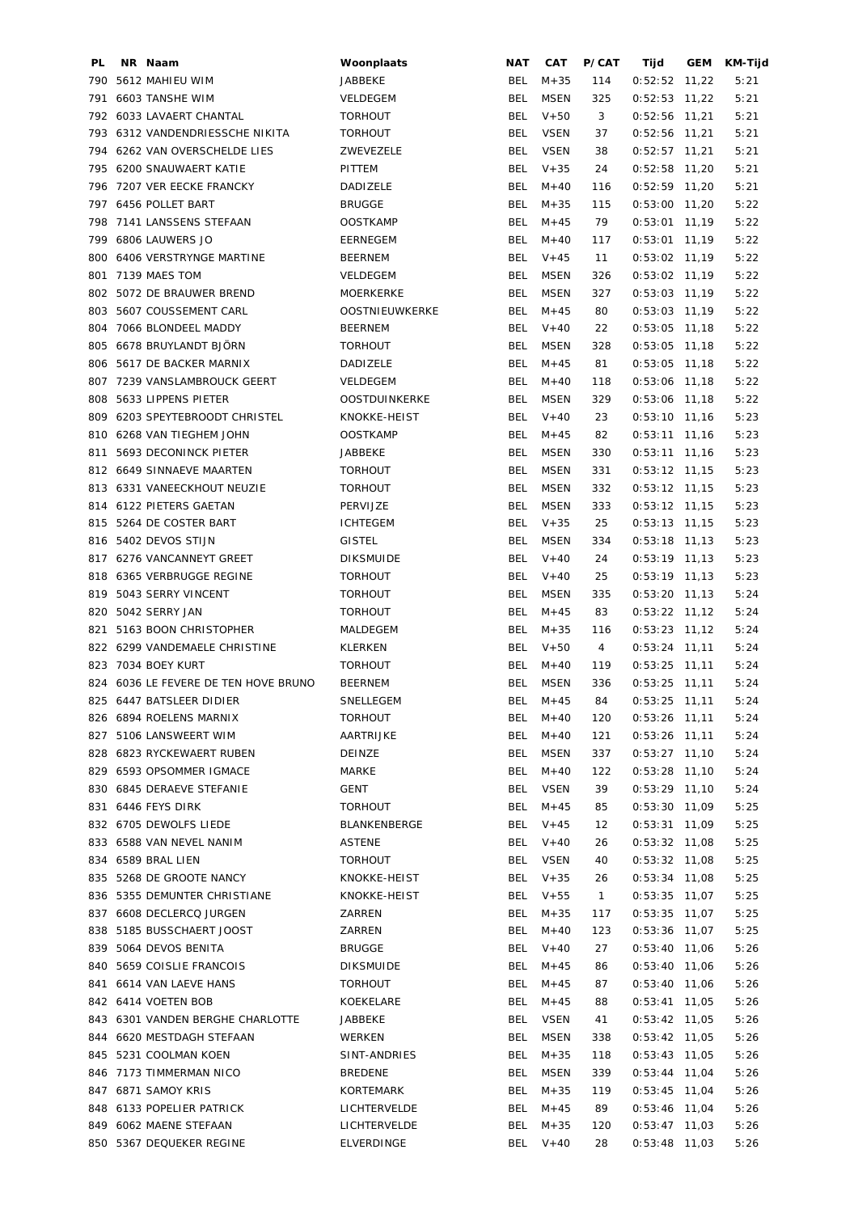| PL         | NR Naam                                    | Woonplaats             | <b>NAT</b> | CAT              | P/CAT        | Tijd                               | GEM | KM-Tijd |
|------------|--------------------------------------------|------------------------|------------|------------------|--------------|------------------------------------|-----|---------|
|            | 790 5612 MAHIEU WIM                        | JABBEKE                | BEL        | $M + 35$         | 114          | $0:52:52$ 11,22                    |     | 5:21    |
| 791        | 6603 TANSHE WIM                            | VELDEGEM               | <b>BEL</b> | <b>MSEN</b>      | 325          | $0:52:53$ 11,22                    |     | 5:21    |
|            | 792 6033 LAVAERT CHANTAL                   | <b>TORHOUT</b>         | <b>BEL</b> | $V + 50$         | 3            | $0:52:56$ 11,21                    |     | 5:21    |
|            | 793 6312 VANDENDRIESSCHE NIKITA            | <b>TORHOUT</b>         | BEL        | <b>VSEN</b>      | 37           | $0:52:56$ 11,21                    |     | 5:21    |
| 794        | 6262 VAN OVERSCHELDE LIES                  | ZWEVEZELE              | <b>BEL</b> | <b>VSEN</b>      | 38           | $0:52:57$ 11,21                    |     | 5:21    |
| 795        | 6200 SNAUWAERT KATIE                       | PITTEM                 | <b>BEL</b> | $V + 35$         | 24           | $0:52:58$ 11,20                    |     | 5:21    |
|            | 796 7207 VER EECKE FRANCKY                 | DADIZELE               | <b>BEL</b> | $M + 40$         | 116          | $0:52:59$ 11,20                    |     | 5:21    |
|            | 797 6456 POLLET BART                       | <b>BRUGGE</b>          | <b>BEL</b> | $M + 35$         | 115          | $0:53:00$ 11,20                    |     | 5:22    |
| 798        | 7141 LANSSENS STEFAAN                      | <b>OOSTKAMP</b>        | <b>BEL</b> | $M + 45$         | 79           | $0:53:01$ 11,19                    |     | 5:22    |
|            | 799 6806 LAUWERS JO                        | <b>EERNEGEM</b>        | <b>BEL</b> | $M + 40$         | 117          | $0:53:01$ 11,19                    |     | 5:22    |
|            | 800 6406 VERSTRYNGE MARTINE                | <b>BEERNEM</b>         | BEL        | $V + 45$         | 11           | $0:53:02$ 11,19                    |     | 5:22    |
| 801        | 7139 MAES TOM                              | VELDEGEM               | <b>BEL</b> | MSEN             | 326          | $0:53:02$ 11,19                    |     | 5:22    |
|            | 802 5072 DE BRAUWER BREND                  | MOERKERKE              | <b>BEL</b> | MSEN             | 327          | $0:53:03$ 11,19                    |     | 5:22    |
| 803        | 5607 COUSSEMENT CARL                       | OOSTNIEUWKERKE         | <b>BEL</b> | $M + 45$         | 80           | $0:53:03$ 11,19                    |     | 5:22    |
| 804        | 7066 BLONDEEL MADDY                        | <b>BEERNEM</b>         | BEL        | $V + 40$         | 22           | $0:53:05$ 11,18                    |     | 5:22    |
| 805        | 6678 BRUYLANDT BJÖRN                       | <b>TORHOUT</b>         | <b>BEL</b> | MSEN             | 328          | $0:53:05$ 11,18                    |     | 5:22    |
| 806        | 5617 DE BACKER MARNIX                      | DADIZELE               | <b>BEL</b> | $M + 45$         | 81           | $0:53:05$ 11,18                    |     | 5:22    |
| 807        | 7239 VANSLAMBROUCK GEERT                   | VELDEGEM               | BEL        | $M + 40$         | 118          | $0:53:06$ 11,18                    |     | 5:22    |
| 808        | 5633 LIPPENS PIETER                        | OOSTDUINKERKE          | BEL        | MSEN             | 329          | $0:53:06$ 11,18                    |     | 5:22    |
|            | 809 6203 SPEYTEBROODT CHRISTEL             | KNOKKE-HEIST           | BEL        | $V + 40$         | 23           | $0:53:10$ 11,16                    |     | 5:23    |
|            | 810 6268 VAN TIEGHEM JOHN                  | <b>OOSTKAMP</b>        | BEL        | $M + 45$         | 82           | $0:53:11$ 11,16                    |     | 5:23    |
|            | 811 5693 DECONINCK PIETER                  | JABBEKE                | <b>BEL</b> | MSEN             | 330          | $0:53:11$ 11,16                    |     | 5:23    |
|            | 812 6649 SINNAEVE MAARTEN                  | <b>TORHOUT</b>         | <b>BEL</b> | <b>MSEN</b>      | 331          | $0:53:12$ 11,15                    |     | 5:23    |
|            | 813 6331 VANEECKHOUT NEUZIE                | <b>TORHOUT</b>         | <b>BEL</b> | MSEN             | 332          | $0:53:12$ 11,15                    |     | 5:23    |
|            | 814 6122 PIETERS GAETAN                    | PERVIJZE               | <b>BEL</b> | MSEN             | 333          | $0:53:12$ 11,15                    |     | 5:23    |
|            | 815 5264 DE COSTER BART                    | <b>ICHTEGEM</b>        | <b>BEL</b> | $V + 35$         | 25           | $0:53:13$ 11,15                    |     | 5:23    |
|            | 816 5402 DEVOS STIJN                       | <b>GISTEL</b>          | <b>BEL</b> | <b>MSEN</b>      | 334          | $0:53:18$ 11,13                    |     | 5:23    |
|            | 817 6276 VANCANNEYT GREET                  | <b>DIKSMUIDE</b>       | <b>BEL</b> | $V + 40$         | 24           | $0:53:19$ 11,13                    |     | 5:23    |
|            | 818 6365 VERBRUGGE REGINE                  | <b>TORHOUT</b>         | BEL        | $V + 40$         | 25           | $0:53:19$ 11,13                    |     | 5:23    |
|            | 819 5043 SERRY VINCENT                     | <b>TORHOUT</b>         | <b>BEL</b> | MSEN             | 335          | $0:53:20$ 11,13                    |     | 5:24    |
|            | 820 5042 SERRY JAN                         | <b>TORHOUT</b>         | <b>BEL</b> | $M + 45$         | 83           | $0:53:22$ 11,12                    |     | 5:24    |
|            | 821 5163 BOON CHRISTOPHER                  | MALDEGEM               | BEL        | $M + 35$         | 116          | $0:53:23$ 11,12                    |     | 5:24    |
|            | 822 6299 VANDEMAELE CHRISTINE              | <b>KLERKEN</b>         | BEL        | $V + 50$         | 4            | $0:53:24$ 11,11                    |     | 5:24    |
|            | 823 7034 BOEY KURT                         | <b>TORHOUT</b>         | <b>BEL</b> | $M + 40$         | 119          | $0:53:25$ 11,11                    |     | 5:24    |
|            | 824 6036 LE FEVERE DE TEN HOVE BRUNO       | <b>BEERNEM</b>         | <b>BEL</b> | <b>MSEN</b>      | 336          | $0:53:25$ 11,11                    |     | 5:24    |
|            | 825 6447 BATSLEER DIDIER                   | SNELLEGEM              |            | BEL M+45         | 84           | $0:53:25$ 11,11                    |     | 5:24    |
|            | 826 6894 ROELENS MARNIX                    | <b>TORHOUT</b>         |            | BEL $M+40$       | 120          | $0:53:26$ 11,11                    |     | 5:24    |
|            | 827 5106 LANSWEERT WIM                     | AARTRIJKE              | BEL        | $M + 40$         | 121          | $0:53:26$ 11,11                    |     | 5:24    |
|            | 828 6823 RYCKEWAERT RUBEN                  | DEINZE                 | BEL        | MSEN             | 337          | $0:53:27$ 11,10                    |     | 5:24    |
|            | 829 6593 OPSOMMER IGMACE                   | MARKE                  | BEL        | $M+40$           | 122          | $0:53:28$ 11,10                    |     | 5:24    |
|            | 830 6845 DERAEVE STEFANIE                  | GENT                   | BEL        | VSEN             | 39           | $0:53:29$ 11,10                    |     | 5:24    |
|            | 831 6446 FEYS DIRK                         | TORHOUT                | BEL        | M+45             | 85           | $0:53:30$ 11,09                    |     | 5:25    |
|            | 832 6705 DEWOLFS LIEDE                     | BLANKENBERGE           | BEL        | $V + 45$         | 12           | $0:53:31$ 11,09                    |     | 5:25    |
|            | 833 6588 VAN NEVEL NANIM                   | ASTENE                 | BEL        | $V + 40$         | 26           | $0:53:32$ 11,08                    |     | 5:25    |
|            | 834 6589 BRAL LIEN                         | <b>TORHOUT</b>         | <b>BEL</b> | <b>VSEN</b>      | 40           | $0:53:32$ 11,08                    |     | 5:25    |
|            | 835 5268 DE GROOTE NANCY                   | KNOKKE-HEIST           | <b>BEL</b> | $V + 35$         | 26           | $0:53:34$ 11,08                    |     | 5:25    |
|            | 836 5355 DEMUNTER CHRISTIANE               | KNOKKE-HEIST           | <b>BEL</b> | $V + 55$         | $\mathbf{1}$ | $0:53:35$ 11,07                    |     | 5:25    |
|            | 837 6608 DECLERCQ JURGEN                   | ZARREN                 | <b>BEL</b> | $M + 35$         | 117          | $0:53:35$ 11,07                    |     | 5:25    |
|            | 838 5185 BUSSCHAERT JOOST                  | ZARREN                 | BEL        | $M + 40$         | 123          | $0:53:36$ 11,07                    |     | 5:25    |
|            | 839 5064 DEVOS BENITA                      | <b>BRUGGE</b>          | BEL        | $V + 40$         | 27           | $0:53:40$ 11,06                    |     | 5:26    |
|            | 840 5659 COISLIE FRANCOIS                  | DIKSMUIDE              | BEL        | M+45             | 86           | $0:53:40$ 11,06                    |     | 5:26    |
|            | 841 6614 VAN LAEVE HANS                    | TORHOUT                | BEL        | $M+45$           | 87           | $0:53:40$ 11,06                    |     | 5:26    |
|            | 842 6414 VOETEN BOB                        | KOEKELARE              | BEL        | $M + 45$         | 88           | $0:53:41$ 11,05                    |     | 5:26    |
|            | 843 6301 VANDEN BERGHE CHARLOTTE           | JABBEKE                | BEL        | VSEN             |              | $0:53:42$ 11,05                    |     |         |
|            |                                            |                        |            |                  | 41           |                                    |     | 5:26    |
| 844<br>845 | 6620 MESTDAGH STEFAAN<br>5231 COOLMAN KOEN | WERKEN<br>SINT-ANDRIES | BEL<br>BEL | MSEN<br>$M + 35$ | 338          | $0:53:42$ 11,05<br>$0:53:43$ 11,05 |     | 5:26    |
|            |                                            |                        |            |                  | 118          |                                    |     | 5:26    |
| 846        | 7173 TIMMERMAN NICO                        | <b>BREDENE</b>         | BEL        | MSEN             | 339          | $0:53:44$ 11,04                    |     | 5:26    |
|            | 847 6871 SAMOY KRIS                        | KORTEMARK              | BEL        | $M + 35$         | 119          | $0:53:45$ 11,04                    |     | 5:26    |
|            | 848 6133 POPELIER PATRICK                  | LICHTERVELDE           | BEL        | $M + 45$         | 89           | $0:53:46$ 11,04                    |     | 5:26    |
|            | 849 6062 MAENE STEFAAN                     | LICHTERVELDE           |            | BEL $M+35$       | 120          | $0:53:47$ 11,03                    |     | 5:26    |
|            | 850 5367 DEQUEKER REGINE                   | ELVERDINGE             |            | BEL $V+40$       | 28           | $0:53:48$ 11,03                    |     | 5:26    |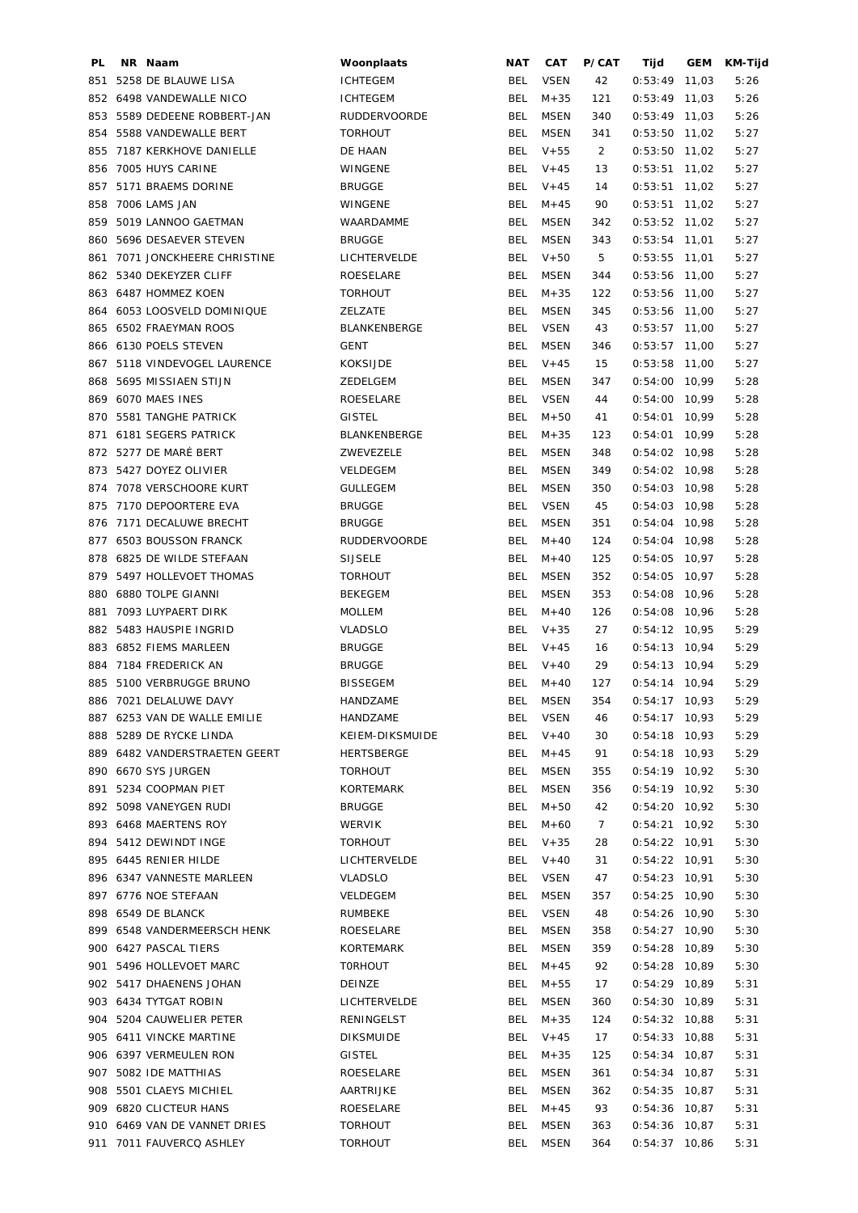| PL. | NR Naam                       | Woonplaats          | <b>NAT</b> | CAT         | P/CAT          | Tijd            | GEM   | KM-Tijd |
|-----|-------------------------------|---------------------|------------|-------------|----------------|-----------------|-------|---------|
| 851 | 5258 DE BLAUWE LISA           | <b>ICHTEGEM</b>     | BEL        | <b>VSEN</b> | 42             | 0:53:49         | 11,03 | 5:26    |
|     | 852 6498 VANDEWALLE NICO      | <b>ICHTEGEM</b>     | <b>BEL</b> | $M + 35$    | 121            | $0:53:49$ 11,03 |       | 5:26    |
|     | 853 5589 DEDEENE ROBBERT-JAN  | <b>RUDDERVOORDE</b> | <b>BEL</b> | <b>MSEN</b> | 340            | $0:53:49$ 11,03 |       | 5:26    |
| 854 | 5588 VANDEWALLE BERT          | <b>TORHOUT</b>      | <b>BEL</b> | <b>MSEN</b> | 341            | $0:53:50$ 11,02 |       | 5:27    |
| 855 | 7187 KERKHOVE DANIELLE        | DE HAAN             | <b>BEL</b> | $V + 55$    | $\overline{2}$ | $0:53:50$ 11,02 |       | 5:27    |
| 856 | 7005 HUYS CARINE              | WINGENE             | <b>BEL</b> | $V + 45$    | 13             | $0:53:51$ 11,02 |       | 5:27    |
| 857 | 5171 BRAEMS DORINE            | <b>BRUGGE</b>       | <b>BEL</b> | $V + 45$    | 14             | $0:53:51$ 11,02 |       | 5:27    |
| 858 | 7006 LAMS JAN                 | WINGENE             | <b>BEL</b> | $M + 45$    | 90             | $0:53:51$ 11,02 |       | 5:27    |
| 859 | 5019 LANNOO GAETMAN           | WAARDAMME           | <b>BEL</b> | <b>MSEN</b> | 342            | $0:53:52$ 11,02 |       | 5:27    |
|     | 860 5696 DESAEVER STEVEN      | <b>BRUGGE</b>       | <b>BEL</b> | <b>MSEN</b> | 343            | $0:53:54$ 11,01 |       | 5:27    |
| 861 | 7071 JONCKHEERE CHRISTINE     | LICHTERVELDE        | <b>BEL</b> | $V + 50$    | 5              | $0:53:55$ 11,01 |       | 5:27    |
|     | 862 5340 DEKEYZER CLIFF       | ROESELARE           | <b>BEL</b> | <b>MSEN</b> | 344            | $0:53:56$ 11,00 |       | 5:27    |
|     | 863 6487 HOMMEZ KOEN          | <b>TORHOUT</b>      | <b>BEL</b> | $M + 35$    | 122            | $0:53:56$ 11,00 |       | 5:27    |
| 864 | 6053 LOOSVELD DOMINIQUE       | ZELZATE             | <b>BEL</b> | <b>MSEN</b> | 345            | $0:53:56$ 11,00 |       | 5:27    |
| 865 | 6502 FRAEYMAN ROOS            | BLANKENBERGE        | <b>BEL</b> | <b>VSEN</b> | 43             | $0:53:57$ 11,00 |       | 5:27    |
| 866 | 6130 POELS STEVEN             | GENT                | BEL        | <b>MSEN</b> | 346            | $0:53:57$ 11,00 |       | 5:27    |
| 867 | 5118 VINDEVOGEL LAURENCE      | <b>KOKSIJDE</b>     | <b>BEL</b> | $V + 45$    | 15             | $0:53:58$ 11,00 |       | 5:27    |
| 868 | 5695 MISSIAEN STIJN           | ZEDELGEM            | BEL        | <b>MSEN</b> | 347            | $0:54:00$ 10,99 |       | 5:28    |
| 869 | 6070 MAES INES                | ROESELARE           | <b>BEL</b> | <b>VSEN</b> | 44             | $0:54:00$ 10,99 |       | 5:28    |
| 870 | 5581 TANGHE PATRICK           | <b>GISTEL</b>       | <b>BEL</b> | $M + 50$    | 41             | $0:54:01$ 10,99 |       | 5:28    |
|     | 871 6181 SEGERS PATRICK       | BLANKENBERGE        | <b>BEL</b> | $M + 35$    | 123            | $0:54:01$ 10,99 |       | 5:28    |
| 872 | 5277 DE MARÉ BERT             | ZWEVEZELE           | BEL        | <b>MSEN</b> | 348            | $0:54:02$ 10,98 |       | 5:28    |
|     | 873 5427 DOYEZ OLIVIER        | VELDEGEM            | <b>BEL</b> | <b>MSEN</b> | 349            | $0:54:02$ 10,98 |       | 5:28    |
| 874 | 7078 VERSCHOORE KURT          | <b>GULLEGEM</b>     | <b>BEL</b> | <b>MSEN</b> | 350            | $0:54:03$ 10,98 |       | 5:28    |
| 875 | 7170 DEPOORTERE EVA           | <b>BRUGGE</b>       | <b>BEL</b> | <b>VSEN</b> | 45             | $0:54:03$ 10,98 |       | 5:28    |
| 876 | 7171 DECALUWE BRECHT          | <b>BRUGGE</b>       | <b>BEL</b> | <b>MSEN</b> | 351            | $0:54:04$ 10,98 |       | 5:28    |
| 877 | <b>6503 BOUSSON FRANCK</b>    | <b>RUDDERVOORDE</b> | <b>BEL</b> | $M + 40$    | 124            | $0:54:04$ 10,98 |       | 5:28    |
| 878 | 6825 DE WILDE STEFAAN         | <b>SIJSELE</b>      | <b>BEL</b> | $M + 40$    | 125            | $0:54:05$ 10,97 |       | 5:28    |
|     | 879 5497 HOLLEVOET THOMAS     | <b>TORHOUT</b>      | <b>BEL</b> | <b>MSEN</b> | 352            | $0:54:05$ 10,97 |       | 5:28    |
| 880 | 6880 TOLPE GIANNI             | <b>BEKEGEM</b>      | <b>BEL</b> | <b>MSEN</b> | 353            | $0:54:08$ 10,96 |       | 5:28    |
| 881 | 7093 LUYPAERT DIRK            | <b>MOLLEM</b>       | <b>BEL</b> | $M+40$      | 126            | $0:54:08$ 10,96 |       | 5:28    |
|     | 882 5483 HAUSPIE INGRID       | <b>VLADSLO</b>      | <b>BEL</b> | $V + 35$    | 27             | $0:54:12$ 10,95 |       | 5:29    |
|     | 883 6852 FIEMS MARLEEN        | <b>BRUGGE</b>       | <b>BEL</b> | $V + 45$    | 16             | $0:54:13$ 10,94 |       | 5:29    |
|     | 884 7184 FREDERICK AN         | <b>BRUGGE</b>       | BEL        | $V + 40$    | 29             | $0:54:13$ 10,94 |       | 5:29    |
|     | 885 5100 VERBRUGGE BRUNO      | <b>BISSEGEM</b>     | <b>BEL</b> | $M + 40$    | 127            | $0:54:14$ 10,94 |       | 5:29    |
|     | 886 7021 DELALUWE DAVY        | HANDZAME            |            | BEL MSEN    | 354            | $0:54:17$ 10,93 |       | 5:29    |
|     | 887 6253 VAN DE WALLE EMILIE  | HANDZAME            |            | BEL VSEN    | 46             | $0:54:17$ 10,93 |       | 5:29    |
|     | 888 5289 DE RYCKE LINDA       | KEIEM-DIKSMUIDE     | <b>BEL</b> | $V + 40$    | 30             | $0:54:18$ 10,93 |       | 5:29    |
|     | 889 6482 VANDERSTRAETEN GEERT | HERTSBERGE          | BEL        | $M + 45$    | 91             | $0:54:18$ 10,93 |       | 5:29    |
|     | 890 6670 SYS JURGEN           | <b>TORHOUT</b>      | BEL        | <b>MSEN</b> | 355            | $0:54:19$ 10,92 |       | 5:30    |
|     | 891 5234 COOPMAN PIET         | KORTEMARK           | BEL        | MSEN        | 356            | $0:54:19$ 10,92 |       | 5:30    |
|     | 892 5098 VANEYGEN RUDI        | <b>BRUGGE</b>       | BEL        | $M + 50$    | 42             | $0:54:20$ 10,92 |       | 5:30    |
|     | 893 6468 MAERTENS ROY         | WERVIK              | BEL        | M+60        | 7 <sup>7</sup> | $0:54:21$ 10,92 |       | 5:30    |
|     | 894 5412 DEWINDT INGE         | TORHOUT             |            | BEL V+35    | 28             | $0:54:22$ 10,91 |       | 5:30    |
|     | 895 6445 RENIER HILDE         | LICHTERVELDE        | BEL        | $V + 40$    | 31             | $0:54:22$ 10,91 |       | 5:30    |
|     | 896 6347 VANNESTE MARLEEN     | VLADSLO             | BEL        | VSEN        | 47             | $0:54:23$ 10,91 |       | 5:30    |
|     | 897 6776 NOE STEFAAN          | VELDEGEM            | <b>BEL</b> | <b>MSEN</b> | 357            | $0:54:25$ 10,90 |       | 5:30    |
|     | 898 6549 DE BLANCK            | RUMBEKE             | <b>BEL</b> | VSEN        | 48             | $0:54:26$ 10,90 |       | 5:30    |
|     | 899 6548 VANDERMEERSCH HENK   | ROESELARE           | <b>BEL</b> | MSEN        | 358            | $0:54:27$ 10,90 |       | 5:30    |
|     | 900 6427 PASCAL TIERS         | KORTEMARK           | <b>BEL</b> | <b>MSEN</b> | 359            | $0:54:28$ 10,89 |       | 5:30    |
|     | 901 5496 HOLLEVOET MARC       | <b>TORHOUT</b>      | BEL        | $M + 45$    | 92             | $0:54:28$ 10,89 |       | 5:30    |
|     | 902 5417 DHAENENS JOHAN       | DEINZE              | BEL        | $M + 55$    | 17             | $0:54:29$ 10,89 |       | 5:31    |
|     | 903 6434 TYTGAT ROBIN         | LICHTERVELDE        | BEL        | MSEN        | 360            | $0:54:30$ 10,89 |       | 5:31    |
|     | 904 5204 CAUWELIER PETER      | RENINGELST          | BEL        | $M + 35$    | 124            | $0:54:32$ 10,88 |       | 5:31    |
|     | 905 6411 VINCKE MARTINE       | <b>DIKSMUIDE</b>    | BEL        | $V + 45$    | 17             | $0:54:33$ 10,88 |       | 5:31    |
|     | 906 6397 VERMEULEN RON        | GISTEL              | BEL        | M+35        | 125            | $0:54:34$ 10,87 |       | 5:31    |
|     | 907 5082 IDE MATTHIAS         | ROESELARE           | BEL        | <b>MSEN</b> | 361            | $0:54:34$ 10,87 |       | 5:31    |
|     | 908 5501 CLAEYS MICHIEL       | AARTRIJKE           | BEL        | <b>MSEN</b> | 362            | $0:54:35$ 10,87 |       | 5:31    |
|     | 909 6820 CLICTEUR HANS        | ROESELARE           | BEL        | $M + 45$    | 93             | $0:54:36$ 10,87 |       | 5:31    |
|     | 910 6469 VAN DE VANNET DRIES  | <b>TORHOUT</b>      | BEL        | MSEN        | 363            | $0:54:36$ 10,87 |       | 5:31    |
|     | 911 7011 FAUVERCQ ASHLEY      | <b>TORHOUT</b>      |            | BEL MSEN    | 364            | $0:54:37$ 10,86 |       | 5:31    |
|     |                               |                     |            |             |                |                 |       |         |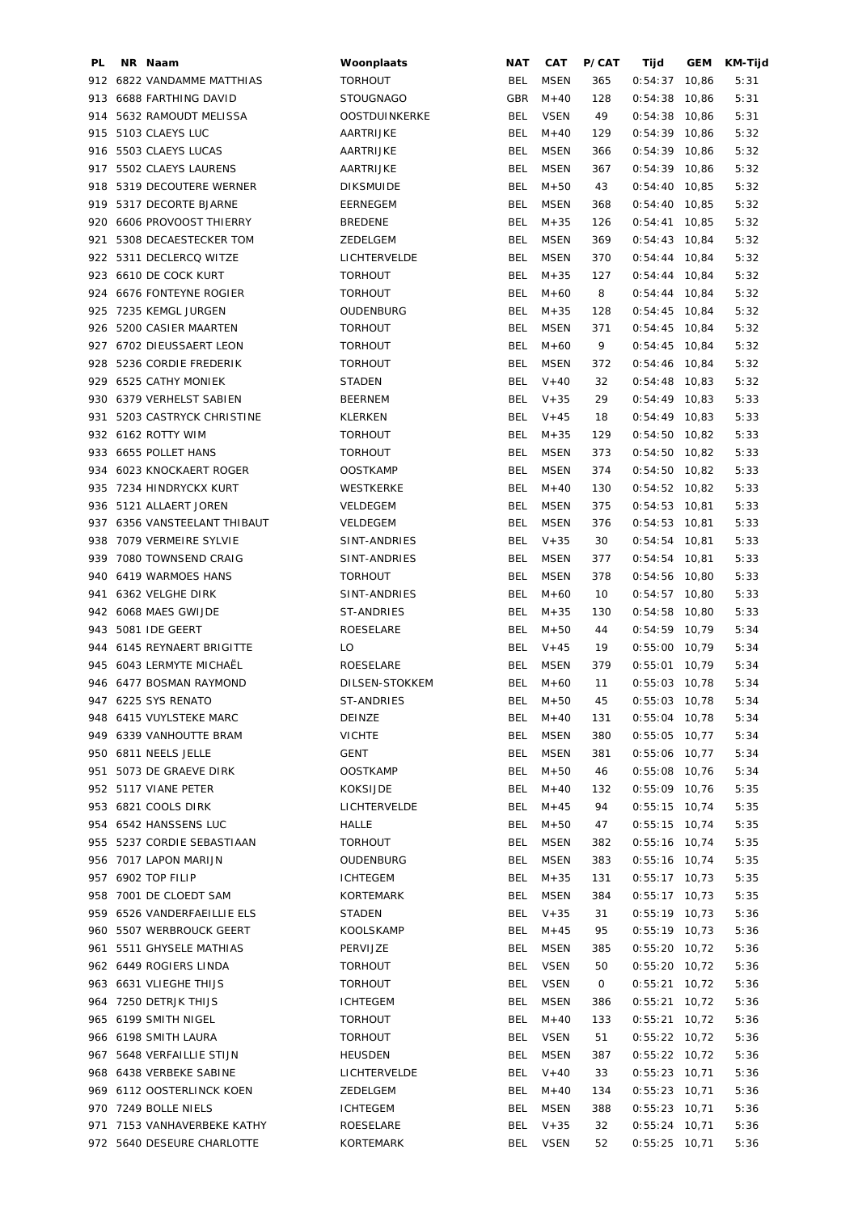| PL. | NR Naam                      | Woonplaats           | NAT        | CAT         | P/CAT | Tijd            | GEM   | KM-Tijd |
|-----|------------------------------|----------------------|------------|-------------|-------|-----------------|-------|---------|
|     | 912 6822 VANDAMME MATTHIAS   | <b>TORHOUT</b>       | BEL        | <b>MSEN</b> | 365   | 0:54:37         | 10,86 | 5:31    |
|     | 913 6688 FARTHING DAVID      | <b>STOUGNAGO</b>     | GBR        | $M + 40$    | 128   | 0:54:38         | 10,86 | 5:31    |
| 914 | 5632 RAMOUDT MELISSA         | <b>OOSTDUINKERKE</b> | BEL        | <b>VSEN</b> | 49    | 0:54:38         | 10,86 | 5:31    |
| 915 | 5103 CLAEYS LUC              | AARTRIJKE            | BEL        | $M+40$      | 129   | $0:54:39$ 10,86 |       | 5:32    |
|     | 916 5503 CLAEYS LUCAS        | AARTRIJKE            | BEL        | MSEN        | 366   | $0:54:39$ 10,86 |       | 5:32    |
|     | 917 5502 CLAEYS LAURENS      | AARTRIJKE            | <b>BEL</b> | <b>MSEN</b> | 367   | $0:54:39$ 10,86 |       | 5:32    |
|     |                              |                      |            | $M + 50$    |       |                 |       |         |
|     | 918 5319 DECOUTERE WERNER    | <b>DIKSMUIDE</b>     | <b>BEL</b> |             | 43    | $0:54:40$ 10,85 |       | 5:32    |
|     | 919 5317 DECORTE BJARNE      | <b>EERNEGEM</b>      | BEL        | <b>MSEN</b> | 368   | $0:54:40$ 10,85 |       | 5:32    |
| 920 | 6606 PROVOOST THIERRY        | <b>BREDENE</b>       | <b>BEL</b> | $M + 35$    | 126   | 0:54:41         | 10,85 | 5:32    |
| 921 | 5308 DECAESTECKER TOM        | ZEDELGEM             | <b>BEL</b> | <b>MSEN</b> | 369   | $0:54:43$ 10,84 |       | 5:32    |
|     | 922 5311 DECLERCQ WITZE      | LICHTERVELDE         | <b>BEL</b> | <b>MSEN</b> | 370   | $0:54:44$ 10,84 |       | 5:32    |
|     | 923 6610 DE COCK KURT        | <b>TORHOUT</b>       | <b>BEL</b> | $M + 35$    | 127   | $0:54:44$ 10,84 |       | 5:32    |
|     | 924 6676 FONTEYNE ROGIER     | <b>TORHOUT</b>       | <b>BEL</b> | $M + 60$    | 8     | $0:54:44$ 10,84 |       | 5:32    |
| 925 | 7235 KEMGL JURGEN            | OUDENBURG            | <b>BEL</b> | $M + 35$    | 128   | $0:54:45$ 10,84 |       | 5:32    |
|     | 926 5200 CASIER MAARTEN      | <b>TORHOUT</b>       | <b>BEL</b> | <b>MSEN</b> | 371   | $0:54:45$ 10,84 |       | 5:32    |
|     | 927 6702 DIEUSSAERT LEON     | <b>TORHOUT</b>       | <b>BEL</b> | $M + 60$    | 9     | $0:54:45$ 10,84 |       | 5:32    |
|     | 928 5236 CORDIE FREDERIK     | <b>TORHOUT</b>       | BEL        | <b>MSEN</b> | 372   | $0:54:46$ 10,84 |       | 5:32    |
|     | 929 6525 CATHY MONIEK        | <b>STADEN</b>        | BEL        | $V + 40$    | 32    | $0:54:48$ 10,83 |       | 5:32    |
| 930 | 6379 VERHELST SABIEN         | <b>BEERNEM</b>       | <b>BEL</b> | $V + 35$    | 29    | $0:54:49$ 10,83 |       | 5:33    |
| 931 | 5203 CASTRYCK CHRISTINE      | KLERKEN              | <b>BEL</b> | $V + 45$    | 18    | $0:54:49$ 10,83 |       | 5:33    |
|     |                              |                      |            |             |       |                 |       |         |
|     | 932 6162 ROTTY WIM           | <b>TORHOUT</b>       | BEL        | $M + 35$    | 129   | $0:54:50$ 10,82 |       | 5:33    |
|     | 933 6655 POLLET HANS         | <b>TORHOUT</b>       | BEL        | MSEN        | 373   | $0:54:50$ 10,82 |       | 5:33    |
|     | 934 6023 KNOCKAERT ROGER     | <b>OOSTKAMP</b>      | BEL        | <b>MSEN</b> | 374   | $0:54:50$ 10,82 |       | 5:33    |
|     | 935 7234 HINDRYCKX KURT      | WESTKERKE            | <b>BEL</b> | $M + 40$    | 130   | $0:54:52$ 10,82 |       | 5:33    |
|     | 936 5121 ALLAERT JOREN       | VELDEGEM             | <b>BEL</b> | MSEN        | 375   | $0:54:53$ 10,81 |       | 5:33    |
|     | 937 6356 VANSTEELANT THIBAUT | VELDEGEM             | <b>BEL</b> | <b>MSEN</b> | 376   | $0:54:53$ 10,81 |       | 5:33    |
|     | 938 7079 VERMEIRE SYLVIE     | SINT-ANDRIES         | <b>BEL</b> | $V + 35$    | 30    | $0:54:54$ 10,81 |       | 5:33    |
|     | 939 7080 TOWNSEND CRAIG      | SINT-ANDRIES         | BEL        | <b>MSEN</b> | 377   | $0:54:54$ 10,81 |       | 5:33    |
| 940 | 6419 WARMOES HANS            | <b>TORHOUT</b>       | <b>BEL</b> | <b>MSEN</b> | 378   | $0:54:56$ 10,80 |       | 5:33    |
| 941 | 6362 VELGHE DIRK             | SINT-ANDRIES         | BEL        | $M + 60$    | 10    | $0:54:57$ 10,80 |       | 5:33    |
|     | 942 6068 MAES GWIJDE         | ST-ANDRIES           | <b>BEL</b> | $M + 35$    | 130   | $0:54:58$ 10,80 |       | 5:33    |
|     | 943 5081 IDE GEERT           | ROESELARE            | BEL        | $M + 50$    | 44    | $0:54:59$ 10,79 |       | 5:34    |
|     | 944 6145 REYNAERT BRIGITTE   | LO                   | <b>BEL</b> | $V + 45$    | 19    | $0:55:00$ 10,79 |       | 5:34    |
|     | 945 6043 LERMYTE MICHAËL     | ROESELARE            | BEL        | <b>MSEN</b> | 379   | $0:55:01$ 10,79 |       | 5:34    |
|     | 946 6477 BOSMAN RAYMOND      | DILSEN-STOKKEM       | <b>BEL</b> | $M + 60$    | 11    | $0:55:03$ 10,78 |       | 5:34    |
|     |                              |                      |            |             |       |                 |       |         |
|     | 947 6225 SYS RENATO          | ST-ANDRIES           |            | BEL M+50    | 45    | $0:55:03$ 10,78 |       | 5:34    |
|     | 948 6415 VUYLSTEKE MARC      | DEINZE               | BEL.       | $M + 40$    | 131   | $0:55:04$ 10,78 |       | 5:34    |
|     | 949 6339 VANHOUTTE BRAM      | <b>VICHTE</b>        | <b>BEL</b> | MSEN        | 380   | $0:55:05$ 10,77 |       | 5:34    |
|     | 950 6811 NEELS JELLE         | GENT                 | <b>BEL</b> | <b>MSEN</b> | 381   | $0:55:06$ 10,77 |       | 5:34    |
| 951 | 5073 DE GRAEVE DIRK          | <b>OOSTKAMP</b>      | <b>BEL</b> | $M + 50$    | 46    | $0:55:08$ 10,76 |       | 5:34    |
|     | 952 5117 VIANE PETER         | KOKSIJDE             | <b>BEL</b> | $M+40$      | 132   | $0:55:09$ 10,76 |       | 5:35    |
|     | 953 6821 COOLS DIRK          | LICHTERVELDE         | BEL        | $M + 45$    | 94    | $0:55:15$ 10,74 |       | 5:35    |
|     | 954 6542 HANSSENS LUC        | HALLE                | BEL        | $M+50$      | 47    | $0:55:15$ 10,74 |       | 5:35    |
|     | 955 5237 CORDIE SEBASTIAAN   | <b>TORHOUT</b>       | BEL        | MSEN        | 382   | $0:55:16$ 10,74 |       | 5:35    |
|     | 956 7017 LAPON MARIJN        | OUDENBURG            | <b>BEL</b> | <b>MSEN</b> | 383   | $0:55:16$ 10,74 |       | 5:35    |
|     | 957 6902 TOP FILIP           | ICHTEGEM             | BEL        | $M + 35$    | 131   | $0:55:17$ 10,73 |       | 5:35    |
|     | 958 7001 DE CLOEDT SAM       | KORTEMARK            | BEL        | <b>MSEN</b> | 384   | $0:55:17$ 10,73 |       | 5:35    |
|     | 959 6526 VANDERFAEILLIE ELS  | STADEN               | <b>BEL</b> | $V + 35$    | 31    | $0:55:19$ 10,73 |       | 5:36    |
|     | 960 5507 WERBROUCK GEERT     | KOOLSKAMP            | <b>BEL</b> | $M + 45$    | 95    | $0:55:19$ 10,73 |       | 5:36    |
|     |                              |                      |            |             |       |                 |       |         |
|     | 961 5511 GHYSELE MATHIAS     | PERVIJZE             | BEL        | <b>MSEN</b> | 385   | $0:55:20$ 10,72 |       | 5:36    |
|     | 962 6449 ROGIERS LINDA       | <b>TORHOUT</b>       | <b>BEL</b> | <b>VSEN</b> | 50    | $0:55:20$ 10,72 |       | 5:36    |
|     | 963 6631 VLIEGHE THIJS       | <b>TORHOUT</b>       | BEL        | <b>VSEN</b> | 0     | $0:55:21$ 10,72 |       | 5:36    |
|     | 964 7250 DETRJK THIJS        | <b>ICHTEGEM</b>      | BEL        | <b>MSEN</b> | 386   | $0:55:21$ 10,72 |       | 5:36    |
|     | 965 6199 SMITH NIGEL         | <b>TORHOUT</b>       | <b>BEL</b> | $M + 40$    | 133   | $0:55:21$ 10,72 |       | 5:36    |
|     | 966 6198 SMITH LAURA         | <b>TORHOUT</b>       | BEL        | VSEN        | 51    | $0:55:22$ 10,72 |       | 5:36    |
|     | 967 5648 VERFAILLIE STIJN    | HEUSDEN              | <b>BEL</b> | <b>MSEN</b> | 387   | $0:55:22$ 10,72 |       | 5:36    |
|     | 968 6438 VERBEKE SABINE      | LICHTERVELDE         | BEL        | $V + 40$    | 33    | $0:55:23$ 10,71 |       | 5:36    |
|     | 969 6112 OOSTERLINCK KOEN    | ZEDELGEM             | <b>BEL</b> | $M+40$      | 134   | $0:55:23$ 10,71 |       | 5:36    |
|     | 970 7249 BOLLE NIELS         | <b>ICHTEGEM</b>      | <b>BEL</b> | <b>MSEN</b> | 388   | $0:55:23$ 10,71 |       | 5:36    |
|     | 971 7153 VANHAVERBEKE KATHY  | ROESELARE            | <b>BEL</b> | $V + 35$    | 32    | $0:55:24$ 10,71 |       | 5:36    |
|     | 972 5640 DESEURE CHARLOTTE   | KORTEMARK            | <b>BEL</b> | <b>VSEN</b> | 52    | $0:55:25$ 10,71 |       | 5:36    |
|     |                              |                      |            |             |       |                 |       |         |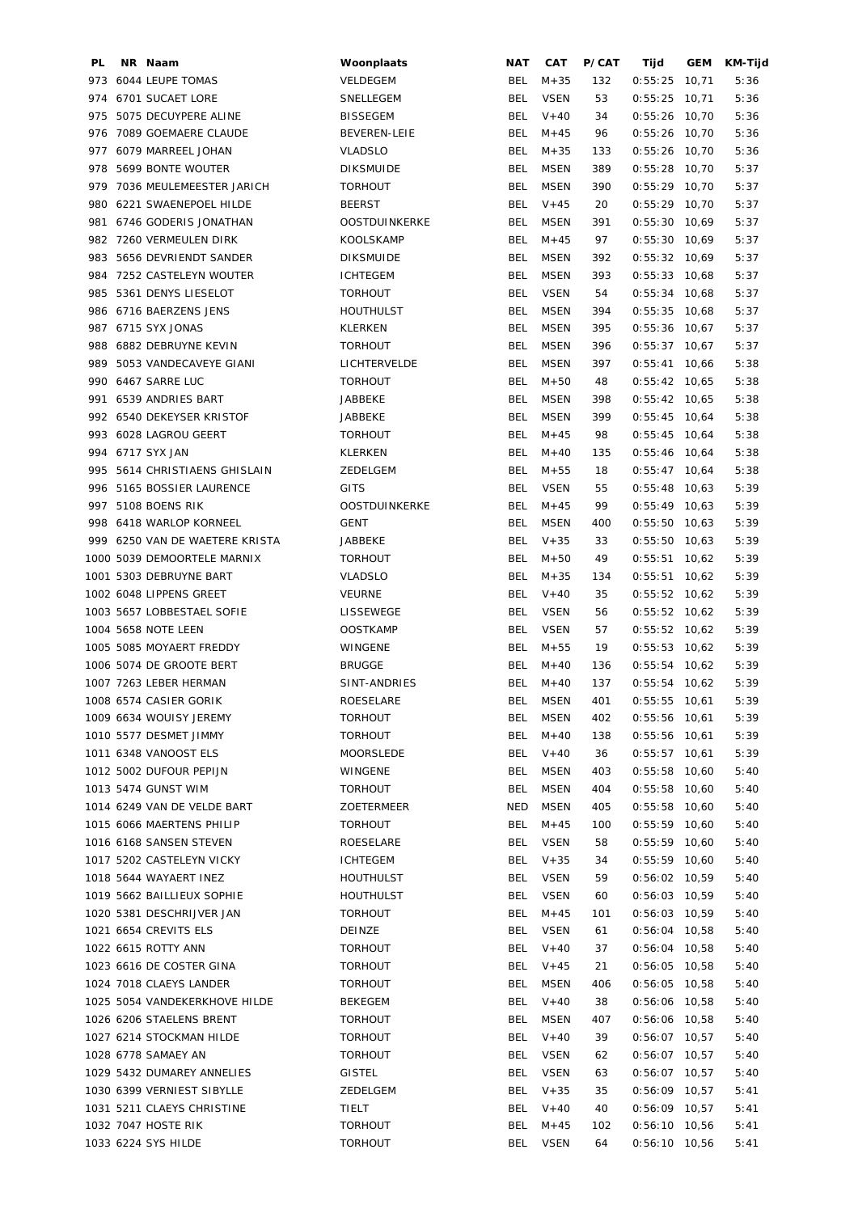| PL. | NR Naam                        | Woonplaats          | NAT        | CAT         | P/CAT | Tijd            | GEM   | KM-Tijd |
|-----|--------------------------------|---------------------|------------|-------------|-------|-----------------|-------|---------|
|     | 973 6044 LEUPE TOMAS           | VELDEGEM            | BEL        | $M + 35$    | 132   | 0:55:25         | 10,71 | 5:36    |
|     | 974 6701 SUCAET LORE           | SNELLEGEM           | BEL        | <b>VSEN</b> | 53    | 0:55:25         | 10,71 | 5:36    |
| 975 | 5075 DECUYPERE ALINE           | <b>BISSEGEM</b>     | BEL        | $V + 40$    | 34    | 0:55:26         | 10,70 | 5:36    |
|     | 976 7089 GOEMAERE CLAUDE       | <b>BEVEREN-LEIE</b> | BEL        | $M + 45$    | 96    | $0:55:26$ 10,70 |       | 5:36    |
|     | 977 6079 MARREEL JOHAN         | <b>VLADSLO</b>      | BEL        | $M + 35$    | 133   | $0:55:26$ 10,70 |       | 5:36    |
|     | 978 5699 BONTE WOUTER          | <b>DIKSMUIDE</b>    | <b>BEL</b> | <b>MSEN</b> | 389   | $0:55:28$ 10,70 |       | 5:37    |
|     | 979 7036 MEULEMEESTER JARICH   | <b>TORHOUT</b>      | <b>BEL</b> | <b>MSEN</b> | 390   | $0:55:29$ 10,70 |       | 5:37    |
|     | 980 6221 SWAENEPOEL HILDE      | <b>BEERST</b>       | <b>BEL</b> | $V + 45$    | 20    | $0:55:29$ 10,70 |       | 5:37    |
|     | 981 6746 GODERIS JONATHAN      | OOSTDUINKERKE       | <b>BEL</b> | <b>MSEN</b> | 391   | $0:55:30$ 10,69 |       | 5:37    |
|     | 982 7260 VERMEULEN DIRK        | <b>KOOLSKAMP</b>    | <b>BEL</b> | $M + 45$    | 97    | $0:55:30$ 10,69 |       | 5:37    |
|     |                                |                     |            |             |       |                 |       |         |
|     | 983 5656 DEVRIENDT SANDER      | <b>DIKSMUIDE</b>    | BEL        | <b>MSEN</b> | 392   | $0:55:32$ 10,69 |       | 5:37    |
|     | 984 7252 CASTELEYN WOUTER      | <b>ICHTEGEM</b>     | <b>BEL</b> | <b>MSEN</b> | 393   | $0:55:33$ 10,68 |       | 5:37    |
|     | 985 5361 DENYS LIESELOT        | <b>TORHOUT</b>      | <b>BEL</b> | <b>VSEN</b> | 54    | $0:55:34$ 10,68 |       | 5:37    |
|     | 986 6716 BAERZENS JENS         | <b>HOUTHULST</b>    | <b>BEL</b> | <b>MSEN</b> | 394   | $0:55:35$ 10,68 |       | 5:37    |
|     | 987 6715 SYX JONAS             | KLERKEN             | <b>BEL</b> | <b>MSEN</b> | 395   | $0:55:36$ 10,67 |       | 5:37    |
|     | 988 6882 DEBRUYNE KEVIN        | <b>TORHOUT</b>      | <b>BEL</b> | <b>MSEN</b> | 396   | $0:55:37$ 10,67 |       | 5:37    |
|     | 989 5053 VANDECAVEYE GIANI     | LICHTERVELDE        | <b>BEL</b> | <b>MSEN</b> | 397   | $0:55:41$ 10,66 |       | 5:38    |
|     | 990 6467 SARRE LUC             | <b>TORHOUT</b>      | BEL        | $M + 50$    | 48    | $0:55:42$ 10,65 |       | 5:38    |
|     | 991 6539 ANDRIES BART          | JABBEKE             | <b>BEL</b> | <b>MSEN</b> | 398   | $0:55:42$ 10,65 |       | 5:38    |
|     | 992 6540 DEKEYSER KRISTOF      | JABBEKE             | <b>BEL</b> | <b>MSEN</b> | 399   | $0:55:45$ 10,64 |       | 5:38    |
|     | 993 6028 LAGROU GEERT          | <b>TORHOUT</b>      | <b>BEL</b> | $M + 45$    | 98    | $0:55:45$ 10,64 |       | 5:38    |
|     | 994 6717 SYX JAN               | KLERKEN             | <b>BEL</b> | $M+40$      | 135   | $0:55:46$ 10,64 |       | 5:38    |
|     | 995 5614 CHRISTIAENS GHISLAIN  | ZEDELGEM            | <b>BEL</b> | $M + 55$    | 18    | $0:55:47$ 10,64 |       | 5:38    |
|     | 996 5165 BOSSIER LAURENCE      | <b>GITS</b>         | <b>BEL</b> | <b>VSEN</b> | 55    | $0:55:48$ 10,63 |       | 5:39    |
|     | 997 5108 BOENS RIK             | OOSTDUINKERKE       | <b>BEL</b> | $M + 45$    | 99    | $0:55:49$ 10,63 |       | 5:39    |
|     | 998 6418 WARLOP KORNEEL        | GENT                | <b>BEL</b> | <b>MSEN</b> | 400   | $0:55:50$ 10,63 |       | 5:39    |
|     | 999 6250 VAN DE WAETERE KRISTA | JABBEKE             | <b>BEL</b> | $V + 35$    | 33    | $0:55:50$ 10,63 |       | 5:39    |
|     |                                |                     |            |             |       |                 |       |         |
|     | 1000 5039 DEMOORTELE MARNIX    | <b>TORHOUT</b>      | <b>BEL</b> | $M + 50$    | 49    | $0:55:51$ 10,62 |       | 5:39    |
|     | 1001 5303 DEBRUYNE BART        | <b>VLADSLO</b>      | <b>BEL</b> | $M + 35$    | 134   | 0:55:51         | 10,62 | 5:39    |
|     | 1002 6048 LIPPENS GREET        | <b>VEURNE</b>       | <b>BEL</b> | $V + 40$    | 35    | $0:55:52$ 10,62 |       | 5:39    |
|     | 1003 5657 LOBBESTAEL SOFIE     | LISSEWEGE           | <b>BEL</b> | <b>VSEN</b> | 56    | $0:55:52$ 10,62 |       | 5:39    |
|     | 1004 5658 NOTE LEEN            | <b>OOSTKAMP</b>     | <b>BEL</b> | <b>VSEN</b> | 57    | $0:55:52$ 10,62 |       | 5:39    |
|     | 1005 5085 MOYAERT FREDDY       | WINGENE             | <b>BEL</b> | $M + 55$    | 19    | $0:55:53$ 10,62 |       | 5:39    |
|     | 1006 5074 DE GROOTE BERT       | <b>BRUGGE</b>       | <b>BEL</b> | $M + 40$    | 136   | $0:55:54$ 10,62 |       | 5:39    |
|     | 1007 7263 LEBER HERMAN         | SINT-ANDRIES        | <b>BEL</b> | $M + 40$    | 137   | $0:55:54$ 10,62 |       | 5:39    |
|     | 1008 6574 CASIER GORIK         | <b>ROESELARE</b>    |            | BEL MSEN    | 401   | $0:55:55$ 10,61 |       | 5:39    |
|     | 1009 6634 WOUISY JEREMY        | <b>TORHOUT</b>      | BEL.       | MSEN        | 402   | $0:55:56$ 10,61 |       | 5:39    |
|     | 1010 5577 DESMET JIMMY         | <b>TORHOUT</b>      | <b>BEL</b> | $M + 40$    | 138   | $0:55:56$ 10,61 |       | 5:39    |
|     | 1011 6348 VANOOST ELS          | <b>MOORSLEDE</b>    | <b>BEL</b> | $V + 40$    | 36    | $0:55:57$ 10,61 |       | 5:39    |
|     | 1012 5002 DUFOUR PEPIJN        | WINGENE             | <b>BEL</b> | <b>MSEN</b> | 403   | $0:55:58$ 10,60 |       | 5:40    |
|     | 1013 5474 GUNST WIM            | <b>TORHOUT</b>      | <b>BEL</b> | <b>MSEN</b> | 404   | $0:55:58$ 10,60 |       | 5:40    |
|     | 1014 6249 VAN DE VELDE BART    | ZOETERMEER          | NED        | MSEN        | 405   | $0:55:58$ 10,60 |       | 5:40    |
|     | 1015 6066 MAERTENS PHILIP      | <b>TORHOUT</b>      | <b>BEL</b> | $M + 45$    | 100   | $0:55:59$ 10,60 |       | 5:40    |
|     | 1016 6168 SANSEN STEVEN        | ROESELARE           | BEL        | VSEN        | 58    | $0:55:59$ 10,60 |       | 5:40    |
|     | 1017 5202 CASTELEYN VICKY      | ICHTEGEM            | <b>BEL</b> | $V + 35$    | 34    | $0:55:59$ 10,60 |       | 5:40    |
|     | 1018 5644 WAYAERT INEZ         | HOUTHULST           | BEL        | <b>VSEN</b> | 59    | $0:56:02$ 10,59 |       | 5:40    |
|     | 1019 5662 BAILLIEUX SOPHIE     | HOUTHULST           | <b>BEL</b> | <b>VSEN</b> | 60    | $0:56:03$ 10,59 |       | 5:40    |
|     | 1020 5381 DESCHRIJVER JAN      | <b>TORHOUT</b>      | BEL        | $M + 45$    | 101   | $0:56:03$ 10,59 |       | 5:40    |
|     | 1021 6654 CREVITS ELS          | DEINZE              | BEL        | <b>VSEN</b> | 61    | $0:56:04$ 10,58 |       | 5:40    |
|     |                                |                     |            |             |       |                 |       |         |
|     | 1022 6615 ROTTY ANN            | <b>TORHOUT</b>      | <b>BEL</b> | $V + 40$    | 37    | $0:56:04$ 10,58 |       | 5:40    |
|     | 1023 6616 DE COSTER GINA       | TORHOUT             | BEL        | $V + 45$    | 21    | $0:56:05$ 10,58 |       | 5:40    |
|     | 1024 7018 CLAEYS LANDER        | <b>TORHOUT</b>      | BEL        | <b>MSEN</b> | 406   | $0:56:05$ 10,58 |       | 5:40    |
|     | 1025 5054 VANDEKERKHOVE HILDE  | BEKEGEM             | <b>BEL</b> | $V + 40$    | 38    | $0:56:06$ 10,58 |       | 5:40    |
|     | 1026 6206 STAELENS BRENT       | <b>TORHOUT</b>      | <b>BEL</b> | <b>MSEN</b> | 407   | $0:56:06$ 10,58 |       | 5:40    |
|     | 1027 6214 STOCKMAN HILDE       | <b>TORHOUT</b>      | <b>BEL</b> | $V + 40$    | 39    | $0:56:07$ 10,57 |       | 5:40    |
|     | 1028 6778 SAMAEY AN            | <b>TORHOUT</b>      | BEL        | VSEN        | 62    | $0:56:07$ 10,57 |       | 5:40    |
|     | 1029 5432 DUMAREY ANNELIES     | <b>GISTEL</b>       | <b>BEL</b> | <b>VSEN</b> | 63    | $0:56:07$ 10,57 |       | 5:40    |
|     | 1030 6399 VERNIEST SIBYLLE     | ZEDELGEM            | <b>BEL</b> | $V + 35$    | 35    | $0:56:09$ 10,57 |       | 5:41    |
|     | 1031 5211 CLAEYS CHRISTINE     | TIELT               | <b>BEL</b> | $V + 40$    | 40    | $0:56:09$ 10,57 |       | 5:41    |
|     | 1032 7047 HOSTE RIK            | <b>TORHOUT</b>      | <b>BEL</b> | $M + 45$    | 102   | $0:56:10$ 10,56 |       | 5:41    |
|     | 1033 6224 SYS HILDE            | <b>TORHOUT</b>      | <b>BEL</b> | <b>VSEN</b> | 64    | $0:56:10$ 10,56 |       | 5:41    |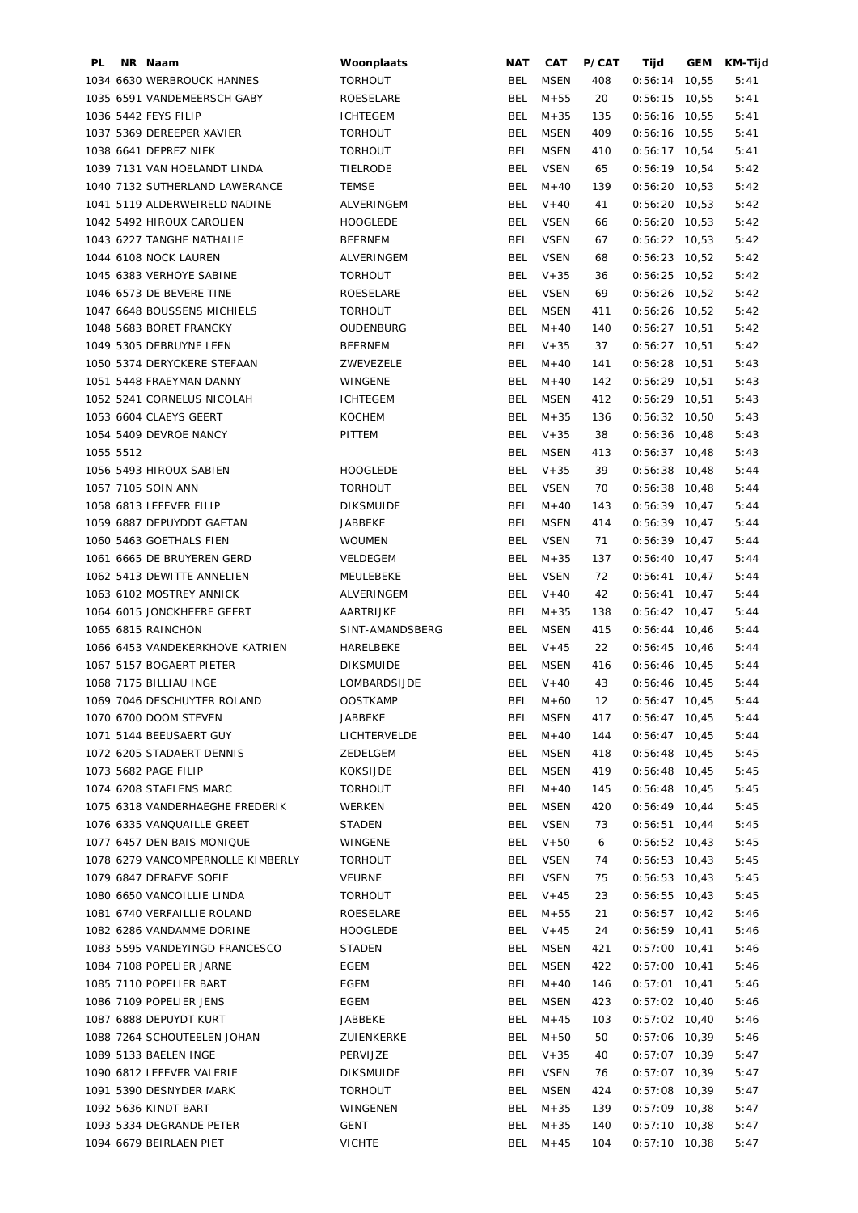| PL |           | NR Naam                           | Woonplaats       | NAT        | <b>CAT</b>  | P/CAT | Tijd            | GEM | KM-Tijd |
|----|-----------|-----------------------------------|------------------|------------|-------------|-------|-----------------|-----|---------|
|    |           | 1034 6630 WERBROUCK HANNES        | <b>TORHOUT</b>   | BEL        | <b>MSEN</b> | 408   | $0:56:14$ 10,55 |     | 5:41    |
|    |           | 1035 6591 VANDEMEERSCH GABY       | ROESELARE        | <b>BEL</b> | $M + 55$    | 20    | $0:56:15$ 10,55 |     | 5:41    |
|    |           | 1036 5442 FEYS FILIP              | <b>ICHTEGEM</b>  | BEL        | $M + 35$    | 135   | $0:56:16$ 10,55 |     | 5:41    |
|    |           | 1037 5369 DEREEPER XAVIER         | <b>TORHOUT</b>   | BEL        | <b>MSEN</b> | 409   | $0:56:16$ 10,55 |     | 5:41    |
|    |           | 1038 6641 DEPREZ NIEK             | <b>TORHOUT</b>   | <b>BEL</b> | <b>MSEN</b> | 410   | $0:56:17$ 10,54 |     | 5:41    |
|    |           | 1039 7131 VAN HOELANDT LINDA      | TIELRODE         | <b>BEL</b> | <b>VSEN</b> | 65    | $0:56:19$ 10,54 |     | 5:42    |
|    |           | 1040 7132 SUTHERLAND LAWERANCE    | <b>TEMSE</b>     | <b>BEL</b> | $M+40$      | 139   | $0:56:20$ 10,53 |     | 5:42    |
|    |           | 1041 5119 ALDERWEIRELD NADINE     | ALVERINGEM       | <b>BEL</b> | $V + 40$    | 41    | $0:56:20$ 10,53 |     | 5:42    |
|    |           | 1042 5492 HIROUX CAROLIEN         | <b>HOOGLEDE</b>  | <b>BEL</b> | <b>VSEN</b> | 66    | $0:56:20$ 10,53 |     | 5:42    |
|    |           | 1043 6227 TANGHE NATHALIE         | <b>BEERNEM</b>   | <b>BEL</b> | <b>VSEN</b> |       |                 |     |         |
|    |           |                                   |                  |            |             | 67    | $0:56:22$ 10,53 |     | 5:42    |
|    |           | 1044 6108 NOCK LAUREN             | ALVERINGEM       | <b>BEL</b> | <b>VSEN</b> | 68    | $0:56:23$ 10,52 |     | 5:42    |
|    |           | 1045 6383 VERHOYE SABINE          | <b>TORHOUT</b>   | <b>BEL</b> | $V + 35$    | 36    | $0:56:25$ 10,52 |     | 5:42    |
|    |           | 1046 6573 DE BEVERE TINE          | ROESELARE        | BEL        | <b>VSEN</b> | 69    | $0:56:26$ 10,52 |     | 5:42    |
|    |           | 1047 6648 BOUSSENS MICHIELS       | <b>TORHOUT</b>   | <b>BEL</b> | <b>MSEN</b> | 411   | $0:56:26$ 10,52 |     | 5:42    |
|    |           | 1048 5683 BORET FRANCKY           | OUDENBURG        | <b>BEL</b> | $M + 40$    | 140   | $0:56:27$ 10,51 |     | 5:42    |
|    |           | 1049 5305 DEBRUYNE LEEN           | <b>BEERNEM</b>   | BEL        | $V + 35$    | 37    | $0:56:27$ 10,51 |     | 5:42    |
|    |           | 1050 5374 DERYCKERE STEFAAN       | ZWEVEZELE        | BEL        | $M+40$      | 141   | $0:56:28$ 10,51 |     | 5:43    |
|    |           | 1051 5448 FRAEYMAN DANNY          | WINGENE          | BEL        | $M + 40$    | 142   | $0:56:29$ 10,51 |     | 5:43    |
|    |           | 1052 5241 CORNELUS NICOLAH        | <b>ICHTEGEM</b>  | <b>BEL</b> | <b>MSEN</b> | 412   | $0:56:29$ 10,51 |     | 5:43    |
|    |           | 1053 6604 CLAEYS GEERT            | <b>KOCHEM</b>    | <b>BEL</b> | $M + 35$    | 136   | $0:56:32$ 10,50 |     | 5:43    |
|    |           | 1054 5409 DEVROE NANCY            | PITTEM           | BEL        | $V + 35$    | 38    | $0:56:36$ 10,48 |     | 5:43    |
|    | 1055 5512 |                                   |                  | <b>BEL</b> | <b>MSEN</b> | 413   | $0:56:37$ 10,48 |     | 5:43    |
|    |           | 1056 5493 HIROUX SABIEN           | <b>HOOGLEDE</b>  | BEL        | $V + 35$    | 39    | $0:56:38$ 10,48 |     | 5:44    |
|    |           | 1057 7105 SOIN ANN                | <b>TORHOUT</b>   | <b>BEL</b> | <b>VSEN</b> | 70    | $0:56:38$ 10,48 |     | 5:44    |
|    |           | 1058 6813 LEFEVER FILIP           | <b>DIKSMUIDE</b> | BEL        | $M + 40$    | 143   | $0:56:39$ 10,47 |     | 5:44    |
|    |           | 1059 6887 DEPUYDDT GAETAN         | JABBEKE          | <b>BEL</b> | <b>MSEN</b> | 414   | $0:56:39$ 10,47 |     | 5:44    |
|    |           | 1060 5463 GOETHALS FIEN           | <b>WOUMEN</b>    | <b>BEL</b> | <b>VSEN</b> | 71    | $0:56:39$ 10,47 |     |         |
|    |           |                                   |                  |            |             |       |                 |     | 5:44    |
|    |           | 1061 6665 DE BRUYEREN GERD        | VELDEGEM         | <b>BEL</b> | $M + 35$    | 137   | $0:56:40$ 10,47 |     | 5:44    |
|    |           | 1062 5413 DEWITTE ANNELIEN        | MEULEBEKE        | <b>BEL</b> | <b>VSEN</b> | 72    | $0:56:41$ 10,47 |     | 5:44    |
|    |           | 1063 6102 MOSTREY ANNICK          | ALVERINGEM       | <b>BEL</b> | $V + 40$    | 42    | $0:56:41$ 10,47 |     | 5:44    |
|    |           | 1064 6015 JONCKHEERE GEERT        | AARTRIJKE        | <b>BEL</b> | $M + 35$    | 138   | $0:56:42$ 10,47 |     | 5:44    |
|    |           | 1065 6815 RAINCHON                | SINT-AMANDSBERG  | <b>BEL</b> | <b>MSEN</b> | 415   | $0:56:44$ 10,46 |     | 5:44    |
|    |           | 1066 6453 VANDEKERKHOVE KATRIEN   | HARELBEKE        | BEL        | $V + 45$    | 22    | $0:56:45$ 10,46 |     | 5:44    |
|    |           | 1067 5157 BOGAERT PIETER          | <b>DIKSMUIDE</b> | <b>BEL</b> | MSEN        | 416   | $0:56:46$ 10,45 |     | 5:44    |
|    |           | 1068 7175 BILLIAU INGE            | LOMBARDSIJDE     | BEL        | $V + 40$    | 43    | $0:56:46$ 10,45 |     | 5:44    |
|    |           | 1069 7046 DESCHUYTER ROLAND       | <b>OOSTKAMP</b>  |            | BEL M+60    | 12    | $0:56:47$ 10,45 |     | 5:44    |
|    |           | 1070 6700 DOOM STEVEN             | JABBEKE          | BEL.       | <b>MSEN</b> | 417   | $0:56:47$ 10,45 |     | 5:44    |
|    |           | 1071 5144 BEEUSAERT GUY           | LICHTERVELDE     | <b>BEL</b> | $M + 40$    | 144   | $0:56:47$ 10,45 |     | 5:44    |
|    |           | 1072 6205 STADAERT DENNIS         | ZEDELGEM         | <b>BEL</b> | <b>MSEN</b> | 418   | $0:56:48$ 10,45 |     | 5:45    |
|    |           | 1073 5682 PAGE FILIP              | KOKSIJDE         | <b>BEL</b> | <b>MSEN</b> | 419   | $0:56:48$ 10,45 |     | 5:45    |
|    |           | 1074 6208 STAELENS MARC           | <b>TORHOUT</b>   | <b>BEL</b> | $M+40$      | 145   | $0:56:48$ 10,45 |     | 5:45    |
|    |           | 1075 6318 VANDERHAEGHE FREDERIK   | WERKEN           | BEL        | MSEN        | 420   | $0:56:49$ 10,44 |     | 5:45    |
|    |           | 1076 6335 VANQUAILLE GREET        | STADEN           | BEL        | VSEN        | 73    | $0:56:51$ 10,44 |     | 5:45    |
|    |           | 1077 6457 DEN BAIS MONIQUE        | WINGENE          | BEL        | $V + 50$    | 6     | $0:56:52$ 10,43 |     | 5:45    |
|    |           | 1078 6279 VANCOMPERNOLLE KIMBERLY | <b>TORHOUT</b>   | BEL        | VSEN        | 74    | $0:56:53$ 10,43 |     | 5:45    |
|    |           | 1079 6847 DERAEVE SOFIE           | VEURNE           | BEL        | <b>VSEN</b> | 75    | $0:56:53$ 10,43 |     | 5:45    |
|    |           | 1080 6650 VANCOILLIE LINDA        |                  | BEL        | $V + 45$    |       |                 |     |         |
|    |           |                                   | <b>TORHOUT</b>   |            |             | 23    | $0:56:55$ 10,43 |     | 5:45    |
|    |           | 1081 6740 VERFAILLIE ROLAND       | ROESELARE        | BEL        | $M + 55$    | 21    | $0:56:57$ 10,42 |     | 5:46    |
|    |           | 1082 6286 VANDAMME DORINE         | HOOGLEDE         | <b>BEL</b> | $V + 45$    | 24    | $0:56:59$ 10,41 |     | 5:46    |
|    |           | 1083 5595 VANDEYINGD FRANCESCO    | <b>STADEN</b>    | BEL        | <b>MSEN</b> | 421   | $0:57:00$ 10,41 |     | 5:46    |
|    |           | 1084 7108 POPELIER JARNE          | EGEM             | BEL        | <b>MSEN</b> | 422   | $0:57:00$ 10,41 |     | 5:46    |
|    |           | 1085 7110 POPELIER BART           | EGEM             | BEL        | $M + 40$    | 146   | $0:57:01$ 10,41 |     | 5:46    |
|    |           | 1086 7109 POPELIER JENS           | EGEM             | BEL        | <b>MSEN</b> | 423   | $0:57:02$ 10,40 |     | 5:46    |
|    |           | 1087 6888 DEPUYDT KURT            | JABBEKE          | BEL        | $M + 45$    | 103   | $0:57:02$ 10,40 |     | 5:46    |
|    |           | 1088 7264 SCHOUTEELEN JOHAN       | ZUIENKERKE       | BEL        | $M + 50$    | 50    | $0:57:06$ 10,39 |     | 5:46    |
|    |           | 1089 5133 BAELEN INGE             | PERVIJZE         |            | BEL V+35    | 40    | $0:57:07$ 10,39 |     | 5:47    |
|    |           | 1090 6812 LEFEVER VALERIE         | <b>DIKSMUIDE</b> | BEL        | <b>VSEN</b> | 76    | $0:57:07$ 10,39 |     | 5:47    |
|    |           | 1091 5390 DESNYDER MARK           | <b>TORHOUT</b>   | <b>BEL</b> | <b>MSEN</b> | 424   | $0:57:08$ 10,39 |     | 5:47    |
|    |           | 1092 5636 KINDT BART              | WINGENEN         | <b>BEL</b> | $M + 35$    | 139   | $0:57:09$ 10,38 |     | 5:47    |
|    |           | 1093 5334 DEGRANDE PETER          | GENT             | <b>BEL</b> | $M + 35$    | 140   | $0:57:10$ 10,38 |     | 5:47    |
|    |           | 1094 6679 BEIRLAEN PIET           | <b>VICHTE</b>    | BEL        | $M + 45$    | 104   | $0:57:10$ 10,38 |     | 5:47    |
|    |           |                                   |                  |            |             |       |                 |     |         |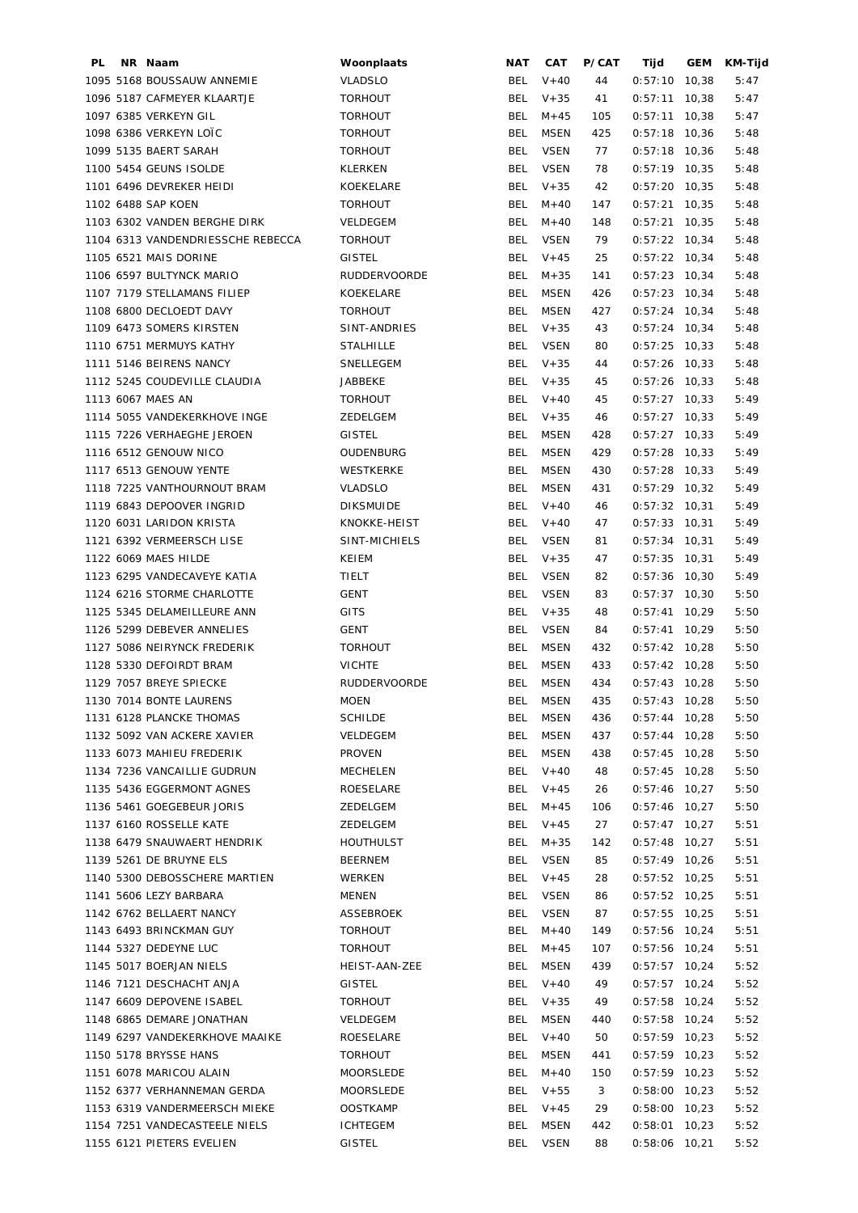| PL | NR Naam                           | Woonplaats          | NAT        | CAT         | P/CAT | Tijd            | GEM | KM-Tijd |
|----|-----------------------------------|---------------------|------------|-------------|-------|-----------------|-----|---------|
|    | 1095 5168 BOUSSAUW ANNEMIE        | <b>VLADSLO</b>      | BEL        | $V + 40$    | 44    | $0:57:10$ 10,38 |     | 5:47    |
|    | 1096 5187 CAFMEYER KLAARTJE       | <b>TORHOUT</b>      | <b>BEL</b> | $V + 35$    | 41    | $0:57:11$ 10,38 |     | 5:47    |
|    | 1097 6385 VERKEYN GIL             | <b>TORHOUT</b>      | BEL        | $M + 45$    | 105   | $0:57:11$ 10,38 |     | 5:47    |
|    | 1098 6386 VERKEYN LOTC            | <b>TORHOUT</b>      | <b>BEL</b> | MSEN        | 425   | $0:57:18$ 10,36 |     | 5:48    |
|    | 1099 5135 BAERT SARAH             | <b>TORHOUT</b>      | <b>BEL</b> | <b>VSEN</b> | 77    | $0:57:18$ 10,36 |     | 5:48    |
|    | 1100 5454 GEUNS ISOLDE            | KLERKEN             | <b>BEL</b> | <b>VSEN</b> | 78    | $0:57:19$ 10,35 |     | 5:48    |
|    | 1101 6496 DEVREKER HEIDI          | KOEKELARE           | <b>BEL</b> | $V + 35$    | 42    | $0:57:20$ 10,35 |     | 5:48    |
|    | 1102 6488 SAP KOEN                | <b>TORHOUT</b>      | <b>BEL</b> | $M + 40$    | 147   | $0:57:21$ 10,35 |     | 5:48    |
|    | 1103 6302 VANDEN BERGHE DIRK      | VELDEGEM            | <b>BEL</b> | $M + 40$    | 148   | $0:57:21$ 10,35 |     | 5:48    |
|    | 1104 6313 VANDENDRIESSCHE REBECCA | <b>TORHOUT</b>      | <b>BEL</b> | <b>VSEN</b> | 79    | $0:57:22$ 10,34 |     | 5:48    |
|    | 1105 6521 MAIS DORINE             | <b>GISTEL</b>       | BEL        | $V + 45$    | 25    | $0:57:22$ 10,34 |     | 5:48    |
|    | 1106 6597 BULTYNCK MARIO          | <b>RUDDERVOORDE</b> | BEL        | $M + 35$    | 141   | $0:57:23$ 10,34 |     | 5:48    |
|    | 1107 7179 STELLAMANS FILIEP       | KOEKELARE           | <b>BEL</b> | MSEN        | 426   | $0:57:23$ 10,34 |     | 5:48    |
|    | 1108 6800 DECLOEDT DAVY           | <b>TORHOUT</b>      | <b>BEL</b> | MSEN        | 427   | $0:57:24$ 10,34 |     | 5:48    |
|    | 1109 6473 SOMERS KIRSTEN          | SINT-ANDRIES        | BEL        | $V + 35$    | 43    | $0:57:24$ 10,34 |     | 5:48    |
|    | 1110 6751 MERMUYS KATHY           | <b>STALHILLE</b>    | BEL        | <b>VSEN</b> | 80    | $0:57:25$ 10,33 |     | 5:48    |
|    | 1111 5146 BEIRENS NANCY           | SNELLEGEM           | BEL        | $V + 35$    | 44    | $0:57:26$ 10,33 |     | 5:48    |
|    | 1112 5245 COUDEVILLE CLAUDIA      | <b>JABBEKE</b>      | BEL        | $V + 35$    | 45    | $0:57:26$ 10,33 |     | 5:48    |
|    | 1113 6067 MAES AN                 | <b>TORHOUT</b>      | BEL        | $V + 40$    | 45    | $0:57:27$ 10,33 |     | 5:49    |
|    | 1114 5055 VANDEKERKHOVE INGE      | ZEDELGEM            | BEL        | $V + 35$    | 46    | $0:57:27$ 10,33 |     | 5:49    |
|    | 1115 7226 VERHAEGHE JEROEN        | GISTEL              | <b>BEL</b> | MSEN        | 428   | $0:57:27$ 10,33 |     | 5:49    |
|    | 1116 6512 GENOUW NICO             | OUDENBURG           | <b>BEL</b> | MSEN        | 429   | $0:57:28$ 10,33 |     | 5:49    |
|    | 1117 6513 GENOUW YENTE            | WESTKERKE           | <b>BEL</b> | MSEN        | 430   | $0:57:28$ 10,33 |     | 5:49    |
|    |                                   |                     | <b>BEL</b> |             |       |                 |     |         |
|    | 1118 7225 VANTHOURNOUT BRAM       | <b>VLADSLO</b>      |            | MSEN        | 431   | $0:57:29$ 10,32 |     | 5:49    |
|    | 1119 6843 DEPOOVER INGRID         | <b>DIKSMUIDE</b>    | BEL        | $V + 40$    | 46    | $0:57:32$ 10,31 |     | 5:49    |
|    | 1120 6031 LARIDON KRISTA          | KNOKKE-HEIST        | BEL        | $V + 40$    | 47    | $0:57:33$ 10,31 |     | 5:49    |
|    | 1121 6392 VERMEERSCH LISE         | SINT-MICHIELS       | <b>BEL</b> | <b>VSEN</b> | 81    | $0:57:34$ 10,31 |     | 5:49    |
|    | 1122 6069 MAES HILDE              | KEIEM               | <b>BEL</b> | $V + 35$    | 47    | $0:57:35$ 10,31 |     | 5:49    |
|    | 1123 6295 VANDECAVEYE KATIA       | TIELT               | <b>BEL</b> | <b>VSEN</b> | 82    | $0:57:36$ 10,30 |     | 5:49    |
|    | 1124 6216 STORME CHARLOTTE        | GENT                | <b>BEL</b> | <b>VSEN</b> | 83    | $0:57:37$ 10,30 |     | 5:50    |
|    | 1125 5345 DELAMEILLEURE ANN       | <b>GITS</b>         | <b>BEL</b> | $V + 35$    | 48    | $0:57:41$ 10,29 |     | 5:50    |
|    | 1126 5299 DEBEVER ANNELIES        | GENT                | <b>BEL</b> | <b>VSEN</b> | 84    | $0:57:41$ 10,29 |     | 5:50    |
|    | 1127 5086 NEIRYNCK FREDERIK       | <b>TORHOUT</b>      | <b>BEL</b> | <b>MSEN</b> | 432   | $0:57:42$ 10,28 |     | 5:50    |
|    | 1128 5330 DEFOIRDT BRAM           | <b>VICHTE</b>       | <b>BEL</b> | MSEN        | 433   | $0:57:42$ 10,28 |     | 5:50    |
|    | 1129 7057 BREYE SPIECKE           | <b>RUDDERVOORDE</b> | <b>BEL</b> | <b>MSEN</b> | 434   | $0:57:43$ 10,28 |     | 5:50    |
|    | 1130 7014 BONTE LAURENS           | <b>MOEN</b>         |            | BEL MSEN    | 435   | $0:57:43$ 10,28 |     | 5:50    |
|    | 1131 6128 PLANCKE THOMAS          | <b>SCHILDE</b>      | BEL.       | MSEN        | 436   | $0:57:44$ 10,28 |     | 5:50    |
|    | 1132 5092 VAN ACKERE XAVIER       | VELDEGEM            | <b>BEL</b> | MSEN        | 437   | $0:57:44$ 10,28 |     | 5:50    |
|    | 1133 6073 MAHIEU FREDERIK         | <b>PROVEN</b>       | <b>BEL</b> | MSEN        | 438   | $0:57:45$ 10,28 |     | 5:50    |
|    | 1134 7236 VANCAILLIE GUDRUN       | MECHELEN            | BEL        | $V + 40$    | 48    | $0:57:45$ 10,28 |     | 5:50    |
|    | 1135 5436 EGGERMONT AGNES         | ROESELARE           | BEL        | $V + 45$    | 26    | $0:57:46$ 10,27 |     | 5:50    |
|    | 1136 5461 GOEGEBEUR JORIS         | ZEDELGEM            | BEL        | $M + 45$    | 106   | $0:57:46$ 10,27 |     | 5:50    |
|    | 1137 6160 ROSSELLE KATE           | ZEDELGEM            | BEL        | $V + 45$    | 27    | $0:57:47$ 10,27 |     | 5:51    |
|    | 1138 6479 SNAUWAERT HENDRIK       | HOUTHULST           | BEL        | $M + 35$    | 142   | $0:57:48$ 10,27 |     | 5:51    |
|    | 1139 5261 DE BRUYNE ELS           | BEERNEM             | BEL        | VSEN        | 85    | $0:57:49$ 10,26 |     | 5:51    |
|    | 1140 5300 DEBOSSCHERE MARTIEN     | WERKEN              | BEL        | $V + 45$    | 28    | $0:57:52$ 10,25 |     | 5:51    |
|    | 1141 5606 LEZY BARBARA            | MENEN               | BEL        | <b>VSEN</b> | 86    | $0:57:52$ 10,25 |     | 5:51    |
|    | 1142 6762 BELLAERT NANCY          | ASSEBROEK           | <b>BEL</b> | <b>VSEN</b> | 87    | $0:57:55$ 10,25 |     | 5:51    |
|    | 1143 6493 BRINCKMAN GUY           | <b>TORHOUT</b>      | <b>BEL</b> | $M + 40$    | 149   | $0:57:56$ 10,24 |     | 5:51    |
|    | 1144 5327 DEDEYNE LUC             | <b>TORHOUT</b>      | <b>BEL</b> | $M + 45$    | 107   | $0:57:56$ 10,24 |     | 5:51    |
|    | 1145 5017 BOERJAN NIELS           | HEIST-AAN-ZEE       | BEL        | MSEN        | 439   | $0:57:57$ 10,24 |     | 5:52    |
|    | 1146 7121 DESCHACHT ANJA          | <b>GISTEL</b>       | BEL        | $V + 40$    | 49    | $0:57:57$ 10,24 |     | 5:52    |
|    | 1147 6609 DEPOVENE ISABEL         | TORHOUT             | BEL        | $V + 35$    | 49    | $0:57:58$ 10,24 |     | 5:52    |
|    | 1148 6865 DEMARE JONATHAN         | VELDEGEM            | BEL        | <b>MSEN</b> | 440   | $0:57:58$ 10,24 |     | 5:52    |
|    | 1149 6297 VANDEKERKHOVE MAAIKE    | ROESELARE           | BEL        | $V + 40$    | 50    | $0:57:59$ 10,23 |     | 5:52    |
|    | 1150 5178 BRYSSE HANS             | <b>TORHOUT</b>      | BEL        | MSEN        | 441   | $0:57:59$ 10,23 |     | 5:52    |
|    | 1151 6078 MARICOU ALAIN           | MOORSLEDE           | BEL        | $M + 40$    | 150   | $0:57:59$ 10,23 |     | 5:52    |
|    | 1152 6377 VERHANNEMAN GERDA       | MOORSLEDE           | BEL        | $V + 55$    | 3     | $0:58:00$ 10,23 |     | 5:52    |
|    | 1153 6319 VANDERMEERSCH MIEKE     | <b>OOSTKAMP</b>     | BEL        | $V + 45$    | 29    | $0:58:00$ 10,23 |     | 5:52    |
|    | 1154 7251 VANDECASTEELE NIELS     | <b>ICHTEGEM</b>     | <b>BEL</b> | MSEN        | 442   | $0:58:01$ 10,23 |     | 5:52    |
|    | 1155 6121 PIETERS EVELIEN         | GISTEL              | BEL        | <b>VSEN</b> | 88    | 0:58:06 10,21   |     | 5:52    |
|    |                                   |                     |            |             |       |                 |     |         |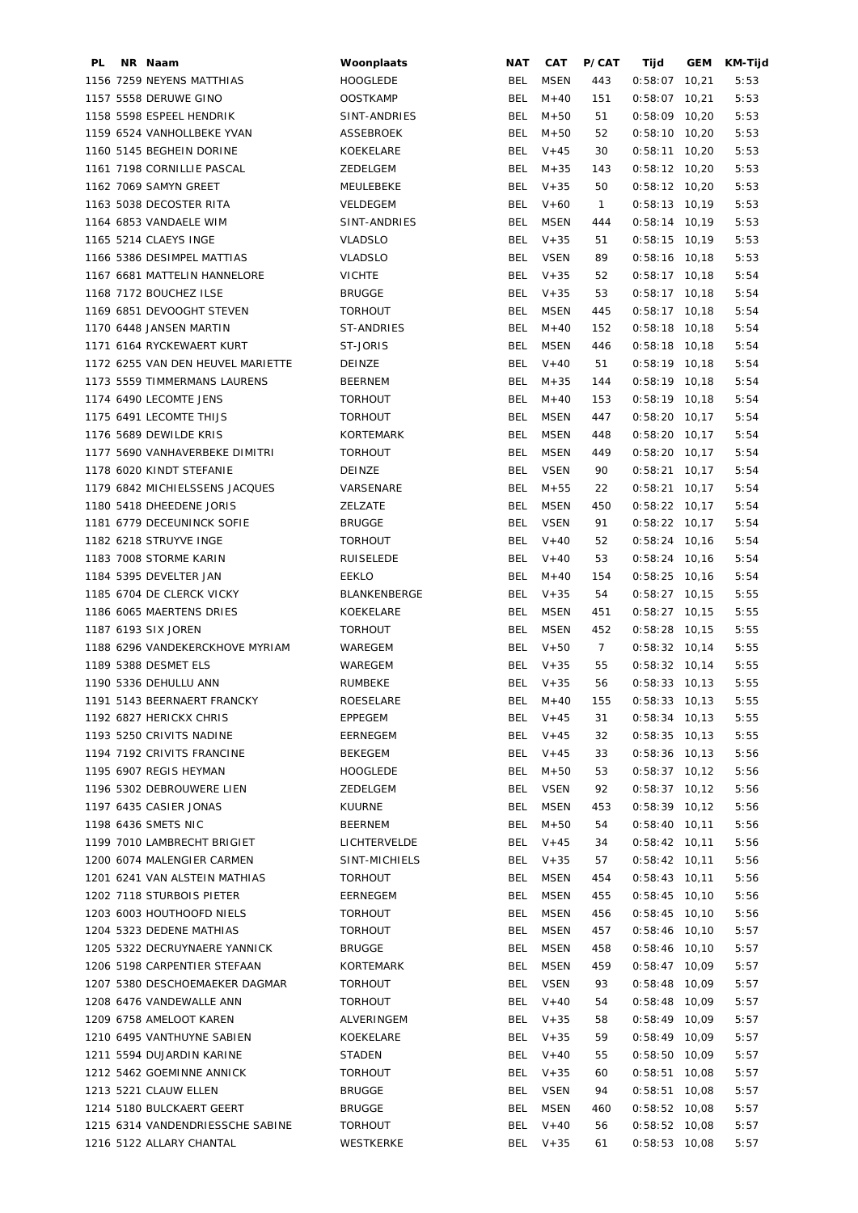| PL | NR Naam                           | Woonplaats          | NAT        | <b>CAT</b>  | P/CAT        | Tijd            | <b>GEM</b> | KM-Tijd |
|----|-----------------------------------|---------------------|------------|-------------|--------------|-----------------|------------|---------|
|    | 1156 7259 NEYENS MATTHIAS         | <b>HOOGLEDE</b>     | <b>BEL</b> | <b>MSEN</b> | 443          | $0:58:07$ 10,21 |            | 5:53    |
|    | 1157 5558 DERUWE GINO             | <b>OOSTKAMP</b>     | <b>BEL</b> | $M + 40$    | 151          | $0:58:07$ 10,21 |            | 5:53    |
|    | 1158 5598 ESPEEL HENDRIK          | SINT-ANDRIES        | BEL        | $M + 50$    | 51           | $0:58:09$ 10,20 |            | 5:53    |
|    | 1159 6524 VANHOLLBEKE YVAN        | ASSEBROEK           | BEL        | $M + 50$    | 52           | $0:58:10$ 10,20 |            | 5:53    |
|    | 1160 5145 BEGHEIN DORINE          | KOEKELARE           | BEL        | $V + 45$    | 30           | $0:58:11$ 10,20 |            | 5:53    |
|    | 1161 7198 CORNILLIE PASCAL        | ZEDELGEM            | BEL        | $M + 35$    | 143          | $0:58:12$ 10,20 |            | 5:53    |
|    | 1162 7069 SAMYN GREET             | MEULEBEKE           | BEL        | $V + 35$    | 50           | $0:58:12$ 10,20 |            | 5:53    |
|    | 1163 5038 DECOSTER RITA           | VELDEGEM            | BEL        | $V + 60$    | $\mathbf{1}$ | $0:58:13$ 10,19 |            | 5:53    |
|    | 1164 6853 VANDAELE WIM            | SINT-ANDRIES        | <b>BEL</b> | MSEN        | 444          | $0:58:14$ 10,19 |            | 5:53    |
|    | 1165 5214 CLAEYS INGE             | <b>VLADSLO</b>      | BEL        | $V + 35$    | 51           | $0:58:15$ 10,19 |            | 5:53    |
|    | 1166 5386 DESIMPEL MATTIAS        | <b>VLADSLO</b>      | BEL        | VSEN        | 89           | $0:58:16$ 10,18 |            | 5:53    |
|    | 1167 6681 MATTELIN HANNELORE      | <b>VICHTE</b>       | BEL        | $V + 35$    | 52           | $0:58:17$ 10,18 |            | 5:54    |
|    | 1168 7172 BOUCHEZ ILSE            | <b>BRUGGE</b>       | BEL        | $V + 35$    | 53           | $0:58:17$ 10,18 |            | 5:54    |
|    | 1169 6851 DEVOOGHT STEVEN         | <b>TORHOUT</b>      | BEL        | MSEN        | 445          | $0:58:17$ 10,18 |            | 5:54    |
|    | 1170 6448 JANSEN MARTIN           | ST-ANDRIES          | BEL        | $M + 40$    | 152          | $0:58:18$ 10,18 |            | 5:54    |
|    | 1171 6164 RYCKEWAERT KURT         | ST-JORIS            | <b>BEL</b> | <b>MSEN</b> | 446          | $0:58:18$ 10,18 |            | 5:54    |
|    | 1172 6255 VAN DEN HEUVEL MARIETTE | DEINZE              | <b>BEL</b> | $V + 40$    | 51           | $0:58:19$ 10,18 |            | 5:54    |
|    | 1173 5559 TIMMERMANS LAURENS      | <b>BEERNEM</b>      | BEL        | $M + 35$    | 144          | $0:58:19$ 10,18 |            | 5:54    |
|    | 1174 6490 LECOMTE JENS            | <b>TORHOUT</b>      | BEL        | $M + 40$    | 153          | $0:58:19$ 10,18 |            | 5:54    |
|    | 1175 6491 LECOMTE THIJS           | <b>TORHOUT</b>      | BEL        | <b>MSEN</b> | 447          | $0:58:20$ 10,17 |            | 5:54    |
|    | 1176 5689 DEWILDE KRIS            | <b>KORTEMARK</b>    | BEL        | MSEN        | 448          | $0:58:20$ 10,17 |            | 5:54    |
|    | 1177 5690 VANHAVERBEKE DIMITRI    | <b>TORHOUT</b>      | <b>BEL</b> | MSEN        | 449          | $0:58:20$ 10,17 |            | 5:54    |
|    | 1178 6020 KINDT STEFANIE          | DEINZE              | BEL        | <b>VSEN</b> | 90           | $0:58:21$ 10,17 |            | 5:54    |
|    | 1179 6842 MICHIELSSENS JACQUES    | VARSENARE           | <b>BEL</b> | $M + 55$    | 22           | $0:58:21$ 10,17 |            | 5:54    |
|    | 1180 5418 DHEEDENE JORIS          | ZELZATE             | <b>BEL</b> | <b>MSEN</b> | 450          | $0:58:22$ 10,17 |            | 5:54    |
|    | 1181 6779 DECEUNINCK SOFIE        | <b>BRUGGE</b>       | <b>BEL</b> | <b>VSEN</b> | 91           | $0:58:22$ 10,17 |            | 5:54    |
|    | 1182 6218 STRUYVE INGE            | <b>TORHOUT</b>      | <b>BEL</b> | $V + 40$    | 52           | $0:58:24$ 10,16 |            | 5:54    |
|    | 1183 7008 STORME KARIN            | RUISELEDE           | BEL        | $V + 40$    | 53           | $0:58:24$ 10,16 |            | 5:54    |
|    | 1184 5395 DEVELTER JAN            | EEKLO               | <b>BEL</b> | $M + 40$    | 154          | $0:58:25$ 10,16 |            | 5:54    |
|    | 1185 6704 DE CLERCK VICKY         | <b>BLANKENBERGE</b> | BEL        | $V + 35$    | 54           | $0:58:27$ 10,15 |            | 5:55    |
|    | 1186 6065 MAERTENS DRIES          | KOEKELARE           | BEL        | MSEN        | 451          | $0:58:27$ 10,15 |            | 5:55    |
|    | 1187 6193 SIX JOREN               | <b>TORHOUT</b>      | BEL        | <b>MSEN</b> | 452          | $0:58:28$ 10,15 |            | 5:55    |
|    | 1188 6296 VANDEKERCKHOVE MYRIAM   | WAREGEM             | BEL        | $V+50$      | $7^{\circ}$  | $0:58:32$ 10,14 |            | 5:55    |
|    | 1189 5388 DESMET ELS              | WAREGEM             | BEL        | $V + 35$    | 55           | $0:58:32$ 10,14 |            | 5:55    |
|    | 1190 5336 DEHULLU ANN             | <b>RUMBEKE</b>      |            | BEL V+35    | 56           | $0:58:33$ 10,13 |            | 5:55    |
|    | 1191 5143 BEERNAERT FRANCKY       | ROESELARE           |            | BEL M+40    | 155          | $0:58:33$ 10,13 |            | 5:55    |
|    | 1192 6827 HERICKX CHRIS           | <b>EPPEGEM</b>      |            | BEL $V+45$  | 31           | $0:58:34$ 10,13 |            | 5:55    |
|    | 1193 5250 CRIVITS NADINE          | EERNEGEM            | BEL        | $V + 45$    | 32           | $0:58:35$ 10,13 |            | 5:55    |
|    | 1194 7192 CRIVITS FRANCINE        | BEKEGEM             | BEL        | $V + 45$    | 33           | $0:58:36$ 10,13 |            | 5:56    |
|    | 1195 6907 REGIS HEYMAN            | <b>HOOGLEDE</b>     | BEL        | M+50        | 53           | $0:58:37$ 10,12 |            | 5:56    |
|    | 1196 5302 DEBROUWERE LIEN         | ZEDELGEM            | BEL        | <b>VSEN</b> | 92           | $0:58:37$ 10,12 |            | 5:56    |
|    | 1197 6435 CASIER JONAS            | KUURNE              | BEL        | MSEN        | 453          | $0:58:39$ 10,12 |            | 5:56    |
|    | 1198 6436 SMETS NIC               | BEERNEM             | BEL        | $M + 50$    | 54           | $0:58:40$ 10,11 |            | 5:56    |
|    | 1199 7010 LAMBRECHT BRIGIET       | LICHTERVELDE        | <b>BEL</b> | $V + 45$    | 34           | $0:58:42$ 10,11 |            | 5:56    |
|    | 1200 6074 MALENGIER CARMEN        | SINT-MICHIELS       | <b>BEL</b> | $V + 35$    | 57           | $0:58:42$ 10,11 |            | 5:56    |
|    | 1201 6241 VAN ALSTEIN MATHIAS     | <b>TORHOUT</b>      | <b>BEL</b> | <b>MSEN</b> | 454          | $0:58:43$ 10,11 |            | 5:56    |
|    | 1202 7118 STURBOIS PIETER         | EERNEGEM            | <b>BEL</b> | <b>MSEN</b> | 455          | $0:58:45$ 10,10 |            | 5:56    |
|    | 1203 6003 HOUTHOOFD NIELS         | <b>TORHOUT</b>      | <b>BEL</b> | <b>MSEN</b> | 456          | $0:58:45$ 10,10 |            | 5:56    |
|    | 1204 5323 DEDENE MATHIAS          | <b>TORHOUT</b>      | <b>BEL</b> | <b>MSEN</b> | 457          | $0:58:46$ 10,10 |            | 5:57    |
|    | 1205 5322 DECRUYNAERE YANNICK     | <b>BRUGGE</b>       | <b>BEL</b> | <b>MSEN</b> | 458          | $0:58:46$ 10,10 |            | 5:57    |
|    | 1206 5198 CARPENTIER STEFAAN      | KORTEMARK           | BEL        | <b>MSEN</b> | 459          | $0:58:47$ 10,09 |            | 5:57    |
|    | 1207 5380 DESCHOEMAEKER DAGMAR    | <b>TORHOUT</b>      | BEL        | <b>VSEN</b> | 93           | $0:58:48$ 10,09 |            | 5:57    |
|    | 1208 6476 VANDEWALLE ANN          | <b>TORHOUT</b>      | BEL        | $V + 40$    | 54           | $0:58:48$ 10,09 |            | 5:57    |
|    | 1209 6758 AMELOOT KAREN           | ALVERINGEM          | BEL        | $V + 35$    | 58           | $0:58:49$ 10,09 |            | 5:57    |
|    | 1210 6495 VANTHUYNE SABIEN        | KOEKELARE           | BEL        | $V + 35$    | 59           | $0:58:49$ 10,09 |            | 5:57    |
|    | 1211 5594 DUJARDIN KARINE         | STADEN              | BEL        | $V + 40$    | 55           | $0:58:50$ 10,09 |            | 5:57    |
|    | 1212 5462 GOEMINNE ANNICK         | <b>TORHOUT</b>      | BEL        | $V + 35$    | 60           | $0:58:51$ 10,08 |            | 5:57    |
|    | 1213 5221 CLAUW ELLEN             | <b>BRUGGE</b>       | BEL        | <b>VSEN</b> | 94           | $0:58:51$ 10,08 |            | 5:57    |
|    | 1214 5180 BULCKAERT GEERT         | <b>BRUGGE</b>       | BEL        | <b>MSEN</b> | 460          | $0:58:52$ 10,08 |            | 5:57    |
|    | 1215 6314 VANDENDRIESSCHE SABINE  | <b>TORHOUT</b>      | BEL        | $V + 40$    | 56           | $0:58:52$ 10,08 |            | 5:57    |
|    | 1216 5122 ALLARY CHANTAL          | WESTKERKE           |            | BEL V+35    | 61           | $0:58:53$ 10,08 |            | 5:57    |
|    |                                   |                     |            |             |              |                 |            |         |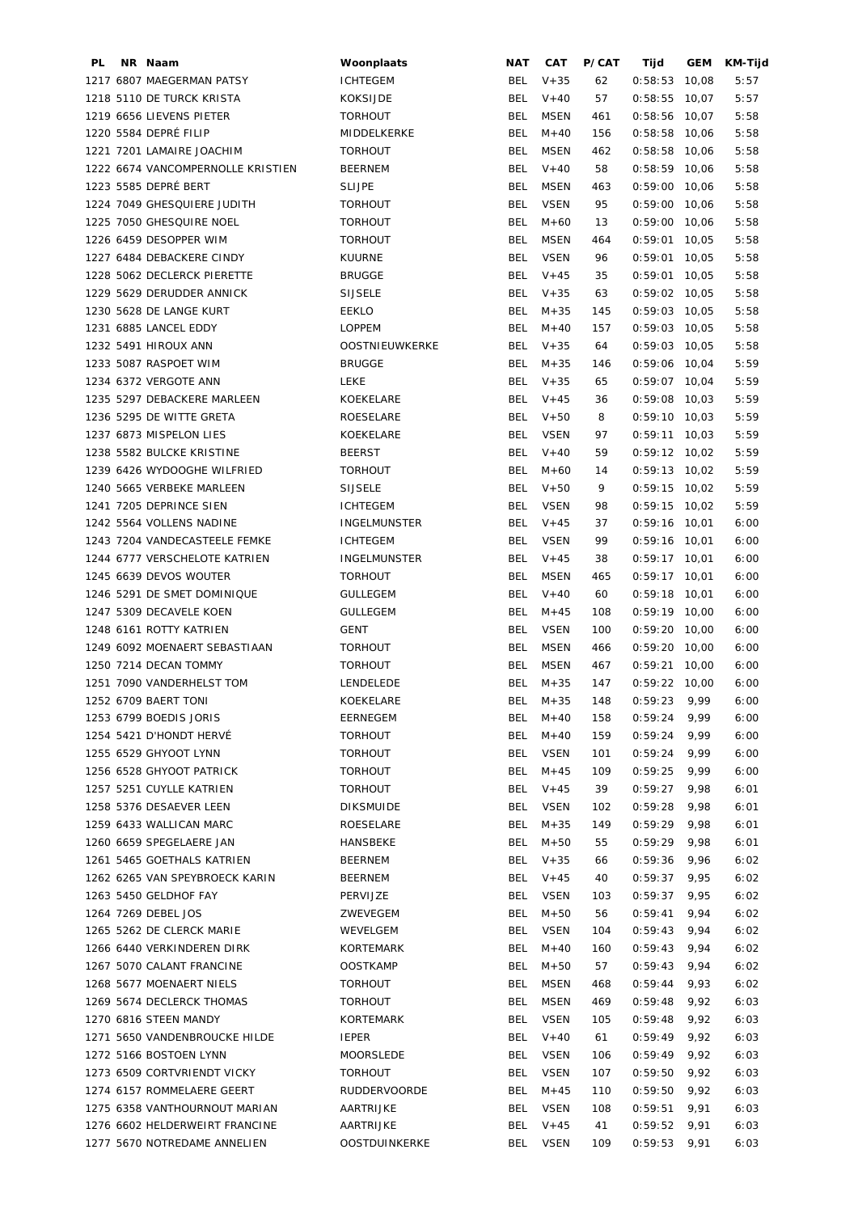| PL | NR Naam                           | Woonplaats          | NAT        | CAT         | P/CAT | Tijd            | GEM  | KM-Tijd |
|----|-----------------------------------|---------------------|------------|-------------|-------|-----------------|------|---------|
|    | 1217 6807 MAEGERMAN PATSY         | <b>ICHTEGEM</b>     | BEL        | $V + 35$    | 62    | $0:58:53$ 10,08 |      | 5:57    |
|    | 1218 5110 DE TURCK KRISTA         | <b>KOKSIJDE</b>     | <b>BEL</b> | $V + 40$    | 57    | $0:58:55$ 10,07 |      | 5:57    |
|    | 1219 6656 LIEVENS PIETER          | <b>TORHOUT</b>      | <b>BEL</b> | MSEN        | 461   | $0:58:56$ 10,07 |      | 5:58    |
|    | 1220 5584 DEPRÉ FILIP             | MIDDELKERKE         | <b>BEL</b> | $M + 40$    | 156   | $0:58:58$ 10,06 |      | 5:58    |
|    | 1221 7201 LAMAIRE JOACHIM         | <b>TORHOUT</b>      | BEL        | <b>MSEN</b> | 462   | $0:58:58$ 10,06 |      | 5:58    |
|    | 1222 6674 VANCOMPERNOLLE KRISTIEN | <b>BEERNEM</b>      | BEL        | $V + 40$    | 58    | $0:58:59$ 10,06 |      | 5:58    |
|    | 1223 5585 DEPRÉ BERT              | <b>SLIJPE</b>       | <b>BEL</b> | <b>MSEN</b> | 463   | $0:59:00$ 10,06 |      | 5:58    |
|    | 1224 7049 GHESQUIERE JUDITH       | <b>TORHOUT</b>      | <b>BEL</b> | <b>VSEN</b> | 95    | $0:59:00$ 10,06 |      | 5:58    |
|    | 1225 7050 GHESQUIRE NOEL          | <b>TORHOUT</b>      | <b>BEL</b> | $M + 60$    | 13    | $0:59:00$ 10,06 |      | 5:58    |
|    | 1226 6459 DESOPPER WIM            | <b>TORHOUT</b>      | <b>BEL</b> | <b>MSEN</b> | 464   | $0:59:01$ 10,05 |      | 5:58    |
|    |                                   |                     | <b>BEL</b> |             |       |                 |      |         |
|    | 1227 6484 DEBACKERE CINDY         | <b>KUURNE</b>       |            | <b>VSEN</b> | 96    | $0:59:01$ 10,05 |      | 5:58    |
|    | 1228 5062 DECLERCK PIERETTE       | <b>BRUGGE</b>       | <b>BEL</b> | $V + 45$    | 35    | $0:59:01$ 10,05 |      | 5:58    |
|    | 1229 5629 DERUDDER ANNICK         | <b>SIJSELE</b>      | BEL        | $V + 35$    | 63    | $0:59:02$ 10,05 |      | 5:58    |
|    | 1230 5628 DE LANGE KURT           | EEKLO               | <b>BEL</b> | $M + 35$    | 145   | $0:59:03$ 10,05 |      | 5:58    |
|    | 1231 6885 LANCEL EDDY             | <b>LOPPEM</b>       | <b>BEL</b> | $M + 40$    | 157   | $0:59:03$ 10,05 |      | 5:58    |
|    | 1232 5491 HIROUX ANN              | OOSTNIEUWKERKE      | BEL        | $V + 35$    | 64    | $0:59:03$ 10,05 |      | 5:58    |
|    | 1233 5087 RASPOET WIM             | <b>BRUGGE</b>       | BEL        | $M + 35$    | 146   | $0:59:06$ 10,04 |      | 5:59    |
|    | 1234 6372 VERGOTE ANN             | <b>LEKE</b>         | BEL        | $V + 35$    | 65    | $0:59:07$ 10,04 |      | 5:59    |
|    | 1235 5297 DEBACKERE MARLEEN       | KOEKELARE           | BEL        | $V + 45$    | 36    | $0:59:08$ 10,03 |      | 5:59    |
|    | 1236 5295 DE WITTE GRETA          | ROESELARE           | BEL        | $V + 50$    | 8     | $0:59:10$ 10,03 |      | 5:59    |
|    | 1237 6873 MISPELON LIES           | KOEKELARE           | BEL        | <b>VSEN</b> | 97    | $0:59:11$ 10,03 |      | 5:59    |
|    | 1238 5582 BULCKE KRISTINE         | <b>BEERST</b>       | <b>BEL</b> | $V + 40$    | 59    | $0:59:12$ 10,02 |      | 5:59    |
|    | 1239 6426 WYDOOGHE WILFRIED       | <b>TORHOUT</b>      | BEL        | $M + 60$    | 14    | $0:59:13$ 10,02 |      | 5:59    |
|    | 1240 5665 VERBEKE MARLEEN         | <b>SIJSELE</b>      | BEL        | $V + 50$    | 9     | $0:59:15$ 10,02 |      | 5:59    |
|    | 1241 7205 DEPRINCE SIEN           | <b>ICHTEGEM</b>     | BEL        | VSEN        | 98    | $0:59:15$ 10,02 |      | 5:59    |
|    | 1242 5564 VOLLENS NADINE          | <b>INGELMUNSTER</b> | BEL        | $V + 45$    | 37    | $0:59:16$ 10,01 |      | 6:00    |
|    | 1243 7204 VANDECASTEELE FEMKE     | <b>ICHTEGEM</b>     | BEL        | <b>VSEN</b> | 99    | $0:59:16$ 10,01 |      | 6:00    |
|    | 1244 6777 VERSCHELOTE KATRIEN     | <b>INGELMUNSTER</b> | BEL        | $V + 45$    | 38    | $0:59:17$ 10,01 |      | 6:00    |
|    | 1245 6639 DEVOS WOUTER            | <b>TORHOUT</b>      | BEL        | <b>MSEN</b> | 465   | $0:59:17$ 10,01 |      | 6:00    |
|    | 1246 5291 DE SMET DOMINIQUE       | <b>GULLEGEM</b>     | BEL        | $V + 40$    | 60    | $0:59:18$ 10,01 |      | 6:00    |
|    | 1247 5309 DECAVELE KOEN           | <b>GULLEGEM</b>     | <b>BEL</b> | $M + 45$    | 108   | $0:59:19$ 10,00 |      | 6:00    |
|    | 1248 6161 ROTTY KATRIEN           | GENT                | <b>BEL</b> | <b>VSEN</b> | 100   | $0:59:20$ 10,00 |      | 6:00    |
|    | 1249 6092 MOENAERT SEBASTIAAN     | <b>TORHOUT</b>      | <b>BEL</b> | <b>MSEN</b> | 466   | $0:59:20$ 10,00 |      | 6:00    |
|    | 1250 7214 DECAN TOMMY             | <b>TORHOUT</b>      | BEL        | MSEN        | 467   | $0:59:21$ 10,00 |      | 6:00    |
|    | 1251 7090 VANDERHELST TOM         | LENDELEDE           | <b>BEL</b> | $M + 35$    | 147   | $0:59:22$ 10,00 |      | 6:00    |
|    | 1252 6709 BAERT TONI              | KOEKELARE           | BEL        | $M + 35$    | 148   | $0:59:23$ 9,99  |      | 6:00    |
|    | 1253 6799 BOEDIS JORIS            | EERNEGEM            | BEL        | M+40        | 158   | 0:59:24         | 9,99 | 6:00    |
|    | 1254 5421 D'HONDT HERVÉ           | <b>TORHOUT</b>      | <b>BEL</b> | $M + 40$    | 159   | 0:59:24         | 9,99 | 6:00    |
|    | 1255 6529 GHYOOT LYNN             | <b>TORHOUT</b>      | <b>BEL</b> | <b>VSEN</b> | 101   | 0:59:24         | 9,99 | 6:00    |
|    | 1256 6528 GHYOOT PATRICK          | <b>TORHOUT</b>      | <b>BEL</b> | $M + 45$    | 109   | 0:59:25         | 9,99 | 6:00    |
|    | 1257 5251 CUYLLE KATRIEN          | <b>TORHOUT</b>      | BEL        | $V + 45$    | 39    | 0:59:27         | 9,98 | 6:01    |
|    | 1258 5376 DESAEVER LEEN           | <b>DIKSMUIDE</b>    | <b>BEL</b> | VSEN        | 102   | 0:59:28         | 9,98 | 6:01    |
|    | 1259 6433 WALLICAN MARC           | ROESELARE           | <b>BEL</b> | $M + 35$    | 149   | 0:59:29         | 9,98 | 6:01    |
|    |                                   |                     |            |             |       |                 |      |         |
|    | 1260 6659 SPEGELAERE JAN          | HANSBEKE            | BEL        | $M + 50$    | 55    | 0:59:29         | 9,98 | 6:01    |
|    | 1261 5465 GOETHALS KATRIEN        | <b>BEERNEM</b>      | BEL        | $V + 35$    | 66    | 0:59:36         | 9,96 | 6:02    |
|    | 1262 6265 VAN SPEYBROECK KARIN    | BEERNEM             | BEL        | $V + 45$    | 40    | 0:59:37         | 9,95 | 6:02    |
|    | 1263 5450 GELDHOF FAY             | PERVIJZE            | BEL        | VSEN        | 103   | 0:59:37         | 9,95 | 6:02    |
|    | 1264 7269 DEBEL JOS               | ZWEVEGEM            | <b>BEL</b> | $M + 50$    | 56    | 0:59:41         | 9,94 | 6:02    |
|    | 1265 5262 DE CLERCK MARIE         | WEVELGEM            | <b>BEL</b> | <b>VSEN</b> | 104   | 0:59:43         | 9,94 | 6:02    |
|    | 1266 6440 VERKINDEREN DIRK        | KORTEMARK           | <b>BEL</b> | $M + 40$    | 160   | 0:59:43         | 9,94 | 6:02    |
|    | 1267 5070 CALANT FRANCINE         | <b>OOSTKAMP</b>     | <b>BEL</b> | $M + 50$    | 57    | 0:59:43         | 9,94 | 6:02    |
|    | 1268 5677 MOENAERT NIELS          | <b>TORHOUT</b>      | <b>BEL</b> | <b>MSEN</b> | 468   | 0:59:44         | 9,93 | 6:02    |
|    | 1269 5674 DECLERCK THOMAS         | <b>TORHOUT</b>      | <b>BEL</b> | <b>MSEN</b> | 469   | 0:59:48         | 9,92 | 6:03    |
|    | 1270 6816 STEEN MANDY             | KORTEMARK           | <b>BEL</b> | <b>VSEN</b> | 105   | 0:59:48         | 9,92 | 6:03    |
|    | 1271 5650 VANDENBROUCKE HILDE     | <b>IEPER</b>        | <b>BEL</b> | $V + 40$    | 61    | 0:59:49         | 9,92 | 6:03    |
|    | 1272 5166 BOSTOEN LYNN            | MOORSLEDE           | BEL        | <b>VSEN</b> | 106   | 0:59:49         | 9,92 | 6:03    |
|    | 1273 6509 CORTVRIENDT VICKY       | <b>TORHOUT</b>      | <b>BEL</b> | <b>VSEN</b> | 107   | 0:59:50         | 9,92 | 6:03    |
|    | 1274 6157 ROMMELAERE GEERT        | <b>RUDDERVOORDE</b> | <b>BEL</b> | $M + 45$    | 110   | 0:59:50         | 9,92 | 6:03    |
|    | 1275 6358 VANTHOURNOUT MARIAN     | AARTRIJKE           | <b>BEL</b> | <b>VSEN</b> | 108   | 0:59:51         | 9,91 | 6:03    |
|    | 1276 6602 HELDERWEIRT FRANCINE    | AARTRIJKE           | <b>BEL</b> | $V + 45$    | 41    | 0:59:52         | 9,91 | 6:03    |
|    | 1277 5670 NOTREDAME ANNELIEN      | OOSTDUINKERKE       | <b>BEL</b> | <b>VSEN</b> | 109   | 0:59:53         | 9,91 | 6:03    |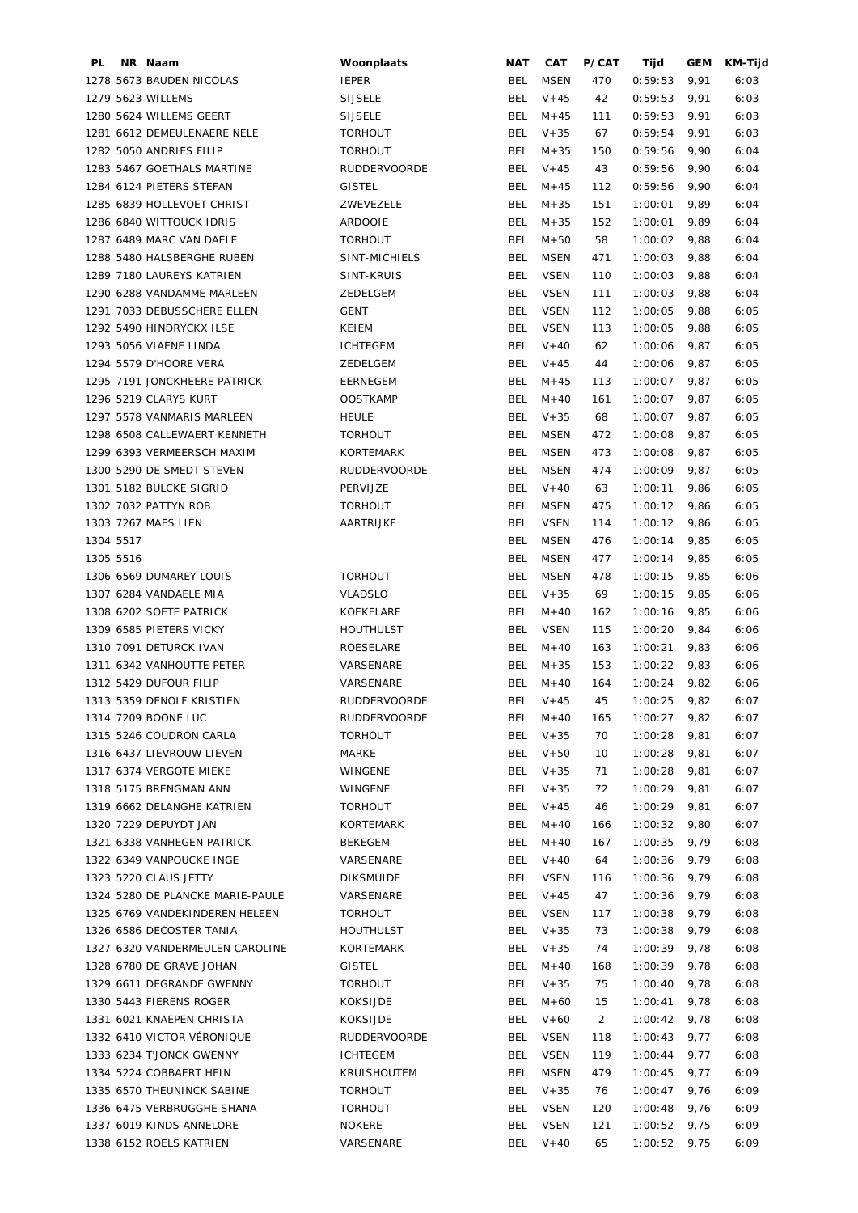| PL        | NR Naam                          | Woonplaats          | <b>NAT</b>        | <b>CAT</b>  | P/CAT          | Tijd           | <b>GEM</b> | KM-Tijd |
|-----------|----------------------------------|---------------------|-------------------|-------------|----------------|----------------|------------|---------|
|           | 1278 5673 BAUDEN NICOLAS         | <b>IEPER</b>        | <b>BEL</b>        | <b>MSEN</b> | 470            | 0:59:53        | 9,91       | 6:03    |
|           | 1279 5623 WILLEMS                | <b>SIJSELE</b>      | BEL               | $V + 45$    | 42             | 0:59:53        | 9,91       | 6:03    |
|           | 1280 5624 WILLEMS GEERT          | <b>SIJSELE</b>      | BEL               | $M + 45$    | 111            | 0:59:53        | 9,91       | 6:03    |
|           | 1281 6612 DEMEULENAERE NELE      | <b>TORHOUT</b>      | BEL               | $V + 35$    | 67             | 0:59:54        | 9,91       | 6:03    |
|           | 1282 5050 ANDRIES FILIP          | <b>TORHOUT</b>      | BEL               | $M + 35$    | 150            | 0:59:56        | 9,90       | 6:04    |
|           | 1283 5467 GOETHALS MARTINE       | <b>RUDDERVOORDE</b> | BEL               | $V + 45$    | 43             | 0:59:56        | 9,90       | 6:04    |
|           | 1284 6124 PIETERS STEFAN         | <b>GISTEL</b>       | <b>BEL</b>        | $M + 45$    | 112            | 0:59:56        | 9,90       | 6:04    |
|           | 1285 6839 HOLLEVOET CHRIST       | ZWEVEZELE           | <b>BEL</b>        | $M + 35$    | 151            | 1:00:01        | 9,89       | 6:04    |
|           | 1286 6840 WITTOUCK IDRIS         | ARDOOIE             | <b>BEL</b>        | $M + 35$    | 152            | 1:00:01        | 9,89       | 6:04    |
|           | 1287 6489 MARC VAN DAELE         | <b>TORHOUT</b>      | <b>BEL</b>        | $M + 50$    | 58             | 1:00:02        | 9,88       | 6:04    |
|           | 1288 5480 HALSBERGHE RUBEN       | SINT-MICHIELS       | <b>BEL</b>        | <b>MSEN</b> | 471            | 1:00:03        | 9,88       | 6:04    |
|           | 1289 7180 LAUREYS KATRIEN        | SINT-KRUIS          | BEL               | <b>VSEN</b> | 110            | 1:00:03        | 9,88       | 6:04    |
|           | 1290 6288 VANDAMME MARLEEN       | ZEDELGEM            | <b>BEL</b>        | <b>VSEN</b> | 111            | 1:00:03        | 9,88       | 6:04    |
|           | 1291 7033 DEBUSSCHERE ELLEN      | GENT                | BEL               | <b>VSEN</b> | 112            | 1:00:05        | 9,88       | 6:05    |
|           | 1292 5490 HINDRYCKX ILSE         | KEIEM               | BEL               | <b>VSEN</b> | 113            | 1:00:05        | 9,88       | 6:05    |
|           | 1293 5056 VIAENE LINDA           | <b>ICHTEGEM</b>     | BEL               | $V + 40$    | 62             | 1:00:06        | 9,87       | 6:05    |
|           | 1294 5579 D'HOORE VERA           | ZEDELGEM            | BEL               | $V + 45$    | 44             | 1:00:06        | 9,87       | 6:05    |
|           | 1295 7191 JONCKHEERE PATRICK     | EERNEGEM            | BEL               | $M + 45$    | 113            | 1:00:07        | 9,87       | 6:05    |
|           | 1296 5219 CLARYS KURT            | <b>OOSTKAMP</b>     | BEL               | $M + 40$    | 161            | 1:00:07        | 9,87       | 6:05    |
|           | 1297 5578 VANMARIS MARLEEN       | <b>HEULE</b>        | BEL               | $V + 35$    | 68             | 1:00:07        | 9,87       | 6:05    |
|           | 1298 6508 CALLEWAERT KENNETH     | <b>TORHOUT</b>      | BEL               | <b>MSEN</b> | 472            | 1:00:08        | 9,87       | 6:05    |
|           | 1299 6393 VERMEERSCH MAXIM       | <b>KORTEMARK</b>    | BEL               | <b>MSEN</b> | 473            | 1:00:08        | 9,87       | 6:05    |
|           | 1300 5290 DE SMEDT STEVEN        | <b>RUDDERVOORDE</b> | <b>BEL</b>        | <b>MSEN</b> | 474            | 1:00:09        | 9,87       | 6:05    |
|           |                                  |                     |                   |             |                |                |            |         |
|           | 1301 5182 BULCKE SIGRID          | PERVIJZE            | BEL<br><b>BEL</b> | $V + 40$    | 63             | 1:00:11        | 9,86       | 6:05    |
|           | 1302 7032 PATTYN ROB             | <b>TORHOUT</b>      |                   | <b>MSEN</b> | 475            | 1:00:12        | 9,86       | 6:05    |
|           | 1303 7267 MAES LIEN              | AARTRIJKE           | <b>BEL</b>        | <b>VSEN</b> | 114            | 1:00:12        | 9,86       | 6:05    |
| 1304 5517 |                                  |                     | BEL               | <b>MSEN</b> | 476            | 1:00:14        | 9,85       | 6:05    |
| 1305 5516 |                                  |                     | BEL               | <b>MSEN</b> | 477            | 1:00:14        | 9,85       | 6:05    |
|           | 1306 6569 DUMAREY LOUIS          | <b>TORHOUT</b>      | BEL               | <b>MSEN</b> | 478            | 1:00:15        | 9,85       | 6:06    |
|           | 1307 6284 VANDAELE MIA           | <b>VLADSLO</b>      | <b>BEL</b>        | $V + 35$    | 69             | 1:00:15        | 9,85       | 6:06    |
|           | 1308 6202 SOETE PATRICK          | KOEKELARE           | <b>BEL</b>        | $M + 40$    | 162            | 1:00:16        | 9,85       | 6:06    |
|           | 1309 6585 PIETERS VICKY          | <b>HOUTHULST</b>    | BEL               | <b>VSEN</b> | 115            | 1:00:20        | 9,84       | 6:06    |
|           | 1310 7091 DETURCK IVAN           | ROESELARE           | <b>BEL</b>        | $M + 40$    | 163            | 1:00:21        | 9,83       | 6:06    |
|           | 1311 6342 VANHOUTTE PETER        | VARSENARE           | BEL               | $M + 35$    | 153            | 1:00:22        | 9,83       | 6:06    |
|           | 1312 5429 DUFOUR FILIP           | VARSENARE           | BEL               | $M + 40$    | 164            | 1:00:24        | 9,82       | 6:06    |
|           | 1313 5359 DENOLF KRISTIEN        | RUDDERVOORDE        |                   | BEL V+45    | 45             | $1:00:25$ 9,82 |            | 6:07    |
|           | 1314 7209 BOONE LUC              | RUDDERVOORDE        |                   | BEL M+40    | 165            | $1:00:27$ 9,82 |            | 6:07    |
|           | 1315 5246 COUDRON CARLA          | <b>TORHOUT</b>      |                   | BEL V+35    | 70             | 1:00:28        | 9,81       | 6:07    |
|           | 1316 6437 LIEVROUW LIEVEN        | MARKE               |                   | BEL V+50    | 10             | 1:00:28        | 9,81       | 6:07    |
|           | 1317 6374 VERGOTE MIEKE          | WINGENE             |                   | BEL V+35    | 71             | 1:00:28        | 9,81       | 6:07    |
|           | 1318 5175 BRENGMAN ANN           | WINGENE             |                   | BEL V+35    | 72             | 1:00:29        | 9,81       | 6:07    |
|           | 1319 6662 DELANGHE KATRIEN       | <b>TORHOUT</b>      |                   | BEL V+45    | 46             | 1:00:29        | 9,81       | 6:07    |
|           | 1320 7229 DEPUYDT JAN            | KORTEMARK           | BEL               | M+40        | 166            | $1:00:32$ 9,80 |            | 6:07    |
|           | 1321 6338 VANHEGEN PATRICK       | BEKEGEM             | BEL               | $M+40$      | 167            | $1:00:35$ 9,79 |            | 6:08    |
|           | 1322 6349 VANPOUCKE INGE         | VARSENARE           | BEL               | $V + 40$    | 64             | 1:00:36        | 9,79       | 6:08    |
|           | 1323 5220 CLAUS JETTY            | <b>DIKSMUIDE</b>    | BEL               | VSEN        | 116            | 1:00:36        | 9,79       | 6:08    |
|           | 1324 5280 DE PLANCKE MARIE-PAULE | VARSENARE           | BEL               | $V + 45$    | 47             | 1:00:36        | 9,79       | 6:08    |
|           | 1325 6769 VANDEKINDEREN HELEEN   | <b>TORHOUT</b>      | BEL               | <b>VSEN</b> | 117            | 1:00:38        | 9,79       | 6:08    |
|           | 1326 6586 DECOSTER TANIA         | <b>HOUTHULST</b>    |                   | BEL V+35    | 73             | 1:00:38        | 9,79       | 6:08    |
|           | 1327 6320 VANDERMEULEN CAROLINE  | KORTEMARK           |                   | BEL V+35    | 74             | 1:00:39        | 9,78       | 6:08    |
|           | 1328 6780 DE GRAVE JOHAN         | GISTEL              | BEL               | $M + 40$    | 168            | 1:00:39        | 9,78       | 6:08    |
|           | 1329 6611 DEGRANDE GWENNY        | <b>TORHOUT</b>      |                   | BEL V+35    | 75             | 1:00:40        | 9,78       | 6:08    |
|           | 1330 5443 FIERENS ROGER          | KOKSIJDE            | BEL               | $M + 60$    | 15             | 1:00:41        | 9,78       | 6:08    |
|           | 1331 6021 KNAEPEN CHRISTA        | KOKSIJDE            | BEL               | $V + 60$    | $\overline{2}$ | 1:00:42        | 9,78       | 6:08    |
|           | 1332 6410 VICTOR VÉRONIQUE       | <b>RUDDERVOORDE</b> | BEL               | VSEN        | 118            | 1:00:43        | 9,77       | 6:08    |
|           | 1333 6234 T'JONCK GWENNY         | ICHTEGEM            | BEL               | VSEN        | 119            | 1:00:44        | 9,77       | 6:08    |
|           | 1334 5224 COBBAERT HEIN          | <b>KRUISHOUTEM</b>  | BEL               | MSEN        | 479            | 1:00:45        | 9,77       | 6:09    |
|           | 1335 6570 THEUNINCK SABINE       | <b>TORHOUT</b>      | BEL               | $V + 35$    | 76             | 1:00:47        | 9,76       | 6:09    |
|           | 1336 6475 VERBRUGGHE SHANA       | <b>TORHOUT</b>      | BEL               | VSEN        | 120            | 1:00:48        | 9,76       | 6:09    |
|           | 1337 6019 KINDS ANNELORE         | <b>NOKERE</b>       | BEL               | VSEN        | 121            | $1:00:52$ 9,75 |            | 6:09    |
|           | 1338 6152 ROELS KATRIEN          | VARSENARE           | BEL               | $V + 40$    | 65             | 1:00:52        | 9,75       | 6:09    |
|           |                                  |                     |                   |             |                |                |            |         |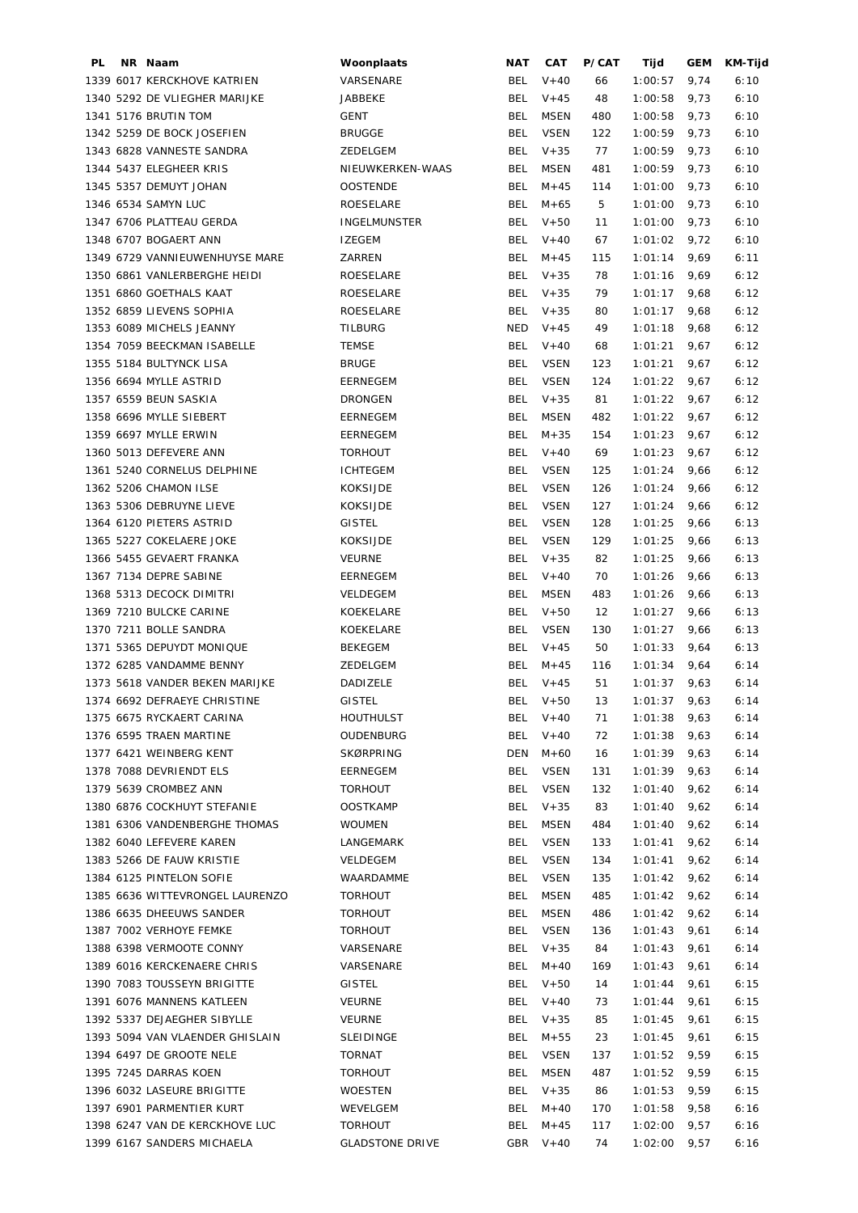| PL | NR Naam                         | Woonplaats             | NAT        | CAT          | P/CAT | Tijd           | GEM  | KM-Tijd |
|----|---------------------------------|------------------------|------------|--------------|-------|----------------|------|---------|
|    | 1339 6017 KERCKHOVE KATRIEN     | VARSENARE              | BEL        | $V + 40$     | 66    | 1:00:57        | 9,74 | 6:10    |
|    | 1340 5292 DE VLIEGHER MARIJKE   | <b>JABBEKE</b>         | BEL        | $V + 45$     | 48    | 1:00:58        | 9,73 | 6:10    |
|    | 1341 5176 BRUTIN TOM            | GENT                   | <b>BEL</b> | MSEN         | 480   | 1:00:58        | 9,73 | 6:10    |
|    | 1342 5259 DE BOCK JOSEFIEN      | <b>BRUGGE</b>          | <b>BEL</b> | <b>VSEN</b>  | 122   | 1:00:59        | 9,73 | 6:10    |
|    | 1343 6828 VANNESTE SANDRA       | ZEDELGEM               | BEL        | $V + 35$     | 77    | 1:00:59        | 9,73 | 6:10    |
|    | 1344 5437 ELEGHEER KRIS         | NIEUWKERKEN-WAAS       | <b>BEL</b> | MSEN         | 481   | 1:00:59        | 9,73 | 6:10    |
|    | 1345 5357 DEMUYT JOHAN          | <b>OOSTENDE</b>        | <b>BEL</b> | $M + 45$     | 114   | 1:01:00        | 9,73 | 6:10    |
|    | 1346 6534 SAMYN LUC             | ROESELARE              | BEL        | $M + 65$     | 5     | 1:01:00        | 9,73 | 6:10    |
|    | 1347 6706 PLATTEAU GERDA        | <b>INGELMUNSTER</b>    | BEL        | $V + 50$     | 11    | 1:01:00        | 9,73 | 6:10    |
|    | 1348 6707 BOGAERT ANN           | <b>IZEGEM</b>          | BEL        | $V + 40$     | 67    | 1:01:02        | 9,72 | 6:10    |
|    | 1349 6729 VANNIEUWENHUYSE MARE  | ZARREN                 | BEL        | $M + 45$     | 115   | 1:01:14        | 9,69 | 6:11    |
|    | 1350 6861 VANLERBERGHE HEIDI    | ROESELARE              | BEL        | $V + 35$     | 78    | 1:01:16        | 9,69 | 6:12    |
|    | 1351 6860 GOETHALS KAAT         | ROESELARE              |            | BEL V+35     | 79    | 1:01:17        | 9,68 | 6:12    |
|    | 1352 6859 LIEVENS SOPHIA        | ROESELARE              | BEL        | $V + 35$     | 80    | 1:01:17        | 9,68 | 6:12    |
|    | 1353 6089 MICHELS JEANNY        | <b>TILBURG</b>         |            | $NED$ $V+45$ | 49    | 1:01:18        | 9,68 | 6:12    |
|    | 1354 7059 BEECKMAN ISABELLE     | <b>TEMSE</b>           | BEL        | $V + 40$     | 68    | 1:01:21        | 9,67 | 6:12    |
|    | 1355 5184 BULTYNCK LISA         | <b>BRUGE</b>           | <b>BEL</b> |              |       | 1:01:21        |      |         |
|    |                                 |                        |            | <b>VSEN</b>  | 123   |                | 9,67 | 6:12    |
|    | 1356 6694 MYLLE ASTRID          | <b>EERNEGEM</b>        | <b>BEL</b> | <b>VSEN</b>  | 124   | 1:01:22        | 9,67 | 6:12    |
|    | 1357 6559 BEUN SASKIA           | <b>DRONGEN</b>         | BEL        | $V + 35$     | 81    | 1:01:22        | 9,67 | 6:12    |
|    | 1358 6696 MYLLE SIEBERT         | <b>EERNEGEM</b>        | BEL        | MSEN         | 482   | 1:01:22        | 9,67 | 6:12    |
|    | 1359 6697 MYLLE ERWIN           | EERNEGEM               | BEL        | $M + 35$     | 154   | 1:01:23        | 9,67 | 6:12    |
|    | 1360 5013 DEFEVERE ANN          | <b>TORHOUT</b>         | BEL        | $V + 40$     | 69    | 1:01:23        | 9,67 | 6:12    |
|    | 1361 5240 CORNELUS DELPHINE     | <b>ICHTEGEM</b>        | <b>BEL</b> | <b>VSEN</b>  | 125   | 1:01:24        | 9,66 | 6:12    |
|    | 1362 5206 CHAMON ILSE           | <b>KOKSIJDE</b>        | BEL        | <b>VSEN</b>  | 126   | 1:01:24        | 9,66 | 6:12    |
|    | 1363 5306 DEBRUYNE LIEVE        | <b>KOKSIJDE</b>        | <b>BEL</b> | <b>VSEN</b>  | 127   | 1:01:24        | 9,66 | 6:12    |
|    | 1364 6120 PIETERS ASTRID        | <b>GISTEL</b>          | <b>BEL</b> | <b>VSEN</b>  | 128   | 1:01:25        | 9,66 | 6:13    |
|    | 1365 5227 COKELAERE JOKE        | <b>KOKSIJDE</b>        | <b>BEL</b> | <b>VSEN</b>  | 129   | 1:01:25        | 9,66 | 6:13    |
|    | 1366 5455 GEVAERT FRANKA        | <b>VEURNE</b>          | <b>BEL</b> | $V + 35$     | 82    | 1:01:25        | 9,66 | 6:13    |
|    | 1367 7134 DEPRE SABINE          | EERNEGEM               | BEL        | $V + 40$     | 70    | 1:01:26        | 9,66 | 6:13    |
|    | 1368 5313 DECOCK DIMITRI        | VELDEGEM               | BEL        | MSEN         | 483   | 1:01:26        | 9,66 | 6:13    |
|    | 1369 7210 BULCKE CARINE         | KOEKELARE              | <b>BEL</b> | $V + 50$     | 12    | 1:01:27        | 9,66 | 6:13    |
|    | 1370 7211 BOLLE SANDRA          | KOEKELARE              | BEL        | <b>VSEN</b>  | 130   | 1:01:27        | 9,66 | 6:13    |
|    | 1371 5365 DEPUYDT MONIQUE       | <b>BEKEGEM</b>         | BEL        | $V + 45$     | 50    | 1:01:33        | 9,64 | 6:13    |
|    | 1372 6285 VANDAMME BENNY        | ZEDELGEM               | BEL        | $M + 45$     | 116   | 1:01:34        | 9,64 | 6:14    |
|    | 1373 5618 VANDER BEKEN MARIJKE  | <b>DADIZELE</b>        |            | BEL $V+45$   | 51    | 1:01:37        | 9,63 | 6:14    |
|    | 1374 6692 DEFRAEYE CHRISTINE    | <b>GISTEL</b>          |            | BEL V+50     | 13    | $1:01:37$ 9,63 |      | 6:14    |
|    | 1375 6675 RYCKAERT CARINA       | <b>HOUTHULST</b>       |            | BEL V+40     | 71    | $1:01:38$ 9,63 |      | 6:14    |
|    | 1376 6595 TRAEN MARTINE         | OUDENBURG              | BEL        | $V + 40$     | 72    | 1:01:38        | 9,63 | 6:14    |
|    | 1377 6421 WEINBERG KENT         | <b>SKØRPRING</b>       | DEN        | M+60         | 16    | $1:01:39$ 9,63 |      | 6:14    |
|    | 1378 7088 DEVRIENDT ELS         | EERNEGEM               | BEL        | VSEN         | 131   | $1:01:39$ 9,63 |      | 6:14    |
|    | 1379 5639 CROMBEZ ANN           | TORHOUT                | BEL        | VSEN         | 132   | $1:01:40$ 9,62 |      | 6:14    |
|    | 1380 6876 COCKHUYT STEFANIE     | <b>OOSTKAMP</b>        |            | BEL V+35     | 83    | $1:01:40$ 9,62 |      | 6:14    |
|    | 1381 6306 VANDENBERGHE THOMAS   | WOUMEN                 | BEL        | <b>MSEN</b>  | 484   | $1:01:40$ 9,62 |      | 6:14    |
|    | 1382 6040 LEFEVERE KAREN        | LANGEMARK              | BEL        | VSEN         | 133   | $1:01:41$ 9,62 |      | 6:14    |
|    | 1383 5266 DE FAUW KRISTIE       | VELDEGEM               | BEL        | <b>VSEN</b>  | 134   | 1:01:41        | 9,62 | 6:14    |
|    |                                 |                        |            |              |       |                |      |         |
|    | 1384 6125 PINTELON SOFIE        | WAARDAMME              | BEL        | VSEN         | 135   | $1:01:42$ 9,62 |      | 6:14    |
|    | 1385 6636 WITTEVRONGEL LAURENZO | <b>TORHOUT</b>         | BEL        | MSEN         | 485   | $1:01:42$ 9,62 |      | 6:14    |
|    | 1386 6635 DHEEUWS SANDER        | <b>TORHOUT</b>         | BEL        | <b>MSEN</b>  | 486   | $1:01:42$ 9,62 |      | 6:14    |
|    | 1387 7002 VERHOYE FEMKE         | <b>TORHOUT</b>         | BEL        | VSEN         | 136   | $1:01:43$ 9,61 |      | 6:14    |
|    | 1388 6398 VERMOOTE CONNY        | VARSENARE              |            | BEL V+35     | 84    | $1:01:43$ 9,61 |      | 6:14    |
|    | 1389 6016 KERCKENAERE CHRIS     | VARSENARE              | BEL        | $M+40$       | 169   | $1:01:43$ 9,61 |      | 6:14    |
|    | 1390 7083 TOUSSEYN BRIGITTE     | GISTEL                 |            | BEL V+50     | 14    | $1:01:44$ 9,61 |      | 6:15    |
|    | 1391 6076 MANNENS KATLEEN       | <b>VEURNE</b>          |            | BEL V+40     | 73    | $1:01:44$ 9,61 |      | 6:15    |
|    | 1392 5337 DEJAEGHER SIBYLLE     | VEURNE                 |            | BEL V+35     | 85    | $1:01:45$ 9,61 |      | 6:15    |
|    | 1393 5094 VAN VLAENDER GHISLAIN | SLEIDINGE              | BEL        | $M + 55$     | 23    | 1:01:45        | 9,61 | 6:15    |
|    | 1394 6497 DE GROOTE NELE        | TORNAT                 | BEL        | VSEN         | 137   | 1:01:52        | 9,59 | 6:15    |
|    | 1395 7245 DARRAS KOEN           | <b>TORHOUT</b>         | BEL        | <b>MSEN</b>  | 487   | 1:01:52        | 9,59 | 6:15    |
|    | 1396 6032 LASEURE BRIGITTE      | WOESTEN                | BEL        | $V + 35$     | 86    | 1:01:53        | 9,59 | 6:15    |
|    | 1397 6901 PARMENTIER KURT       | WEVELGEM               | BEL        | $M+40$       | 170   | $1:01:58$ 9,58 |      | 6:16    |
|    | 1398 6247 VAN DE KERCKHOVE LUC  | <b>TORHOUT</b>         |            | BEL $M+45$   | 117   | $1:02:00$ 9,57 |      | 6:16    |
|    | 1399 6167 SANDERS MICHAELA      | <b>GLADSTONE DRIVE</b> |            | GBR $V+40$   | 74    | $1:02:00$ 9,57 |      | 6:16    |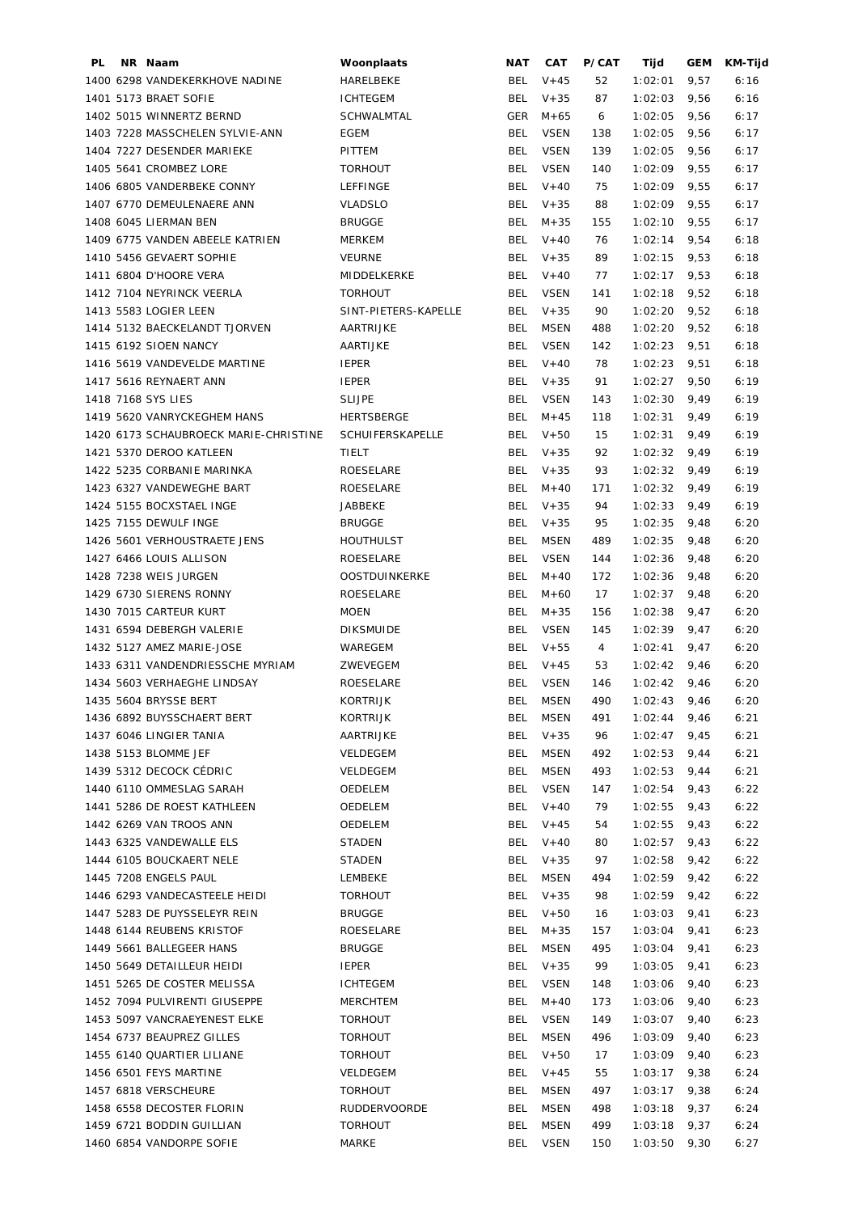| PL | NR Naam                               | Woonplaats              | NAT        | <b>CAT</b>  | P/CAT | Tijd           | GEM  | KM-Tijd |
|----|---------------------------------------|-------------------------|------------|-------------|-------|----------------|------|---------|
|    | 1400 6298 VANDEKERKHOVE NADINE        | HARELBEKE               | BEL        | $V + 45$    | 52    | 1:02:01        | 9,57 | 6:16    |
|    | 1401 5173 BRAET SOFIE                 | <b>ICHTEGEM</b>         | BEL        | $V + 35$    | 87    | 1:02:03        | 9,56 | 6:16    |
|    | 1402 5015 WINNERTZ BERND              | SCHWALMTAL              | GER        | M+65        | 6     | 1:02:05        | 9,56 | 6:17    |
|    | 1403 7228 MASSCHELEN SYLVIE-ANN       | EGEM                    | <b>BEL</b> | <b>VSEN</b> | 138   | 1:02:05        | 9,56 | 6:17    |
|    | 1404 7227 DESENDER MARIEKE            | PITTEM                  | <b>BEL</b> | <b>VSEN</b> | 139   | 1:02:05        | 9,56 | 6:17    |
|    | 1405 5641 CROMBEZ LORE                | <b>TORHOUT</b>          | <b>BEL</b> | <b>VSEN</b> | 140   | 1:02:09        | 9,55 | 6:17    |
|    | 1406 6805 VANDERBEKE CONNY            | LEFFINGE                | <b>BEL</b> | $V + 40$    | 75    | 1:02:09        | 9,55 | 6:17    |
|    | 1407 6770 DEMEULENAERE ANN            | <b>VLADSLO</b>          | BEL        | $V + 35$    | 88    | 1:02:09        | 9,55 | 6:17    |
|    | 1408 6045 LIERMAN BEN                 | <b>BRUGGE</b>           | BEL        | $M + 35$    | 155   | 1:02:10        | 9,55 | 6:17    |
|    | 1409 6775 VANDEN ABEELE KATRIEN       | <b>MERKEM</b>           | BEL        | $V + 40$    | 76    | 1:02:14        | 9,54 | 6:18    |
|    | 1410 5456 GEVAERT SOPHIE              | <b>VEURNE</b>           | BEL        | $V + 35$    | 89    | 1:02:15        | 9,53 | 6:18    |
|    | 1411 6804 D'HOORE VERA                | MIDDELKERKE             | BEL        | $V + 40$    | 77    | 1:02:17        | 9,53 | 6:18    |
|    | 1412 7104 NEYRINCK VEERLA             | <b>TORHOUT</b>          | BEL        | <b>VSEN</b> | 141   | 1:02:18        | 9,52 | 6:18    |
|    | 1413 5583 LOGIER LEEN                 | SINT-PIETERS-KAPELLE    | BEL        | $V + 35$    | 90    | 1:02:20        | 9,52 | 6:18    |
|    | 1414 5132 BAECKELANDT TJORVEN         | AARTRIJKE               | BEL        | MSEN        | 488   | 1:02:20        | 9,52 | 6:18    |
|    | 1415 6192 SIOEN NANCY                 | AARTIJKE                | BEL        | <b>VSEN</b> | 142   | 1:02:23        | 9,51 | 6:18    |
|    | 1416 5619 VANDEVELDE MARTINE          | <b>IEPER</b>            | BEL        | $V + 40$    | 78    | 1:02:23        | 9,51 | 6:18    |
|    | 1417 5616 REYNAERT ANN                | <b>IEPER</b>            | BEL        | $V + 35$    | 91    | 1:02:27        | 9,50 | 6:19    |
|    | 1418 7168 SYS LIES                    | <b>SLIJPE</b>           | BEL        | VSEN        | 143   | 1:02:30        | 9,49 | 6:19    |
|    | 1419 5620 VANRYCKEGHEM HANS           | HERTSBERGE              | BEL        | $M + 45$    | 118   | 1:02:31        | 9,49 | 6:19    |
|    | 1420 6173 SCHAUBROECK MARIE-CHRISTINE | <b>SCHUIFERSKAPELLE</b> | BEL        | $V+50$      | 15    | 1:02:31        | 9,49 | 6:19    |
|    | 1421 5370 DEROO KATLEEN               | TIELT                   |            | BEL $V+35$  | 92    | 1:02:32        | 9,49 | 6:19    |
|    | 1422 5235 CORBANIE MARINKA            | ROESELARE               | BEL        | $V + 35$    | 93    | 1:02:32        | 9,49 | 6:19    |
|    | 1423 6327 VANDEWEGHE BART             | ROESELARE               | BEL        | $M + 40$    | 171   | 1:02:32        | 9,49 | 6:19    |
|    | 1424 5155 BOCXSTAEL INGE              | JABBEKE                 | BEL        | $V + 35$    | 94    | 1:02:33        | 9,49 | 6:19    |
|    | 1425 7155 DEWULF INGE                 | <b>BRUGGE</b>           | <b>BEL</b> | $V + 35$    | 95    | 1:02:35        | 9,48 | 6:20    |
|    | 1426 5601 VERHOUSTRAETE JENS          | <b>HOUTHULST</b>        | <b>BEL</b> | <b>MSEN</b> | 489   | 1:02:35        | 9,48 | 6:20    |
|    | 1427 6466 LOUIS ALLISON               | ROESELARE               | <b>BEL</b> | <b>VSEN</b> | 144   | 1:02:36        | 9,48 | 6:20    |
|    | 1428 7238 WEIS JURGEN                 | OOSTDUINKERKE           | <b>BEL</b> | $M + 40$    | 172   | 1:02:36        | 9,48 | 6:20    |
|    | 1429 6730 SIERENS RONNY               | ROESELARE               | BEL        | $M + 60$    | 17    | 1:02:37        |      | 6:20    |
|    |                                       |                         |            |             |       |                | 9,48 |         |
|    | 1430 7015 CARTEUR KURT                | <b>MOEN</b>             | <b>BEL</b> | $M + 35$    | 156   | 1:02:38        | 9,47 | 6:20    |
|    | 1431 6594 DEBERGH VALERIE             | <b>DIKSMUIDE</b>        | BEL        | <b>VSEN</b> | 145   | 1:02:39        | 9,47 | 6:20    |
|    | 1432 5127 AMEZ MARIE-JOSE             | WAREGEM                 |            | BEL V+55    | 4     | 1:02:41        | 9,47 | 6:20    |
|    | 1433 6311 VANDENDRIESSCHE MYRIAM      | ZWEVEGEM                | BEL        | $V + 45$    | 53    | 1:02:42        | 9,46 | 6:20    |
|    | 1434 5603 VERHAEGHE LINDSAY           | ROESELARE               | BEL        | VSEN        | 146   | $1:02:42$ 9,46 |      | 6:20    |
|    | 1435 5604 BRYSSE BERT                 | KORTRIJK                |            | BEL MSEN    | 490   | $1:02:43$ 9,46 |      | 6:20    |
|    | 1436 6892 BUYSSCHAERT BERT            | KORTRIJK                |            | BEL MSEN    | 491   | $1:02:44$ 9,46 |      | 6:21    |
|    | 1437 6046 LINGIER TANIA               | AARTRIJKE               |            | BEL V+35    | 96    | 1:02:47        | 9,45 | 6:21    |
|    | 1438 5153 BLOMME JEF                  | VELDEGEM                | BEL        | <b>MSEN</b> | 492   | 1:02:53        | 9,44 | 6:21    |
|    | 1439 5312 DECOCK CÉDRIC               | VELDEGEM                | BEL        | <b>MSEN</b> | 493   | 1:02:53        | 9,44 | 6:21    |
|    | 1440 6110 OMMESLAG SARAH              | OEDELEM                 |            | BEL VSEN    | 147   | $1:02:54$ 9,43 |      | 6:22    |
|    | 1441 5286 DE ROEST KATHLEEN           | OEDELEM                 |            | BEL V+40    | 79    | $1:02:55$ 9,43 |      | 6:22    |
|    | 1442 6269 VAN TROOS ANN               | OEDELEM                 |            | BEL $V+45$  | 54    | $1:02:55$ 9,43 |      | 6:22    |
|    | 1443 6325 VANDEWALLE ELS              | STADEN                  |            | BEL V+40    | 80    | $1:02:57$ 9,43 |      | 6:22    |
|    | 1444 6105 BOUCKAERT NELE              | STADEN                  |            | BEL $V+35$  | 97    | 1:02:58        | 9,42 | 6:22    |
|    | 1445 7208 ENGELS PAUL                 | LEMBEKE                 | BEL        | <b>MSEN</b> | 494   | 1:02:59        | 9,42 | 6:22    |
|    | 1446 6293 VANDECASTEELE HEIDI         | <b>TORHOUT</b>          |            | BEL $V+35$  | 98    | $1:02:59$ 9,42 |      | 6:22    |
|    | 1447 5283 DE PUYSSELEYR REIN          | <b>BRUGGE</b>           |            | BEL V+50    | 16    | $1:03:03$ 9,41 |      | 6:23    |
|    | 1448 6144 REUBENS KRISTOF             | ROESELARE               | BEL        | $M + 35$    | 157   | 1:03:04        | 9,41 | 6:23    |
|    | 1449 5661 BALLEGEER HANS              | <b>BRUGGE</b>           | BEL        | <b>MSEN</b> | 495   | 1:03:04        | 9,41 | 6:23    |
|    | 1450 5649 DETAILLEUR HEIDI            | <b>IEPER</b>            |            | BEL $V+35$  | 99    | 1:03:05        | 9,41 | 6:23    |
|    | 1451 5265 DE COSTER MELISSA           | <b>ICHTEGEM</b>         |            | BEL VSEN    | 148   | 1:03:06        | 9,40 | 6:23    |
|    | 1452 7094 PULVIRENTI GIUSEPPE         | MERCHTEM                | BEL        | $M + 40$    | 173   | 1:03:06        | 9,40 | 6:23    |
|    | 1453 5097 VANCRAEYENEST ELKE          | <b>TORHOUT</b>          | BEL        | VSEN        | 149   | 1:03:07        | 9,40 | 6:23    |
|    | 1454 6737 BEAUPREZ GILLES             | <b>TORHOUT</b>          | <b>BEL</b> | <b>MSEN</b> | 496   | 1:03:09        | 9,40 | 6:23    |
|    | 1455 6140 QUARTIER LILIANE            | <b>TORHOUT</b>          | BEL        | $V + 50$    | 17    | 1:03:09        | 9,40 | 6:23    |
|    | 1456 6501 FEYS MARTINE                | VELDEGEM                | BEL        | $V + 45$    | 55    | 1:03:17        | 9,38 | 6:24    |
|    | 1457 6818 VERSCHEURE                  | <b>TORHOUT</b>          | <b>BEL</b> | <b>MSEN</b> | 497   | 1:03:17        | 9,38 | 6:24    |
|    | 1458 6558 DECOSTER FLORIN             | <b>RUDDERVOORDE</b>     | BEL        | <b>MSEN</b> | 498   | 1:03:18        | 9,37 | 6:24    |
|    | 1459 6721 BODDIN GUILLIAN             | <b>TORHOUT</b>          | BEL        | MSEN        | 499   | $1:03:18$ 9,37 |      | 6:24    |
|    | 1460 6854 VANDORPE SOFIE              | MARKE                   |            | BEL VSEN    | 150   | $1:03:50$ 9,30 |      | 6:27    |
|    |                                       |                         |            |             |       |                |      |         |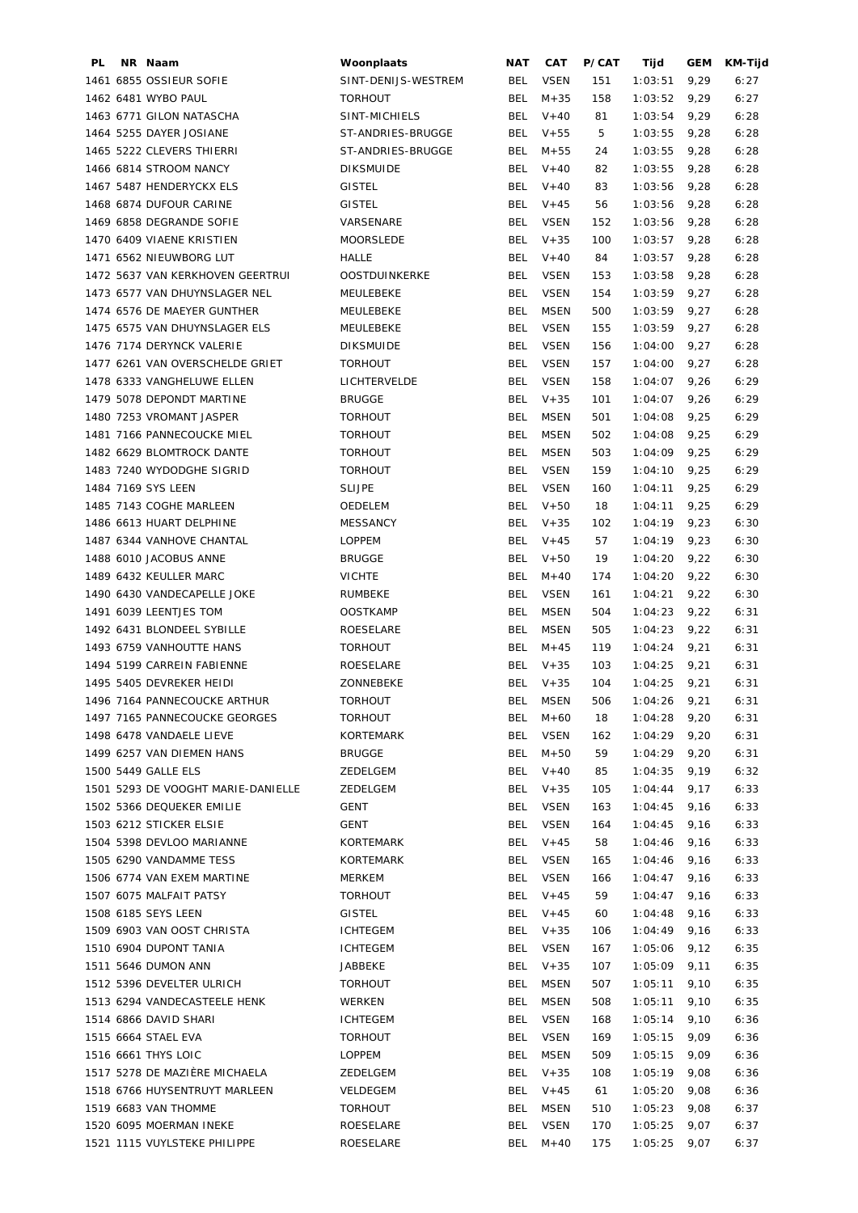| PL. | NR Naam                            | Woonplaats           | <b>NAT</b> | CAT         | P/CAT | Tijd           | GEM  | KM-Tijd |
|-----|------------------------------------|----------------------|------------|-------------|-------|----------------|------|---------|
|     | 1461 6855 OSSIEUR SOFIE            | SINT-DENIJS-WESTREM  | BEL        | <b>VSEN</b> | 151   | 1:03:51        | 9,29 | 6:27    |
|     | 1462 6481 WYBO PAUL                | <b>TORHOUT</b>       | BEL        | $M + 35$    | 158   | 1:03:52        | 9,29 | 6:27    |
|     | 1463 6771 GILON NATASCHA           | SINT-MICHIELS        | BEL        | $V + 40$    | 81    | 1:03:54        | 9,29 | 6:28    |
|     | 1464 5255 DAYER JOSIANE            | ST-ANDRIES-BRUGGE    | <b>BEL</b> | $V + 55$    | 5     | 1:03:55        | 9,28 | 6:28    |
|     | 1465 5222 CLEVERS THIERRI          | ST-ANDRIES-BRUGGE    | BEL        | $M + 55$    | 24    | 1:03:55        | 9,28 | 6:28    |
|     | 1466 6814 STROOM NANCY             | <b>DIKSMUIDE</b>     | <b>BEL</b> | $V + 40$    | 82    | 1:03:55        | 9,28 | 6:28    |
|     | 1467 5487 HENDERYCKX ELS           | <b>GISTEL</b>        | BEL        | $V + 40$    | 83    | 1:03:56        | 9,28 | 6:28    |
|     |                                    |                      | <b>BEL</b> | $V + 45$    |       |                |      |         |
|     | 1468 6874 DUFOUR CARINE            | <b>GISTEL</b>        |            |             | 56    | 1:03:56        | 9,28 | 6:28    |
|     | 1469 6858 DEGRANDE SOFIE           | VARSENARE            | <b>BEL</b> | <b>VSEN</b> | 152   | 1:03:56        | 9,28 | 6:28    |
|     | 1470 6409 VIAENE KRISTIEN          | MOORSLEDE            | BEL        | $V + 35$    | 100   | 1:03:57        | 9,28 | 6:28    |
|     | 1471 6562 NIEUWBORG LUT            | HALLE                | BEL        | $V + 40$    | 84    | 1:03:57        | 9,28 | 6:28    |
|     | 1472 5637 VAN KERKHOVEN GEERTRUI   | <b>OOSTDUINKERKE</b> | BEL        | <b>VSEN</b> | 153   | 1:03:58        | 9,28 | 6:28    |
|     | 1473 6577 VAN DHUYNSLAGER NEL      | MEULEBEKE            | <b>BEL</b> | <b>VSEN</b> | 154   | 1:03:59        | 9,27 | 6:28    |
|     | 1474 6576 DE MAEYER GUNTHER        | MEULEBEKE            | <b>BEL</b> | <b>MSEN</b> | 500   | 1:03:59        | 9,27 | 6:28    |
|     | 1475 6575 VAN DHUYNSLAGER ELS      | MEULEBEKE            | BEL        | VSEN        | 155   | 1:03:59        | 9,27 | 6:28    |
|     | 1476 7174 DERYNCK VALERIE          | <b>DIKSMUIDE</b>     | <b>BEL</b> | <b>VSEN</b> | 156   | 1:04:00        | 9,27 | 6:28    |
|     | 1477 6261 VAN OVERSCHELDE GRIET    | <b>TORHOUT</b>       | <b>BEL</b> | <b>VSEN</b> | 157   | 1:04:00        | 9,27 | 6:28    |
|     | 1478 6333 VANGHELUWE ELLEN         | LICHTERVELDE         | <b>BEL</b> | <b>VSEN</b> | 158   | 1:04:07        | 9,26 | 6:29    |
|     | 1479 5078 DEPONDT MARTINE          | <b>BRUGGE</b>        | BEL        | $V + 35$    | 101   | 1:04:07        | 9,26 | 6:29    |
|     | 1480 7253 VROMANT JASPER           | <b>TORHOUT</b>       | BEL        | MSEN        | 501   | 1:04:08        | 9,25 | 6:29    |
|     | 1481 7166 PANNECOUCKE MIEL         | <b>TORHOUT</b>       | <b>BEL</b> | <b>MSEN</b> | 502   | 1:04:08        | 9,25 | 6:29    |
|     | 1482 6629 BLOMTROCK DANTE          | <b>TORHOUT</b>       | <b>BEL</b> | <b>MSEN</b> | 503   | 1:04:09        | 9,25 | 6:29    |
|     |                                    |                      |            |             |       |                |      |         |
|     | 1483 7240 WYDODGHE SIGRID          | <b>TORHOUT</b>       | <b>BEL</b> | VSEN        | 159   | 1:04:10        | 9,25 | 6:29    |
|     | 1484 7169 SYS LEEN                 | <b>SLIJPE</b>        | <b>BEL</b> | <b>VSEN</b> | 160   | 1:04:11        | 9,25 | 6:29    |
|     | 1485 7143 COGHE MARLEEN            | OEDELEM              | BEL        | $V + 50$    | 18    | 1:04:11        | 9,25 | 6:29    |
|     | 1486 6613 HUART DELPHINE           | <b>MESSANCY</b>      | <b>BEL</b> | $V + 35$    | 102   | 1:04:19        | 9,23 | 6:30    |
|     | 1487 6344 VANHOVE CHANTAL          | <b>LOPPEM</b>        | <b>BEL</b> | $V + 45$    | 57    | 1:04:19        | 9,23 | 6:30    |
|     | 1488 6010 JACOBUS ANNE             | <b>BRUGGE</b>        | <b>BEL</b> | $V + 50$    | 19    | 1:04:20        | 9,22 | 6:30    |
|     | 1489 6432 KEULLER MARC             | <b>VICHTE</b>        | <b>BEL</b> | $M + 40$    | 174   | 1:04:20        | 9,22 | 6:30    |
|     | 1490 6430 VANDECAPELLE JOKE        | RUMBEKE              | <b>BEL</b> | <b>VSEN</b> | 161   | 1:04:21        | 9,22 | 6:30    |
|     | 1491 6039 LEENTJES TOM             | <b>OOSTKAMP</b>      | <b>BEL</b> | <b>MSEN</b> | 504   | 1:04:23        | 9,22 | 6:31    |
|     | 1492 6431 BLONDEEL SYBILLE         | ROESELARE            | <b>BEL</b> | <b>MSEN</b> | 505   | 1:04:23        | 9,22 | 6:31    |
|     | 1493 6759 VANHOUTTE HANS           | <b>TORHOUT</b>       | <b>BEL</b> | $M + 45$    | 119   | 1:04:24        | 9,21 | 6:31    |
|     | 1494 5199 CARREIN FABIENNE         | ROESELARE            | BEL        | $V + 35$    | 103   | 1:04:25        | 9,21 | 6:31    |
|     | 1495 5405 DEVREKER HEIDI           | ZONNEBEKE            | BEL        | $V + 35$    | 104   | 1:04:25        | 9,21 | 6:31    |
|     | 1496 7164 PANNECOUCKE ARTHUR       | TORHOUT              |            | BEL MSEN    | 506   | $1:04:26$ 9,21 |      | 6:31    |
|     | 1497 7165 PANNECOUCKE GEORGES      | <b>TORHOUT</b>       |            | BEL M+60    | 18    | $1:04:28$ 9,20 |      | 6:31    |
|     |                                    |                      |            |             |       |                |      |         |
|     | 1498 6478 VANDAELE LIEVE           | KORTEMARK            |            | BEL VSEN    | 162   | $1:04:29$ 9,20 |      | 6:31    |
|     | 1499 6257 VAN DIEMEN HANS          | <b>BRUGGE</b>        |            | BEL M+50    | 59    | $1:04:29$ 9,20 |      | 6:31    |
|     | 1500 5449 GALLE ELS                | ZEDELGEM             |            | BEL V+40    | 85    | $1:04:35$ 9,19 |      | 6:32    |
|     | 1501 5293 DE VOOGHT MARIE-DANIELLE | ZEDELGEM             |            | BEL V+35    | 105   | $1:04:44$ 9.17 |      | 6:33    |
|     | 1502 5366 DEQUEKER EMILIE          | GENT                 |            | BEL VSEN    | 163   | $1:04:45$ 9,16 |      | 6:33    |
|     | 1503 6212 STICKER ELSIE            | GENT                 |            | BEL VSEN    | 164   | $1:04:45$ 9,16 |      | 6:33    |
|     | 1504 5398 DEVLOO MARIANNE          | KORTEMARK            |            | BEL V+45    | 58    | $1:04:46$ 9,16 |      | 6:33    |
|     | 1505 6290 VANDAMME TESS            | KORTEMARK            |            | BEL VSEN    | 165   | $1:04:46$ 9,16 |      | 6:33    |
|     | 1506 6774 VAN EXEM MARTINE         | MERKEM               |            | BEL VSEN    | 166   | $1:04:47$ 9,16 |      | 6:33    |
|     | 1507 6075 MALFAIT PATSY            | <b>TORHOUT</b>       |            | BEL V+45    | 59    | $1:04:47$ 9,16 |      | 6:33    |
|     | 1508 6185 SEYS LEEN                | GISTEL               |            | BEL V+45    | 60    | 1:04:48        | 9,16 | 6:33    |
|     | 1509 6903 VAN OOST CHRISTA         | <b>ICHTEGEM</b>      |            | BEL V+35    | 106   | 1:04:49        | 9,16 | 6:33    |
|     | 1510 6904 DUPONT TANIA             | <b>ICHTEGEM</b>      | BEL        | VSEN        | 167   | 1:05:06        | 9,12 | 6:35    |
|     | 1511 5646 DUMON ANN                | JABBEKE              |            | BEL V+35    | 107   | 1:05:09        | 9,11 | 6:35    |
|     | 1512 5396 DEVELTER ULRICH          | <b>TORHOUT</b>       | BEL        | MSEN        | 507   | 1:05:11        | 9,10 | 6:35    |
|     | 1513 6294 VANDECASTEELE HENK       | WERKEN               | BEL        | MSEN        | 508   | 1:05:11        | 9,10 |         |
|     |                                    |                      |            |             |       |                |      | 6:35    |
|     | 1514 6866 DAVID SHARI              | <b>ICHTEGEM</b>      | BEL        | VSEN        | 168   | 1:05:14        | 9,10 | 6:36    |
|     | 1515 6664 STAEL EVA                | <b>TORHOUT</b>       | BEL        | VSEN        | 169   | 1:05:15        | 9,09 | 6:36    |
|     | 1516 6661 THYS LOIC                | LOPPEM               | BEL        | MSEN        | 509   | 1:05:15        | 9,09 | 6:36    |
|     | 1517 5278 DE MAZIÈRE MICHAELA      | ZEDELGEM             | BEL        | $V + 35$    | 108   | 1:05:19        | 9,08 | 6:36    |
|     | 1518 6766 HUYSENTRUYT MARLEEN      | VELDEGEM             | BEL        | $V + 45$    | 61    | 1:05:20        | 9,08 | 6:36    |
|     | 1519 6683 VAN THOMME               | <b>TORHOUT</b>       | BEL        | MSEN        | 510   | 1:05:23        | 9,08 | 6:37    |
|     | 1520 6095 MOERMAN INEKE            | ROESELARE            |            | BEL VSEN    | 170   | 1:05:25        | 9,07 | 6:37    |
|     | 1521 1115 VUYLSTEKE PHILIPPE       | ROESELARE            |            | BEL $M+40$  | 175   | $1:05:25$ 9,07 |      | 6:37    |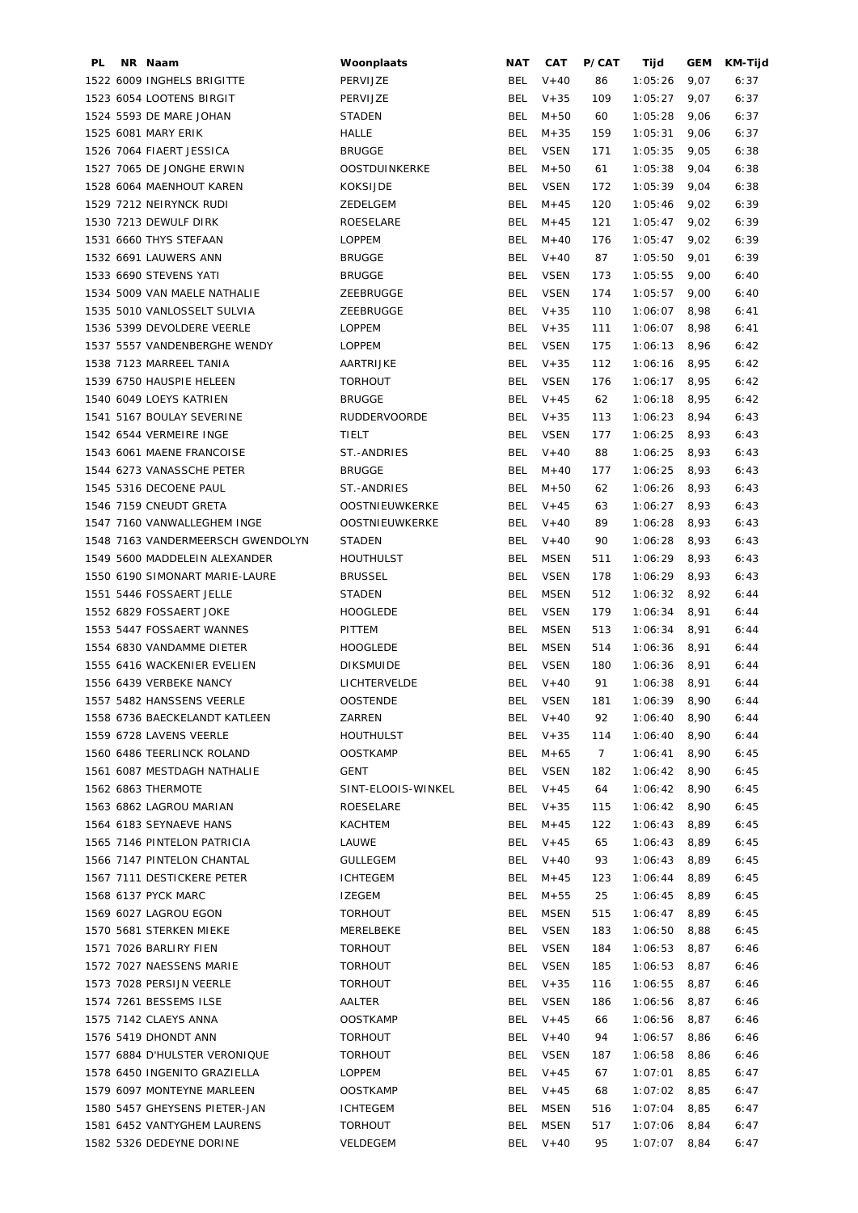| PL | NR Naam                           | Woonplaats          | NAT        | <b>CAT</b>  | P/CAT | Tijd           | GEM  | KM-Tijd |
|----|-----------------------------------|---------------------|------------|-------------|-------|----------------|------|---------|
|    | 1522 6009 INGHELS BRIGITTE        | PERVIJZE            | BEL        | $V + 40$    | 86    | 1:05:26        | 9,07 | 6:37    |
|    | 1523 6054 LOOTENS BIRGIT          | PERVIJZE            | <b>BEL</b> | $V + 35$    | 109   | 1:05:27        | 9,07 | 6:37    |
|    | 1524 5593 DE MARE JOHAN           | <b>STADEN</b>       | BEL        | $M + 50$    | 60    | 1:05:28        | 9,06 | 6:37    |
|    | 1525 6081 MARY ERIK               | HALLE               | BEL        | $M + 35$    | 159   | 1:05:31        | 9,06 | 6:37    |
|    | 1526 7064 FIAERT JESSICA          | <b>BRUGGE</b>       | BEL        | <b>VSEN</b> | 171   | 1:05:35        | 9,05 | 6:38    |
|    | 1527 7065 DE JONGHE ERWIN         | OOSTDUINKERKE       | <b>BEL</b> | $M + 50$    | 61    | 1:05:38        | 9,04 | 6:38    |
|    | 1528 6064 MAENHOUT KAREN          | KOKSIJDE            | <b>BEL</b> | <b>VSEN</b> | 172   | 1:05:39        | 9,04 | 6:38    |
|    | 1529 7212 NEIRYNCK RUDI           | ZEDELGEM            | <b>BEL</b> | $M + 45$    | 120   | 1:05:46        | 9,02 | 6:39    |
|    | 1530 7213 DEWULF DIRK             | ROESELARE           | BEL        | $M + 45$    | 121   | 1:05:47        | 9,02 | 6:39    |
|    | 1531 6660 THYS STEFAAN            | <b>LOPPEM</b>       | BEL        | $M + 40$    | 176   | 1:05:47        | 9,02 | 6:39    |
|    | 1532 6691 LAUWERS ANN             | <b>BRUGGE</b>       | BEL        | $V + 40$    | 87    | 1:05:50        | 9,01 | 6:39    |
|    | 1533 6690 STEVENS YATI            | <b>BRUGGE</b>       | BEL        | <b>VSEN</b> | 173   | 1:05:55        | 9,00 | 6:40    |
|    | 1534 5009 VAN MAELE NATHALIE      | ZEEBRUGGE           | <b>BEL</b> | <b>VSEN</b> | 174   | 1:05:57        | 9,00 | 6:40    |
|    | 1535 5010 VANLOSSELT SULVIA       | ZEEBRUGGE           | BEL        | $V + 35$    | 110   | 1:06:07        | 8,98 | 6:41    |
|    | 1536 5399 DEVOLDERE VEERLE        | <b>LOPPEM</b>       | BEL        | $V + 35$    | 111   | 1:06:07        | 8,98 | 6:41    |
|    | 1537 5557 VANDENBERGHE WENDY      | <b>LOPPEM</b>       | BEL        | <b>VSEN</b> | 175   | 1:06:13        | 8,96 | 6:42    |
|    | 1538 7123 MARREEL TANIA           | AARTRIJKE           | BEL        | $V + 35$    | 112   | 1:06:16        | 8,95 | 6:42    |
|    | 1539 6750 HAUSPIE HELEEN          | <b>TORHOUT</b>      | BEL        | <b>VSEN</b> | 176   | 1:06:17        | 8,95 | 6:42    |
|    | 1540 6049 LOEYS KATRIEN           |                     |            | $V + 45$    |       |                |      |         |
|    |                                   | <b>BRUGGE</b>       | BEL        |             | 62    | 1:06:18        | 8,95 | 6:42    |
|    | 1541 5167 BOULAY SEVERINE         | <b>RUDDERVOORDE</b> | BEL        | $V + 35$    | 113   | 1:06:23        | 8,94 | 6:43    |
|    | 1542 6544 VERMEIRE INGE           | TIELT               | BEL        | <b>VSEN</b> | 177   | 1:06:25        | 8,93 | 6:43    |
|    | 1543 6061 MAENE FRANCOISE         | ST.-ANDRIES         | BEL        | $V + 40$    | 88    | 1:06:25        | 8,93 | 6:43    |
|    | 1544 6273 VANASSCHE PETER         | <b>BRUGGE</b>       | BEL        | $M + 40$    | 177   | 1:06:25        | 8,93 | 6:43    |
|    | 1545 5316 DECOENE PAUL            | ST.-ANDRIES         | BEL        | $M + 50$    | 62    | 1:06:26        | 8,93 | 6:43    |
|    | 1546 7159 CNEUDT GRETA            | OOSTNIEUWKERKE      | BEL        | $V + 45$    | 63    | 1:06:27        | 8,93 | 6:43    |
|    | 1547 7160 VANWALLEGHEM INGE       | OOSTNIEUWKERKE      | BEL        | $V + 40$    | 89    | 1:06:28        | 8,93 | 6:43    |
|    | 1548 7163 VANDERMEERSCH GWENDOLYN | STADEN              | <b>BEL</b> | $V + 40$    | 90    | 1:06:28        | 8,93 | 6:43    |
|    | 1549 5600 MADDELEIN ALEXANDER     | HOUTHULST           | BEL        | <b>MSEN</b> | 511   | 1:06:29        | 8,93 | 6:43    |
|    | 1550 6190 SIMONART MARIE-LAURE    | <b>BRUSSEL</b>      | <b>BEL</b> | <b>VSEN</b> | 178   | 1:06:29        | 8,93 | 6:43    |
|    | 1551 5446 FOSSAERT JELLE          | STADEN              | <b>BEL</b> | <b>MSEN</b> | 512   | 1:06:32        | 8,92 | 6:44    |
|    | 1552 6829 FOSSAERT JOKE           | <b>HOOGLEDE</b>     | <b>BEL</b> | <b>VSEN</b> | 179   | 1:06:34        | 8,91 | 6:44    |
|    | 1553 5447 FOSSAERT WANNES         | PITTEM              | <b>BEL</b> | <b>MSEN</b> | 513   | 1:06:34        | 8,91 | 6:44    |
|    | 1554 6830 VANDAMME DIETER         | <b>HOOGLEDE</b>     | <b>BEL</b> | <b>MSEN</b> | 514   | 1:06:36        | 8,91 | 6:44    |
|    | 1555 6416 WACKENIER EVELIEN       | <b>DIKSMUIDE</b>    | BEL        | <b>VSEN</b> | 180   | 1:06:36        | 8,91 | 6:44    |
|    | 1556 6439 VERBEKE NANCY           | LICHTERVELDE        | BEL        | $V + 40$    | 91    | 1:06:38        | 8,91 | 6:44    |
|    | 1557 5482 HANSSENS VEERLE         | OOSTENDE            |            | BEL VSEN    | 181   | 1:06:39 8,90   |      | 6:44    |
|    | 1558 6736 BAECKELANDT KATLEEN     | ZARREN              |            | BEL $V+40$  | 92    | $1:06:40$ 8,90 |      | 6:44    |
|    | 1559 6728 LAVENS VEERLE           | <b>HOUTHULST</b>    |            | BEL V+35    | 114   | 1:06:40        | 8,90 | 6:44    |
|    | 1560 6486 TEERLINCK ROLAND        | <b>OOSTKAMP</b>     |            | BEL M+65    | 7     | 1:06:41        | 8,90 | 6:45    |
|    | 1561 6087 MESTDAGH NATHALIE       | GENT                |            | BEL VSEN    | 182   | $1:06:42$ 8,90 |      | 6:45    |
|    | 1562 6863 THERMOTE                | SINT-ELOOIS-WINKEL  |            | BEL V+45    | 64    | $1:06:42$ 8,90 |      | 6:45    |
|    | 1563 6862 LAGROU MARIAN           | ROESELARE           |            | BEL V+35    | 115   | $1:06:42$ 8,90 |      | 6:45    |
|    | 1564 6183 SEYNAEVE HANS           | KACHTEM             |            | BEL M+45    | 122   | $1:06:43$ 8,89 |      | 6:45    |
|    | 1565 7146 PINTELON PATRICIA       | LAUWE               |            | BEL V+45    | 65    | 1:06:43        | 8,89 | 6:45    |
|    | 1566 7147 PINTELON CHANTAL        | <b>GULLEGEM</b>     |            | BEL V+40    | 93    | 1:06:43        | 8,89 | 6:45    |
|    | 1567 7111 DESTICKERE PETER        | ICHTEGEM            |            | BEL $M+45$  | 123   | 1:06:44        | 8,89 | 6:45    |
|    | 1568 6137 PYCK MARC               | IZEGEM              |            | BEL M+55    | 25    | $1:06:45$ 8,89 |      | 6:45    |
|    | 1569 6027 LAGROU EGON             | <b>TORHOUT</b>      | BEL        | MSEN        | 515   | $1:06:47$ 8,89 |      | 6:45    |
|    |                                   |                     |            |             |       |                |      |         |
|    | 1570 5681 STERKEN MIEKE           | MERELBEKE           |            | BEL VSEN    | 183   | $1:06:50$ 8,88 |      | 6:45    |
|    | 1571 7026 BARLIRY FIEN            | <b>TORHOUT</b>      |            | BEL VSEN    | 184   | 1:06:53        | 8,87 | 6:46    |
|    | 1572 7027 NAESSENS MARIE          | <b>TORHOUT</b>      |            | BEL VSEN    | 185   | $1:06:53$ 8,87 |      | 6:46    |
|    | 1573 7028 PERSIJN VEERLE          | <b>TORHOUT</b>      |            | BEL V+35    | 116   | $1:06:55$ 8,87 |      | 6:46    |
|    | 1574 7261 BESSEMS ILSE            | AALTER              |            | BEL VSEN    | 186   | $1:06:56$ 8,87 |      | 6:46    |
|    | 1575 7142 CLAEYS ANNA             | <b>OOSTKAMP</b>     |            | BEL V+45    | 66    | $1:06:56$ 8,87 |      | 6:46    |
|    | 1576 5419 DHONDT ANN              | <b>TORHOUT</b>      |            | BEL V+40    | 94    | 1:06:57        | 8,86 | 6:46    |
|    | 1577 6884 D'HULSTER VERONIQUE     | <b>TORHOUT</b>      |            | BEL VSEN    | 187   | 1:06:58        | 8,86 | 6:46    |
|    | 1578 6450 INGENITO GRAZIELLA      | LOPPEM              |            | BEL V+45    | 67    | 1:07:01        | 8,85 | 6:47    |
|    | 1579 6097 MONTEYNE MARLEEN        | <b>OOSTKAMP</b>     |            | BEL V+45    | 68    | $1:07:02$ 8,85 |      | 6:47    |
|    | 1580 5457 GHEYSENS PIETER-JAN     | <b>ICHTEGEM</b>     | BEL        | MSEN        | 516   | $1:07:04$ 8,85 |      | 6:47    |
|    | 1581 6452 VANTYGHEM LAURENS       | <b>TORHOUT</b>      | BEL        | MSEN        | 517   | $1:07:06$ 8,84 |      | 6:47    |
|    | 1582 5326 DEDEYNE DORINE          | VELDEGEM            |            | BEL V+40    | 95    | $1:07:07$ 8,84 |      | 6:47    |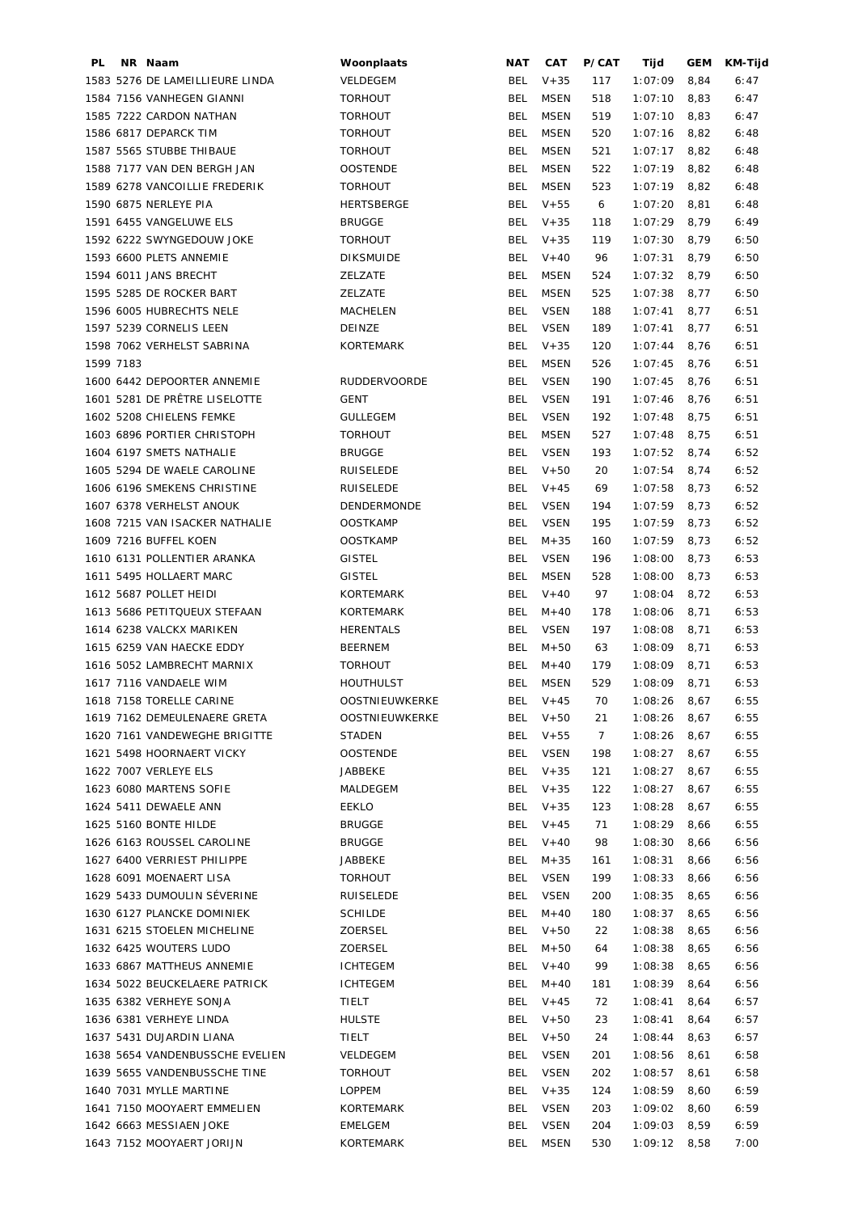| PL        | NR Naam                                          | Woonplaats          | <b>NAT</b> | CAT                    | P/CAT      | Tijd               | <b>GEM</b>   | KM-Tijd |
|-----------|--------------------------------------------------|---------------------|------------|------------------------|------------|--------------------|--------------|---------|
|           | 1583 5276 DE LAMEILLIEURE LINDA                  | VELDEGEM            | <b>BEL</b> | $V + 35$               | 117        | 1:07:09            | 8,84         | 6:47    |
|           | 1584 7156 VANHEGEN GIANNI                        | <b>TORHOUT</b>      | <b>BEL</b> | <b>MSEN</b>            | 518        | 1:07:10            | 8,83         | 6:47    |
|           | 1585 7222 CARDON NATHAN                          | <b>TORHOUT</b>      | <b>BEL</b> | <b>MSEN</b>            | 519        | 1:07:10            | 8,83         | 6:47    |
|           | 1586 6817 DEPARCK TIM                            | <b>TORHOUT</b>      | <b>BEL</b> | <b>MSEN</b>            | 520        | 1:07:16            | 8,82         | 6:48    |
|           | 1587 5565 STUBBE THIBAUE                         | <b>TORHOUT</b>      | <b>BEL</b> | <b>MSEN</b>            | 521        | 1:07:17            | 8,82         | 6:48    |
|           | 1588 7177 VAN DEN BERGH JAN                      | <b>OOSTENDE</b>     | <b>BEL</b> | <b>MSEN</b>            | 522        | 1:07:19            | 8,82         | 6:48    |
|           | 1589 6278 VANCOILLIE FREDERIK                    | <b>TORHOUT</b>      | <b>BEL</b> | <b>MSEN</b>            | 523        | 1:07:19            | 8,82         | 6:48    |
|           | 1590 6875 NERLEYE PIA                            | <b>HERTSBERGE</b>   | BEL        | $V + 55$               | 6          | 1:07:20            | 8,81         | 6:48    |
|           | 1591 6455 VANGELUWE ELS                          | <b>BRUGGE</b>       | BEL        | $V + 35$               | 118        | 1:07:29            | 8,79         | 6:49    |
|           | 1592 6222 SWYNGEDOUW JOKE                        | <b>TORHOUT</b>      | BEL        | $V + 35$               | 119        | 1:07:30            | 8,79         | 6:50    |
|           | 1593 6600 PLETS ANNEMIE                          | <b>DIKSMUIDE</b>    | BEL        | $V + 40$               | 96         | 1:07:31            | 8,79         | 6:50    |
|           | 1594 6011 JANS BRECHT                            | ZELZATE             | BEL        | MSEN                   | 524        | 1:07:32            | 8,79         | 6:50    |
|           | 1595 5285 DE ROCKER BART                         | ZELZATE             | <b>BEL</b> | <b>MSEN</b>            | 525        | 1:07:38            | 8,77         | 6:50    |
|           | 1596 6005 HUBRECHTS NELE                         | MACHELEN            | <b>BEL</b> | <b>VSEN</b>            | 188        | 1:07:41            | 8,77         | 6:51    |
|           | 1597 5239 CORNELIS LEEN                          | DEINZE              | <b>BEL</b> | <b>VSEN</b>            | 189        | 1:07:41            | 8,77         | 6:51    |
|           | 1598 7062 VERHELST SABRINA                       | KORTEMARK           | BEL        | $V + 35$               | 120        | 1:07:44            | 8,76         | 6:51    |
| 1599 7183 |                                                  |                     | <b>BEL</b> | <b>MSEN</b>            | 526        | 1:07:45            | 8,76         | 6:51    |
|           | 1600 6442 DEPOORTER ANNEMIE                      | <b>RUDDERVOORDE</b> | <b>BEL</b> | <b>VSEN</b>            | 190        | 1:07:45            | 8,76         | 6:51    |
|           | 1601 5281 DE PRÊTRE LISELOTTE                    | <b>GENT</b>         | <b>BEL</b> | <b>VSEN</b>            | 191        | 1:07:46            | 8,76         | 6:51    |
|           | 1602 5208 CHIELENS FEMKE                         | <b>GULLEGEM</b>     | <b>BEL</b> | <b>VSEN</b>            | 192        | 1:07:48            | 8,75         | 6:51    |
|           | 1603 6896 PORTIER CHRISTOPH                      | <b>TORHOUT</b>      | <b>BEL</b> | <b>MSEN</b>            | 527        | 1:07:48            | 8,75         | 6:51    |
|           | 1604 6197 SMETS NATHALIE                         | <b>BRUGGE</b>       | <b>BEL</b> | <b>VSEN</b>            | 193        | 1:07:52            | 8,74         | 6:52    |
|           | 1605 5294 DE WAELE CAROLINE                      | RUISELEDE           | <b>BEL</b> | $V + 50$               | 20         | 1:07:54            | 8,74         | 6:52    |
|           | 1606 6196 SMEKENS CHRISTINE                      | RUISELEDE           | <b>BEL</b> | $V + 45$               | 69         | 1:07:58            | 8,73         | 6:52    |
|           | 1607 6378 VERHELST ANOUK                         | DENDERMONDE         | <b>BEL</b> | <b>VSEN</b>            | 194        | 1:07:59            | 8,73         | 6:52    |
|           | 1608 7215 VAN ISACKER NATHALIE                   | <b>OOSTKAMP</b>     | <b>BEL</b> | <b>VSEN</b>            | 195        | 1:07:59            | 8,73         | 6:52    |
|           | 1609 7216 BUFFEL KOEN                            | <b>OOSTKAMP</b>     | <b>BEL</b> | $M + 35$               | 160        | 1:07:59            | 8,73         | 6:52    |
|           | 1610 6131 POLLENTIER ARANKA                      | <b>GISTEL</b>       | <b>BEL</b> | <b>VSEN</b>            | 196        | 1:08:00            | 8,73         | 6:53    |
|           | 1611 5495 HOLLAERT MARC                          | <b>GISTEL</b>       | <b>BEL</b> | <b>MSEN</b>            | 528        | 1:08:00            | 8,73         | 6:53    |
|           | 1612 5687 POLLET HEIDI                           | <b>KORTEMARK</b>    | BEL        | $V + 40$               | 97         | 1:08:04            | 8,72         | 6:53    |
|           | 1613 5686 PETITQUEUX STEFAAN                     | KORTEMARK           | BEL        | $M + 40$               | 178        | 1:08:06            | 8,71         | 6:53    |
|           | 1614 6238 VALCKX MARIKEN                         | <b>HERENTALS</b>    | BEL        | <b>VSEN</b>            | 197        | 1:08:08            | 8,71         | 6:53    |
|           | 1615 6259 VAN HAECKE EDDY                        | <b>BEERNEM</b>      | <b>BEL</b> | $M + 50$               | 63         | 1:08:09            | 8,71         | 6:53    |
|           | 1616 5052 LAMBRECHT MARNIX                       | <b>TORHOUT</b>      | <b>BEL</b> | $M + 40$               | 179        | 1:08:09            | 8,71         | 6:53    |
|           | 1617 7116 VANDAELE WIM                           | <b>HOUTHULST</b>    | <b>BEL</b> | <b>MSEN</b>            | 529        | 1:08:09            | 8,71         | 6:53    |
|           | 1618 7158 TORELLE CARINE                         | OOSTNIEUWKERKE      |            | BEL V+45               | 70         | $1:08:26$ 8,67     |              | 6:55    |
|           | 1619 7162 DEMEULENAERE GRETA                     | OOSTNIEUWKERKE      |            | BEL V+50               | 21         | $1:08:26$ 8,67     |              | 6:55    |
|           | 1620 7161 VANDEWEGHE BRIGITTE                    | STADEN              |            | BEL V+55               | 7          | 1:08:26            | 8,67         | 6:55    |
|           | 1621 5498 HOORNAERT VICKY                        | <b>OOSTENDE</b>     | BEL        | VSEN                   | 198        | 1:08:27            | 8,67         | 6:55    |
|           |                                                  |                     |            |                        |            |                    |              |         |
|           | 1622 7007 VERLEYE ELS<br>1623 6080 MARTENS SOFIE | JABBEKE<br>MALDEGEM | BEL        | $V + 35$<br>BEL $V+35$ | 121<br>122 | 1:08:27<br>1:08:27 | 8,67<br>8,67 | 6:55    |
|           |                                                  |                     |            |                        |            |                    |              | 6:55    |
|           | 1624 5411 DEWAELE ANN                            | EEKLO               |            | BEL $V+35$             | 123        | 1:08:28            | 8,67         | 6:55    |
|           | 1625 5160 BONTE HILDE                            | <b>BRUGGE</b>       | BEL        | $V + 45$               | 71         | 1:08:29            | 8,66         | 6:55    |
|           | 1626 6163 ROUSSEL CAROLINE                       | <b>BRUGGE</b>       | <b>BEL</b> | $V + 40$               | 98         | 1:08:30            | 8,66         | 6:56    |
|           | 1627 6400 VERRIEST PHILIPPE                      | JABBEKE             | <b>BEL</b> | $M + 35$               | 161        | 1:08:31            | 8,66         | 6:56    |
|           | 1628 6091 MOENAERT LISA                          | <b>TORHOUT</b>      | <b>BEL</b> | <b>VSEN</b>            | 199        | 1:08:33            | 8,66         | 6:56    |
|           | 1629 5433 DUMOULIN SÉVERINE                      | RUISELEDE           | <b>BEL</b> | <b>VSEN</b>            | 200        | 1:08:35            | 8,65         | 6:56    |
|           | 1630 6127 PLANCKE DOMINIEK                       | <b>SCHILDE</b>      | BEL        | $M + 40$               | 180        | 1:08:37            | 8,65         | 6:56    |
|           | 1631 6215 STOELEN MICHELINE                      | ZOERSEL             | BEL        | $V + 50$               | 22         | 1:08:38            | 8,65         | 6:56    |
|           | 1632 6425 WOUTERS LUDO                           | ZOERSEL             | BEL        | $M + 50$               | 64         | 1:08:38            | 8,65         | 6:56    |
|           | 1633 6867 MATTHEUS ANNEMIE                       | <b>ICHTEGEM</b>     |            | BEL V+40               | 99         | 1:08:38            | 8,65         | 6:56    |
|           | 1634 5022 BEUCKELAERE PATRICK                    | <b>ICHTEGEM</b>     | BEL        | $M + 40$               | 181        | 1:08:39            | 8,64         | 6:56    |
|           | 1635 6382 VERHEYE SONJA                          | TIELT               | BEL        | $V + 45$               | 72         | 1:08:41            | 8,64         | 6:57    |
|           | 1636 6381 VERHEYE LINDA                          | <b>HULSTE</b>       | BEL        | $V + 50$               | 23         | 1:08:41            | 8,64         | 6:57    |
|           | 1637 5431 DUJARDIN LIANA                         | TIELT               | BEL        | $V + 50$               | 24         | 1:08:44            | 8,63         | 6:57    |
|           | 1638 5654 VANDENBUSSCHE EVELIEN                  | VELDEGEM            | BEL        | <b>VSEN</b>            | 201        | 1:08:56            | 8,61         | 6:58    |
|           | 1639 5655 VANDENBUSSCHE TINE                     | <b>TORHOUT</b>      | BEL        | <b>VSEN</b>            | 202        | 1:08:57            | 8,61         | 6:58    |
|           | 1640 7031 MYLLE MARTINE                          | LOPPEM              | BEL        | $V + 35$               | 124        | 1:08:59            | 8,60         | 6:59    |
|           | 1641 7150 MOOYAERT EMMELIEN                      | KORTEMARK           | BEL        | VSEN                   | 203        | 1:09:02            | 8,60         | 6:59    |
|           | 1642 6663 MESSIAEN JOKE                          | <b>EMELGEM</b>      | BEL        | <b>VSEN</b>            | 204        | 1:09:03            | 8,59         | 6:59    |
|           | 1643 7152 MOOYAERT JORIJN                        | KORTEMARK           |            | BEL MSEN               | 530        | $1:09:12$ 8,58     |              | 7:00    |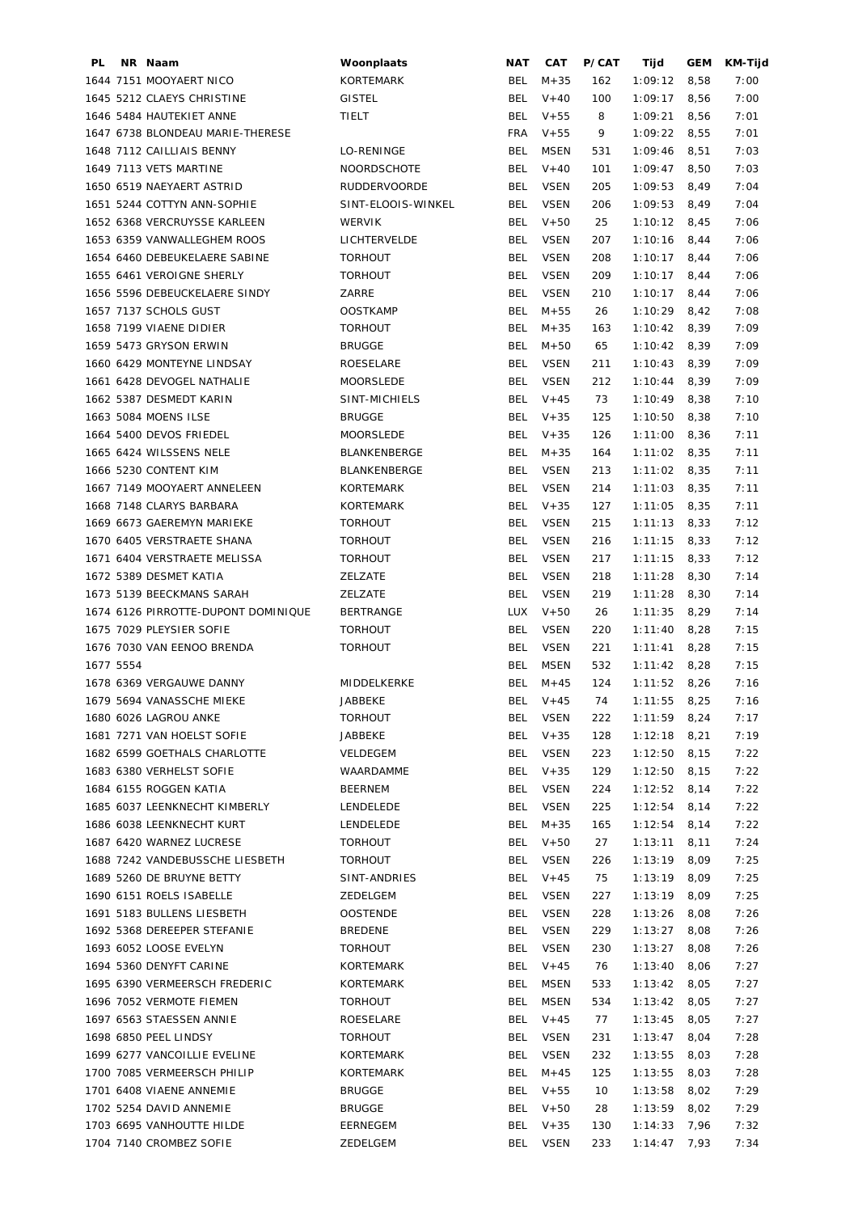| PL        | NR Naam                             | Woonplaats          | NAT        | CAT         | P/CAT | Tijd           | GEM  | KM-Tijd |
|-----------|-------------------------------------|---------------------|------------|-------------|-------|----------------|------|---------|
|           | 1644 7151 MOOYAERT NICO             | KORTEMARK           | BEL        | $M + 35$    | 162   | 1:09:12        | 8,58 | 7:00    |
|           | 1645 5212 CLAEYS CHRISTINE          | <b>GISTEL</b>       | <b>BEL</b> | $V + 40$    | 100   | 1:09:17        | 8,56 | 7:00    |
|           | 1646 5484 HAUTEKIET ANNE            | TIELT               | BEL        | $V + 55$    | 8     | 1:09:21        | 8,56 | 7:01    |
|           | 1647 6738 BLONDEAU MARIE-THERESE    |                     | FRA        | $V + 55$    | 9     | 1:09:22        | 8,55 | 7:01    |
|           | 1648 7112 CAILLIAIS BENNY           | LO-RENINGE          | BEL        | MSEN        | 531   | 1:09:46        | 8,51 | 7:03    |
|           | 1649 7113 VETS MARTINE              | <b>NOORDSCHOTE</b>  | BEL        | $V + 40$    | 101   | 1:09:47        | 8,50 | 7:03    |
|           | 1650 6519 NAEYAERT ASTRID           | <b>RUDDERVOORDE</b> | <b>BEL</b> | <b>VSEN</b> | 205   | 1:09:53        | 8,49 | 7:04    |
|           | 1651 5244 COTTYN ANN-SOPHIE         | SINT-ELOOIS-WINKEL  | <b>BEL</b> | <b>VSEN</b> | 206   | 1:09:53        | 8,49 | 7:04    |
|           | 1652 6368 VERCRUYSSE KARLEEN        | <b>WERVIK</b>       | <b>BEL</b> | $V + 50$    | 25    | 1:10:12        | 8,45 | 7:06    |
|           | 1653 6359 VANWALLEGHEM ROOS         | LICHTERVELDE        | <b>BEL</b> | <b>VSEN</b> | 207   | 1:10:16        | 8,44 | 7:06    |
|           | 1654 6460 DEBEUKELAERE SABINE       | <b>TORHOUT</b>      | <b>BEL</b> | <b>VSEN</b> | 208   | 1:10:17        | 8,44 | 7:06    |
|           | 1655 6461 VEROIGNE SHERLY           | <b>TORHOUT</b>      | <b>BEL</b> | <b>VSEN</b> | 209   | 1:10:17        | 8,44 | 7:06    |
|           | 1656 5596 DEBEUCKELAERE SINDY       | ZARRE               | <b>BEL</b> | <b>VSEN</b> | 210   | 1:10:17        | 8,44 | 7:06    |
|           | 1657 7137 SCHOLS GUST               | <b>OOSTKAMP</b>     | <b>BEL</b> | $M + 55$    | 26    | 1:10:29        | 8,42 | 7:08    |
|           | 1658 7199 VIAENE DIDIER             | <b>TORHOUT</b>      | BEL        | $M + 35$    | 163   | 1:10:42        | 8,39 | 7:09    |
|           | 1659 5473 GRYSON ERWIN              | <b>BRUGGE</b>       | BEL        | $M + 50$    | 65    | 1:10:42        | 8,39 | 7:09    |
|           | 1660 6429 MONTEYNE LINDSAY          | ROESELARE           | <b>BEL</b> | <b>VSEN</b> | 211   | 1:10:43        | 8,39 | 7:09    |
|           | 1661 6428 DEVOGEL NATHALIE          | <b>MOORSLEDE</b>    | <b>BEL</b> | <b>VSEN</b> | 212   | 1:10:44        | 8,39 | 7:09    |
|           | 1662 5387 DESMEDT KARIN             | SINT-MICHIELS       | BEL        | $V + 45$    | 73    | 1:10:49        | 8,38 | 7:10    |
|           | 1663 5084 MOENS ILSE                | <b>BRUGGE</b>       | BEL        |             |       | 1:10:50        |      |         |
|           |                                     |                     |            | $V + 35$    | 125   |                | 8,38 | 7:10    |
|           | 1664 5400 DEVOS FRIEDEL             | <b>MOORSLEDE</b>    | BEL        | $V + 35$    | 126   | 1:11:00        | 8,36 | 7:11    |
|           | 1665 6424 WILSSENS NELE             | <b>BLANKENBERGE</b> | BEL        | $M + 35$    | 164   | 1:11:02        | 8,35 | 7:11    |
|           | 1666 5230 CONTENT KIM               | <b>BLANKENBERGE</b> | BEL        | VSEN        | 213   | 1:11:02        | 8,35 | 7:11    |
|           | 1667 7149 MOOYAERT ANNELEEN         | <b>KORTEMARK</b>    | <b>BEL</b> | VSEN        | 214   | 1:11:03        | 8,35 | 7:11    |
|           | 1668 7148 CLARYS BARBARA            | KORTEMARK           | BEL        | $V + 35$    | 127   | 1:11:05        | 8,35 | 7:11    |
|           | 1669 6673 GAEREMYN MARIEKE          | <b>TORHOUT</b>      | BEL        | VSEN        | 215   | 1:11:13        | 8,33 | 7:12    |
|           | 1670 6405 VERSTRAETE SHANA          | <b>TORHOUT</b>      | <b>BEL</b> | <b>VSEN</b> | 216   | 1:11:15        | 8,33 | 7:12    |
|           | 1671 6404 VERSTRAETE MELISSA        | <b>TORHOUT</b>      | <b>BEL</b> | <b>VSEN</b> | 217   | 1:11:15        | 8,33 | 7:12    |
|           | 1672 5389 DESMET KATIA              | ZELZATE             | <b>BEL</b> | <b>VSEN</b> | 218   | 1:11:28        | 8,30 | 7:14    |
|           | 1673 5139 BEECKMANS SARAH           | ZELZATE             | <b>BEL</b> | <b>VSEN</b> | 219   | 1:11:28        | 8,30 | 7:14    |
|           | 1674 6126 PIRROTTE-DUPONT DOMINIQUE | <b>BERTRANGE</b>    | LUX        | $V + 50$    | 26    | 1:11:35        | 8,29 | 7:14    |
|           | 1675 7029 PLEYSIER SOFIE            | <b>TORHOUT</b>      | <b>BEL</b> | <b>VSEN</b> | 220   | 1:11:40        | 8,28 | 7:15    |
|           | 1676 7030 VAN EENOO BRENDA          | <b>TORHOUT</b>      | <b>BEL</b> | <b>VSEN</b> | 221   | 1:11:41        | 8,28 | 7:15    |
| 1677 5554 |                                     |                     | <b>BEL</b> | <b>MSEN</b> | 532   | 1:11:42        | 8,28 | 7:15    |
|           | 1678 6369 VERGAUWE DANNY            | MIDDELKERKE         | BEL        | $M + 45$    | 124   | $1:11:52$ 8,26 |      | 7:16    |
|           | 1679 5694 VANASSCHE MIEKE           | JABBEKE             |            | BEL V+45    | 74    | $1:11:55$ 8,25 |      | 7:16    |
|           | 1680 6026 LAGROU ANKE               | <b>TORHOUT</b>      | BEL        | VSEN        | 222   | 1:11:59        | 8,24 | 7:17    |
|           | 1681 7271 VAN HOELST SOFIE          | JABBEKE             | BEL        | $V + 35$    | 128   | 1:12:18        | 8,21 | 7:19    |
|           | 1682 6599 GOETHALS CHARLOTTE        | VELDEGEM            | <b>BEL</b> | VSEN        | 223   | 1:12:50        | 8,15 | 7:22    |
|           | 1683 6380 VERHELST SOFIE            | WAARDAMME           | BEL        | $V + 35$    | 129   | $1:12:50$ 8,15 |      | 7:22    |
|           | 1684 6155 ROGGEN KATIA              | <b>BEERNEM</b>      | BEL        | VSEN        | 224   | $1:12:52$ 8,14 |      | 7:22    |
|           | 1685 6037 LEENKNECHT KIMBERLY       | LENDELEDE           | BEL        | VSEN        | 225   | $1:12:54$ 8,14 |      | 7:22    |
|           | 1686 6038 LEENKNECHT KURT           | LENDELEDE           | BEL        | $M + 35$    | 165   | $1:12:54$ 8,14 |      | 7:22    |
|           | 1687 6420 WARNEZ LUCRESE            | <b>TORHOUT</b>      | BEL        | $V + 50$    | 27    | 1:13:11        | 8,11 | 7:24    |
|           | 1688 7242 VANDEBUSSCHE LIESBETH     | <b>TORHOUT</b>      | BEL        | VSEN        | 226   | 1:13:19        | 8,09 | 7:25    |
|           | 1689 5260 DE BRUYNE BETTY           | SINT-ANDRIES        | BEL        | $V + 45$    | 75    | 1:13:19        | 8,09 | 7:25    |
|           | 1690 6151 ROELS ISABELLE            | ZEDELGEM            | <b>BEL</b> | VSEN        | 227   | 1:13:19        | 8,09 | 7:25    |
|           | 1691 5183 BULLENS LIESBETH          | <b>OOSTENDE</b>     | <b>BEL</b> | <b>VSEN</b> | 228   | 1:13:26        | 8,08 | 7:26    |
|           | 1692 5368 DEREEPER STEFANIE         | <b>BREDENE</b>      | <b>BEL</b> | <b>VSEN</b> | 229   | 1:13:27        | 8,08 | 7:26    |
|           |                                     |                     |            | <b>VSEN</b> |       |                |      |         |
|           | 1693 6052 LOOSE EVELYN              | <b>TORHOUT</b>      | <b>BEL</b> |             | 230   | 1:13:27        | 8,08 | 7:26    |
|           | 1694 5360 DENYFT CARINE             | KORTEMARK           | BEL        | $V + 45$    | 76    | 1:13:40        | 8,06 | 7:27    |
|           | 1695 6390 VERMEERSCH FREDERIC       | KORTEMARK           | BEL        | MSEN        | 533   | 1:13:42        | 8,05 | 7:27    |
|           | 1696 7052 VERMOTE FIEMEN            | <b>TORHOUT</b>      | BEL        | <b>MSEN</b> | 534   | 1:13:42        | 8,05 | 7:27    |
|           | 1697 6563 STAESSEN ANNIE            | ROESELARE           | BEL        | $V + 45$    | 77    | 1:13:45        | 8,05 | 7:27    |
|           | 1698 6850 PEEL LINDSY               | <b>TORHOUT</b>      | BEL        | VSEN        | 231   | 1:13:47        | 8,04 | 7:28    |
|           | 1699 6277 VANCOILLIE EVELINE        | KORTEMARK           | BEL        | VSEN        | 232   | 1:13:55        | 8,03 | 7:28    |
|           | 1700 7085 VERMEERSCH PHILIP         | KORTEMARK           | BEL        | $M + 45$    | 125   | 1:13:55        | 8,03 | 7:28    |
|           | 1701 6408 VIAENE ANNEMIE            | <b>BRUGGE</b>       | BEL        | $V + 55$    | 10    | 1:13:58        | 8,02 | 7:29    |
|           | 1702 5254 DAVID ANNEMIE             | <b>BRUGGE</b>       | <b>BEL</b> | $V + 50$    | 28    | 1:13:59        | 8,02 | 7:29    |
|           | 1703 6695 VANHOUTTE HILDE           | EERNEGEM            | BEL        | $V + 35$    | 130   | 1:14:33        | 7,96 | 7:32    |
|           | 1704 7140 CROMBEZ SOFIE             | ZEDELGEM            | BEL        | VSEN        | 233   | 1:14:47        | 7,93 | 7:34    |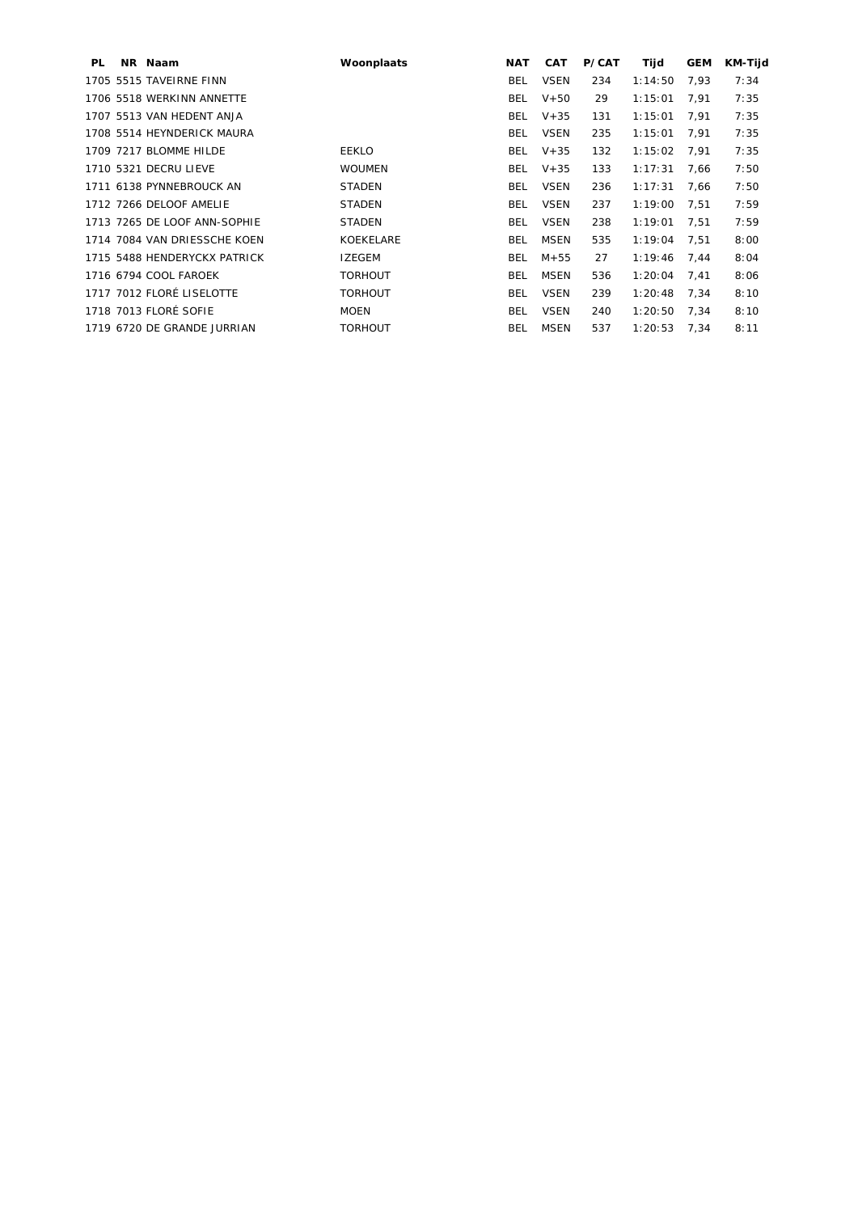| PL. | NR Naam                      | Woonplaats     | <b>NAT</b> | <b>CAT</b>  | P/CAT | Tijd    | <b>GEM</b> | KM-Tijd |
|-----|------------------------------|----------------|------------|-------------|-------|---------|------------|---------|
|     | 1705 5515 TAVEIRNE FINN      |                | BEL        | <b>VSEN</b> | 234   | 1:14:50 | 7,93       | 7:34    |
|     | 1706 5518 WERKINN ANNETTE    |                | <b>BEL</b> | $V+50$      | 29    | 1:15:01 | 7,91       | 7:35    |
|     | 1707 5513 VAN HEDENT ANJA    |                | <b>BEL</b> | $V + 35$    | 131   | 1:15:01 | 7.91       | 7:35    |
|     | 1708 5514 HEYNDERICK MAURA   |                | BEL        | VSEN        | 235   | 1:15:01 | 7,91       | 7:35    |
|     | 1709 7217 BLOMME HILDE       | <b>EEKLO</b>   | BEL        | $V + 35$    | 132   | 1:15:02 | 7,91       | 7:35    |
|     | 1710 5321 DECRU LIEVE        | <b>WOUMEN</b>  | BEL.       | $V + 35$    | 133   | 1:17:31 | 7.66       | 7:50    |
|     | 1711 6138 PYNNEBROUCK AN     | <b>STADEN</b>  | <b>BEL</b> | <b>VSEN</b> | 236   | 1:17:31 | 7,66       | 7:50    |
|     | 1712 7266 DELOOF AMELIE      | <b>STADEN</b>  | <b>BEL</b> | <b>VSEN</b> | 237   | 1:19:00 | 7.51       | 7:59    |
|     | 1713 7265 DE LOOF ANN-SOPHIE | <b>STADEN</b>  | <b>BEL</b> | <b>VSEN</b> | 238   | 1:19:01 | 7,51       | 7:59    |
|     | 1714 7084 VAN DRIESSCHE KOEN | KOEKELARE      | BEL        | MSEN        | 535   | 1:19:04 | 7,51       | 8:00    |
|     | 1715 5488 HENDERYCKX PATRICK | <b>IZEGEM</b>  | BEL        | M+55        | 27    | 1:19:46 | 7.44       | 8:04    |
|     | 1716 6794 COOL FAROEK        | <b>TORHOUT</b> | <b>BEL</b> | MSEN        | 536   | 1:20:04 | 7,41       | 8:06    |
|     | 1717 7012 FLORÉ LISELOTTE    | <b>TORHOUT</b> | <b>BEL</b> | <b>VSEN</b> | 239   | 1:20:48 | 7,34       | 8:10    |
|     | 1718 7013 FLORÉ SOFIE        | <b>MOEN</b>    | <b>BEL</b> | <b>VSEN</b> | 240   | 1:20:50 | 7,34       | 8:10    |
|     | 1719 6720 DE GRANDE JURRIAN  | <b>TORHOUT</b> | BEL        | MSEN        | 537   | 1:20:53 | 7,34       | 8:11    |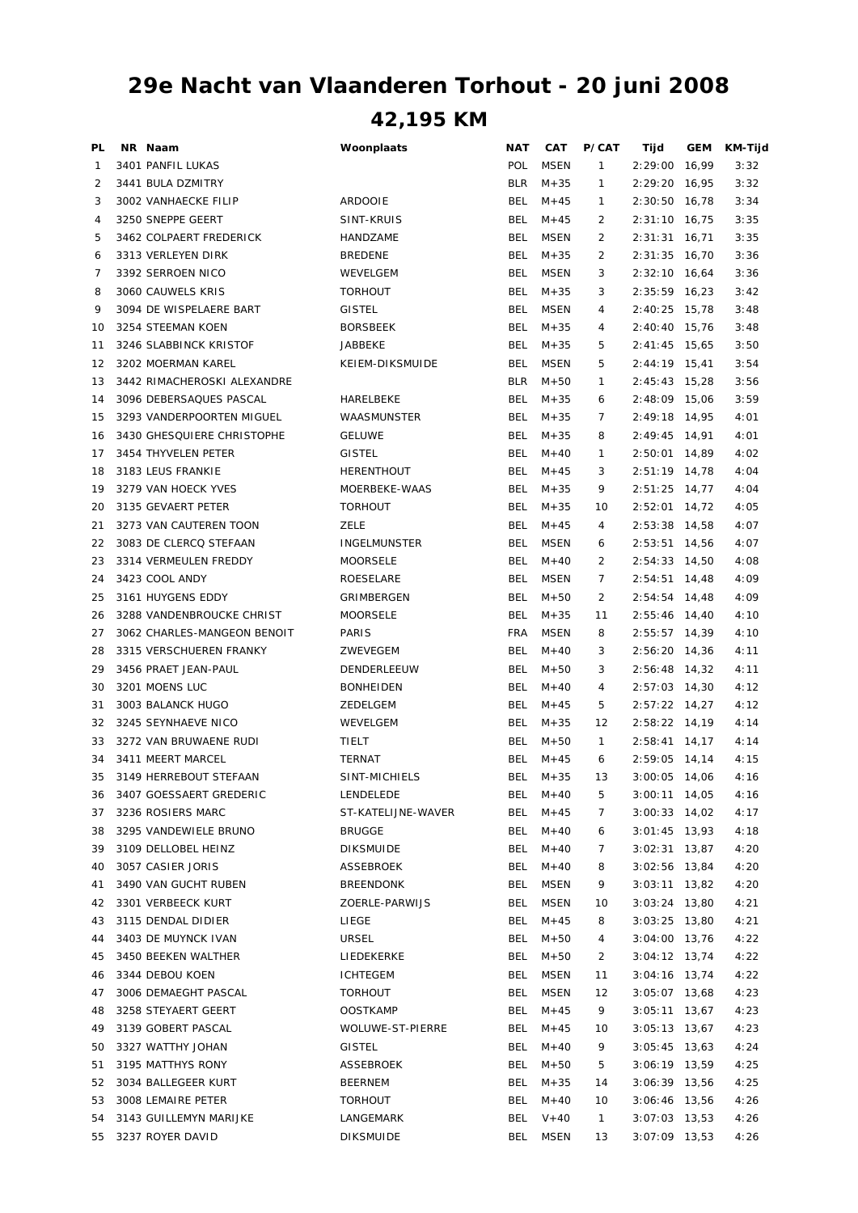## **42,195 KM 29e Nacht van Vlaanderen Torhout - 20 juni 2008**

| PL | NR Naam                     | Woonplaats          | <b>NAT</b> | CAT         | <b>P/CAT</b>   | Tijd                               | GEM   | KM-Tijd |
|----|-----------------------------|---------------------|------------|-------------|----------------|------------------------------------|-------|---------|
| 1  | 3401 PANFIL LUKAS           |                     | POL        | <b>MSEN</b> | 1              | 2:29:00                            | 16,99 | 3:32    |
| 2  | 3441 BULA DZMITRY           |                     | <b>BLR</b> | $M + 35$    | 1              | 2:29:20                            | 16,95 | 3:32    |
| 3  | 3002 VANHAECKE FILIP        | <b>ARDOOIE</b>      | <b>BEL</b> | $M + 45$    | 1              | 2:30:50                            | 16,78 | 3:34    |
| 4  | 3250 SNEPPE GEERT           | SINT-KRUIS          | <b>BEL</b> | $M + 45$    | 2              | 2:31:10                            | 16,75 | 3:35    |
| 5  | 3462 COLPAERT FREDERICK     | HANDZAME            | <b>BEL</b> | <b>MSEN</b> | 2              | 2:31:31                            | 16,71 | 3:35    |
| 6  | 3313 VERLEYEN DIRK          | <b>BREDENE</b>      | <b>BEL</b> | $M + 35$    | $\overline{2}$ | 2:31:35                            | 16,70 | 3:36    |
| 7  | 3392 SERROEN NICO           | WEVELGEM            | <b>BEL</b> | <b>MSEN</b> | 3              | $2:32:10$ 16,64                    |       | 3:36    |
| 8  | 3060 CAUWELS KRIS           | <b>TORHOUT</b>      | <b>BEL</b> | $M + 35$    | 3              | 2:35:59                            | 16,23 | 3:42    |
| 9  | 3094 DE WISPELAERE BART     | <b>GISTEL</b>       | <b>BEL</b> | <b>MSEN</b> | 4              | 2:40:25                            | 15,78 | 3:48    |
| 10 | 3254 STEEMAN KOEN           | <b>BORSBEEK</b>     | <b>BEL</b> | $M + 35$    | 4              | 2:40:40 15,76                      |       | 3:48    |
| 11 | 3246 SLABBINCK KRISTOF      | <b>JABBEKE</b>      | <b>BEL</b> | $M + 35$    | 5              | $2:41:45$ 15,65                    |       | 3:50    |
| 12 | 3202 MOERMAN KAREL          | KEIEM-DIKSMUIDE     | <b>BEL</b> | <b>MSEN</b> | 5              | $2:44:19$ 15,41                    |       | 3:54    |
| 13 | 3442 RIMACHEROSKI ALEXANDRE |                     | <b>BLR</b> | $M + 50$    | 1              | $2:45:43$ 15,28                    |       | 3:56    |
| 14 | 3096 DEBERSAQUES PASCAL     | HARELBEKE           | <b>BEL</b> | $M + 35$    | 6              | 2:48:09                            | 15,06 | 3:59    |
| 15 | 3293 VANDERPOORTEN MIGUEL   | WAASMUNSTER         | <b>BEL</b> | $M + 35$    | 7              | 2:49:18                            | 14,95 | 4:01    |
| 16 | 3430 GHESQUIERE CHRISTOPHE  | <b>GELUWE</b>       | <b>BEL</b> | $M + 35$    | 8              | 2:49:45 14,91                      |       | 4:01    |
| 17 | 3454 THYVELEN PETER         | <b>GISTEL</b>       | <b>BEL</b> | $M + 40$    | 1              | 2:50:01                            | 14,89 | 4:02    |
| 18 | 3183 LEUS FRANKIE           | <b>HERENTHOUT</b>   | <b>BEL</b> | $M + 45$    | 3              | 2:51:19 14,78                      |       | 4:04    |
| 19 | 3279 VAN HOECK YVES         | MOERBEKE-WAAS       | <b>BEL</b> | $M + 35$    | 9              | $2:51:25$ 14,77                    |       | 4:04    |
| 20 | 3135 GEVAERT PETER          | <b>TORHOUT</b>      | <b>BEL</b> | $M + 35$    | 10             | $2:52:01$ 14,72                    |       | 4:05    |
| 21 | 3273 VAN CAUTEREN TOON      | ZELE                | <b>BEL</b> | $M + 45$    | 4              | 2:53:38                            | 14,58 | 4:07    |
| 22 | 3083 DE CLERCQ STEFAAN      | <b>INGELMUNSTER</b> | <b>BEL</b> | <b>MSEN</b> | 6              | $2:53:51$ 14,56                    |       | 4:07    |
| 23 | 3314 VERMEULEN FREDDY       | <b>MOORSELE</b>     | <b>BEL</b> | $M + 40$    | 2              | $2:54:33$ 14,50                    |       | 4:08    |
| 24 | 3423 COOL ANDY              | ROESELARE           | <b>BEL</b> | <b>MSEN</b> | 7              | $2:54:51$ 14,48                    |       | 4:09    |
| 25 | 3161 HUYGENS EDDY           | GRIMBERGEN          | BEL        | $M + 50$    | 2              | $2:54:54$ 14,48                    |       | 4:09    |
| 26 | 3288 VANDENBROUCKE CHRIST   | <b>MOORSELE</b>     | <b>BEL</b> | $M + 35$    | 11             | 2:55:46                            | 14,40 | 4:10    |
| 27 | 3062 CHARLES-MANGEON BENOIT | PARIS               | <b>FRA</b> | <b>MSEN</b> | 8              | $2:55:57$ 14,39                    |       | 4:10    |
| 28 | 3315 VERSCHUEREN FRANKY     | ZWEVEGEM            | <b>BEL</b> | $M + 40$    | 3              | 2:56:20 14,36                      |       | 4:11    |
| 29 | 3456 PRAET JEAN-PAUL        | DENDERLEEUW         | <b>BEL</b> | $M + 50$    | 3              | 2:56:48                            | 14,32 | 4:11    |
| 30 | 3201 MOENS LUC              | <b>BONHEIDEN</b>    | <b>BEL</b> | $M + 40$    | 4              | $2:57:03$ 14,30                    |       | 4:12    |
| 31 | 3003 BALANCK HUGO           | ZEDELGEM            | BEL        | $M + 45$    | 5              | $2:57:22$ 14,27                    |       | 4:12    |
| 32 | 3245 SEYNHAEVE NICO         | WEVELGEM            | <b>BEL</b> | $M + 35$    | 12             | 2:58:22 14,19                      |       | 4:14    |
| 33 | 3272 VAN BRUWAENE RUDI      | TIELT               | <b>BEL</b> | $M + 50$    | $\mathbf{1}$   | 2:58:41                            | 14,17 | 4:14    |
| 34 | 3411 MEERT MARCEL           | <b>TERNAT</b>       | <b>BEL</b> | $M + 45$    | 6              | 2:59:05 14,14                      |       | 4:15    |
| 35 | 3149 HERREBOUT STEFAAN      | SINT-MICHIELS       | <b>BEL</b> | $M + 35$    | 13             | $3:00:05$ 14,06                    |       | 4:16    |
| 36 | 3407 GOESSAERT GREDERIC     | LENDELEDE           | <b>BEL</b> | $M + 40$    | 5              | $3:00:11$ 14,05                    |       | 4:16    |
| 37 | 3236 ROSIERS MARC           | ST-KATELIJNE-WAVER  | <b>BEL</b> | $M + 45$    | 7              | $3:00:33$ 14,02                    |       | 4:17    |
|    | 3295 VANDEWIELE BRUNO       |                     |            | $M + 40$    |                | $3:01:45$ 13,93                    |       |         |
| 38 | 3109 DELLOBEL HEINZ         | <b>BRUGGE</b>       | <b>BEL</b> |             | 6              |                                    |       | 4:18    |
| 39 | 3057 CASIER JORIS           | <b>DIKSMUIDE</b>    | BEL        | $M + 40$    | 7              | 3:02:31                            | 13,87 | 4:20    |
| 40 | 3490 VAN GUCHT RUBEN        | ASSEBROEK           | <b>BEL</b> | $M + 40$    | 8              | $3:02:56$ 13,84<br>$3:03:11$ 13,82 |       | 4:20    |
| 41 |                             | <b>BREENDONK</b>    | <b>BEL</b> | MSEN        | 9              |                                    |       | 4:20    |
| 42 | 3301 VERBEECK KURT          | ZOERLE-PARWIJS      | BEL        | MSEN        | 10             | $3:03:24$ 13,80                    |       | 4:21    |
| 43 | 3115 DENDAL DIDIER          | LIEGE               | BEL        | $M + 45$    | 8              | $3:03:25$ 13,80                    |       | 4:21    |
| 44 | 3403 DE MUYNCK IVAN         | URSEL               | BEL        | $M + 50$    | 4              | $3:04:00$ 13,76                    |       | 4:22    |
| 45 | 3450 BEEKEN WALTHER         | LIEDEKERKE          | <b>BEL</b> | $M + 50$    | 2              | $3:04:12$ 13,74                    |       | 4:22    |
| 46 | 3344 DEBOU KOEN             | <b>ICHTEGEM</b>     | <b>BEL</b> | MSEN        | 11             | $3:04:16$ 13,74                    |       | 4:22    |
| 47 | 3006 DEMAEGHT PASCAL        | <b>TORHOUT</b>      | <b>BEL</b> | MSEN        | 12             | $3:05:07$ 13,68                    |       | 4:23    |
| 48 | 3258 STEYAERT GEERT         | <b>OOSTKAMP</b>     | <b>BEL</b> | $M + 45$    | 9              | $3:05:11$ 13,67                    |       | 4:23    |
| 49 | 3139 GOBERT PASCAL          | WOLUWE-ST-PIERRE    | BEL        | $M + 45$    | 10             | $3:05:13$ 13,67                    |       | 4:23    |
| 50 | 3327 WATTHY JOHAN           | <b>GISTEL</b>       | BEL        | $M + 40$    | 9              | $3:05:45$ 13,63                    |       | 4:24    |
| 51 | 3195 MATTHYS RONY           | ASSEBROEK           | BEL        | $M + 50$    | 5              | 3:06:19 13,59                      |       | 4:25    |
| 52 | 3034 BALLEGEER KURT         | <b>BEERNEM</b>      | <b>BEL</b> | $M + 35$    | 14             | 3:06:39 13,56                      |       | 4:25    |
| 53 | 3008 LEMAIRE PETER          | <b>TORHOUT</b>      | <b>BEL</b> | $M + 40$    | 10             | 3:06:46 13,56                      |       | 4:26    |
| 54 | 3143 GUILLEMYN MARIJKE      | LANGEMARK           | BEL        | $V + 40$    | $\mathbf{1}$   | $3:07:03$ 13,53                    |       | 4:26    |
| 55 | 3237 ROYER DAVID            | <b>DIKSMUIDE</b>    | BEL        | <b>MSEN</b> | 13             | $3:07:09$ 13,53                    |       | 4:26    |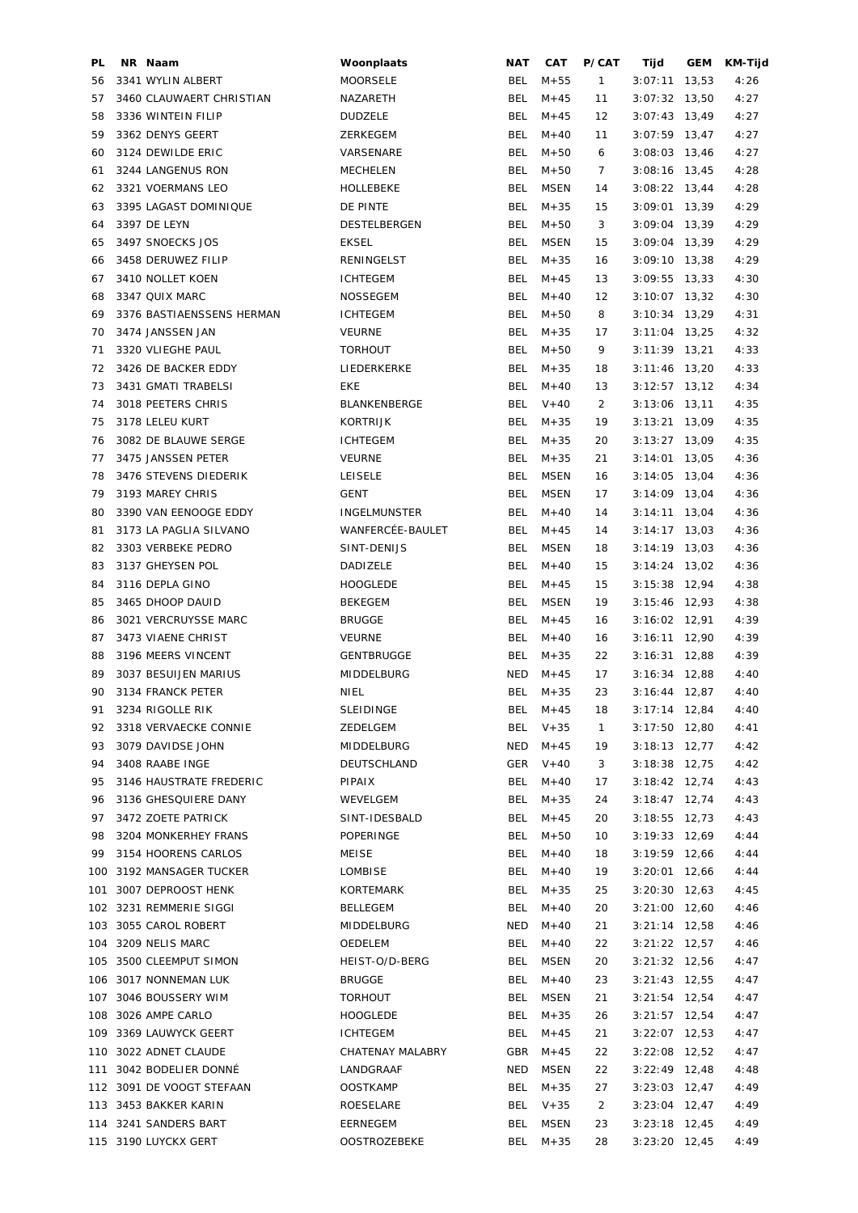| PL  | NR Naam                   | Woonplaats          | <b>NAT</b> | CAT         | P/CAT        | Tijd            | <b>GEM</b> | KM-Tijd |
|-----|---------------------------|---------------------|------------|-------------|--------------|-----------------|------------|---------|
| 56  | 3341 WYLIN ALBERT         | <b>MOORSELE</b>     | BEL        | $M + 55$    | $\mathbf{1}$ | 3:07:11         | 13,53      | 4:26    |
| 57  | 3460 CLAUWAERT CHRISTIAN  | NAZARETH            | <b>BEL</b> | $M + 45$    | 11           | 3:07:32         | 13,50      | 4:27    |
| 58  | 3336 WINTEIN FILIP        | <b>DUDZELE</b>      | <b>BEL</b> | $M + 45$    | 12           | $3:07:43$ 13,49 |            | 4:27    |
| 59  | 3362 DENYS GEERT          | ZERKEGEM            | <b>BEL</b> | $M + 40$    | 11           | $3:07:59$ 13,47 |            | 4:27    |
| 60  | 3124 DEWILDE ERIC         | VARSENARE           | <b>BEL</b> | $M + 50$    | 6            | $3:08:03$ 13,46 |            | 4:27    |
| 61  | 3244 LANGENUS RON         | <b>MECHELEN</b>     | <b>BEL</b> | $M + 50$    | 7            | $3:08:16$ 13,45 |            | 4:28    |
| 62  | 3321 VOERMANS LEO         | HOLLEBEKE           | <b>BEL</b> | <b>MSEN</b> | 14           | $3:08:22$ 13,44 |            | 4:28    |
| 63  | 3395 LAGAST DOMINIQUE     | DE PINTE            | <b>BEL</b> | $M + 35$    | 15           | $3:09:01$ 13,39 |            | 4:29    |
| 64  | 3397 DE LEYN              | DESTELBERGEN        | <b>BEL</b> | $M + 50$    | 3            | $3:09:04$ 13,39 |            | 4:29    |
| 65  | 3497 SNOECKS JOS          | <b>EKSEL</b>        | <b>BEL</b> | MSEN        | 15           | $3:09:04$ 13,39 |            | 4:29    |
| 66  | 3458 DERUWEZ FILIP        | RENINGELST          | <b>BEL</b> | $M + 35$    | 16           | $3:09:10$ 13,38 |            | 4:29    |
| 67  | 3410 NOLLET KOEN          | <b>ICHTEGEM</b>     | <b>BEL</b> | $M + 45$    | 13           | $3:09:55$ 13,33 |            | 4:30    |
| 68  | 3347 QUIX MARC            | <b>NOSSEGEM</b>     | <b>BEL</b> | $M+40$      | 12           | $3:10:07$ 13,32 |            | 4:30    |
| 69  | 3376 BASTIAENSSENS HERMAN | <b>ICHTEGEM</b>     | <b>BEL</b> | $M + 50$    | 8            | $3:10:34$ 13,29 |            | 4:31    |
| 70  | 3474 JANSSEN JAN          | <b>VEURNE</b>       | <b>BEL</b> | $M + 35$    | 17           | $3:11:04$ 13,25 |            | 4:32    |
| 71  | 3320 VLIEGHE PAUL         | <b>TORHOUT</b>      | <b>BEL</b> | $M + 50$    | 9            | $3:11:39$ 13,21 |            | 4:33    |
| 72  | 3426 DE BACKER EDDY       | LIEDERKERKE         | <b>BEL</b> | $M + 35$    | 18           | $3:11:46$ 13,20 |            | 4:33    |
| 73  | 3431 GMATI TRABELSI       | EKE                 | <b>BEL</b> | $M + 40$    | 13           | $3:12:57$ 13,12 |            | 4:34    |
| 74  | 3018 PEETERS CHRIS        | <b>BLANKENBERGE</b> | <b>BEL</b> | $V + 40$    | 2            | $3:13:06$ 13,11 |            | 4:35    |
| 75  | 3178 LELEU KURT           | <b>KORTRIJK</b>     | <b>BEL</b> | $M + 35$    | 19           | $3:13:21$ 13,09 |            | 4:35    |
|     |                           | <b>ICHTEGEM</b>     | <b>BEL</b> |             |              |                 |            |         |
| 76  | 3082 DE BLAUWE SERGE      |                     |            | $M + 35$    | 20           | $3:13:27$ 13,09 |            | 4:35    |
| 77  | 3475 JANSSEN PETER        | <b>VEURNE</b>       | <b>BEL</b> | $M + 35$    | 21           | $3:14:01$ 13,05 |            | 4:36    |
| 78  | 3476 STEVENS DIEDERIK     | <b>LEISELE</b>      | <b>BEL</b> | <b>MSEN</b> | 16           | $3:14:05$ 13,04 |            | 4:36    |
| 79  | 3193 MAREY CHRIS          | <b>GENT</b>         | <b>BEL</b> | <b>MSEN</b> | 17           | $3:14:09$ 13,04 |            | 4:36    |
| 80  | 3390 VAN EENOOGE EDDY     | <b>INGELMUNSTER</b> | <b>BEL</b> | $M + 40$    | 14           | $3:14:11$ 13,04 |            | 4:36    |
| 81  | 3173 LA PAGLIA SILVANO    | WANFERCÉE-BAULET    | <b>BEL</b> | $M + 45$    | 14           | $3:14:17$ 13,03 |            | 4:36    |
| 82  | 3303 VERBEKE PEDRO        | SINT-DENIJS         | <b>BEL</b> | MSEN        | 18           | $3:14:19$ 13,03 |            | 4:36    |
| 83  | 3137 GHEYSEN POL          | DADIZELE            | <b>BEL</b> | $M + 40$    | 15           | $3:14:24$ 13,02 |            | 4:36    |
| 84  | 3116 DEPLA GINO           | <b>HOOGLEDE</b>     | <b>BEL</b> | $M + 45$    | 15           | $3:15:38$ 12,94 |            | 4:38    |
| 85  | 3465 DHOOP DAUID          | <b>BEKEGEM</b>      | <b>BEL</b> | <b>MSEN</b> | 19           | $3:15:46$ 12,93 |            | 4:38    |
| 86  | 3021 VERCRUYSSE MARC      | <b>BRUGGE</b>       | <b>BEL</b> | $M + 45$    | 16           | $3:16:02$ 12,91 |            | 4:39    |
| 87  | 3473 VIAENE CHRIST        | <b>VEURNE</b>       | <b>BEL</b> | $M + 40$    | 16           | $3:16:11$ 12,90 |            | 4:39    |
| 88  | 3196 MEERS VINCENT        | <b>GENTBRUGGE</b>   | <b>BEL</b> | $M + 35$    | 22           | $3:16:31$ 12,88 |            | 4:39    |
| 89  | 3037 BESUIJEN MARIUS      | MIDDELBURG          | NED        | $M + 45$    | 17           | $3:16:34$ 12,88 |            | 4:40    |
| 90  | 3134 FRANCK PETER         | <b>NIEL</b>         | <b>BEL</b> | $M + 35$    | 23           | $3:16:44$ 12,87 |            | 4:40    |
| 91  | 3234 RIGOLLE RIK          | <b>SLEIDINGE</b>    | BEL        | $M + 45$    | 18           | $3:17:14$ 12,84 |            | 4:40    |
| 92  | 3318 VERVAECKE CONNIE     | ZEDELGEM            | BEL        | $V + 35$    | $\mathbf{1}$ | $3:17:50$ 12,80 |            | 4:41    |
| 93  | 3079 DAVIDSE JOHN         | MIDDELBURG          | NED        | $M + 45$    | 19           | $3:18:13$ 12,77 |            | 4:42    |
| 94  | 3408 RAABE INGE           | DEUTSCHLAND         | GER        | $V + 40$    | 3            | $3:18:38$ 12,75 |            | 4:42    |
| 95  | 3146 HAUSTRATE FREDERIC   | PIPAIX              | BEL        | $M + 40$    | 17           | $3:18:42$ 12,74 |            | 4:43    |
| 96  | 3136 GHESQUIERE DANY      | WEVELGEM            | <b>BEL</b> | $M + 35$    | 24           | $3:18:47$ 12,74 |            | 4:43    |
| 97  | 3472 ZOETE PATRICK        | SINT-IDESBALD       | <b>BEL</b> | $M + 45$    | 20           | $3:18:55$ 12,73 |            | 4:43    |
| 98  | 3204 MONKERHEY FRANS      | POPERINGE           | <b>BEL</b> | $M + 50$    | 10           | $3:19:33$ 12,69 |            | 4:44    |
| 99  | 3154 HOORENS CARLOS       | MEISE               | <b>BEL</b> | $M + 40$    | 18           | $3:19:59$ 12,66 |            | 4:44    |
|     | 100 3192 MANSAGER TUCKER  | LOMBISE             | <b>BEL</b> | $M + 40$    | 19           | $3:20:01$ 12,66 |            | 4:44    |
| 101 | 3007 DEPROOST HENK        | KORTEMARK           | <b>BEL</b> | $M + 35$    | 25           | $3:20:30$ 12,63 |            | 4:45    |
|     | 102 3231 REMMERIE SIGGI   | BELLEGEM            | <b>BEL</b> | $M + 40$    | 20           | $3:21:00$ 12,60 |            | 4:46    |
|     | 103 3055 CAROL ROBERT     | MIDDELBURG          | NED        | $M + 40$    | 21           | $3:21:14$ 12,58 |            | 4:46    |
| 104 | 3209 NELIS MARC           | OEDELEM             | <b>BEL</b> | $M + 40$    | 22           | $3:21:22$ 12,57 |            | 4:46    |
| 105 | 3500 CLEEMPUT SIMON       | HEIST-O/D-BERG      | <b>BEL</b> | MSEN        | 20           | $3:21:32$ 12,56 |            | 4:47    |
|     | 106 3017 NONNEMAN LUK     | <b>BRUGGE</b>       | <b>BEL</b> | $M+40$      | 23           | $3:21:43$ 12,55 |            | 4:47    |
| 107 | 3046 BOUSSERY WIM         | <b>TORHOUT</b>      | <b>BEL</b> | MSEN        | 21           | $3:21:54$ 12,54 |            | 4:47    |
| 108 | 3026 AMPE CARLO           | <b>HOOGLEDE</b>     | <b>BEL</b> | $M + 35$    | 26           | $3:21:57$ 12,54 |            | 4:47    |
|     | 109 3369 LAUWYCK GEERT    | <b>ICHTEGEM</b>     | <b>BEL</b> | $M + 45$    | 21           |                 |            |         |
|     |                           |                     |            |             |              | $3:22:07$ 12,53 |            | 4:47    |
|     | 110 3022 ADNET CLAUDE     | CHATENAY MALABRY    | GBR        | $M + 45$    | 22           | $3:22:08$ 12,52 |            | 4:47    |
| 111 | 3042 BODELIER DONNÉ       | LANDGRAAF           | NED        | MSEN        | 22           | $3:22:49$ 12,48 |            | 4:48    |
|     | 112 3091 DE VOOGT STEFAAN | <b>OOSTKAMP</b>     | <b>BEL</b> | $M + 35$    | 27           | $3:23:03$ 12,47 |            | 4:49    |
|     | 113 3453 BAKKER KARIN     | ROESELARE           | <b>BEL</b> | $V + 35$    | 2            | $3:23:04$ 12,47 |            | 4:49    |
|     | 114 3241 SANDERS BART     | EERNEGEM            | <b>BEL</b> | MSEN        | 23           | $3:23:18$ 12,45 |            | 4:49    |
|     | 115 3190 LUYCKX GERT      | <b>OOSTROZEBEKE</b> | <b>BEL</b> | $M + 35$    | 28           | $3:23:20$ 12,45 |            | 4:49    |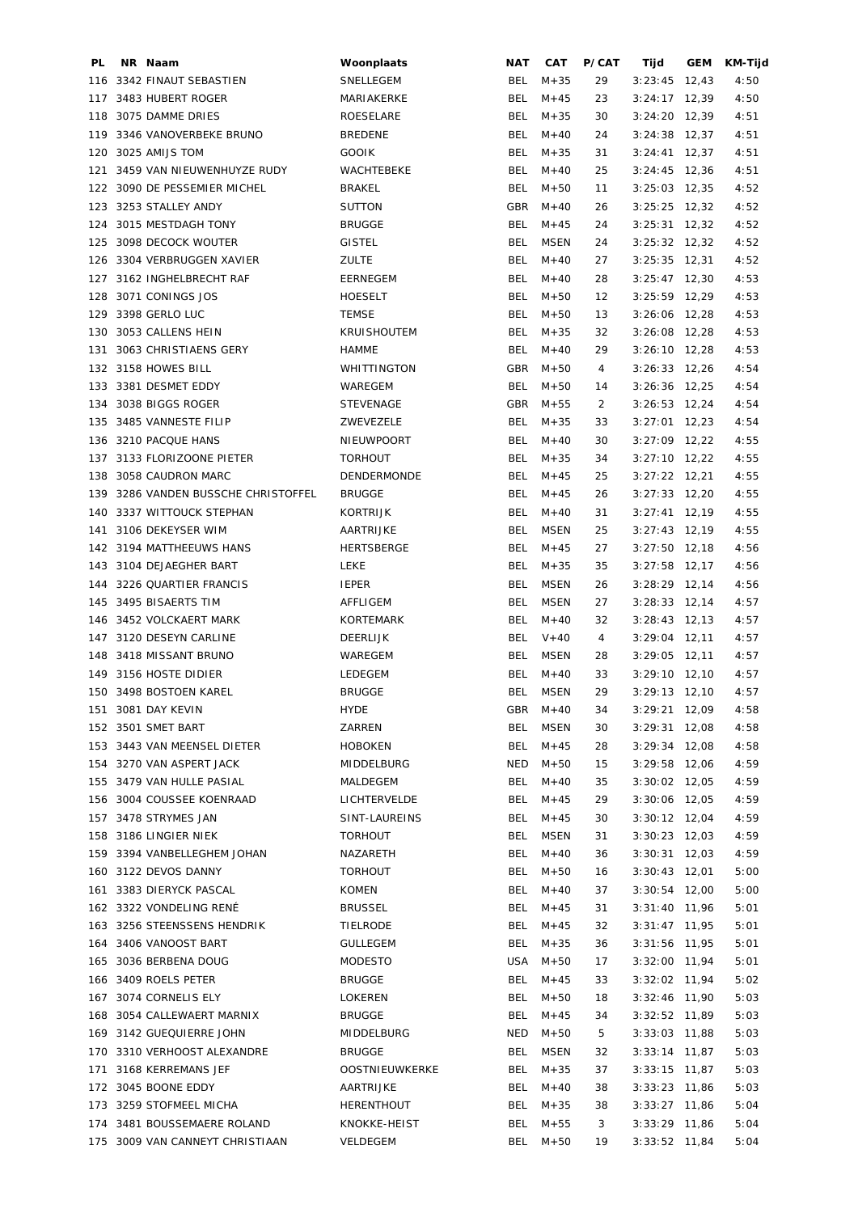| PL. | NR Naam                         | Woonplaats         | NAT        | <b>CAT</b>  | P/CAT    | Tijd                               | GEM | KM-Tijd |
|-----|---------------------------------|--------------------|------------|-------------|----------|------------------------------------|-----|---------|
| 116 | 3342 FINAUT SEBASTIEN           | SNELLEGEM          | <b>BEL</b> | $M + 35$    | 29       | $3:23:45$ 12,43                    |     | 4:50    |
| 117 | 3483 HUBERT ROGER               | MARIAKERKE         | BEL        | $M + 45$    | 23       | $3:24:17$ 12,39                    |     | 4:50    |
| 118 | 3075 DAMME DRIES                | ROESELARE          | BEL        | $M + 35$    | 30       | $3:24:20$ 12,39                    |     | 4:51    |
| 119 | 3346 VANOVERBEKE BRUNO          | <b>BREDENE</b>     | BEL        | $M + 40$    | 24       | $3:24:38$ 12,37                    |     | 4:51    |
| 120 | 3025 AMIJS TOM                  | <b>GOOIK</b>       | <b>BEL</b> | $M + 35$    | 31       | $3:24:41$ 12,37                    |     | 4:51    |
| 121 | 3459 VAN NIEUWENHUYZE RUDY      | WACHTEBEKE         | <b>BEL</b> | $M + 40$    | 25       | $3:24:45$ 12,36                    |     | 4:51    |
|     | 122 3090 DE PESSEMIER MICHEL    | <b>BRAKEL</b>      | BEL        | $M + 50$    | 11       | $3:25:03$ 12,35                    |     | 4:52    |
|     | 123 3253 STALLEY ANDY           | <b>SUTTON</b>      | GBR        | $M + 40$    | 26       | $3:25:25$ 12,32                    |     | 4:52    |
| 124 | 3015 MESTDAGH TONY              | <b>BRUGGE</b>      | BEL        | $M + 45$    | 24       | $3:25:31$ 12,32                    |     | 4:52    |
| 125 | 3098 DECOCK WOUTER              | <b>GISTEL</b>      | BEL        | <b>MSEN</b> | 24       | $3:25:32$ 12,32                    |     | 4:52    |
| 126 | 3304 VERBRUGGEN XAVIER          | <b>ZULTE</b>       | <b>BEL</b> | $M + 40$    | 27       | $3:25:35$ 12,31                    |     | 4:52    |
| 127 | 3162 INGHELBRECHT RAF           | EERNEGEM           | BEL        | $M + 40$    | 28       | $3:25:47$ 12,30                    |     | 4:53    |
| 128 | 3071 CONINGS JOS                | <b>HOESELT</b>     | BEL        | $M + 50$    | 12       | $3:25:59$ 12,29                    |     | 4:53    |
| 129 | 3398 GERLO LUC                  | <b>TEMSE</b>       | BEL        | $M + 50$    | 13       | $3:26:06$ 12,28                    |     | 4:53    |
| 130 | 3053 CALLENS HEIN               | <b>KRUISHOUTEM</b> | BEL        | $M + 35$    | 32       | $3:26:08$ 12,28                    |     | 4:53    |
| 131 | 3063 CHRISTIAENS GERY           | <b>HAMME</b>       | <b>BEL</b> | $M + 40$    | 29       | $3:26:10$ 12,28                    |     | 4:53    |
|     | 132 3158 HOWES BILL             | WHITTINGTON        | GBR        | $M + 50$    | 4        | $3:26:33$ 12,26                    |     | 4:54    |
|     | 133 3381 DESMET EDDY            | WAREGEM            | <b>BEL</b> | $M + 50$    | 14       | $3:26:36$ 12,25                    |     | 4:54    |
|     | 3038 BIGGS ROGER                | <b>STEVENAGE</b>   | <b>GBR</b> | $M + 55$    | 2        |                                    |     |         |
| 134 | 135 3485 VANNESTE FILIP         |                    | BEL        |             |          | $3:26:53$ 12,24<br>$3:27:01$ 12,23 |     | 4:54    |
|     | 136 3210 PACQUE HANS            | ZWEVEZELE          |            | $M + 35$    | 33       |                                    |     | 4:54    |
|     |                                 | NIEUWPOORT         | BEL        | $M + 40$    | 30       | $3:27:09$ 12,22                    |     | 4:55    |
| 137 | 3133 FLORIZOONE PIETER          | <b>TORHOUT</b>     | BEL        | $M + 35$    | 34       | $3:27:10$ 12,22                    |     | 4:55    |
| 138 | 3058 CAUDRON MARC               | DENDERMONDE        | BEL        | $M + 45$    | 25       | $3:27:22$ 12,21                    |     | 4:55    |
| 139 | 3286 VANDEN BUSSCHE CHRISTOFFEL | <b>BRUGGE</b>      | BEL        | $M + 45$    | 26       | $3:27:33$ 12,20                    |     | 4:55    |
| 140 | 3337 WITTOUCK STEPHAN           | KORTRIJK           | <b>BEL</b> | $M + 40$    | 31       | $3:27:41$ 12,19                    |     | 4:55    |
| 141 | 3106 DEKEYSER WIM               | AARTRIJKE          | BEL        | <b>MSEN</b> | 25       | $3:27:43$ 12,19                    |     | 4:55    |
|     | 142 3194 MATTHEEUWS HANS        | HERTSBERGE         | <b>BEL</b> | $M + 45$    | 27       | $3:27:50$ 12,18                    |     | 4:56    |
|     | 143 3104 DEJAEGHER BART         | <b>LEKE</b>        | BEL        | $M + 35$    | 35       | $3:27:58$ 12,17                    |     | 4:56    |
| 144 | 3226 QUARTIER FRANCIS           | <b>IEPER</b>       | <b>BEL</b> | <b>MSEN</b> | 26       | $3:28:29$ 12,14                    |     | 4:56    |
|     | 145 3495 BISAERTS TIM           | AFFLIGEM           | <b>BEL</b> | <b>MSEN</b> | 27       | $3:28:33$ 12,14                    |     | 4:57    |
|     | 146 3452 VOLCKAERT MARK         | KORTEMARK          | <b>BEL</b> | $M + 40$    | 32       | $3:28:43$ 12,13                    |     | 4:57    |
|     | 147 3120 DESEYN CARLINE         | <b>DEERLIJK</b>    | BEL        | $V + 40$    | 4        | $3:29:04$ 12,11                    |     | 4:57    |
|     | 148 3418 MISSANT BRUNO          | WAREGEM            | BEL        | <b>MSEN</b> | 28       | $3:29:05$ 12,11                    |     | 4:57    |
|     | 149 3156 HOSTE DIDIER           | LEDEGEM            | BEL        | $M + 40$    | 33       | $3:29:10$ 12,10                    |     | 4:57    |
|     | 150 3498 BOSTOEN KAREL          | <b>BRUGGE</b>      | <b>BEL</b> | <b>MSEN</b> | 29       | $3:29:13$ 12,10                    |     | 4:57    |
|     | 151 3081 DAY KEVIN              | <b>HYDE</b>        | GBR        | M+40        | 34       | $3:29:21$ 12,09                    |     | 4:58    |
|     | 152 3501 SMET BART              | ZARREN             | <b>BEL</b> | <b>MSEN</b> | 30       | $3:29:31$ 12,08                    |     | 4:58    |
|     | 153 3443 VAN MEENSEL DIETER     | <b>HOBOKEN</b>     | <b>BEL</b> | $M + 45$    | 28       | $3:29:34$ 12,08                    |     | 4:58    |
|     | 154 3270 VAN ASPERT JACK        | MIDDELBURG         | NED        | $M + 50$    | 15       | $3:29:58$ 12,06                    |     | 4:59    |
|     | 155 3479 VAN HULLE PASIAL       | MALDEGEM           | BEL        | $M + 40$    | 35       | $3:30:02$ 12,05                    |     | 4:59    |
|     | 156 3004 COUSSEE KOENRAAD       | LICHTERVELDE       | BEL        | $M + 45$    | 29       | $3:30:06$ 12,05                    |     | 4:59    |
|     | 157 3478 STRYMES JAN            | SINT-LAUREINS      | BEL        | $M + 45$    | 30       | $3:30:12$ 12,04                    |     | 4:59    |
|     | 158 3186 LINGIER NIEK           | <b>TORHOUT</b>     | BEL        | <b>MSEN</b> | 31       | $3:30:23$ 12,03                    |     | 4:59    |
|     | 159 3394 VANBELLEGHEM JOHAN     | NAZARETH           | BEL        | $M + 40$    | 36       | $3:30:31$ 12,03                    |     | 4:59    |
|     | 160 3122 DEVOS DANNY            | <b>TORHOUT</b>     | BEL        | $M + 50$    | 16       | $3:30:43$ 12,01                    |     | 5:00    |
| 161 | 3383 DIERYCK PASCAL             | <b>KOMEN</b>       | BEL        | $M + 40$    | 37       | $3:30:54$ 12,00                    |     | 5:00    |
|     | 162 3322 VONDELING RENÉ         | <b>BRUSSEL</b>     | BEL        | $M + 45$    | 31       | $3:31:40$ 11,96                    |     | 5:01    |
|     | 163 3256 STEENSSENS HENDRIK     | TIELRODE           | BEL        | $M + 45$    | 32       | $3:31:47$ 11,95                    |     | 5:01    |
| 164 | 3406 VANOOST BART               | <b>GULLEGEM</b>    | BEL        | $M + 35$    | 36       | $3:31:56$ 11,95                    |     | 5:01    |
| 165 | 3036 BERBENA DOUG               | MODESTO            | USA        | M+50        | 17       | $3:32:00$ 11,94                    |     | 5:01    |
| 166 | 3409 ROELS PETER                | <b>BRUGGE</b>      | BEL        | $M + 45$    | 33       | $3:32:02$ 11,94                    |     | 5:02    |
|     | 3074 CORNELIS ELY               |                    | BEL        |             |          |                                    |     |         |
| 167 |                                 | LOKEREN            |            | $M + 50$    | 18<br>34 | $3:32:46$ 11,90                    |     | 5:03    |
| 168 | 3054 CALLEWAERT MARNIX          | <b>BRUGGE</b>      | <b>BEL</b> | $M + 45$    |          | $3:32:52$ 11,89                    |     | 5:03    |
|     | 169 3142 GUEQUIERRE JOHN        | MIDDELBURG         | NED        | $M + 50$    | 5        | $3:33:03$ 11,88                    |     | 5:03    |
|     | 170 3310 VERHOOST ALEXANDRE     | <b>BRUGGE</b>      | BEL        | <b>MSEN</b> | 32       | $3:33:14$ 11,87                    |     | 5:03    |
| 171 | 3168 KERREMANS JEF              | OOSTNIEUWKERKE     | BEL        | $M + 35$    | 37       | $3:33:15$ 11,87                    |     | 5:03    |
|     | 172 3045 BOONE EDDY             | AARTRIJKE          | BEL        | $M + 40$    | 38       | $3:33:23$ 11,86                    |     | 5:03    |
|     | 173 3259 STOFMEEL MICHA         | <b>HERENTHOUT</b>  | BEL        | $M + 35$    | 38       | $3:33:27$ 11,86                    |     | 5:04    |
|     | 174 3481 BOUSSEMAERE ROLAND     | KNOKKE-HEIST       | BEL        | $M + 55$    | 3        | $3:33:29$ 11,86                    |     | 5:04    |
|     | 175 3009 VAN CANNEYT CHRISTIAAN | VELDEGEM           | BEL        | $M + 50$    | 19       | $3:33:52$ 11,84                    |     | 5:04    |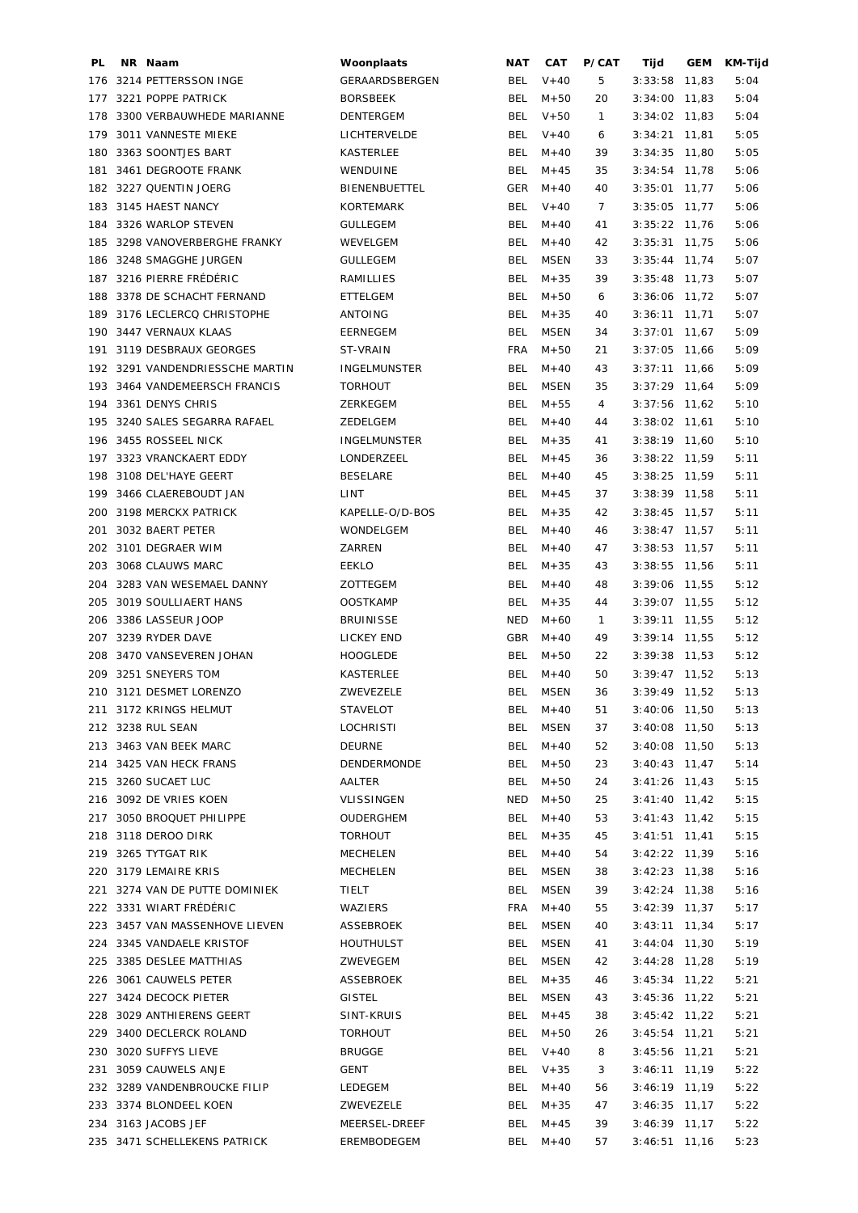| PL  | NR Naam                         | Woonplaats           | <b>NAT</b> | <b>CAT</b>  | P/CAT        | Tijd            | GEM   | <b>KM-Tijd</b> |
|-----|---------------------------------|----------------------|------------|-------------|--------------|-----------------|-------|----------------|
| 176 | 3214 PETTERSSON INGE            | GERAARDSBERGEN       | BEL        | $V + 40$    | 5            | 3:33:58         | 11,83 | 5:04           |
| 177 | 3221 POPPE PATRICK              | <b>BORSBEEK</b>      | <b>BEL</b> | $M + 50$    | 20           | $3:34:00$ 11,83 |       | 5:04           |
| 178 | 3300 VERBAUWHEDE MARIANNE       | <b>DENTERGEM</b>     | <b>BEL</b> | $V + 50$    | $\mathbf{1}$ | $3:34:02$ 11,83 |       | 5:04           |
| 179 | 3011 VANNESTE MIEKE             | LICHTERVELDE         | <b>BEL</b> | $V + 40$    | 6            | 3:34:21         | 11,81 | 5:05           |
| 180 | 3363 SOONTJES BART              | <b>KASTERLEE</b>     | <b>BEL</b> | $M + 40$    | 39           | $3:34:35$ 11,80 |       | 5:05           |
| 181 | 3461 DEGROOTE FRANK             | WENDUINE             | <b>BEL</b> | $M + 45$    | 35           | 3:34:54         | 11,78 | 5:06           |
|     | 182 3227 QUENTIN JOERG          | <b>BIENENBUETTEL</b> | <b>GER</b> | $M + 40$    | 40           | $3:35:01$ 11,77 |       | 5:06           |
|     | 183 3145 HAEST NANCY            | KORTEMARK            | <b>BEL</b> | $V + 40$    | 7            | $3:35:05$ 11,77 |       | 5:06           |
| 184 | 3326 WARLOP STEVEN              | <b>GULLEGEM</b>      | <b>BEL</b> | $M + 40$    | 41           | $3:35:22$ 11,76 |       | 5:06           |
| 185 | 3298 VANOVERBERGHE FRANKY       | WEVELGEM             | <b>BEL</b> | $M + 40$    | 42           | 3:35:31         | 11,75 | 5:06           |
| 186 | 3248 SMAGGHE JURGEN             | <b>GULLEGEM</b>      | BEL        | <b>MSEN</b> | 33           | $3:35:44$ 11,74 |       | 5:07           |
|     | 3216 PIERRE FRÉDÉRIC            | RAMILLIES            | <b>BEL</b> | $M + 35$    | 39           | $3:35:48$ 11,73 |       |                |
| 187 |                                 |                      | <b>BEL</b> |             |              |                 |       | 5:07           |
| 188 | 3378 DE SCHACHT FERNAND         | ETTELGEM             |            | $M + 50$    | 6            | $3:36:06$ 11,72 |       | 5:07           |
| 189 | 3176 LECLERCQ CHRISTOPHE        | ANTOING              | <b>BEL</b> | $M + 35$    | 40           | $3:36:11$ 11,71 |       | 5:07           |
|     | 190 3447 VERNAUX KLAAS          | EERNEGEM             | <b>BEL</b> | <b>MSEN</b> | 34           | $3:37:01$ 11,67 |       | 5:09           |
| 191 | 3119 DESBRAUX GEORGES           | <b>ST-VRAIN</b>      | <b>FRA</b> | $M + 50$    | 21           | $3:37:05$ 11,66 |       | 5:09           |
|     | 192 3291 VANDENDRIESSCHE MARTIN | <b>INGELMUNSTER</b>  | <b>BEL</b> | $M + 40$    | 43           | $3:37:11$ 11,66 |       | 5:09           |
|     | 193 3464 VANDEMEERSCH FRANCIS   | <b>TORHOUT</b>       | <b>BEL</b> | <b>MSEN</b> | 35           | $3:37:29$ 11,64 |       | 5:09           |
| 194 | 3361 DENYS CHRIS                | ZERKEGEM             | <b>BEL</b> | $M + 55$    | 4            | $3:37:56$ 11,62 |       | 5:10           |
| 195 | 3240 SALES SEGARRA RAFAEL       | ZEDELGEM             | <b>BEL</b> | $M + 40$    | 44           | $3:38:02$ 11,61 |       | 5:10           |
| 196 | 3455 ROSSEEL NICK               | <b>INGELMUNSTER</b>  | <b>BEL</b> | $M + 35$    | 41           | $3:38:19$ 11,60 |       | 5:10           |
| 197 | 3323 VRANCKAERT EDDY            | LONDERZEEL           | <b>BEL</b> | $M + 45$    | 36           | $3:38:22$ 11,59 |       | 5:11           |
| 198 | 3108 DEL'HAYE GEERT             | <b>BESELARE</b>      | <b>BEL</b> | $M + 40$    | 45           | $3:38:25$ 11,59 |       | 5:11           |
| 199 | 3466 CLAEREBOUDT JAN            | LINT                 | BEL        | $M + 45$    | 37           | $3:38:39$ 11,58 |       | 5:11           |
| 200 | 3198 MERCKX PATRICK             | KAPELLE-O/D-BOS      | BEL        | $M + 35$    | 42           | $3:38:45$ 11,57 |       | 5:11           |
| 201 | 3032 BAERT PETER                | WONDELGEM            | <b>BEL</b> | $M + 40$    | 46           | $3:38:47$ 11,57 |       | 5:11           |
|     | 202 3101 DEGRAER WIM            | ZARREN               | BEL        | $M + 40$    | 47           | $3:38:53$ 11,57 |       | 5:11           |
| 203 | 3068 CLAUWS MARC                | EEKLO                | <b>BEL</b> | $M + 35$    | 43           | $3:38:55$ 11,56 |       | 5:11           |
| 204 | 3283 VAN WESEMAEL DANNY         | ZOTTEGEM             | <b>BEL</b> | $M + 40$    | 48           | $3:39:06$ 11,55 |       | 5:12           |
| 205 | 3019 SOULLIAERT HANS            | <b>OOSTKAMP</b>      | <b>BEL</b> | $M + 35$    | 44           | $3:39:07$ 11,55 |       | 5:12           |
| 206 | 3386 LASSEUR JOOP               | <b>BRUINISSE</b>     | <b>NED</b> | $M + 60$    | 1            | $3:39:11$ 11,55 |       | 5:12           |
|     | 207 3239 RYDER DAVE             | LICKEY END           | GBR        | $M + 40$    | 49           | $3:39:14$ 11,55 |       | 5:12           |
| 208 | 3470 VANSEVEREN JOHAN           | <b>HOOGLEDE</b>      | <b>BEL</b> | $M + 50$    |              | $3:39:38$ 11,53 |       | 5:12           |
|     | 3251 SNEYERS TOM                |                      |            |             | 22           |                 |       |                |
| 209 |                                 | <b>KASTERLEE</b>     | BEL        | $M + 40$    | 50           | $3:39:47$ 11,52 |       | 5:13           |
|     | 210 3121 DESMET LORENZO         | ZWEVEZELE            | <b>BEL</b> | <b>MSEN</b> | 36           | $3:39:49$ 11,52 |       | 5:13           |
|     | 211 3172 KRINGS HELMUT          | <b>STAVELOT</b>      | BEL.       | $M + 40$    | 51           | $3:40:06$ 11,50 |       | 5:13           |
|     | 212 3238 RUL SEAN               | <b>LOCHRISTI</b>     | BEL        | MSEN        | 37           | $3:40:08$ 11,50 |       | 5:13           |
|     | 213 3463 VAN BEEK MARC          | <b>DEURNE</b>        | BEL        | $M + 40$    | 52           | $3:40:08$ 11,50 |       | 5:13           |
|     | 214 3425 VAN HECK FRANS         | DENDERMONDE          | <b>BEL</b> | $M + 50$    | 23           | $3:40:43$ 11,47 |       | 5:14           |
|     | 215 3260 SUCAET LUC             | AALTER               | <b>BEL</b> | $M + 50$    | 24           | $3:41:26$ 11,43 |       | 5:15           |
|     | 216 3092 DE VRIES KOEN          | VLISSINGEN           | NED        | $M + 50$    | 25           | $3:41:40$ 11,42 |       | 5:15           |
|     | 217 3050 BROQUET PHILIPPE       | OUDERGHEM            | <b>BEL</b> | $M + 40$    | 53           | $3:41:43$ 11,42 |       | 5:15           |
|     | 218 3118 DEROO DIRK             | <b>TORHOUT</b>       | BEL        | $M + 35$    | 45           | $3:41:51$ 11,41 |       | 5:15           |
|     | 219 3265 TYTGAT RIK             | MECHELEN             | BEL        | $M + 40$    | 54           | $3:42:22$ 11,39 |       | 5:16           |
|     | 220 3179 LEMAIRE KRIS           | <b>MECHELEN</b>      | BEL        | MSEN        | 38           | $3:42:23$ 11,38 |       | 5:16           |
| 221 | 3274 VAN DE PUTTE DOMINIEK      | TIELT                | BEL        | MSEN        | 39           | $3:42:24$ 11,38 |       | 5:16           |
|     | 222 3331 WIART FRÉDÉRIC         | WAZIERS              | <b>FRA</b> | $M + 40$    | 55           | $3:42:39$ 11,37 |       | 5:17           |
|     | 223 3457 VAN MASSENHOVE LIEVEN  | ASSEBROEK            | <b>BEL</b> | MSEN        | 40           | $3:43:11$ 11,34 |       | 5:17           |
|     | 224 3345 VANDAELE KRISTOF       | <b>HOUTHULST</b>     | <b>BEL</b> | MSEN        | 41           | $3:44:04$ 11,30 |       | 5:19           |
|     | 225 3385 DESLEE MATTHIAS        | ZWEVEGEM             | BEL        | <b>MSEN</b> | 42           | $3:44:28$ 11,28 |       | 5:19           |
|     | 226 3061 CAUWELS PETER          | ASSEBROEK            | BEL        | $M + 35$    | 46           | $3:45:34$ 11,22 |       | 5:21           |
|     | 227 3424 DECOCK PIETER          | GISTEL               | BEL        | <b>MSEN</b> | 43           | $3:45:36$ 11,22 |       | 5:21           |
| 228 | 3029 ANTHIERENS GEERT           | SINT-KRUIS           | <b>BEL</b> | $M + 45$    | 38           | $3:45:42$ 11,22 |       | 5:21           |
|     | 229 3400 DECLERCK ROLAND        | <b>TORHOUT</b>       | <b>BEL</b> | $M + 50$    |              |                 |       |                |
|     |                                 |                      |            |             | 26           | $3:45:54$ 11,21 |       | 5:21           |
| 230 | 3020 SUFFYS LIEVE               | <b>BRUGGE</b>        | BEL        | $V + 40$    | 8            | $3:45:56$ 11,21 |       | 5:21           |
| 231 | 3059 CAUWELS ANJE               | <b>GENT</b>          | <b>BEL</b> | $V + 35$    | 3            | $3:46:11$ 11,19 |       | 5:22           |
|     | 232 3289 VANDENBROUCKE FILIP    | LEDEGEM              | BEL        | $M + 40$    | 56           | $3:46:19$ 11,19 |       | 5:22           |
|     | 233 3374 BLONDEEL KOEN          | ZWEVEZELE            | BEL        | $M + 35$    | 47           | $3:46:35$ 11,17 |       | 5:22           |
|     | 234 3163 JACOBS JEF             | MEERSEL-DREEF        | <b>BEL</b> | $M + 45$    | 39           | $3:46:39$ 11,17 |       | 5:22           |
|     | 235 3471 SCHELLEKENS PATRICK    | EREMBODEGEM          | <b>BEL</b> | $M + 40$    | 57           | $3:46:51$ 11,16 |       | 5:23           |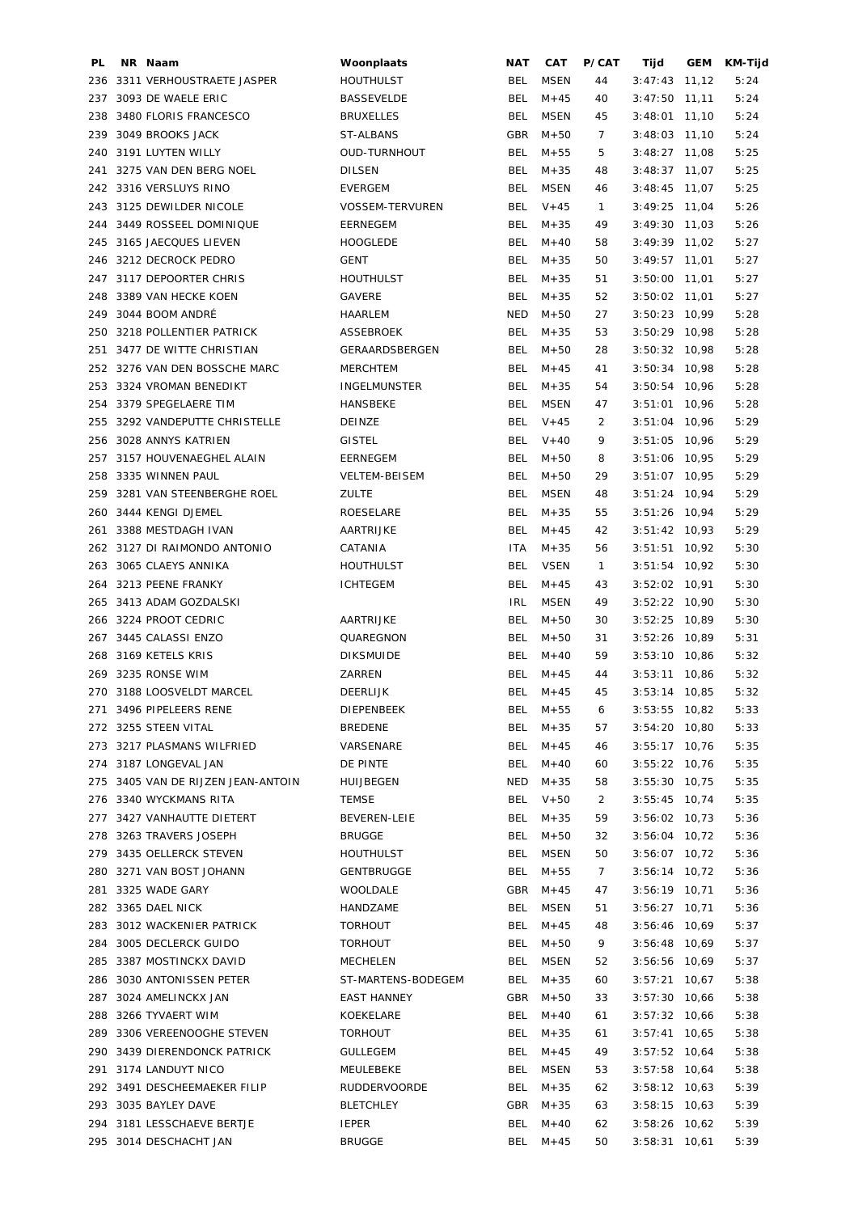| PL. | NR Naam                            | Woonplaats           | NAT        | <b>CAT</b>  | P/CAT          | Tijd            | GEM   | KM-Tijd |
|-----|------------------------------------|----------------------|------------|-------------|----------------|-----------------|-------|---------|
| 236 | 3311 VERHOUSTRAETE JASPER          | <b>HOUTHULST</b>     | BEL        | <b>MSEN</b> | 44             | 3:47:43         | 11,12 | 5:24    |
| 237 | 3093 DE WAELE ERIC                 | <b>BASSEVELDE</b>    | BEL        | $M + 45$    | 40             | 3:47:50         | 11,11 | 5:24    |
| 238 | 3480 FLORIS FRANCESCO              | <b>BRUXELLES</b>     | BEL        | <b>MSEN</b> | 45             | 3:48:01         | 11,10 | 5:24    |
| 239 | 3049 BROOKS JACK                   | ST-ALBANS            | GBR        | $M + 50$    | 7              | $3:48:03$ 11,10 |       | 5:24    |
|     | 240 3191 LUYTEN WILLY              | <b>OUD-TURNHOUT</b>  | BEL        | $M + 55$    | 5              | $3:48:27$ 11,08 |       | 5:25    |
| 241 | 3275 VAN DEN BERG NOEL             | <b>DILSEN</b>        | BEL        | $M + 35$    | 48             | $3:48:37$ 11,07 |       | 5:25    |
|     | 242 3316 VERSLUYS RINO             | <b>EVERGEM</b>       | BEL        | <b>MSEN</b> | 46             | $3:48:45$ 11,07 |       | 5:25    |
| 243 | 3125 DEWILDER NICOLE               | VOSSEM-TERVUREN      | <b>BEL</b> | $V + 45$    | $\mathbf{1}$   | $3:49:25$ 11,04 |       | 5:26    |
|     | 244 3449 ROSSEEL DOMINIQUE         | EERNEGEM             | <b>BEL</b> | $M + 35$    | 49             | $3:49:30$ 11,03 |       | 5:26    |
| 245 | 3165 JAECQUES LIEVEN               | <b>HOOGLEDE</b>      | BEL        | $M + 40$    | 58             | $3:49:39$ 11,02 |       | 5:27    |
| 246 | 3212 DECROCK PEDRO                 | <b>GENT</b>          | BEL        | $M + 35$    | 50             | $3:49:57$ 11,01 |       | 5:27    |
| 247 | 3117 DEPOORTER CHRIS               | <b>HOUTHULST</b>     | BEL        | $M + 35$    | 51             | 3:50:00         | 11,01 | 5:27    |
| 248 | 3389 VAN HECKE KOEN                | <b>GAVERE</b>        | BEL        | $M + 35$    | 52             | $3:50:02$ 11,01 |       | 5:27    |
| 249 | 3044 BOOM ANDRÉ                    | HAARLEM              | <b>NED</b> | $M + 50$    | 27             | $3:50:23$ 10,99 |       | 5:28    |
| 250 | 3218 POLLENTIER PATRICK            | ASSEBROEK            | BEL        | $M + 35$    | 53             | $3:50:29$ 10,98 |       | 5:28    |
| 251 | 3477 DE WITTE CHRISTIAN            | GERAARDSBERGEN       | BEL        | $M + 50$    | 28             | $3:50:32$ 10,98 |       | 5:28    |
|     | 252 3276 VAN DEN BOSSCHE MARC      | <b>MERCHTEM</b>      | BEL        | $M + 45$    | 41             | $3:50:34$ 10,98 |       | 5:28    |
| 253 | 3324 VROMAN BENEDIKT               | <b>INGELMUNSTER</b>  | <b>BEL</b> | $M + 35$    | 54             | $3:50:54$ 10,96 |       | 5:28    |
| 254 | 3379 SPEGELAERE TIM                | HANSBEKE             | BEL        | <b>MSEN</b> | 47             | $3:51:01$ 10,96 |       | 5:28    |
| 255 | 3292 VANDEPUTTE CHRISTELLE         | <b>DEINZE</b>        | BEL        | $V + 45$    | 2              | $3:51:04$ 10,96 |       | 5:29    |
| 256 | 3028 ANNYS KATRIEN                 | <b>GISTEL</b>        | BEL        | $V + 40$    | 9              | $3:51:05$ 10,96 |       | 5:29    |
| 257 | 3157 HOUVENAEGHEL ALAIN            | EERNEGEM             | BEL        | $M + 50$    | 8              | $3:51:06$ 10,95 |       | 5:29    |
| 258 | 3335 WINNEN PAUL                   | <b>VELTEM-BEISEM</b> | BEL        | $M + 50$    | 29             | $3:51:07$ 10,95 |       | 5:29    |
| 259 | 3281 VAN STEENBERGHE ROEL          | <b>ZULTE</b>         | BEL        | <b>MSEN</b> | 48             | 3:51:24         | 10,94 | 5:29    |
| 260 | 3444 KENGI DJEMEL                  | ROESELARE            | BEL        | $M + 35$    | 55             | $3:51:26$ 10,94 |       | 5:29    |
| 261 | 3388 MESTDAGH IVAN                 | AARTRIJKE            | BEL        | $M + 45$    | 42             | $3:51:42$ 10,93 |       | 5:29    |
|     | 262 3127 DI RAIMONDO ANTONIO       | CATANIA              | <b>ITA</b> | $M + 35$    | 56             | $3:51:51$ 10,92 |       | 5:30    |
| 263 | 3065 CLAEYS ANNIKA                 | <b>HOUTHULST</b>     | BEL        | <b>VSEN</b> | $\mathbf{1}$   | 3:51:54         | 10,92 | 5:30    |
|     | 264 3213 PEENE FRANKY              | <b>ICHTEGEM</b>      | BEL        | $M + 45$    | 43             | $3:52:02$ 10,91 |       | 5:30    |
|     | 265 3413 ADAM GOZDALSKI            |                      | <b>IRL</b> | <b>MSEN</b> | 49             | $3:52:22$ 10,90 |       | 5:30    |
|     | 266 3224 PROOT CEDRIC              | AARTRIJKE            | BEL        | $M + 50$    | 30             | $3:52:25$ 10,89 |       | 5:30    |
|     | 267 3445 CALASSI ENZO              | QUAREGNON            | BEL        | $M + 50$    | 31             | $3:52:26$ 10,89 |       | 5:31    |
| 268 | 3169 KETELS KRIS                   | <b>DIKSMUIDE</b>     | BEL        | $M+40$      | 59             | $3:53:10$ 10,86 |       | 5:32    |
| 269 | 3235 RONSE WIM                     | ZARREN               | BEL        | $M + 45$    | 44             | $3:53:11$ 10,86 |       | 5:32    |
|     | 270 3188 LOOSVELDT MARCEL          | <b>DEERLIJK</b>      | BEL        | $M + 45$    | 45             | $3:53:14$ 10,85 |       | 5:32    |
|     | 271 3496 PIPELEERS RENE            | DIEPENBEEK           | BEL.       | M+55        | 6              | $3:53:55$ 10,82 |       | 5:33    |
|     | 272 3255 STEEN VITAL               | <b>BREDENE</b>       | <b>BEL</b> | $M + 35$    | 57             | $3:54:20$ 10,80 |       | 5:33    |
|     | 273 3217 PLASMANS WILFRIED         | VARSENARE            | <b>BEL</b> | $M+45$      | 46             | $3:55:17$ 10,76 |       | 5:35    |
|     | 274 3187 LONGEVAL JAN              | DE PINTE             | <b>BEL</b> | $M+40$      | 60             | $3:55:22$ 10,76 |       | 5:35    |
|     | 275 3405 VAN DE RIJZEN JEAN-ANTOIN | HUIJBEGEN            | NED        | $M + 35$    | 58             | $3:55:30$ 10,75 |       | 5:35    |
|     | 276 3340 WYCKMANS RITA             | <b>TEMSE</b>         | BEL        | $V + 50$    | $\overline{2}$ | $3:55:45$ 10,74 |       | 5:35    |
|     | 277 3427 VANHAUTTE DIETERT         | BEVEREN-LEIE         | <b>BEL</b> | $M + 35$    | 59             | 3:56:02 10,73   |       | 5:36    |
|     | 278 3263 TRAVERS JOSEPH            | <b>BRUGGE</b>        | BEL        | $M + 50$    | 32             | 3:56:04 10,72   |       | 5:36    |
|     | 279 3435 OELLERCK STEVEN           | <b>HOUTHULST</b>     | <b>BEL</b> | MSEN        | 50             | $3:56:07$ 10,72 |       | 5:36    |
|     | 280 3271 VAN BOST JOHANN           | GENTBRUGGE           | <b>BEL</b> | $M + 55$    | $\overline{7}$ | $3:56:14$ 10,72 |       | 5:36    |
| 281 | 3325 WADE GARY                     | WOOLDALE             | GBR        | $M + 45$    | 47             | $3:56:19$ 10,71 |       | 5:36    |
|     | 282 3365 DAEL NICK                 | HANDZAME             | BEL        | MSEN        | 51             | $3:56:27$ 10,71 |       | 5:36    |
| 283 | 3012 WACKENIER PATRICK             | <b>TORHOUT</b>       | <b>BEL</b> | $M + 45$    | 48             | 3:56:46 10,69   |       | 5:37    |
| 284 | 3005 DECLERCK GUIDO                | <b>TORHOUT</b>       | BEL        | $M + 50$    | 9              | 3:56:48 10,69   |       | 5:37    |
| 285 | 3387 MOSTINCKX DAVID               | MECHELEN             | <b>BEL</b> | MSEN        | 52             | 3:56:56 10,69   |       | 5:37    |
| 286 | 3030 ANTONISSEN PETER              | ST-MARTENS-BODEGEM   | <b>BEL</b> | $M + 35$    | 60             | $3:57:21$ 10,67 |       | 5:38    |
| 287 | 3024 AMELINCKX JAN                 | EAST HANNEY          | GBR        | $M + 50$    | 33             | $3:57:30$ 10,66 |       | 5:38    |
| 288 | 3266 TYVAERT WIM                   | KOEKELARE            | BEL        | $M + 40$    | 61             | $3:57:32$ 10,66 |       | 5:38    |
|     | 289 3306 VEREENOOGHE STEVEN        | <b>TORHOUT</b>       | <b>BEL</b> | $M + 35$    | 61             | $3:57:41$ 10,65 |       | 5:38    |
|     | 290 3439 DIERENDONCK PATRICK       | GULLEGEM             | <b>BEL</b> | $M + 45$    | 49             | $3:57:52$ 10,64 |       | 5:38    |
|     | 291 3174 LANDUYT NICO              | MEULEBEKE            | <b>BEL</b> | MSEN        | 53             | $3:57:58$ 10,64 |       | 5:38    |
|     | 292 3491 DESCHEEMAEKER FILIP       | RUDDERVOORDE         | <b>BEL</b> | $M + 35$    | 62             | $3:58:12$ 10,63 |       | 5:39    |
|     | 293 3035 BAYLEY DAVE               | <b>BLETCHLEY</b>     | GBR        | $M + 35$    | 63             | $3:58:15$ 10,63 |       | 5:39    |
|     | 294 3181 LESSCHAEVE BERTJE         | <b>IEPER</b>         | <b>BEL</b> | $M+40$      | 62             | $3:58:26$ 10,62 |       | 5:39    |
|     | 295 3014 DESCHACHT JAN             | <b>BRUGGE</b>        | BEL        | $M + 45$    | 50             | $3:58:31$ 10,61 |       | 5:39    |
|     |                                    |                      |            |             |                |                 |       |         |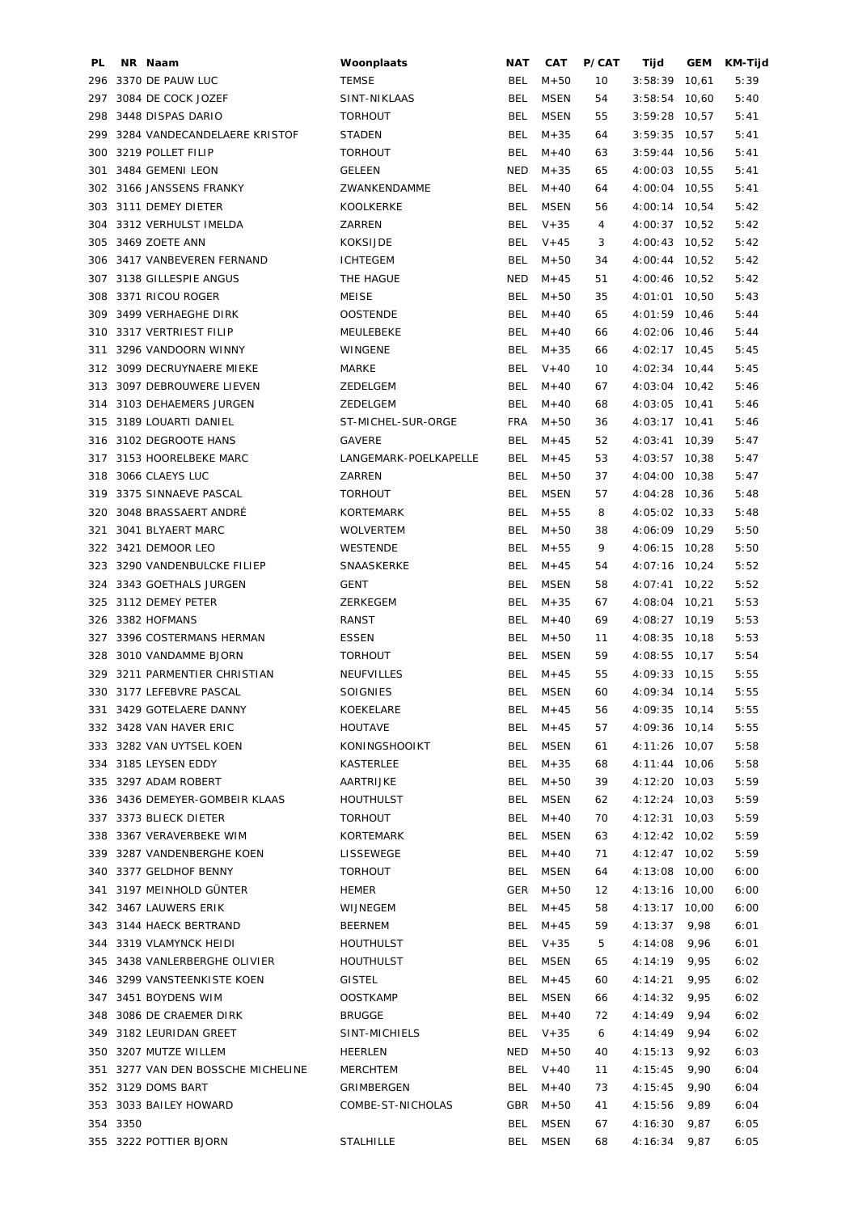| PL. | NR Naam                            | Woonplaats            | <b>NAT</b> | CAT         | P/CAT | Tijd            | GEM   | KM-Tijd |
|-----|------------------------------------|-----------------------|------------|-------------|-------|-----------------|-------|---------|
|     | 296 3370 DE PAUW LUC               | <b>TEMSE</b>          | BEL        | $M + 50$    | 10    | 3:58:39         | 10,61 | 5:39    |
| 297 | 3084 DE COCK JOZEF                 | SINT-NIKLAAS          | <b>BEL</b> | <b>MSEN</b> | 54    | 3:58:54         | 10,60 | 5:40    |
| 298 | 3448 DISPAS DARIO                  | <b>TORHOUT</b>        | <b>BEL</b> | <b>MSEN</b> | 55    | $3:59:28$ 10,57 |       | 5:41    |
|     | 299 3284 VANDECANDELAERE KRISTOF   | <b>STADEN</b>         | <b>BEL</b> | $M + 35$    | 64    | $3:59:35$ 10,57 |       | 5:41    |
| 300 | 3219 POLLET FILIP                  | <b>TORHOUT</b>        | <b>BEL</b> | $M + 40$    | 63    | $3:59:44$ 10,56 |       | 5:41    |
| 301 | 3484 GEMENI LEON                   | <b>GELEEN</b>         | <b>NED</b> | $M + 35$    | 65    | 4:00:03 10,55   |       | 5:41    |
|     | 302 3166 JANSSENS FRANKY           | ZWANKENDAMME          | <b>BEL</b> | $M + 40$    | 64    | 4:00:04 10,55   |       | 5:41    |
|     | 303 3111 DEMEY DIETER              | KOOLKERKE             | <b>BEL</b> | MSEN        | 56    | 4:00:14 10,54   |       | 5:42    |
| 304 | 3312 VERHULST IMELDA               | ZARREN                | BEL        | $V + 35$    | 4     | 4:00:37 10,52   |       | 5:42    |
| 305 | 3469 ZOETE ANN                     | <b>KOKSIJDE</b>       | <b>BEL</b> | $V + 45$    | 3     | 4:00:43 10,52   |       | 5:42    |
|     | 306 3417 VANBEVEREN FERNAND        | <b>ICHTEGEM</b>       | <b>BEL</b> | $M + 50$    | 34    | 4:00:44 10,52   |       | 5:42    |
|     | 307 3138 GILLESPIE ANGUS           | THE HAGUE             | <b>NED</b> | $M + 45$    | 51    | 4:00:46 10,52   |       | 5:42    |
|     | 308 3371 RICOU ROGER               | MEISE                 | <b>BEL</b> | $M + 50$    | 35    | 4:01:01 10,50   |       | 5:43    |
|     | 309 3499 VERHAEGHE DIRK            | <b>OOSTENDE</b>       | <b>BEL</b> | $M + 40$    | 65    | 4:01:59 10,46   |       | 5:44    |
|     | 310 3317 VERTRIEST FILIP           | MEULEBEKE             | <b>BEL</b> | $M + 40$    | 66    | 4:02:06 10,46   |       | 5:44    |
| 311 | 3296 VANDOORN WINNY                | WINGENE               | <b>BEL</b> | $M + 35$    | 66    | $4:02:17$ 10,45 |       | 5:45    |
|     | 312 3099 DECRUYNAERE MIEKE         | MARKE                 | <b>BEL</b> | $V + 40$    | 10    | 4:02:34 10,44   |       | 5:45    |
| 313 | 3097 DEBROUWERE LIEVEN             | ZEDELGEM              | <b>BEL</b> | $M + 40$    | 67    | $4:03:04$ 10,42 |       | 5:46    |
|     |                                    |                       |            |             |       |                 |       |         |
|     | 314 3103 DEHAEMERS JURGEN          | ZEDELGEM              | <b>BEL</b> | $M + 40$    | 68    | 4:03:05 10,41   |       | 5:46    |
|     | 315 3189 LOUARTI DANIEL            | ST-MICHEL-SUR-ORGE    | <b>FRA</b> | $M + 50$    | 36    | 4:03:17 10,41   |       | 5:46    |
| 316 | 3102 DEGROOTE HANS                 | GAVERE                | <b>BEL</b> | $M + 45$    | 52    | 4:03:41 10,39   |       | 5:47    |
| 317 | 3153 HOORELBEKE MARC               | LANGEMARK-POELKAPELLE | <b>BEL</b> | $M + 45$    | 53    | 4:03:57 10,38   |       | 5:47    |
| 318 | 3066 CLAEYS LUC                    | ZARREN                | BEL        | $M + 50$    | 37    | 4:04:00 10,38   |       | 5:47    |
| 319 | 3375 SINNAEVE PASCAL               | <b>TORHOUT</b>        | <b>BEL</b> | <b>MSEN</b> | 57    | 4:04:28 10,36   |       | 5:48    |
| 320 | 3048 BRASSAERT ANDRÉ               | KORTEMARK             | <b>BEL</b> | $M + 55$    | 8     | 4:05:02 10,33   |       | 5:48    |
| 321 | 3041 BLYAERT MARC                  | <b>WOLVERTEM</b>      | BEL        | $M + 50$    | 38    | 4:06:09 10,29   |       | 5:50    |
|     | 322 3421 DEMOOR LEO                | WESTENDE              | <b>BEL</b> | $M + 55$    | 9     | 4:06:15 10,28   |       | 5:50    |
|     | 323 3290 VANDENBULCKE FILIEP       | SNAASKERKE            | <b>BEL</b> | $M + 45$    | 54    | 4:07:16 10,24   |       | 5:52    |
|     | 324 3343 GOETHALS JURGEN           | <b>GENT</b>           | <b>BEL</b> | <b>MSEN</b> | 58    | $4:07:41$ 10,22 |       | 5:52    |
|     | 325 3112 DEMEY PETER               | ZERKEGEM              | <b>BEL</b> | $M + 35$    | 67    | 4:08:04 10,21   |       | 5:53    |
|     | 326 3382 HOFMANS                   | RANST                 | BEL        | $M + 40$    | 69    | 4:08:27 10,19   |       | 5:53    |
|     | 327 3396 COSTERMANS HERMAN         | ESSEN                 | <b>BEL</b> | $M + 50$    | 11    | 4:08:35 10,18   |       | 5:53    |
| 328 | 3010 VANDAMME BJORN                | <b>TORHOUT</b>        | BEL        | MSEN        | 59    | 4:08:55 10,17   |       | 5:54    |
| 329 | 3211 PARMENTIER CHRISTIAN          | NEUFVILLES            | BEL        | $M + 45$    | 55    | 4:09:33 10,15   |       | 5:55    |
|     | 330 3177 LEFEBVRE PASCAL           | <b>SOIGNIES</b>       | <b>BEL</b> | <b>MSEN</b> | 60    | 4:09:34 10,14   |       | 5:55    |
|     | 331 3429 GOTELAERE DANNY           | KOEKELARE             |            | BEL $M+45$  | 56    | 4:09:35 10,14   |       | 5:55    |
|     | 332 3428 VAN HAVER ERIC            | HOUTAVE               | BEL        | M+45        | 57    | 4:09:36 10,14   |       | 5:55    |
|     | 333 3282 VAN UYTSEL KOEN           | KONINGSHOOIKT         | BEL        | MSEN        | 61    | 4:11:26 10,07   |       | 5:58    |
|     | 334 3185 LEYSEN EDDY               | KASTERLEE             | BEL        | $M + 35$    | 68    | 4:11:44 10,06   |       | 5:58    |
|     | 335 3297 ADAM ROBERT               | AARTRIJKE             | BEL        | $M + 50$    | 39    | 4:12:20 10,03   |       | 5:59    |
|     | 336 3436 DEMEYER-GOMBEIR KLAAS     | <b>HOUTHULST</b>      | <b>BEL</b> | MSEN        | 62    | 4:12:24 10,03   |       | 5:59    |
|     | 337 3373 BLIECK DIETER             | <b>TORHOUT</b>        | BEL        | $M + 40$    | 70    | 4:12:31 10,03   |       | 5:59    |
|     | 338 3367 VERAVERBEKE WIM           | <b>KORTEMARK</b>      | BEL        | MSEN        | 63    | 4:12:42 10,02   |       | 5:59    |
|     | 339 3287 VANDENBERGHE KOEN         | LISSEWEGE             | BEL        | $M + 40$    | 71    | 4:12:47 10,02   |       | 5:59    |
|     | 340 3377 GELDHOF BENNY             | <b>TORHOUT</b>        | BEL        | MSEN        | 64    | 4:13:08 10,00   |       | 6:00    |
|     | 341 3197 MEINHOLD GÜNTER           | <b>HEMER</b>          | GER        | $M + 50$    | 12    | 4:13:16 10,00   |       | 6:00    |
|     | 342 3467 LAUWERS ERIK              | WIJNEGEM              | BEL        | $M + 45$    | 58    | 4:13:17 10,00   |       | 6:00    |
|     | 343 3144 HAECK BERTRAND            | <b>BEERNEM</b>        | BEL        | $M + 45$    | 59    | $4:13:37$ 9,98  |       | 6:01    |
|     | 344 3319 VLAMYNCK HEIDI            | <b>HOUTHULST</b>      | BEL        | $V + 35$    | 5     | $4:14:08$ 9,96  |       | 6:01    |
|     | 345 3438 VANLERBERGHE OLIVIER      | HOUTHULST             | BEL        | MSEN        | 65    | $4:14:19$ 9,95  |       |         |
|     |                                    |                       |            |             |       |                 |       | 6:02    |
|     | 346 3299 VANSTEENKISTE KOEN        | GISTEL                | BEL        | $M + 45$    | 60    | 4:14:21         | 9,95  | 6:02    |
|     | 347 3451 BOYDENS WIM               | <b>OOSTKAMP</b>       | BEL        | MSEN        | 66    | 4:14:32         | 9,95  | 6:02    |
|     | 348 3086 DE CRAEMER DIRK           | <b>BRUGGE</b>         | <b>BEL</b> | $M + 40$    | 72    | 4:14:49         | 9,94  | 6:02    |
|     | 349 3182 LEURIDAN GREET            | SINT-MICHIELS         | <b>BEL</b> | $V + 35$    | 6     | 4:14:49         | 9,94  | 6:02    |
|     | 350 3207 MUTZE WILLEM              | HEERLEN               | NED        | $M + 50$    | 40    | 4:15:13         | 9,92  | 6:03    |
|     | 351 3277 VAN DEN BOSSCHE MICHELINE | MERCHTEM              | <b>BEL</b> | $V + 40$    | 11    | 4:15:45         | 9,90  | 6:04    |
|     | 352 3129 DOMS BART                 | GRIMBERGEN            | <b>BEL</b> | $M + 40$    | 73    | 4:15:45         | 9,90  | 6:04    |
|     | 353 3033 BAILEY HOWARD             | COMBE-ST-NICHOLAS     | GBR        | $M + 50$    | 41    | 4:15:56         | 9,89  | 6:04    |
|     | 354 3350                           |                       | BEL        | MSEN        | 67    | 4:16:30         | 9,87  | 6:05    |
|     | 355 3222 POTTIER BJORN             | <b>STALHILLE</b>      | BEL        | MSEN        | 68    | $4:16:34$ 9,87  |       | 6:05    |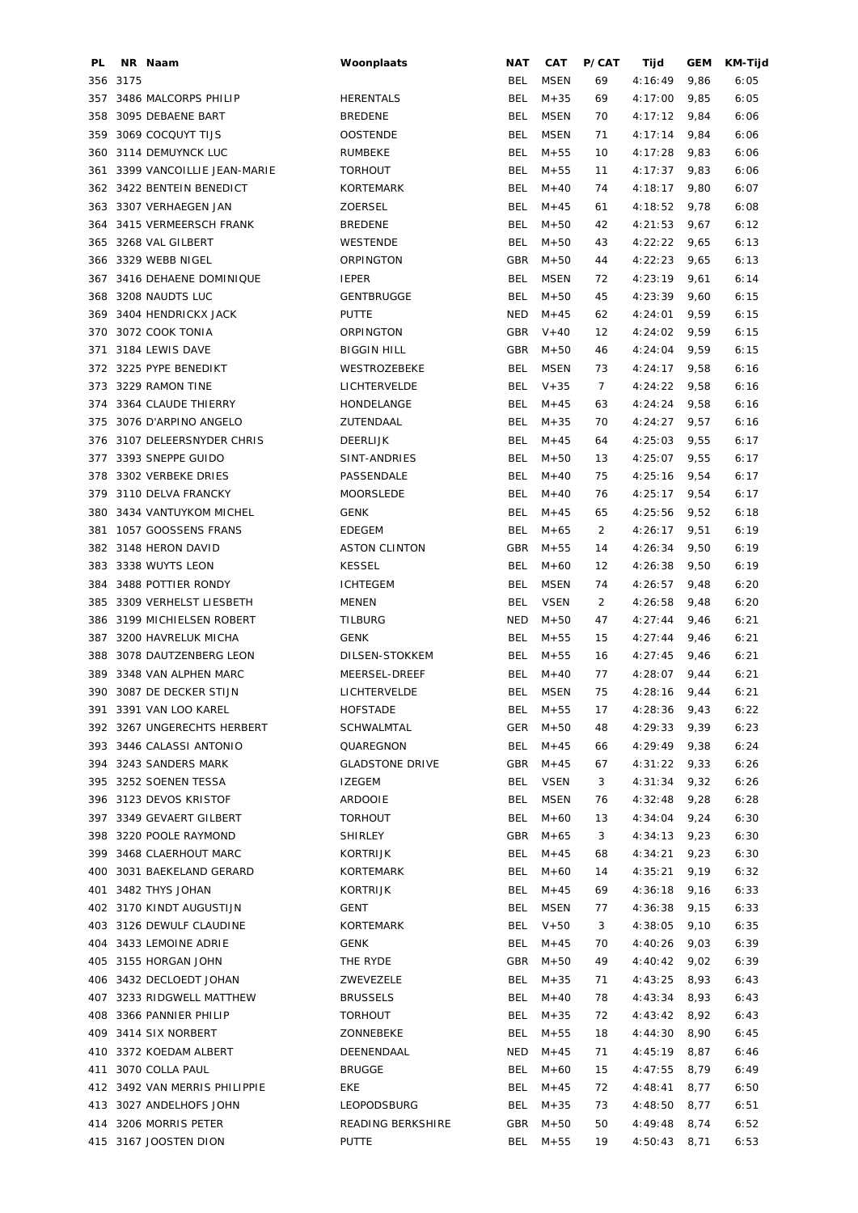| PL. |      | NR Naam                       | Woonplaats             | <b>NAT</b> | CAT         | P/CAT | Tijd    | <b>GEM</b> | KM-Tijd |
|-----|------|-------------------------------|------------------------|------------|-------------|-------|---------|------------|---------|
| 356 | 3175 |                               |                        | BEL        | <b>MSEN</b> | 69    | 4:16:49 | 9,86       | 6:05    |
| 357 |      | 3486 MALCORPS PHILIP          | <b>HERENTALS</b>       | <b>BEL</b> | $M + 35$    | 69    | 4:17:00 | 9,85       | 6:05    |
| 358 |      | 3095 DEBAENE BART             | <b>BREDENE</b>         | <b>BEL</b> | <b>MSEN</b> | 70    | 4:17:12 | 9,84       | 6:06    |
| 359 |      | 3069 COCQUYT TIJS             | <b>OOSTENDE</b>        | BEL        | <b>MSEN</b> | 71    | 4:17:14 | 9,84       | 6:06    |
| 360 |      | 3114 DEMUYNCK LUC             | <b>RUMBEKE</b>         | <b>BEL</b> | $M + 55$    | 10    | 4:17:28 | 9,83       | 6:06    |
| 361 |      | 3399 VANCOILLIE JEAN-MARIE    | <b>TORHOUT</b>         | <b>BEL</b> | $M + 55$    | 11    | 4:17:37 | 9,83       | 6:06    |
|     |      | 362 3422 BENTEIN BENEDICT     | <b>KORTEMARK</b>       | BEL        | $M + 40$    | 74    | 4:18:17 | 9,80       | 6:07    |
| 363 |      | 3307 VERHAEGEN JAN            | ZOERSEL                | BEL        | $M + 45$    | 61    | 4:18:52 | 9,78       | 6:08    |
| 364 |      | 3415 VERMEERSCH FRANK         | <b>BREDENE</b>         | BEL        | $M + 50$    | 42    | 4:21:53 | 9,67       | 6:12    |
| 365 |      | 3268 VAL GILBERT              | WESTENDE               | BEL        | $M + 50$    | 43    | 4:22:22 | 9,65       | 6:13    |
| 366 |      | 3329 WEBB NIGEL               | ORPINGTON              | GBR        | $M + 50$    | 44    | 4:22:23 | 9,65       | 6:13    |
| 367 |      | 3416 DEHAENE DOMINIQUE        | <b>IEPER</b>           | <b>BEL</b> | <b>MSEN</b> | 72    | 4:23:19 | 9,61       | 6:14    |
| 368 |      | 3208 NAUDTS LUC               | <b>GENTBRUGGE</b>      | BEL        | $M + 50$    | 45    | 4:23:39 | 9,60       | 6:15    |
|     |      |                               |                        |            |             |       |         |            |         |
| 369 |      | 3404 HENDRICKX JACK           | <b>PUTTE</b>           | NED        | $M + 45$    | 62    | 4:24:01 | 9,59       | 6:15    |
| 370 |      | 3072 COOK TONIA               | ORPINGTON              | GBR        | $V + 40$    | 12    | 4:24:02 | 9,59       | 6:15    |
| 371 |      | 3184 LEWIS DAVE               | <b>BIGGIN HILL</b>     | GBR        | $M + 50$    | 46    | 4:24:04 | 9,59       | 6:15    |
| 372 |      | 3225 PYPE BENEDIKT            | WESTROZEBEKE           | <b>BEL</b> | <b>MSEN</b> | 73    | 4:24:17 | 9,58       | 6:16    |
| 373 |      | 3229 RAMON TINE               | LICHTERVELDE           | <b>BEL</b> | $V + 35$    | 7     | 4:24:22 | 9,58       | 6:16    |
| 374 |      | 3364 CLAUDE THIERRY           | HONDELANGE             | BEL        | $M + 45$    | 63    | 4:24:24 | 9,58       | 6:16    |
| 375 |      | 3076 D'ARPINO ANGELO          | ZUTENDAAL              | BEL        | $M + 35$    | 70    | 4:24:27 | 9,57       | 6:16    |
| 376 |      | 3107 DELEERSNYDER CHRIS       | <b>DEERLIJK</b>        | BEL        | $M + 45$    | 64    | 4:25:03 | 9,55       | 6:17    |
| 377 |      | 3393 SNEPPE GUIDO             | SINT-ANDRIES           | BEL        | $M + 50$    | 13    | 4:25:07 | 9,55       | 6:17    |
| 378 |      | 3302 VERBEKE DRIES            | PASSENDALE             | BEL        | $M + 40$    | 75    | 4:25:16 | 9,54       | 6:17    |
| 379 |      | 3110 DELVA FRANCKY            | MOORSLEDE              | <b>BEL</b> | $M + 40$    | 76    | 4:25:17 | 9,54       | 6:17    |
| 380 |      | 3434 VANTUYKOM MICHEL         | <b>GENK</b>            | BEL        | $M + 45$    | 65    | 4:25:56 | 9,52       | 6:18    |
| 381 |      | 1057 GOOSSENS FRANS           | <b>EDEGEM</b>          | <b>BEL</b> | $M + 65$    | 2     | 4:26:17 | 9,51       | 6:19    |
| 382 |      | 3148 HERON DAVID              | <b>ASTON CLINTON</b>   | GBR        | $M + 55$    | 14    | 4:26:34 | 9,50       | 6:19    |
| 383 |      | 3338 WUYTS LEON               | <b>KESSEL</b>          | <b>BEL</b> | $M + 60$    | 12    | 4:26:38 | 9,50       | 6:19    |
| 384 |      | 3488 POTTIER RONDY            | <b>ICHTEGEM</b>        | <b>BEL</b> | <b>MSEN</b> | 74    | 4:26:57 | 9,48       | 6:20    |
| 385 |      | 3309 VERHELST LIESBETH        | MENEN                  | <b>BEL</b> | <b>VSEN</b> | 2     | 4:26:58 | 9,48       | 6:20    |
| 386 |      | 3199 MICHIELSEN ROBERT        | <b>TILBURG</b>         | <b>NED</b> | $M + 50$    | 47    | 4:27:44 | 9,46       | 6:21    |
| 387 |      | 3200 HAVRELUK MICHA           | <b>GENK</b>            | BEL        | $M + 55$    | 15    | 4:27:44 | 9,46       | 6:21    |
| 388 |      | 3078 DAUTZENBERG LEON         | DILSEN-STOKKEM         | BEL        | $M + 55$    | 16    | 4:27:45 |            | 6:21    |
|     |      |                               |                        |            |             |       |         | 9,46       |         |
| 389 |      | 3348 VAN ALPHEN MARC          | MEERSEL-DREEF          | BEL        | $M + 40$    | 77    | 4:28:07 | 9,44       | 6:21    |
| 390 |      | 3087 DE DECKER STIJN          | LICHTERVELDE           | BEL        | <b>MSEN</b> | 75    | 4:28:16 | 9,44       | 6:21    |
|     |      | 391 3391 VAN LOO KAREL        | <b>HOFSTADE</b>        | BEL        | $M + 55$    | 17    | 4:28:36 | 9,43       | 6:22    |
|     |      | 392 3267 UNGERECHTS HERBERT   | SCHWALMTAL             | GER        | $M + 50$    | 48    | 4:29:33 | 9,39       | 6:23    |
|     |      | 393 3446 CALASSI ANTONIO      | QUAREGNON              | BEL        | $M + 45$    | 66    | 4:29:49 | 9,38       | 6:24    |
| 394 |      | 3243 SANDERS MARK             | <b>GLADSTONE DRIVE</b> | GBR        | $M + 45$    | 67    | 4:31:22 | 9,33       | 6:26    |
| 395 |      | 3252 SOENEN TESSA             | <b>IZEGEM</b>          | <b>BEL</b> | <b>VSEN</b> | 3     | 4:31:34 | 9,32       | 6:26    |
|     |      | 396 3123 DEVOS KRISTOF        | <b>ARDOOIE</b>         | <b>BEL</b> | <b>MSEN</b> | 76    | 4:32:48 | 9,28       | 6:28    |
| 397 |      | 3349 GEVAERT GILBERT          | <b>TORHOUT</b>         | BEL        | $M + 60$    | 13    | 4:34:04 | 9,24       | 6:30    |
| 398 |      | 3220 POOLE RAYMOND            | <b>SHIRLEY</b>         | GBR        | $M + 65$    | 3     | 4:34:13 | 9,23       | 6:30    |
| 399 |      | 3468 CLAERHOUT MARC           | KORTRIJK               | <b>BEL</b> | $M + 45$    | 68    | 4:34:21 | 9,23       | 6:30    |
| 400 |      | 3031 BAEKELAND GERARD         | KORTEMARK              | <b>BEL</b> | $M + 60$    | 14    | 4:35:21 | 9,19       | 6:32    |
| 401 |      | 3482 THYS JOHAN               | KORTRIJK               | <b>BEL</b> | $M + 45$    | 69    | 4:36:18 | 9,16       | 6:33    |
|     |      | 402 3170 KINDT AUGUSTIJN      | <b>GENT</b>            | BEL        | <b>MSEN</b> | 77    | 4:36:38 | 9,15       | 6:33    |
| 403 |      | 3126 DEWULF CLAUDINE          | KORTEMARK              | <b>BEL</b> | $V + 50$    | 3     | 4:38:05 | 9,10       | 6:35    |
| 404 |      | 3433 LEMOINE ADRIE            | <b>GENK</b>            | <b>BEL</b> | $M + 45$    | 70    | 4:40:26 | 9,03       | 6:39    |
|     |      | 405 3155 HORGAN JOHN          | THE RYDE               | GBR        | $M + 50$    | 49    | 4:40:42 | 9,02       | 6:39    |
|     |      | 406 3432 DECLOEDT JOHAN       | ZWEVEZELE              | <b>BEL</b> | $M + 35$    | 71    | 4:43:25 | 8,93       | 6:43    |
|     |      | 407 3233 RIDGWELL MATTHEW     | <b>BRUSSELS</b>        | <b>BEL</b> | $M + 40$    | 78    | 4:43:34 | 8,93       | 6:43    |
|     |      |                               |                        |            |             |       |         |            |         |
|     |      | 408 3366 PANNIER PHILIP       | <b>TORHOUT</b>         | <b>BEL</b> | $M + 35$    | 72    | 4:43:42 | 8,92       | 6:43    |
|     |      | 409 3414 SIX NORBERT          | ZONNEBEKE              | BEL        | $M + 55$    | 18    | 4:44:30 | 8,90       | 6:45    |
|     |      | 410 3372 KOEDAM ALBERT        | DEENENDAAL             | NED        | $M + 45$    | 71    | 4:45:19 | 8,87       | 6:46    |
| 411 |      | 3070 COLLA PAUL               | <b>BRUGGE</b>          | BEL        | $M + 60$    | 15    | 4:47:55 | 8,79       | 6:49    |
|     |      | 412 3492 VAN MERRIS PHILIPPIE | <b>EKE</b>             | <b>BEL</b> | $M + 45$    | 72    | 4:48:41 | 8,77       | 6:50    |
|     |      | 413 3027 ANDELHOFS JOHN       | LEOPODSBURG            | <b>BEL</b> | $M + 35$    | 73    | 4:48:50 | 8,77       | 6:51    |
|     |      | 414 3206 MORRIS PETER         | READING BERKSHIRE      | GBR        | $M + 50$    | 50    | 4:49:48 | 8,74       | 6:52    |
|     |      | 415 3167 JOOSTEN DION         | <b>PUTTE</b>           | <b>BEL</b> | $M + 55$    | 19    | 4:50:43 | 8,71       | 6:53    |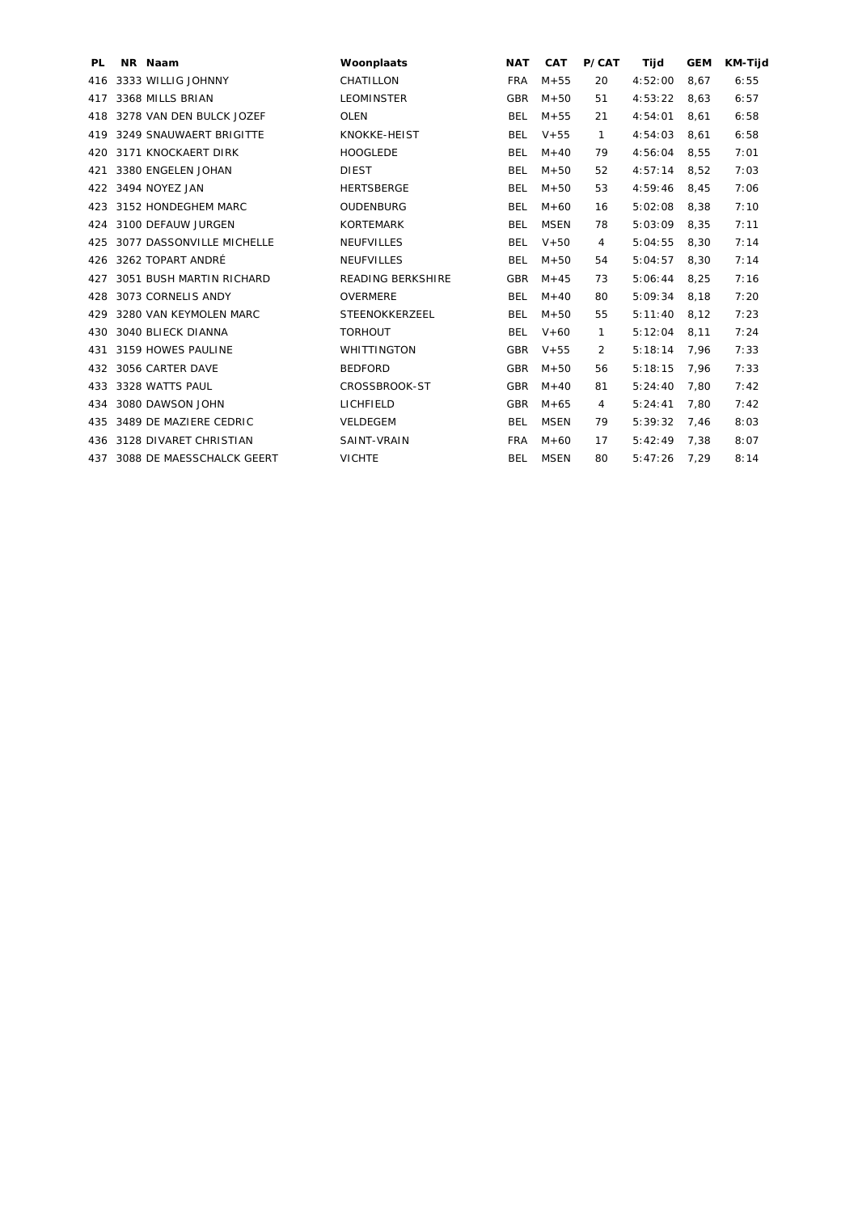| PL. | NR Naam                       | Woonplaats               | <b>NAT</b> | <b>CAT</b>  | P/CAT | Tijd    | <b>GEM</b> | <b>KM-Tijd</b> |
|-----|-------------------------------|--------------------------|------------|-------------|-------|---------|------------|----------------|
| 416 | 3333 WILLIG JOHNNY            | CHATILLON                | <b>FRA</b> | $M + 55$    | 20    | 4:52:00 | 8,67       | 6:55           |
| 417 | 3368 MILLS BRIAN              | <b>LEOMINSTER</b>        | <b>GBR</b> | $M + 50$    | 51    | 4:53:22 | 8,63       | 6:57           |
| 418 | 3278 VAN DEN BULCK JOZEF      | <b>OLEN</b>              | <b>BEL</b> | $M + 55$    | 21    | 4:54:01 | 8.61       | 6:58           |
| 419 | 3249 SNAUWAERT BRIGITTE       | KNOKKE-HEIST             | <b>BEL</b> | $V + 55$    | 1     | 4:54:03 | 8,61       | 6:58           |
| 420 | 3171 KNOCKAERT DIRK           | <b>HOOGLEDE</b>          | <b>BEL</b> | $M + 40$    | 79    | 4:56:04 | 8,55       | 7:01           |
| 421 | 3380 ENGELEN JOHAN            | <b>DIEST</b>             | <b>BEL</b> | $M + 50$    | 52    | 4:57:14 | 8,52       | 7:03           |
| 422 | 3494 NOYEZ JAN                | <b>HERTSBERGE</b>        | <b>BEL</b> | $M + 50$    | 53    | 4:59:46 | 8.45       | 7:06           |
| 423 | 3152 HONDEGHEM MARC           | OUDENBURG                | <b>BEL</b> | $M + 60$    | 16    | 5:02:08 | 8,38       | 7:10           |
| 424 | 3100 DEFAUW JURGEN            | <b>KORTEMARK</b>         | <b>BEL</b> | <b>MSEN</b> | 78    | 5:03:09 | 8,35       | 7:11           |
| 425 | 3077 DASSONVILLE MICHELLE     | <b>NEUFVILLES</b>        | <b>BEL</b> | $V + 50$    | 4     | 5:04:55 | 8,30       | 7:14           |
| 426 | 3262 TOPART ANDRÉ             | <b>NEUFVILLES</b>        | <b>BEL</b> | $M + 50$    | 54    | 5:04:57 | 8,30       | 7:14           |
| 427 | 3051 BUSH MARTIN RICHARD      | <b>READING BERKSHIRE</b> | <b>GBR</b> | $M + 45$    | 73    | 5:06:44 | 8.25       | 7:16           |
| 428 | 3073 CORNELIS ANDY            | <b>OVERMERE</b>          | <b>BEL</b> | $M + 40$    | 80    | 5:09:34 | 8.18       | 7:20           |
| 429 | 3280 VAN KEYMOLEN MARC        | STEENOKKERZEEL           | <b>BEL</b> | $M + 50$    | 55    | 5:11:40 | 8.12       | 7:23           |
| 430 | 3040 BLIECK DIANNA            | <b>TORHOUT</b>           | <b>BEL</b> | $V + 60$    | 1     | 5:12:04 | 8,11       | 7:24           |
| 431 | 3159 HOWES PAULINE            | <b>WHITTINGTON</b>       | <b>GBR</b> | $V + 55$    | 2     | 5:18:14 | 7,96       | 7:33           |
| 432 | 3056 CARTER DAVE              | <b>BEDFORD</b>           | <b>GBR</b> | $M + 50$    | 56    | 5:18:15 | 7,96       | 7:33           |
| 433 | 3328 WATTS PAUL               | CROSSBROOK-ST            | <b>GBR</b> | $M + 40$    | 81    | 5:24:40 | 7,80       | 7:42           |
| 434 | 3080 DAWSON JOHN              | LICHFIELD                | <b>GBR</b> | $M + 65$    | 4     | 5:24:41 | 7.80       | 7:42           |
| 435 | 3489 DE MAZIERE CEDRIC        | VELDEGEM                 | <b>BEL</b> | <b>MSEN</b> | 79    | 5:39:32 | 7,46       | 8:03           |
| 436 | 3128 DIVARET CHRISTIAN        | SAINT-VRAIN              | <b>FRA</b> | $M + 60$    | 17    | 5:42:49 | 7,38       | 8:07           |
|     | 437 3088 DE MAESSCHALCK GEERT | <b>VICHTE</b>            | <b>BEL</b> | <b>MSEN</b> | 80    | 5:47:26 | 7,29       | 8:14           |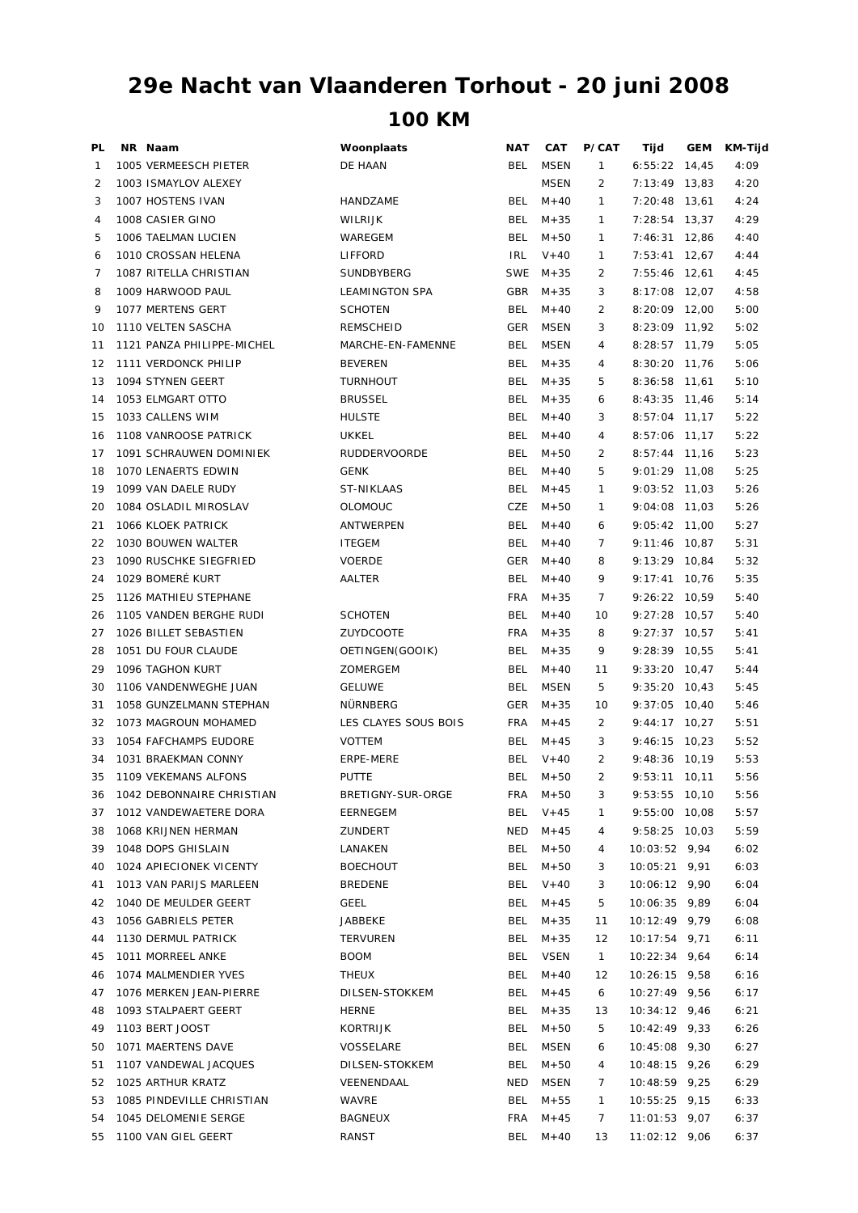## **100 KM 29e Nacht van Vlaanderen Torhout - 20 juni 2008**

| PL | NR Naam                                      | Woonplaats           | <b>NAT</b> | CAT         | <b>P/CAT</b>   | Tijd                             | GEM   | KM-Tijd |
|----|----------------------------------------------|----------------------|------------|-------------|----------------|----------------------------------|-------|---------|
| 1  | 1005 VERMEESCH PIETER                        | DE HAAN              | BEL        | <b>MSEN</b> | $\mathbf{1}$   | $6:55:22$ 14,45                  |       | 4:09    |
| 2  | 1003 ISMAYLOV ALEXEY                         |                      |            | <b>MSEN</b> | $\overline{2}$ | 7:13:49                          | 13.83 | 4:20    |
| 3  | 1007 HOSTENS IVAN                            | HANDZAME             | <b>BEL</b> | $M + 40$    | $\mathbf{1}$   | 7:20:48                          | 13,61 | 4:24    |
| 4  | 1008 CASIER GINO                             | <b>WILRIJK</b>       | <b>BEL</b> | $M + 35$    | $\mathbf{1}$   | 7:28:54                          | 13.37 | 4:29    |
| 5  | 1006 TAELMAN LUCIEN                          | WAREGEM              | <b>BEL</b> | $M + 50$    | $\mathbf{1}$   | 7:46:31                          | 12,86 | 4:40    |
| 6  | 1010 CROSSAN HELENA                          | LIFFORD              | <b>IRL</b> | $V + 40$    | $\mathbf{1}$   | 7:53:41                          | 12,67 | 4:44    |
| 7  | 1087 RITELLA CHRISTIAN                       | SUNDBYBERG           | <b>SWE</b> | $M + 35$    | 2              | 7:55:46                          | 12,61 | 4:45    |
| 8  | 1009 HARWOOD PAUL                            | LEAMINGTON SPA       | <b>GBR</b> | $M + 35$    | 3              | 8:17:08                          | 12,07 | 4:58    |
| 9  | 1077 MERTENS GERT                            | <b>SCHOTEN</b>       | <b>BEL</b> | $M + 40$    | 2              | 8:20:09 12,00                    |       | 5:00    |
| 10 | 1110 VELTEN SASCHA                           | REMSCHEID            | <b>GER</b> | <b>MSEN</b> | 3              | 8:23:09 11,92                    |       | 5:02    |
| 11 | 1121 PANZA PHILIPPE-MICHEL                   | MARCHE-EN-FAMENNE    | <b>BEL</b> | <b>MSEN</b> | 4              | 8:28:57 11,79                    |       | 5:05    |
| 12 | 1111 VERDONCK PHILIP                         | <b>BEVEREN</b>       | <b>BEL</b> | $M + 35$    | 4              | $8:30:20$ 11,76                  |       | 5:06    |
| 13 | 1094 STYNEN GEERT                            | <b>TURNHOUT</b>      | <b>BEL</b> | $M + 35$    | 5              | 8:36:58 11,61                    |       | 5:10    |
| 14 | 1053 ELMGART OTTO                            | <b>BRUSSEL</b>       | <b>BEL</b> | $M + 35$    | 6              | 8:43:35                          | 11,46 | 5:14    |
| 15 | 1033 CALLENS WIM                             | <b>HULSTE</b>        | <b>BEL</b> | $M + 40$    | 3              | 8:57:04                          | 11,17 | 5:22    |
| 16 | 1108 VANROOSE PATRICK                        | UKKEL                | <b>BEL</b> | $M + 40$    | 4              | $8:57:06$ 11,17                  |       | 5:22    |
| 17 | 1091 SCHRAUWEN DOMINIEK                      | <b>RUDDERVOORDE</b>  | BEL        | $M + 50$    | 2              | $8:57:44$ 11,16                  |       | 5:23    |
| 18 | 1070 LENAERTS EDWIN                          | <b>GENK</b>          | <b>BEL</b> | $M + 40$    | 5              |                                  |       | 5:25    |
| 19 |                                              |                      | <b>BEL</b> |             | 1              | 9:01:29 11,08<br>$9:03:52$ 11,03 |       |         |
| 20 | 1099 VAN DAELE RUDY<br>1084 OSLADIL MIROSLAV | ST-NIKLAAS           | <b>CZE</b> | $M + 45$    |                | 9:04:08                          |       | 5:26    |
|    |                                              | <b>OLOMOUC</b>       |            | $M + 50$    | 1              |                                  | 11,03 | 5:26    |
| 21 | 1066 KLOEK PATRICK                           | ANTWERPEN            | <b>BEL</b> | $M + 40$    | 6              | 9:05:42 11,00                    |       | 5:27    |
| 22 | 1030 BOUWEN WALTER                           | <b>ITEGEM</b>        | <b>BEL</b> | $M + 40$    | 7              | 9:11:46 10,87                    |       | 5:31    |
| 23 | 1090 RUSCHKE SIEGFRIED                       | <b>VOERDE</b>        | GER        | $M + 40$    | 8              | 9:13:29 10,84                    |       | 5:32    |
| 24 | 1029 BOMERÉ KURT                             | AALTER               | <b>BEL</b> | $M + 40$    | 9              | $9:17:41$ 10,76                  |       | 5:35    |
| 25 | 1126 MATHIEU STEPHANE                        |                      | <b>FRA</b> | $M + 35$    | 7              | 9:26:22 10,59                    |       | 5:40    |
| 26 | 1105 VANDEN BERGHE RUDI                      | <b>SCHOTEN</b>       | <b>BEL</b> | $M + 40$    | 10             | 9:27:28 10,57                    |       | 5:40    |
| 27 | 1026 BILLET SEBASTIEN                        | ZUYDCOOTE            | <b>FRA</b> | $M + 35$    | 8              | 9:27:37                          | 10,57 | 5:41    |
| 28 | 1051 DU FOUR CLAUDE                          | OETINGEN(GOOIK)      | <b>BEL</b> | $M + 35$    | 9              | 9:28:39                          | 10,55 | 5:41    |
| 29 | 1096 TAGHON KURT                             | ZOMERGEM             | BEL        | $M + 40$    | 11             | $9:33:20$ 10,47                  |       | 5:44    |
| 30 | 1106 VANDENWEGHE JUAN                        | <b>GELUWE</b>        | <b>BEL</b> | <b>MSEN</b> | 5              | $9:35:20$ 10,43                  |       | 5:45    |
| 31 | 1058 GUNZELMANN STEPHAN                      | NÜRNBERG             | <b>GER</b> | $M + 35$    | 10             | $9:37:05$ 10,40                  |       | 5:46    |
| 32 | 1073 MAGROUN MOHAMED                         | LES CLAYES SOUS BOIS | <b>FRA</b> | $M + 45$    | 2              | 9:44:17                          | 10,27 | 5:51    |
| 33 | 1054 FAFCHAMPS EUDORE                        | <b>VOTTEM</b>        | <b>BEL</b> | $M + 45$    | 3              | 9:46:15                          | 10,23 | 5:52    |
| 34 | 1031 BRAEKMAN CONNY                          | ERPE-MERE            | <b>BEL</b> | $V + 40$    | 2              | 9:48:36                          | 10,19 | 5:53    |
| 35 | 1109 VEKEMANS ALFONS                         | <b>PUTTE</b>         | <b>BEL</b> | $M + 50$    | $\overline{2}$ | $9:53:11$ 10,11                  |       | 5:56    |
| 36 | 1042 DEBONNAIRE CHRISTIAN                    | BRETIGNY-SUR-ORGE    | FRA        | $M+50$      | 3              | 9:53:55 10,10                    |       | 5:56    |
| 37 | 1012 VANDEWAETERE DORA                       | EERNEGEM             | BEL        | $V + 45$    | 1              | 9:55:00 10,08                    |       | 5:57    |
| 38 | 1068 KRIJNEN HERMAN                          | ZUNDERT              | NED        | $M + 45$    | 4              | 9:58:25 10,03                    |       | 5:59    |
| 39 | 1048 DOPS GHISLAIN                           | LANAKEN              | BEL        | $M + 50$    | 4              | 10:03:52 9,94                    |       | 6:02    |
| 40 | 1024 APIECIONEK VICENTY                      | <b>BOECHOUT</b>      | <b>BEL</b> | $M + 50$    | 3              | 10:05:21 9,91                    |       | 6:03    |
| 41 | 1013 VAN PARIJS MARLEEN                      | <b>BREDENE</b>       | BEL        | $V + 40$    | 3              | 10:06:12 9,90                    |       | 6:04    |
| 42 | 1040 DE MEULDER GEERT                        | GEEL                 | BEL        | $M + 45$    | 5              | 10:06:35 9,89                    |       | 6:04    |
| 43 | 1056 GABRIELS PETER                          | JABBEKE              | BEL        | $M + 35$    | 11             | 10:12:49 9,79                    |       | 6:08    |
| 44 | 1130 DERMUL PATRICK                          | <b>TERVUREN</b>      | BEL        | $M + 35$    | 12             | $10:17:54$ 9,71                  |       | 6:11    |
| 45 | 1011 MORREEL ANKE                            | <b>BOOM</b>          | BEL        | <b>VSEN</b> | $\mathbf{1}$   | $10:22:34$ 9,64                  |       | 6:14    |
| 46 | 1074 MALMENDIER YVES                         | <b>THEUX</b>         | <b>BEL</b> | $M + 40$    | 12             | 10:26:15 9,58                    |       | 6:16    |
| 47 | 1076 MERKEN JEAN-PIERRE                      | DILSEN-STOKKEM       | BEL        | $M + 45$    | 6              | 10:27:49 9,56                    |       | 6:17    |
| 48 | 1093 STALPAERT GEERT                         | HERNE                | BEL        | $M + 35$    | 13             | 10:34:12 9,46                    |       | 6:21    |
| 49 | 1103 BERT JOOST                              | KORTRIJK             | BEL        | $M + 50$    | 5              | 10:42:49 9,33                    |       | 6:26    |
| 50 | 1071 MAERTENS DAVE                           | VOSSELARE            | <b>BEL</b> | MSEN        | 6              | 10:45:08 9,30                    |       | 6:27    |
| 51 | 1107 VANDEWAL JACQUES                        | DILSEN-STOKKEM       | BEL        | $M + 50$    | 4              | $10:48:15$ 9,26                  |       | 6:29    |
| 52 | 1025 ARTHUR KRATZ                            | VEENENDAAL           | NED        | MSEN        | 7              | 10:48:59 9,25                    |       | 6:29    |
| 53 | 1085 PINDEVILLE CHRISTIAN                    | WAVRE                | BEL        | $M + 55$    | $\mathbf{1}$   | 10:55:25 9,15                    |       | 6:33    |
| 54 | 1045 DELOMENIE SERGE                         | BAGNEUX              | FRA        | $M + 45$    | 7              | $11:01:53$ 9,07                  |       | 6:37    |
| 55 | 1100 VAN GIEL GEERT                          | RANST                |            | BEL M+40    | 13             | 11:02:12 9,06                    |       | 6:37    |